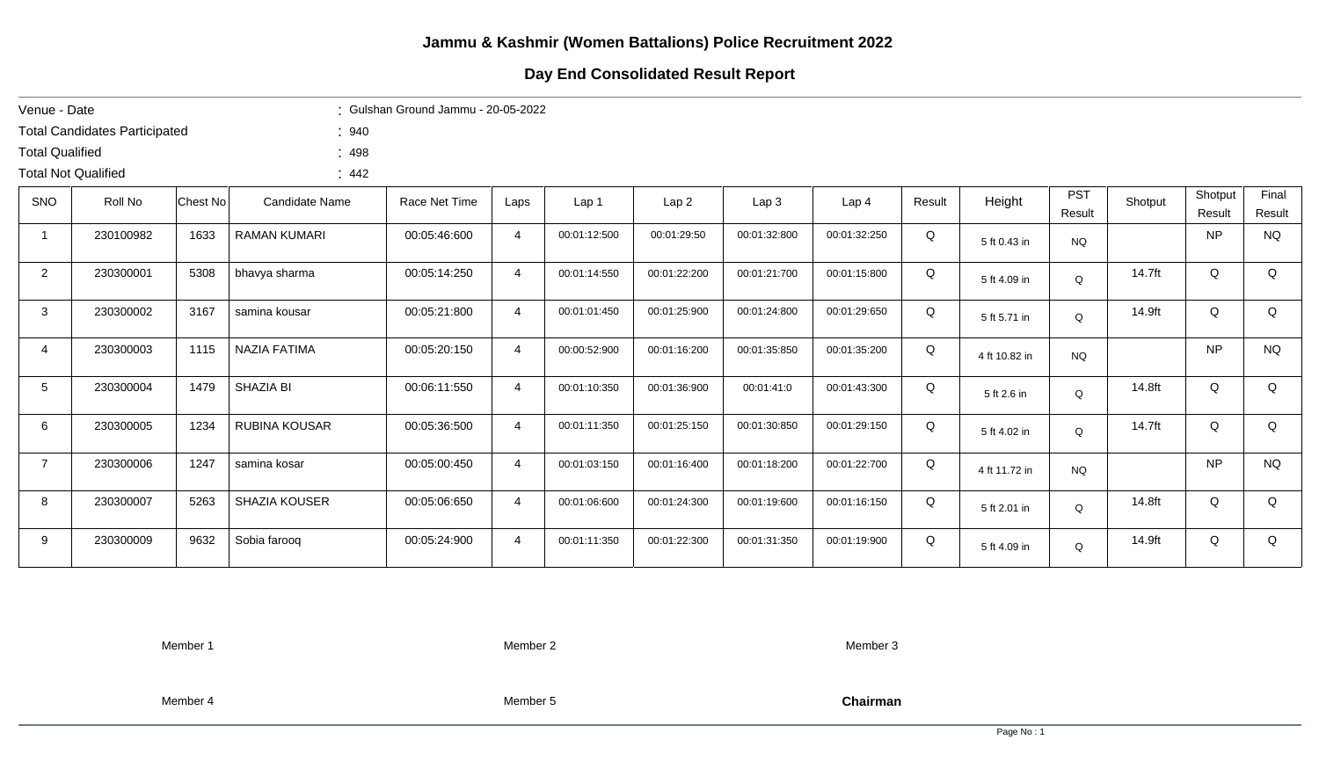## **Day End Consolidated Result Report**

| Venue - Date               |                                      |          |                      | : Gulshan Ground Jammu - 20-05-2022 |                |              |              |                  |                  |        |               |            |         |           |           |
|----------------------------|--------------------------------------|----------|----------------------|-------------------------------------|----------------|--------------|--------------|------------------|------------------|--------|---------------|------------|---------|-----------|-----------|
|                            | <b>Total Candidates Participated</b> |          | : 940                |                                     |                |              |              |                  |                  |        |               |            |         |           |           |
| <b>Total Qualified</b>     |                                      |          | : 498                |                                     |                |              |              |                  |                  |        |               |            |         |           |           |
| <b>Total Not Qualified</b> |                                      |          | : 442                |                                     |                |              |              |                  |                  |        |               |            |         |           |           |
| SNO                        | Roll No                              | Chest No | Candidate Name       | Race Net Time                       | Laps           | Lap 1        | Lap2         | Lap <sub>3</sub> | Lap <sub>4</sub> | Result | Height        | <b>PST</b> | Shotput | Shotput   | Final     |
|                            |                                      |          |                      |                                     |                |              |              |                  |                  |        |               | Result     |         | Result    | Result    |
| $\mathbf 1$                | 230100982                            | 1633     | <b>RAMAN KUMARI</b>  | 00:05:46:600                        | $\overline{4}$ | 00:01:12:500 | 00:01:29:50  | 00:01:32:800     | 00:01:32:250     | Q      | 5 ft 0.43 in  | <b>NQ</b>  |         | <b>NP</b> | <b>NQ</b> |
| $\overline{2}$             | 230300001                            | 5308     | bhavya sharma        | 00:05:14:250                        | $\overline{4}$ | 00:01:14:550 | 00:01:22:200 | 00:01:21:700     | 00:01:15:800     | Q      | 5 ft 4.09 in  | Q          | 14.7ft  | Q         | Q         |
| $\mathbf{3}$               | 230300002                            | 3167     | samina kousar        | 00:05:21:800                        | $\overline{4}$ | 00:01:01:450 | 00:01:25:900 | 00:01:24:800     | 00:01:29:650     | Q      | 5 ft 5.71 in  | $\Omega$   | 14.9ft  | Q         | Q         |
| 4                          | 230300003                            | 1115     | NAZIA FATIMA         | 00:05:20:150                        | $\overline{4}$ | 00:00:52:900 | 00:01:16:200 | 00:01:35:850     | 00:01:35:200     | Q      | 4 ft 10.82 in | <b>NQ</b>  |         | <b>NP</b> | <b>NQ</b> |
| 5 <sup>5</sup>             | 230300004                            | 1479     | SHAZIA BI            | 00:06:11:550                        | $\overline{4}$ | 00:01:10:350 | 00:01:36:900 | 00:01:41:0       | 00:01:43:300     | Q      | 5 ft 2.6 in   | Q          | 14.8ft  | Q         | Q         |
| 6                          | 230300005                            | 1234     | <b>RUBINA KOUSAR</b> | 00:05:36:500                        | $\overline{4}$ | 00:01:11:350 | 00:01:25:150 | 00:01:30:850     | 00:01:29:150     | Q      | 5 ft 4.02 in  | Q          | 14.7ft  | Q         | Q         |
| $\overline{7}$             | 230300006                            | 1247     | samina kosar         | 00:05:00:450                        | $\overline{4}$ | 00:01:03:150 | 00:01:16:400 | 00:01:18:200     | 00:01:22:700     | Q      | 4 ft 11.72 in | <b>NQ</b>  |         | <b>NP</b> | <b>NQ</b> |
| 8                          | 230300007                            | 5263     | <b>SHAZIA KOUSER</b> | 00:05:06:650                        | $\overline{4}$ | 00:01:06:600 | 00:01:24:300 | 00:01:19:600     | 00:01:16:150     | Q      | 5 ft 2.01 in  | Q          | 14.8ft  | Q         | Q         |
| 9                          | 230300009                            | 9632     | Sobia farooq         | 00:05:24:900                        | $\overline{4}$ | 00:01:11:350 | 00:01:22:300 | 00:01:31:350     | 00:01:19:900     | Q      | 5 ft 4.09 in  | Q          | 14.9ft  | Q         | Q         |

Member 1 Member 2 Member 3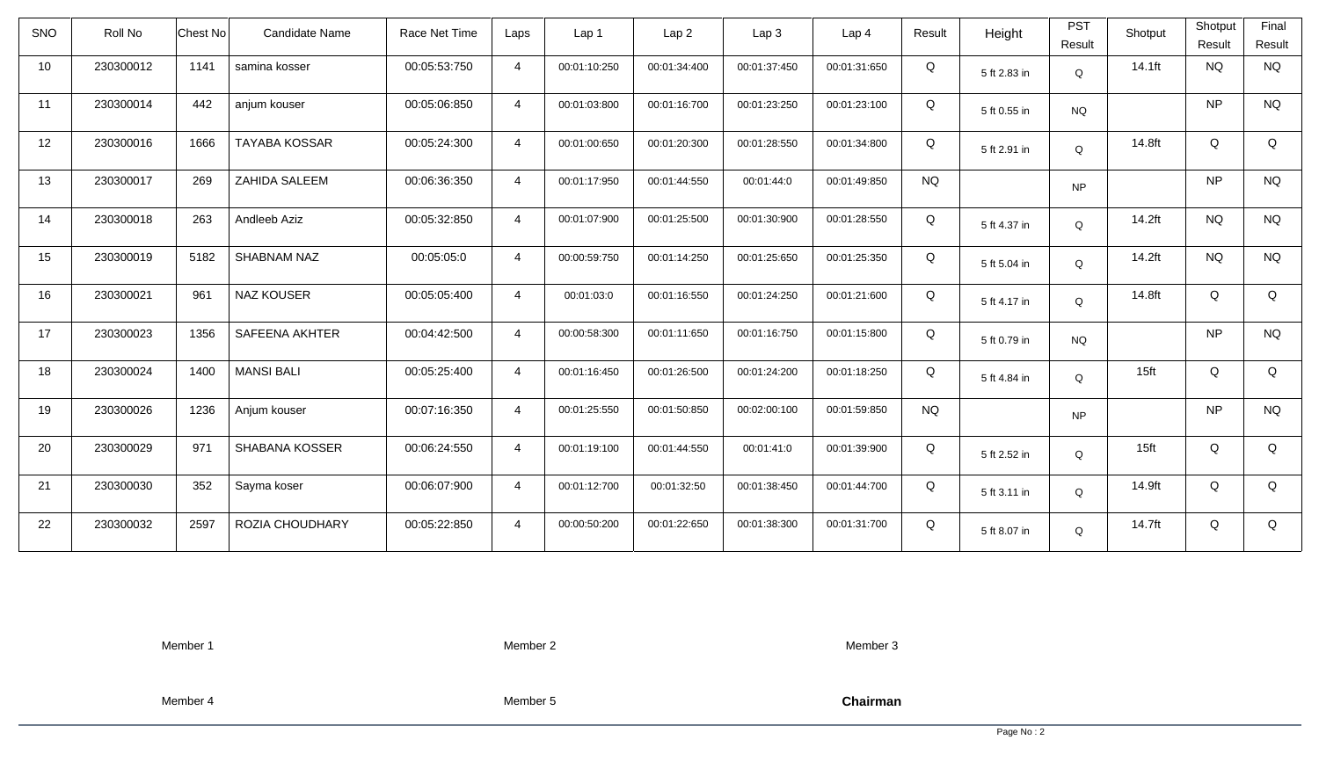| <b>SNO</b> | Roll No   | <b>Chest No</b> | Candidate Name        | Race Net Time | Laps           | Lap 1        | Lap <sub>2</sub> | Lap <sub>3</sub> | Lap <sub>4</sub> | Result    | Height       | <b>PST</b><br>Result | Shotput          | Shotput<br>Result | Final<br>Result |
|------------|-----------|-----------------|-----------------------|---------------|----------------|--------------|------------------|------------------|------------------|-----------|--------------|----------------------|------------------|-------------------|-----------------|
| 10         | 230300012 | 1141            | samina kosser         | 00:05:53:750  | $\overline{4}$ | 00:01:10:250 | 00:01:34:400     | 00:01:37:450     | 00:01:31:650     | Q         | 5 ft 2.83 in | Q                    | 14.1ft           | <b>NQ</b>         | <b>NQ</b>       |
| 11         | 230300014 | 442             | anjum kouser          | 00:05:06:850  | $\overline{4}$ | 00:01:03:800 | 00:01:16:700     | 00:01:23:250     | 00:01:23:100     | Q         | 5 ft 0.55 in | <b>NQ</b>            |                  | <b>NP</b>         | <b>NQ</b>       |
| 12         | 230300016 | 1666            | <b>TAYABA KOSSAR</b>  | 00:05:24:300  | $\overline{4}$ | 00:01:00:650 | 00:01:20:300     | 00:01:28:550     | 00:01:34:800     | Q         | 5 ft 2.91 in | Q                    | 14.8ft           | Q                 | Q               |
| 13         | 230300017 | 269             | ZAHIDA SALEEM         | 00:06:36:350  | $\overline{4}$ | 00:01:17:950 | 00:01:44:550     | 00:01:44:0       | 00:01:49:850     | <b>NQ</b> |              | <b>NP</b>            |                  | <b>NP</b>         | <b>NQ</b>       |
| 14         | 230300018 | 263             | Andleeb Aziz          | 00:05:32:850  | $\overline{4}$ | 00:01:07:900 | 00:01:25:500     | 00:01:30:900     | 00:01:28:550     | Q         | 5 ft 4.37 in | Q                    | 14.2ft           | <b>NQ</b>         | <b>NQ</b>       |
| 15         | 230300019 | 5182            | SHABNAM NAZ           | 00:05:05:0    | $\overline{4}$ | 00:00:59:750 | 00:01:14:250     | 00:01:25:650     | 00:01:25:350     | Q         | 5 ft 5.04 in | Q                    | 14.2ft           | <b>NQ</b>         | <b>NQ</b>       |
| 16         | 230300021 | 961             | <b>NAZ KOUSER</b>     | 00:05:05:400  | $\overline{4}$ | 00:01:03:0   | 00:01:16:550     | 00:01:24:250     | 00:01:21:600     | Q         | 5 ft 4.17 in | Q                    | 14.8ft           | Q                 | Q               |
| 17         | 230300023 | 1356            | <b>SAFEENA AKHTER</b> | 00:04:42:500  | $\overline{4}$ | 00:00:58:300 | 00:01:11:650     | 00:01:16:750     | 00:01:15:800     | Q         | 5 ft 0.79 in | <b>NQ</b>            |                  | <b>NP</b>         | <b>NQ</b>       |
| 18         | 230300024 | 1400            | <b>MANSI BALI</b>     | 00:05:25:400  | $\overline{4}$ | 00:01:16:450 | 00:01:26:500     | 00:01:24:200     | 00:01:18:250     | Q         | 5 ft 4.84 in | $\Omega$             | 15 <sub>ft</sub> | Q                 | Q               |
| 19         | 230300026 | 1236            | Anjum kouser          | 00:07:16:350  | $\overline{4}$ | 00:01:25:550 | 00:01:50:850     | 00:02:00:100     | 00:01:59:850     | <b>NQ</b> |              | <b>NP</b>            |                  | <b>NP</b>         | <b>NQ</b>       |
| 20         | 230300029 | 971             | SHABANA KOSSER        | 00:06:24:550  | $\overline{4}$ | 00:01:19:100 | 00:01:44:550     | 00:01:41:0       | 00:01:39:900     | Q         | 5 ft 2.52 in | Q                    | 15 <sub>ft</sub> | Q                 | Q               |
| 21         | 230300030 | 352             | Sayma koser           | 00:06:07:900  | $\overline{4}$ | 00:01:12:700 | 00:01:32:50      | 00:01:38:450     | 00:01:44:700     | Q         | 5 ft 3.11 in | Q                    | 14.9ft           | Q                 | Q               |
| 22         | 230300032 | 2597            | ROZIA CHOUDHARY       | 00:05:22:850  | $\overline{4}$ | 00:00:50:200 | 00:01:22:650     | 00:01:38:300     | 00:01:31:700     | Q         | 5 ft 8.07 in | Q                    | 14.7ft           | Q                 | Q               |

Member 2

Member 3

Member 4

Member 5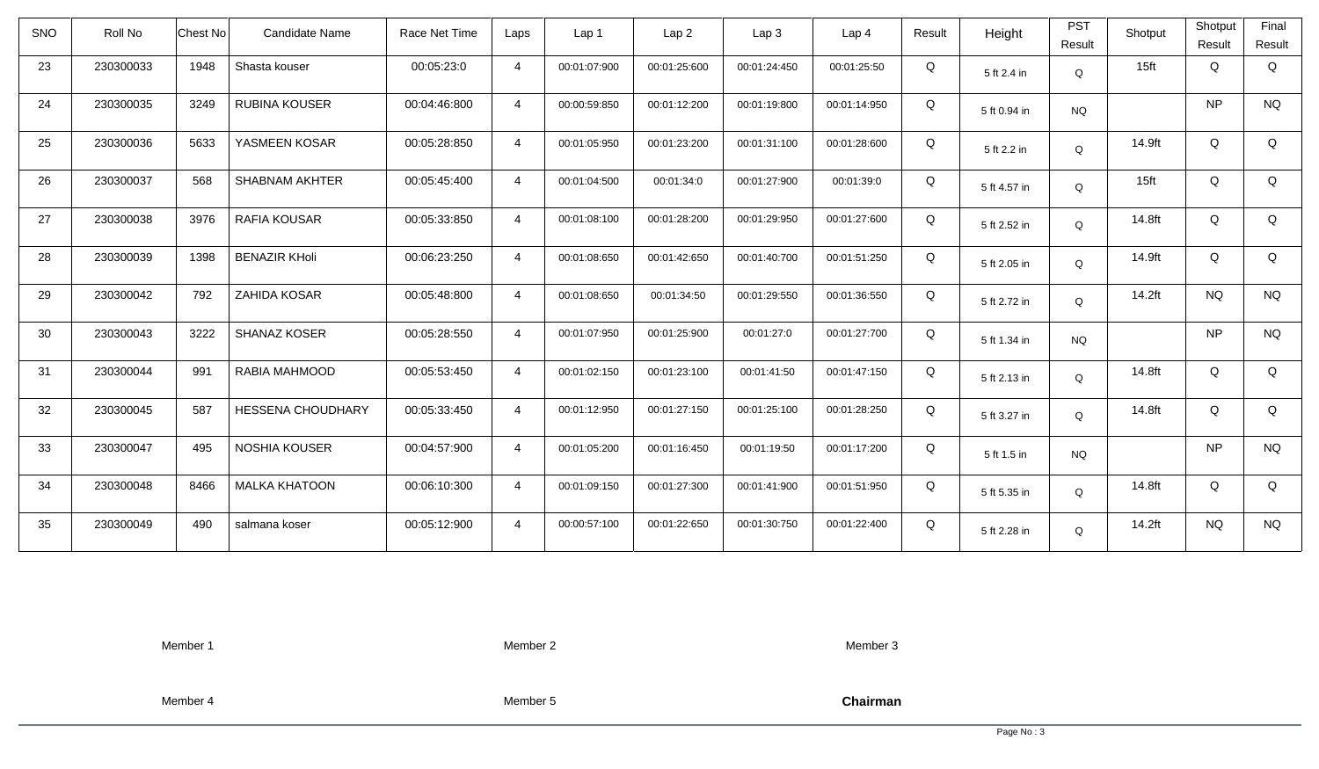| SNO | Roll No   | Chest No | <b>Candidate Name</b>    | Race Net Time | Laps           | Lap <sub>1</sub> | Lap <sub>2</sub> | Lap <sub>3</sub> | Lap <sub>4</sub> | Result | Height       | <b>PST</b><br>Result | Shotput          | Shotput<br>Result | Final<br>Result |
|-----|-----------|----------|--------------------------|---------------|----------------|------------------|------------------|------------------|------------------|--------|--------------|----------------------|------------------|-------------------|-----------------|
| 23  | 230300033 | 1948     | Shasta kouser            | 00:05:23:0    | $\overline{4}$ | 00:01:07:900     | 00:01:25:600     | 00:01:24:450     | 00:01:25:50      | Q      | 5 ft 2.4 in  | Q                    | 15 <sub>ft</sub> | Q                 | Q               |
| 24  | 230300035 | 3249     | RUBINA KOUSER            | 00:04:46:800  | $\overline{4}$ | 00:00:59:850     | 00:01:12:200     | 00:01:19:800     | 00:01:14:950     | Q      | 5 ft 0.94 in | <b>NQ</b>            |                  | <b>NP</b>         | <b>NQ</b>       |
| 25  | 230300036 | 5633     | YASMEEN KOSAR            | 00:05:28:850  | $\overline{4}$ | 00:01:05:950     | 00:01:23:200     | 00:01:31:100     | 00:01:28:600     | Q      | 5 ft 2.2 in  | Q                    | 14.9ft           | Q                 | Q               |
| 26  | 230300037 | 568      | <b>SHABNAM AKHTER</b>    | 00:05:45:400  | $\overline{4}$ | 00:01:04:500     | 00:01:34:0       | 00:01:27:900     | 00:01:39:0       | Q      | 5 ft 4.57 in | Q                    | 15 <sub>ft</sub> | Q                 | Q               |
| 27  | 230300038 | 3976     | RAFIA KOUSAR             | 00:05:33:850  | $\overline{4}$ | 00:01:08:100     | 00:01:28:200     | 00:01:29:950     | 00:01:27:600     | Q      | 5 ft 2.52 in | Q                    | 14.8ft           | Q                 | Q               |
| 28  | 230300039 | 1398     | <b>BENAZIR KHoli</b>     | 00:06:23:250  | $\overline{4}$ | 00:01:08:650     | 00:01:42:650     | 00:01:40:700     | 00:01:51:250     | Q      | 5 ft 2.05 in | Q                    | 14.9ft           | Q                 | Q               |
| 29  | 230300042 | 792      | ZAHIDA KOSAR             | 00:05:48:800  | $\overline{4}$ | 00:01:08:650     | 00:01:34:50      | 00:01:29:550     | 00:01:36:550     | Q      | 5 ft 2.72 in | Q                    | 14.2ft           | <b>NQ</b>         | <b>NQ</b>       |
| 30  | 230300043 | 3222     | SHANAZ KOSER             | 00:05:28:550  | $\overline{4}$ | 00:01:07:950     | 00:01:25:900     | 00:01:27:0       | 00:01:27:700     | Q      | 5 ft 1.34 in | <b>NQ</b>            |                  | <b>NP</b>         | <b>NQ</b>       |
| 31  | 230300044 | 991      | RABIA MAHMOOD            | 00:05:53:450  | $\overline{4}$ | 00:01:02:150     | 00:01:23:100     | 00:01:41:50      | 00:01:47:150     | Q      | 5 ft 2.13 in | Q                    | 14.8ft           | Q                 | Q               |
| 32  | 230300045 | 587      | <b>HESSENA CHOUDHARY</b> | 00:05:33:450  | $\overline{4}$ | 00:01:12:950     | 00:01:27:150     | 00:01:25:100     | 00:01:28:250     | Q      | 5 ft 3.27 in | Q                    | 14.8ft           | Q                 | Q               |
| 33  | 230300047 | 495      | NOSHIA KOUSER            | 00:04:57:900  | $\overline{4}$ | 00:01:05:200     | 00:01:16:450     | 00:01:19:50      | 00:01:17:200     | Q      | 5 ft 1.5 in  | <b>NQ</b>            |                  | <b>NP</b>         | <b>NQ</b>       |
| 34  | 230300048 | 8466     | <b>MALKA KHATOON</b>     | 00:06:10:300  | $\overline{4}$ | 00:01:09:150     | 00:01:27:300     | 00:01:41:900     | 00:01:51:950     | Q      | 5 ft 5.35 in | Q                    | 14.8ft           | Q                 | Q               |
| 35  | 230300049 | 490      | salmana koser            | 00:05:12:900  | $\overline{4}$ | 00:00:57:100     | 00:01:22:650     | 00:01:30:750     | 00:01:22:400     | Q      | 5 ft 2.28 in | Q                    | 14.2ft           | <b>NQ</b>         | <b>NQ</b>       |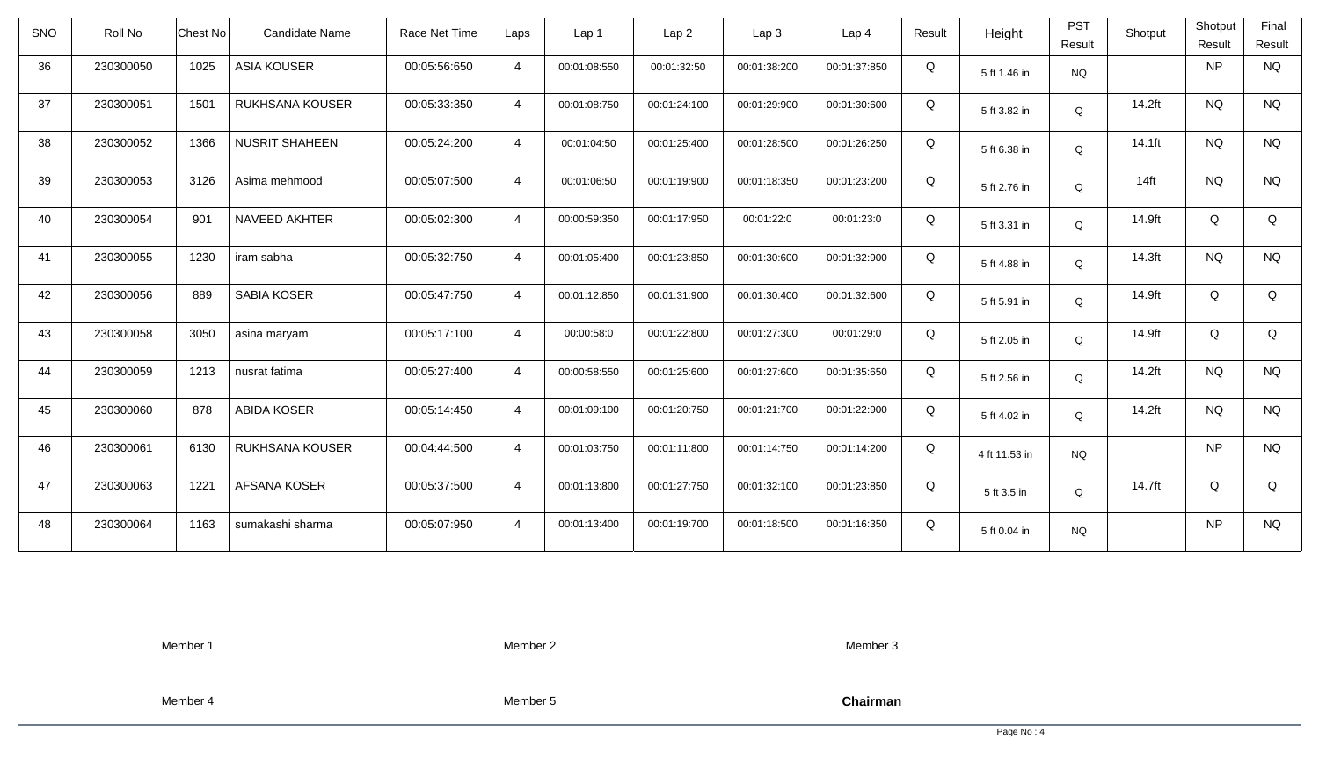| <b>SNO</b> | Roll No   | <b>Chest No</b> | Candidate Name        | Race Net Time | Laps           | Lap <sub>1</sub> | Lap <sub>2</sub> | Lap <sub>3</sub> | Lap <sub>4</sub> | Result | Height        | <b>PST</b><br>Result | Shotput   | Shotput<br>Result | Final<br>Result |
|------------|-----------|-----------------|-----------------------|---------------|----------------|------------------|------------------|------------------|------------------|--------|---------------|----------------------|-----------|-------------------|-----------------|
| 36         | 230300050 | 1025            | <b>ASIA KOUSER</b>    | 00:05:56:650  | $\overline{4}$ | 00:01:08:550     | 00:01:32:50      | 00:01:38:200     | 00:01:37:850     | Q      | 5 ft 1.46 in  | <b>NQ</b>            |           | <b>NP</b>         | <b>NQ</b>       |
| 37         | 230300051 | 1501            | RUKHSANA KOUSER       | 00:05:33:350  | $\overline{4}$ | 00:01:08:750     | 00:01:24:100     | 00:01:29:900     | 00:01:30:600     | Q      | 5 ft 3.82 in  | Q                    | 14.2ft    | <b>NQ</b>         | <b>NQ</b>       |
| 38         | 230300052 | 1366            | <b>NUSRIT SHAHEEN</b> | 00:05:24:200  | $\overline{4}$ | 00:01:04:50      | 00:01:25:400     | 00:01:28:500     | 00:01:26:250     | Q      | 5 ft 6.38 in  | Q                    | $14.1$ ft | <b>NQ</b>         | <b>NQ</b>       |
| 39         | 230300053 | 3126            | Asima mehmood         | 00:05:07:500  | $\overline{4}$ | 00:01:06:50      | 00:01:19:900     | 00:01:18:350     | 00:01:23:200     | Q      | 5 ft 2.76 in  | Q                    | $14$ ft   | <b>NQ</b>         | <b>NQ</b>       |
| 40         | 230300054 | 901             | NAVEED AKHTER         | 00:05:02:300  | $\overline{4}$ | 00:00:59:350     | 00:01:17:950     | 00:01:22:0       | 00:01:23:0       | Q      | 5 ft 3.31 in  | Q                    | 14.9ft    | Q                 | Q               |
| 41         | 230300055 | 1230            | iram sabha            | 00:05:32:750  | $\overline{4}$ | 00:01:05:400     | 00:01:23:850     | 00:01:30:600     | 00:01:32:900     | Q      | 5 ft 4.88 in  | Q                    | 14.3ft    | <b>NQ</b>         | <b>NQ</b>       |
| 42         | 230300056 | 889             | SABIA KOSER           | 00:05:47:750  | $\overline{4}$ | 00:01:12:850     | 00:01:31:900     | 00:01:30:400     | 00:01:32:600     | Q      | 5 ft 5.91 in  | Q                    | 14.9ft    | Q                 | Q               |
| 43         | 230300058 | 3050            | asina maryam          | 00:05:17:100  | $\overline{4}$ | 00:00:58:0       | 00:01:22:800     | 00:01:27:300     | 00:01:29:0       | Q      | 5 ft 2.05 in  | Q                    | 14.9ft    | Q                 | Q               |
| 44         | 230300059 | 1213            | nusrat fatima         | 00:05:27:400  | $\overline{4}$ | 00:00:58:550     | 00:01:25:600     | 00:01:27:600     | 00:01:35:650     | Q      | 5 ft 2.56 in  | Q                    | 14.2ft    | <b>NQ</b>         | <b>NQ</b>       |
| 45         | 230300060 | 878             | <b>ABIDA KOSER</b>    | 00:05:14:450  | $\overline{4}$ | 00:01:09:100     | 00:01:20:750     | 00:01:21:700     | 00:01:22:900     | Q      | 5 ft 4.02 in  | Q                    | 14.2ft    | <b>NQ</b>         | <b>NQ</b>       |
| 46         | 230300061 | 6130            | RUKHSANA KOUSER       | 00:04:44:500  | $\overline{4}$ | 00:01:03:750     | 00:01:11:800     | 00:01:14:750     | 00:01:14:200     | Q      | 4 ft 11.53 in | <b>NQ</b>            |           | <b>NP</b>         | <b>NQ</b>       |
| 47         | 230300063 | 1221            | AFSANA KOSER          | 00:05:37:500  | $\overline{4}$ | 00:01:13:800     | 00:01:27:750     | 00:01:32:100     | 00:01:23:850     | Q      | 5 ft 3.5 in   | Q                    | 14.7ft    | Q                 | Q               |
| 48         | 230300064 | 1163            | sumakashi sharma      | 00:05:07:950  | $\overline{4}$ | 00:01:13:400     | 00:01:19:700     | 00:01:18:500     | 00:01:16:350     | Q      | 5 ft 0.04 in  | <b>NQ</b>            |           | <b>NP</b>         | <b>NQ</b>       |

Member 2

Member 3

Member 4

Member 5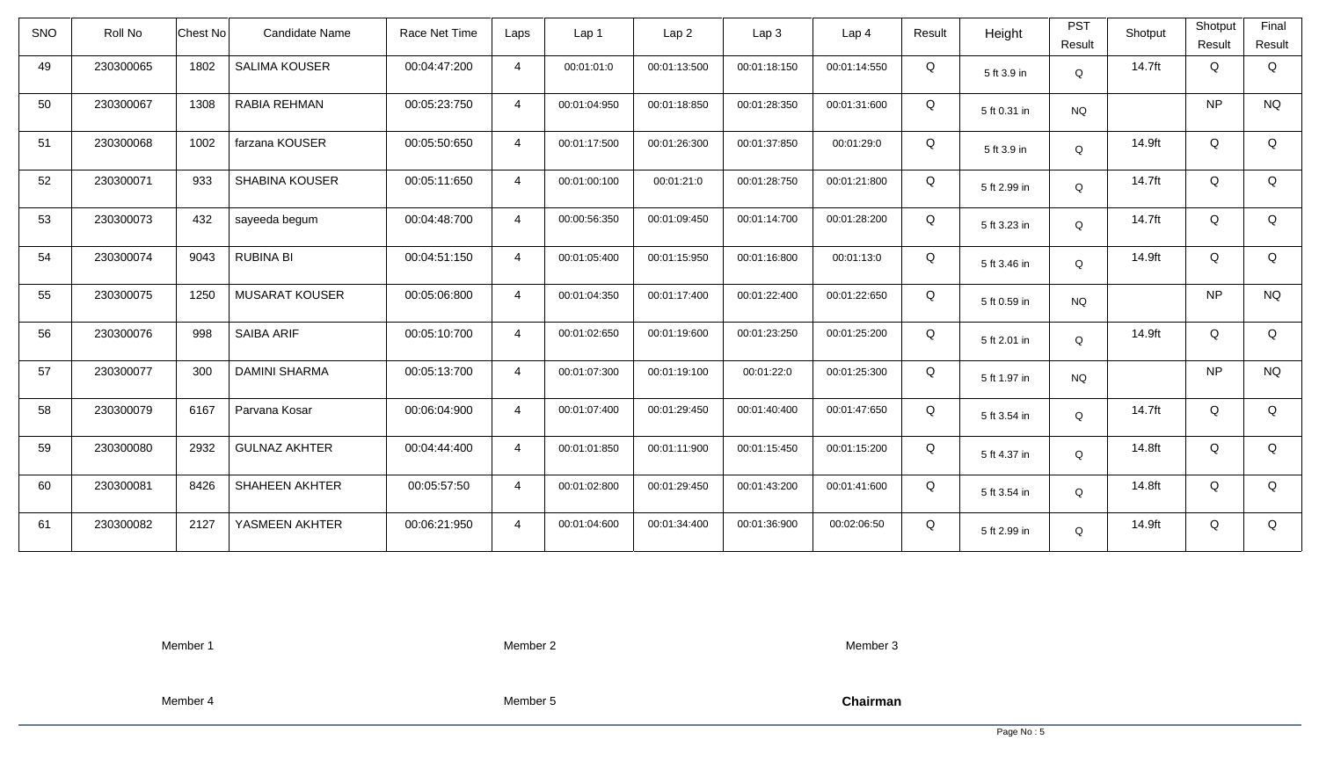| Roll No   |      | Candidate Name        | Race Net Time   | Laps           | Lap 1        | Lap <sub>2</sub> | Lap <sub>3</sub> | Lap <sub>4</sub> | Result | Height       | <b>PST</b><br>Result | Shotput | Shotput<br>Result | Final<br>Result |
|-----------|------|-----------------------|-----------------|----------------|--------------|------------------|------------------|------------------|--------|--------------|----------------------|---------|-------------------|-----------------|
| 230300065 | 1802 | <b>SALIMA KOUSER</b>  | 00:04:47:200    | $\overline{4}$ | 00:01:01:0   | 00:01:13:500     | 00:01:18:150     | 00:01:14:550     | Q      | 5 ft 3.9 in  | Q                    | 14.7ft  | Q                 | Q               |
| 230300067 | 1308 | RABIA REHMAN          | 00:05:23:750    | $\overline{4}$ | 00:01:04:950 | 00:01:18:850     | 00:01:28:350     | 00:01:31:600     | Q      | 5 ft 0.31 in | <b>NQ</b>            |         | <b>NP</b>         | <b>NQ</b>       |
| 230300068 | 1002 | farzana KOUSER        | 00:05:50:650    | $\overline{4}$ | 00:01:17:500 | 00:01:26:300     | 00:01:37:850     | 00:01:29:0       | Q      | 5 ft 3.9 in  | Q                    | 14.9ft  | Q                 | Q               |
| 230300071 | 933  | <b>SHABINA KOUSER</b> | 00:05:11:650    | $\overline{4}$ | 00:01:00:100 | 00:01:21:0       | 00:01:28:750     | 00:01:21:800     | Q      | 5 ft 2.99 in | Q                    | 14.7ft  | Q                 | Q               |
| 230300073 | 432  | sayeeda begum         | 00:04:48:700    | $\overline{4}$ | 00:00:56:350 | 00:01:09:450     | 00:01:14:700     | 00:01:28:200     | Q      | 5 ft 3.23 in | Q                    | 14.7ft  | Q                 | Q               |
| 230300074 | 9043 | <b>RUBINA BI</b>      | 00:04:51:150    | $\overline{4}$ | 00:01:05:400 | 00:01:15:950     | 00:01:16:800     | 00:01:13:0       | Q      | 5 ft 3.46 in | Q                    | 14.9ft  | Q                 | Q               |
| 230300075 | 1250 | <b>MUSARAT KOUSER</b> | 00:05:06:800    | $\overline{4}$ | 00:01:04:350 | 00:01:17:400     | 00:01:22:400     | 00:01:22:650     | Q      | 5 ft 0.59 in | <b>NQ</b>            |         | <b>NP</b>         | <b>NQ</b>       |
| 230300076 | 998  | <b>SAIBA ARIF</b>     | 00:05:10:700    | $\overline{4}$ | 00:01:02:650 | 00:01:19:600     | 00:01:23:250     | 00:01:25:200     | Q      | 5 ft 2.01 in | Q                    | 14.9ft  | Q                 | Q               |
| 230300077 | 300  | <b>DAMINI SHARMA</b>  | 00:05:13:700    | $\overline{4}$ | 00:01:07:300 | 00:01:19:100     | 00:01:22:0       | 00:01:25:300     | Q      | 5 ft 1.97 in | <b>NQ</b>            |         | <b>NP</b>         | <b>NQ</b>       |
| 230300079 | 6167 | Parvana Kosar         | 00:06:04:900    | $\overline{4}$ | 00:01:07:400 | 00:01:29:450     | 00:01:40:400     | 00:01:47:650     | Q      | 5 ft 3.54 in | Q                    | 14.7ft  | Q                 | Q               |
| 230300080 | 2932 | <b>GULNAZ AKHTER</b>  | 00:04:44:400    | $\overline{4}$ | 00:01:01:850 | 00:01:11:900     | 00:01:15:450     | 00:01:15:200     | Q      | 5 ft 4.37 in | Q                    | 14.8ft  | Q                 | Q               |
| 230300081 | 8426 | <b>SHAHEEN AKHTER</b> | 00:05:57:50     | $\overline{4}$ | 00:01:02:800 | 00:01:29:450     | 00:01:43:200     | 00:01:41:600     | Q      | 5 ft 3.54 in | Q                    | 14.8ft  | Q                 | Q               |
| 230300082 | 2127 | YASMEEN AKHTER        | 00:06:21:950    | $\overline{4}$ | 00:01:04:600 | 00:01:34:400     | 00:01:36:900     | 00:02:06:50      | Q      | 5 ft 2.99 in | Q                    | 14.9ft  | Q                 | Q               |
|           |      |                       | <b>Chest No</b> |                |              |                  |                  |                  |        |              |                      |         |                   |                 |

Member 2

Member 3

Member 4

Member 5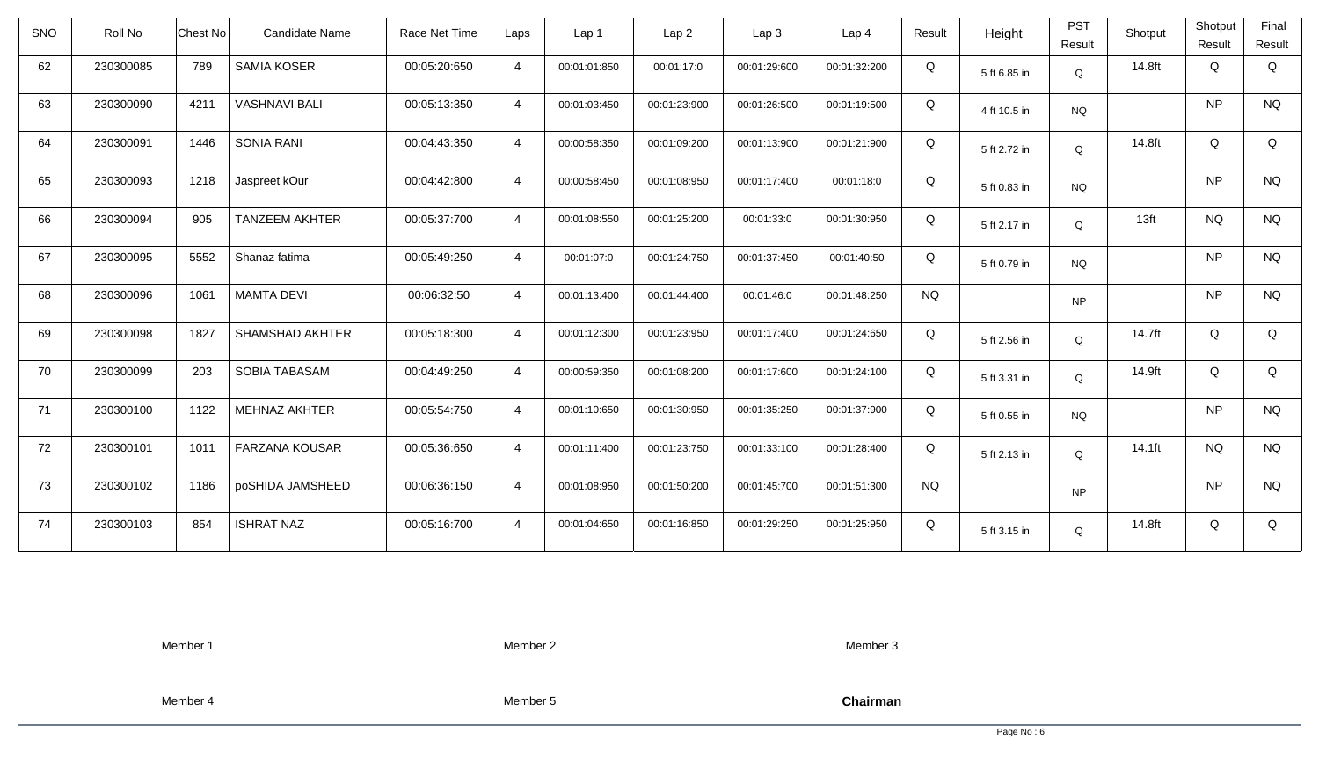| SNO | Roll No   | Chest No | Candidate Name        | Race Net Time | Laps           | Lap 1        | Lap <sub>2</sub> | Lap3         | Lap <sub>4</sub> | Result    | Height       | <b>PST</b><br>Result | Shotput          | Shotput<br>Result | Final<br>Result |
|-----|-----------|----------|-----------------------|---------------|----------------|--------------|------------------|--------------|------------------|-----------|--------------|----------------------|------------------|-------------------|-----------------|
| 62  | 230300085 | 789      | <b>SAMIA KOSER</b>    | 00:05:20:650  | $\overline{4}$ | 00:01:01:850 | 00:01:17:0       | 00:01:29:600 | 00:01:32:200     | Q         | 5 ft 6.85 in | $\mathsf Q$          | 14.8ft           | Q                 | Q               |
| 63  | 230300090 | 4211     | <b>VASHNAVI BALI</b>  | 00:05:13:350  | $\overline{4}$ | 00:01:03:450 | 00:01:23:900     | 00:01:26:500 | 00:01:19:500     | Q         | 4 ft 10.5 in | <b>NQ</b>            |                  | NP                | <b>NQ</b>       |
| 64  | 230300091 | 1446     | <b>SONIA RANI</b>     | 00:04:43:350  | $\overline{4}$ | 00:00:58:350 | 00:01:09:200     | 00:01:13:900 | 00:01:21:900     | Q         | 5 ft 2.72 in | Q                    | 14.8ft           | Q                 | Q               |
| 65  | 230300093 | 1218     | Jaspreet kOur         | 00:04:42:800  | $\overline{4}$ | 00:00:58:450 | 00:01:08:950     | 00:01:17:400 | 00:01:18:0       | Q         | 5 ft 0.83 in | <b>NQ</b>            |                  | <b>NP</b>         | <b>NQ</b>       |
| 66  | 230300094 | 905      | <b>TANZEEM AKHTER</b> | 00:05:37:700  | $\overline{4}$ | 00:01:08:550 | 00:01:25:200     | 00:01:33:0   | 00:01:30:950     | Q         | 5 ft 2.17 in | Q                    | 13 <sub>ft</sub> | <b>NQ</b>         | <b>NQ</b>       |
| 67  | 230300095 | 5552     | Shanaz fatima         | 00:05:49:250  | $\overline{4}$ | 00:01:07:0   | 00:01:24:750     | 00:01:37:450 | 00:01:40:50      | Q         | 5 ft 0.79 in | <b>NQ</b>            |                  | <b>NP</b>         | <b>NQ</b>       |
| 68  | 230300096 | 1061     | <b>MAMTA DEVI</b>     | 00:06:32:50   | $\overline{4}$ | 00:01:13:400 | 00:01:44:400     | 00:01:46:0   | 00:01:48:250     | <b>NQ</b> |              | <b>NP</b>            |                  | <b>NP</b>         | <b>NQ</b>       |
| 69  | 230300098 | 1827     | SHAMSHAD AKHTER       | 00:05:18:300  | $\overline{4}$ | 00:01:12:300 | 00:01:23:950     | 00:01:17:400 | 00:01:24:650     | Q         | 5 ft 2.56 in | Q                    | 14.7ft           | Q                 | Q               |
| 70  | 230300099 | 203      | SOBIA TABASAM         | 00:04:49:250  | $\overline{4}$ | 00:00:59:350 | 00:01:08:200     | 00:01:17:600 | 00:01:24:100     | Q         | 5 ft 3.31 in | Q                    | 14.9ft           | Q                 | Q               |
| 71  | 230300100 | 1122     | <b>MEHNAZ AKHTER</b>  | 00:05:54:750  | $\overline{4}$ | 00:01:10:650 | 00:01:30:950     | 00:01:35:250 | 00:01:37:900     | Q         | 5 ft 0.55 in | <b>NQ</b>            |                  | <b>NP</b>         | <b>NQ</b>       |
| 72  | 230300101 | 1011     | FARZANA KOUSAR        | 00:05:36:650  | $\overline{4}$ | 00:01:11:400 | 00:01:23:750     | 00:01:33:100 | 00:01:28:400     | Q         | 5 ft 2.13 in | Q                    | $14.1$ ft        | <b>NQ</b>         | <b>NQ</b>       |
| 73  | 230300102 | 1186     | poSHIDA JAMSHEED      | 00:06:36:150  | $\overline{4}$ | 00:01:08:950 | 00:01:50:200     | 00:01:45:700 | 00:01:51:300     | <b>NQ</b> |              | <b>NP</b>            |                  | <b>NP</b>         | <b>NQ</b>       |
| 74  | 230300103 | 854      | <b>ISHRAT NAZ</b>     | 00:05:16:700  | $\overline{4}$ | 00:01:04:650 | 00:01:16:850     | 00:01:29:250 | 00:01:25:950     | Q         | 5 ft 3.15 in | Q                    | 14.8ft           | Q                 | Q               |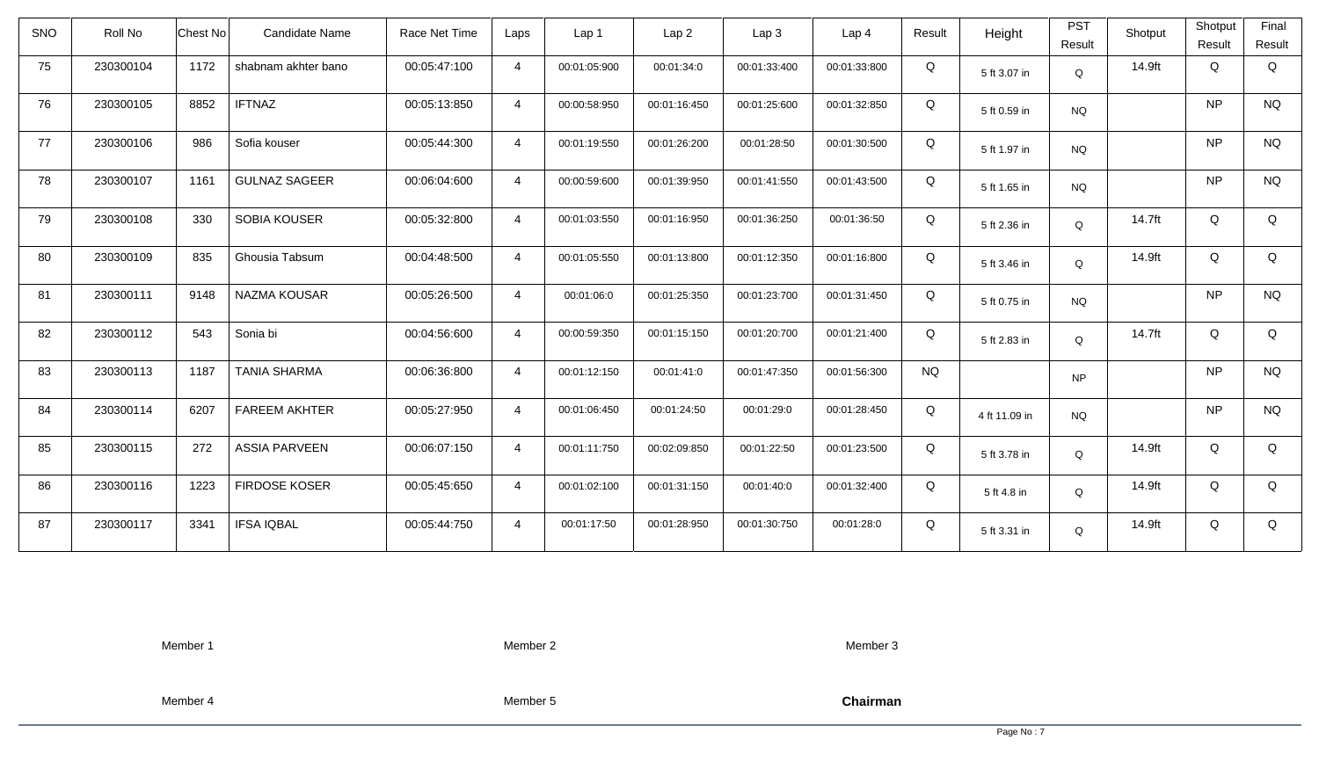| SNO | Roll No   | Chest No | Candidate Name       | Race Net Time | Laps           | Lap 1        | Lap <sub>2</sub> | Lap <sub>3</sub> | Lap <sub>4</sub> | Result    | Height        | <b>PST</b><br>Result | Shotput | Shotput<br>Result | Final<br>Result |
|-----|-----------|----------|----------------------|---------------|----------------|--------------|------------------|------------------|------------------|-----------|---------------|----------------------|---------|-------------------|-----------------|
| 75  | 230300104 | 1172     | shabnam akhter bano  | 00:05:47:100  | $\overline{4}$ | 00:01:05:900 | 00:01:34:0       | 00:01:33:400     | 00:01:33:800     | Q         | 5 ft 3.07 in  | $\mathsf Q$          | 14.9ft  | Q                 | Q               |
| 76  | 230300105 | 8852     | <b>IFTNAZ</b>        | 00:05:13:850  | $\overline{4}$ | 00:00:58:950 | 00:01:16:450     | 00:01:25:600     | 00:01:32:850     | Q         | 5 ft 0.59 in  | <b>NQ</b>            |         | <b>NP</b>         | <b>NQ</b>       |
| 77  | 230300106 | 986      | Sofia kouser         | 00:05:44:300  | $\overline{4}$ | 00:01:19:550 | 00:01:26:200     | 00:01:28:50      | 00:01:30:500     | Q         | 5 ft 1.97 in  | <b>NQ</b>            |         | <b>NP</b>         | <b>NQ</b>       |
| 78  | 230300107 | 1161     | <b>GULNAZ SAGEER</b> | 00:06:04:600  | $\overline{4}$ | 00:00:59:600 | 00:01:39:950     | 00:01:41:550     | 00:01:43:500     | Q         | 5 ft 1.65 in  | <b>NQ</b>            |         | <b>NP</b>         | <b>NQ</b>       |
| 79  | 230300108 | 330      | <b>SOBIA KOUSER</b>  | 00:05:32:800  | $\overline{4}$ | 00:01:03:550 | 00:01:16:950     | 00:01:36:250     | 00:01:36:50      | Q         | 5 ft 2.36 in  | Q                    | 14.7ft  | Q                 | Q               |
| 80  | 230300109 | 835      | Ghousia Tabsum       | 00:04:48:500  | $\overline{4}$ | 00:01:05:550 | 00:01:13:800     | 00:01:12:350     | 00:01:16:800     | Q         | 5 ft 3.46 in  | Q                    | 14.9ft  | Q                 | Q               |
| 81  | 230300111 | 9148     | NAZMA KOUSAR         | 00:05:26:500  | $\overline{4}$ | 00:01:06:0   | 00:01:25:350     | 00:01:23:700     | 00:01:31:450     | Q         | 5 ft 0.75 in  | <b>NQ</b>            |         | <b>NP</b>         | <b>NQ</b>       |
| 82  | 230300112 | 543      | Sonia bi             | 00:04:56:600  | $\overline{4}$ | 00:00:59:350 | 00:01:15:150     | 00:01:20:700     | 00:01:21:400     | Q         | 5 ft 2.83 in  | Q                    | 14.7ft  | Q                 | Q               |
| 83  | 230300113 | 1187     | <b>TANIA SHARMA</b>  | 00:06:36:800  | $\overline{4}$ | 00:01:12:150 | 00:01:41:0       | 00:01:47:350     | 00:01:56:300     | <b>NQ</b> |               | <b>NP</b>            |         | <b>NP</b>         | <b>NQ</b>       |
| 84  | 230300114 | 6207     | <b>FAREEM AKHTER</b> | 00:05:27:950  | $\overline{4}$ | 00:01:06:450 | 00:01:24:50      | 00:01:29:0       | 00:01:28:450     | Q         | 4 ft 11.09 in | <b>NQ</b>            |         | <b>NP</b>         | <b>NQ</b>       |
| 85  | 230300115 | 272      | <b>ASSIA PARVEEN</b> | 00:06:07:150  | $\overline{4}$ | 00:01:11:750 | 00:02:09:850     | 00:01:22:50      | 00:01:23:500     | Q         | 5 ft 3.78 in  | Q                    | 14.9ft  | Q                 | Q               |
| 86  | 230300116 | 1223     | <b>FIRDOSE KOSER</b> | 00:05:45:650  | $\overline{4}$ | 00:01:02:100 | 00:01:31:150     | 00:01:40:0       | 00:01:32:400     | Q         | 5 ft 4.8 in   | Q                    | 14.9ft  | Q                 | Q               |
| 87  | 230300117 | 3341     | <b>IFSA IQBAL</b>    | 00:05:44:750  | $\overline{4}$ | 00:01:17:50  | 00:01:28:950     | 00:01:30:750     | 00:01:28:0       | Q         | 5 ft 3.31 in  | Q                    | 14.9ft  | Q                 | Q               |

Member 2

Member 3

Member 4

Member 5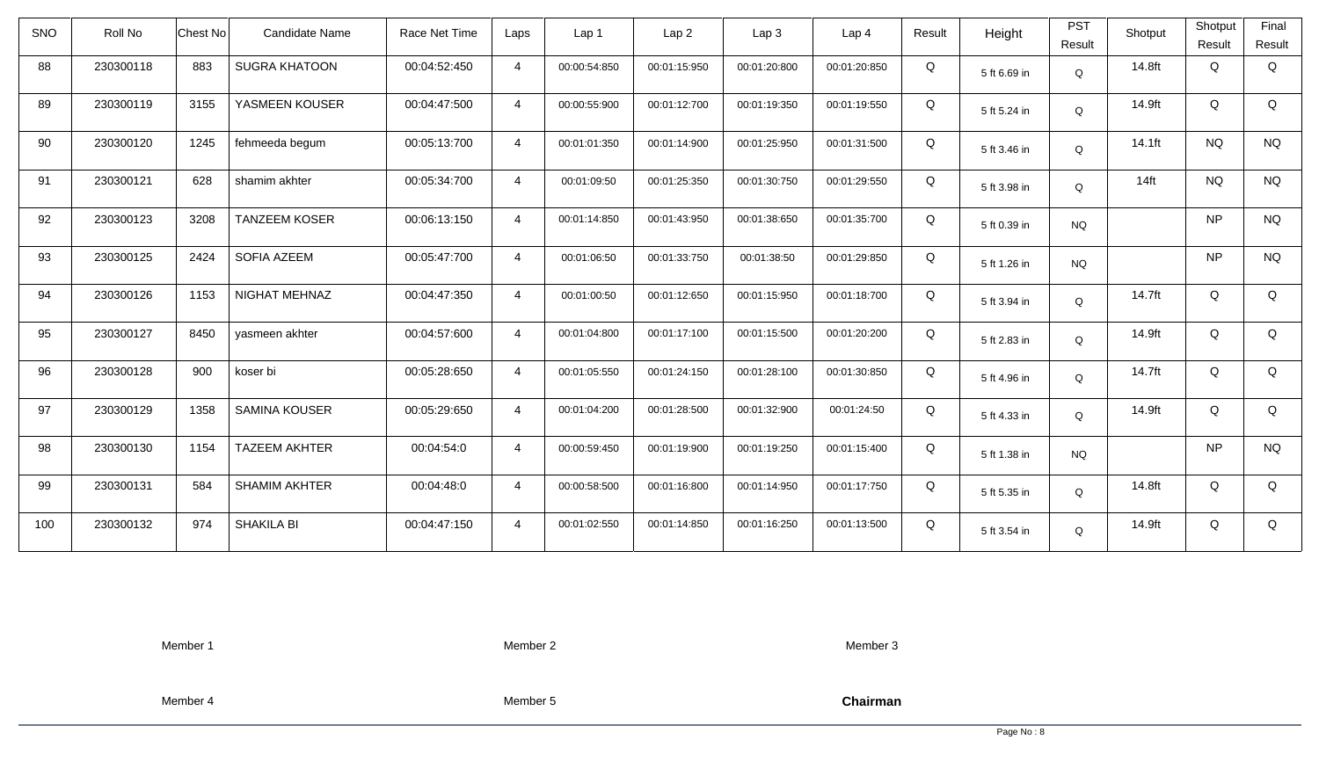| <b>SNO</b> | Roll No   | Candidate Name<br>Chest No   | Race Net Time | Laps           | Lap 1        | Lap2         | Lap 3        | Lap <sub>4</sub> | Result | Height       | <b>PST</b>  | Shotput          | Shotput   | Final     |
|------------|-----------|------------------------------|---------------|----------------|--------------|--------------|--------------|------------------|--------|--------------|-------------|------------------|-----------|-----------|
|            |           |                              |               |                |              |              |              |                  |        |              | Result      |                  | Result    | Result    |
| 88         | 230300118 | 883<br><b>SUGRA KHATOON</b>  | 00:04:52:450  | $\overline{4}$ | 00:00:54:850 | 00:01:15:950 | 00:01:20:800 | 00:01:20:850     | Q      | 5 ft 6.69 in | Q           | 14.8ft           | Q         | Q         |
| 89         | 230300119 | YASMEEN KOUSER<br>3155       | 00:04:47:500  | $\overline{4}$ | 00:00:55:900 | 00:01:12:700 | 00:01:19:350 | 00:01:19:550     | Q      | 5 ft 5.24 in | Q           | 14.9ft           | Q         | Q         |
| 90         | 230300120 | 1245<br>fehmeeda begum       | 00:05:13:700  | $\overline{4}$ | 00:01:01:350 | 00:01:14:900 | 00:01:25:950 | 00:01:31:500     | Q      | 5 ft 3.46 in | $\mathsf Q$ | 14.1ft           | <b>NQ</b> | <b>NQ</b> |
| 91         | 230300121 | 628<br>shamim akhter         | 00:05:34:700  | $\overline{4}$ | 00:01:09:50  | 00:01:25:350 | 00:01:30:750 | 00:01:29:550     | Q      | 5 ft 3.98 in | Q           | 14 <sub>ft</sub> | <b>NQ</b> | <b>NQ</b> |
| 92         | 230300123 | 3208<br><b>TANZEEM KOSER</b> | 00:06:13:150  | $\overline{4}$ | 00:01:14:850 | 00:01:43:950 | 00:01:38:650 | 00:01:35:700     | Q      | 5 ft 0.39 in | <b>NQ</b>   |                  | <b>NP</b> | <b>NQ</b> |
| 93         | 230300125 | 2424<br>SOFIA AZEEM          | 00:05:47:700  | $\overline{4}$ | 00:01:06:50  | 00:01:33:750 | 00:01:38:50  | 00:01:29:850     | Q      | 5 ft 1.26 in | <b>NQ</b>   |                  | <b>NP</b> | <b>NQ</b> |
| 94         | 230300126 | 1153<br>NIGHAT MEHNAZ        | 00:04:47:350  | $\overline{4}$ | 00:01:00:50  | 00:01:12:650 | 00:01:15:950 | 00:01:18:700     | Q      | 5 ft 3.94 in | Q           | 14.7ft           | Q         | Q         |
| 95         | 230300127 | 8450<br>yasmeen akhter       | 00:04:57:600  | $\overline{4}$ | 00:01:04:800 | 00:01:17:100 | 00:01:15:500 | 00:01:20:200     | Q      | 5 ft 2.83 in | Q           | 14.9ft           | Q         | Q         |
| 96         | 230300128 | 900<br>koser bi              | 00:05:28:650  | $\overline{4}$ | 00:01:05:550 | 00:01:24:150 | 00:01:28:100 | 00:01:30:850     | Q      | 5 ft 4.96 in | Q           | 14.7ft           | Q         | Q         |
| 97         | 230300129 | 1358<br><b>SAMINA KOUSER</b> | 00:05:29:650  | $\overline{4}$ | 00:01:04:200 | 00:01:28:500 | 00:01:32:900 | 00:01:24:50      | Q      | 5 ft 4.33 in | Q           | 14.9ft           | Q         | Q         |
| 98         | 230300130 | <b>TAZEEM AKHTER</b><br>1154 | 00:04:54:0    | $\overline{4}$ | 00:00:59:450 | 00:01:19:900 | 00:01:19:250 | 00:01:15:400     | Q      | 5 ft 1.38 in | <b>NQ</b>   |                  | <b>NP</b> | <b>NQ</b> |
| 99         | 230300131 | 584<br><b>SHAMIM AKHTER</b>  | 00:04:48:0    | $\overline{4}$ | 00:00:58:500 | 00:01:16:800 | 00:01:14:950 | 00:01:17:750     | Q      | 5 ft 5.35 in | Q           | 14.8ft           | Q         | Q         |
| 100        | 230300132 | 974<br><b>SHAKILA BI</b>     | 00:04:47:150  | $\overline{4}$ | 00:01:02:550 | 00:01:14:850 | 00:01:16:250 | 00:01:13:500     | Q      | 5 ft 3.54 in | Q           | 14.9ft           | Q         | Q         |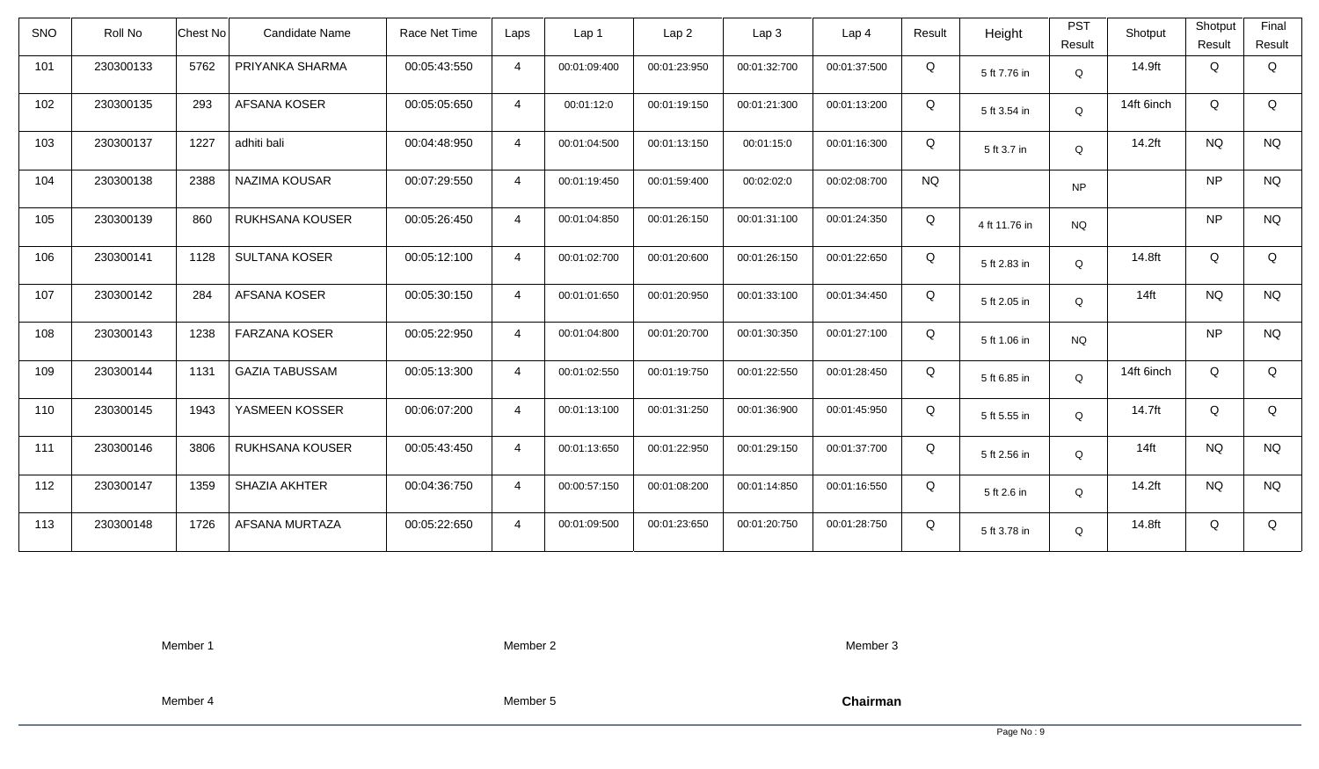| SNO | Roll No   | <b>Chest No</b> | <b>Candidate Name</b>  | Race Net Time | Laps           | Lap <sub>1</sub> | Lap2         | Lap3         | Lap <sub>4</sub> | Result    | Height        | <b>PST</b><br>Result | Shotput    | Shotput<br>Result | Final<br>Result |
|-----|-----------|-----------------|------------------------|---------------|----------------|------------------|--------------|--------------|------------------|-----------|---------------|----------------------|------------|-------------------|-----------------|
| 101 | 230300133 | 5762            | PRIYANKA SHARMA        | 00:05:43:550  | $\overline{4}$ | 00:01:09:400     | 00:01:23:950 | 00:01:32:700 | 00:01:37:500     | Q         | 5 ft 7.76 in  | Q                    | 14.9ft     | Q                 | Q               |
| 102 | 230300135 | 293             | <b>AFSANA KOSER</b>    | 00:05:05:650  | $\overline{4}$ | 00:01:12:0       | 00:01:19:150 | 00:01:21:300 | 00:01:13:200     | Q         | 5 ft 3.54 in  | Q                    | 14ft 6inch | Q                 | Q               |
| 103 | 230300137 | 1227            | adhiti bali            | 00:04:48:950  | $\overline{4}$ | 00:01:04:500     | 00:01:13:150 | 00:01:15:0   | 00:01:16:300     | Q         | 5 ft 3.7 in   | Q                    | 14.2ft     | <b>NQ</b>         | <b>NQ</b>       |
| 104 | 230300138 | 2388            | NAZIMA KOUSAR          | 00:07:29:550  | $\overline{4}$ | 00:01:19:450     | 00:01:59:400 | 00:02:02:0   | 00:02:08:700     | <b>NQ</b> |               | <b>NP</b>            |            | <b>NP</b>         | <b>NQ</b>       |
| 105 | 230300139 | 860             | RUKHSANA KOUSER        | 00:05:26:450  | $\overline{4}$ | 00:01:04:850     | 00:01:26:150 | 00:01:31:100 | 00:01:24:350     | Q         | 4 ft 11.76 in | <b>NQ</b>            |            | <b>NP</b>         | <b>NQ</b>       |
| 106 | 230300141 | 1128            | <b>SULTANA KOSER</b>   | 00:05:12:100  | $\overline{4}$ | 00:01:02:700     | 00:01:20:600 | 00:01:26:150 | 00:01:22:650     | Q         | 5 ft 2.83 in  | Q                    | 14.8ft     | Q                 | Q               |
| 107 | 230300142 | 284             | AFSANA KOSER           | 00:05:30:150  | $\overline{4}$ | 00:01:01:650     | 00:01:20:950 | 00:01:33:100 | 00:01:34:450     | Q         | 5 ft 2.05 in  | Q                    | $14$ ft    | <b>NQ</b>         | <b>NQ</b>       |
| 108 | 230300143 | 1238            | <b>FARZANA KOSER</b>   | 00:05:22:950  | $\overline{4}$ | 00:01:04:800     | 00:01:20:700 | 00:01:30:350 | 00:01:27:100     | Q         | 5 ft 1.06 in  | <b>NQ</b>            |            | <b>NP</b>         | <b>NQ</b>       |
| 109 | 230300144 | 1131            | <b>GAZIA TABUSSAM</b>  | 00:05:13:300  | $\overline{4}$ | 00:01:02:550     | 00:01:19:750 | 00:01:22:550 | 00:01:28:450     | Q         | 5 ft 6.85 in  | Q                    | 14ft 6inch | Q                 | Q               |
| 110 | 230300145 | 1943            | YASMEEN KOSSER         | 00:06:07:200  | $\overline{4}$ | 00:01:13:100     | 00:01:31:250 | 00:01:36:900 | 00:01:45:950     | Q         | 5 ft 5.55 in  | Q                    | 14.7ft     | Q                 | Q               |
| 111 | 230300146 | 3806            | <b>RUKHSANA KOUSER</b> | 00:05:43:450  | 4              | 00:01:13:650     | 00:01:22:950 | 00:01:29:150 | 00:01:37:700     | Q         | 5 ft 2.56 in  | Q                    | $14$ ft    | <b>NQ</b>         | <b>NQ</b>       |
| 112 | 230300147 | 1359            | SHAZIA AKHTER          | 00:04:36:750  | $\overline{4}$ | 00:00:57:150     | 00:01:08:200 | 00:01:14:850 | 00:01:16:550     | Q         | 5 ft 2.6 in   | Q                    | 14.2ft     | <b>NQ</b>         | <b>NQ</b>       |
| 113 | 230300148 | 1726            | AFSANA MURTAZA         | 00:05:22:650  | $\overline{4}$ | 00:01:09:500     | 00:01:23:650 | 00:01:20:750 | 00:01:28:750     | Q         | 5 ft 3.78 in  | Q                    | 14.8ft     | Q                 | Q               |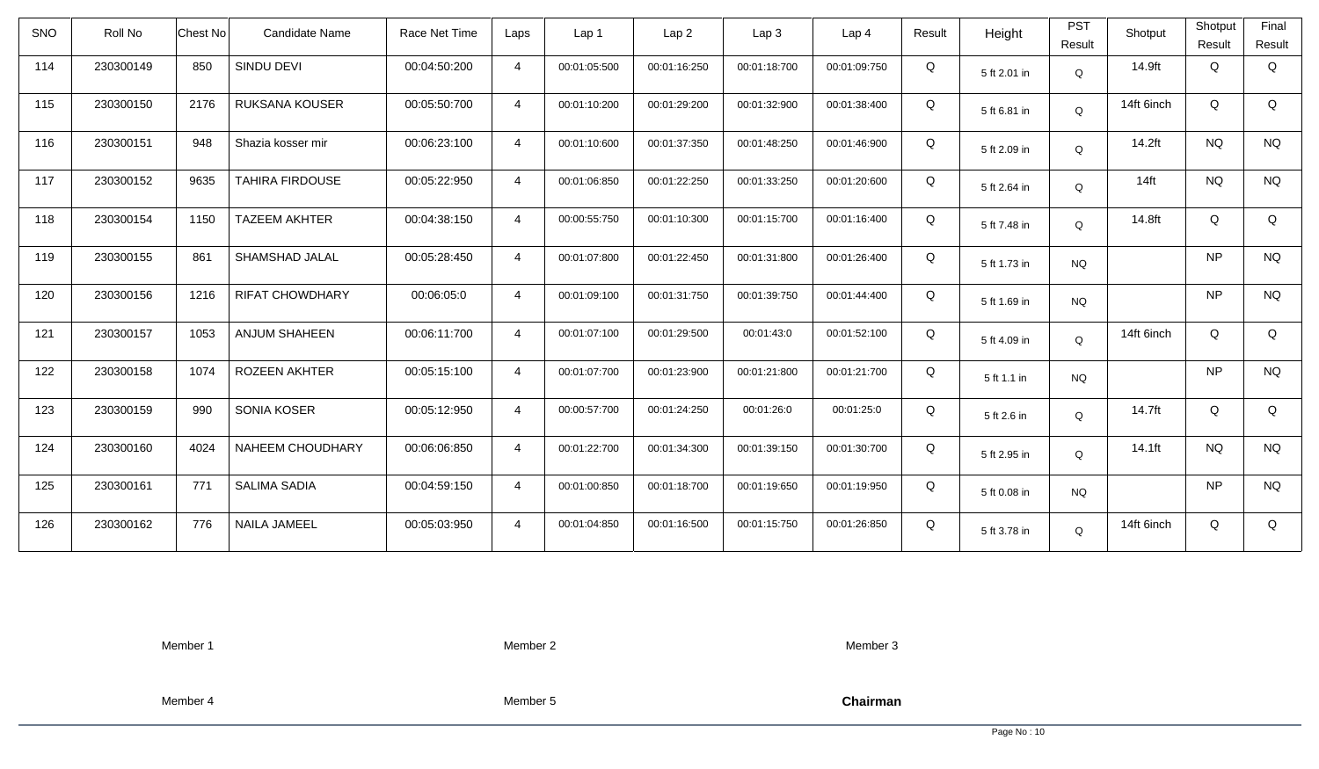| <b>SNO</b> | Roll No   | <b>Chest No</b> | <b>Candidate Name</b>  | Race Net Time | Laps           | Lap 1        | Lap <sub>2</sub> | Lap3         | Lap <sub>4</sub> | Result | Height       | <b>PST</b><br>Result | Shotput    | Shotput<br>Result | Final<br>Result |
|------------|-----------|-----------------|------------------------|---------------|----------------|--------------|------------------|--------------|------------------|--------|--------------|----------------------|------------|-------------------|-----------------|
| 114        | 230300149 | 850             | SINDU DEVI             | 00:04:50:200  | $\overline{4}$ | 00:01:05:500 | 00:01:16:250     | 00:01:18:700 | 00:01:09:750     | Q      | 5 ft 2.01 in | $\mathsf Q$          | 14.9ft     | Q                 | Q               |
| 115        | 230300150 | 2176            | <b>RUKSANA KOUSER</b>  | 00:05:50:700  | $\overline{4}$ | 00:01:10:200 | 00:01:29:200     | 00:01:32:900 | 00:01:38:400     | Q      | 5 ft 6.81 in | Q                    | 14ft 6inch | Q                 | Q               |
| 116        | 230300151 | 948             | Shazia kosser mir      | 00:06:23:100  | $\overline{4}$ | 00:01:10:600 | 00:01:37:350     | 00:01:48:250 | 00:01:46:900     | Q      | 5 ft 2.09 in | Q                    | 14.2ft     | <b>NQ</b>         | <b>NQ</b>       |
| 117        | 230300152 | 9635            | <b>TAHIRA FIRDOUSE</b> | 00:05:22:950  | $\overline{4}$ | 00:01:06:850 | 00:01:22:250     | 00:01:33:250 | 00:01:20:600     | Q      | 5 ft 2.64 in | Q                    | $14$ ft    | <b>NQ</b>         | <b>NQ</b>       |
| 118        | 230300154 | 1150            | <b>TAZEEM AKHTER</b>   | 00:04:38:150  | $\overline{4}$ | 00:00:55:750 | 00:01:10:300     | 00:01:15:700 | 00:01:16:400     | Q      | 5 ft 7.48 in | Q                    | 14.8ft     | Q                 | Q               |
| 119        | 230300155 | 861             | SHAMSHAD JALAL         | 00:05:28:450  | $\overline{4}$ | 00:01:07:800 | 00:01:22:450     | 00:01:31:800 | 00:01:26:400     | Q      | 5 ft 1.73 in | <b>NQ</b>            |            | <b>NP</b>         | <b>NQ</b>       |
| 120        | 230300156 | 1216            | <b>RIFAT CHOWDHARY</b> | 00:06:05:0    | $\overline{4}$ | 00:01:09:100 | 00:01:31:750     | 00:01:39:750 | 00:01:44:400     | Q      | 5 ft 1.69 in | <b>NQ</b>            |            | <b>NP</b>         | <b>NQ</b>       |
| 121        | 230300157 | 1053            | <b>ANJUM SHAHEEN</b>   | 00:06:11:700  | $\overline{4}$ | 00:01:07:100 | 00:01:29:500     | 00:01:43:0   | 00:01:52:100     | Q      | 5 ft 4.09 in | Q                    | 14ft 6inch | Q                 | Q               |
| 122        | 230300158 | 1074            | ROZEEN AKHTER          | 00:05:15:100  | $\overline{4}$ | 00:01:07:700 | 00:01:23:900     | 00:01:21:800 | 00:01:21:700     | Q      | 5 ft 1.1 in  | <b>NQ</b>            |            | <b>NP</b>         | <b>NQ</b>       |
| 123        | 230300159 | 990             | SONIA KOSER            | 00:05:12:950  | $\overline{4}$ | 00:00:57:700 | 00:01:24:250     | 00:01:26:0   | 00:01:25:0       | Q      | 5 ft 2.6 in  | Q                    | 14.7ft     | Q                 | Q               |
| 124        | 230300160 | 4024            | NAHEEM CHOUDHARY       | 00:06:06:850  | $\overline{4}$ | 00:01:22:700 | 00:01:34:300     | 00:01:39:150 | 00:01:30:700     | Q      | 5 ft 2.95 in | Q                    | 14.1ft     | <b>NQ</b>         | <b>NQ</b>       |
| 125        | 230300161 | 771             | <b>SALIMA SADIA</b>    | 00:04:59:150  | $\overline{4}$ | 00:01:00:850 | 00:01:18:700     | 00:01:19:650 | 00:01:19:950     | Q      | 5 ft 0.08 in | <b>NQ</b>            |            | <b>NP</b>         | <b>NQ</b>       |
| 126        | 230300162 | 776             | NAILA JAMEEL           | 00:05:03:950  | $\overline{4}$ | 00:01:04:850 | 00:01:16:500     | 00:01:15:750 | 00:01:26:850     | Q      | 5 ft 3.78 in | Q                    | 14ft 6inch | Q                 | Q               |

Member 2

Member 3

Member 4

Member 5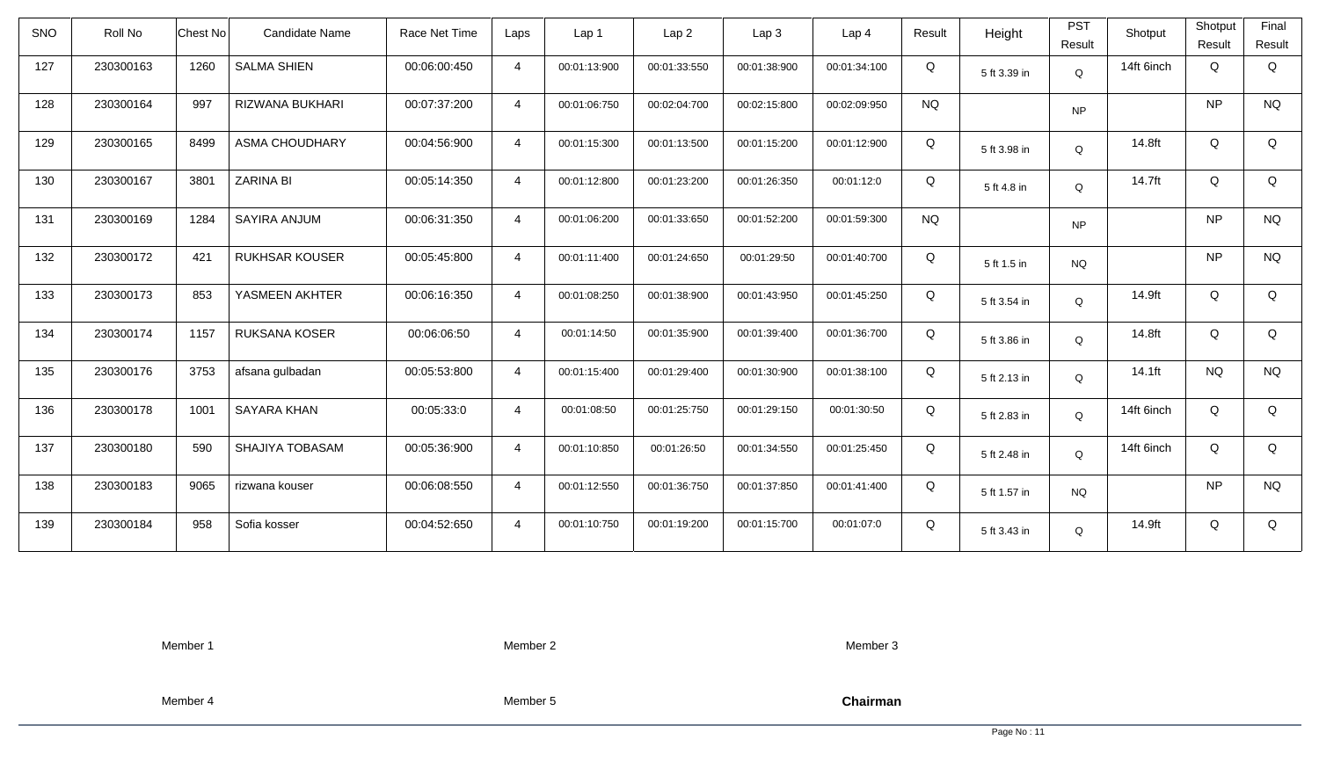| Roll No   |      | Candidate Name        | Race Net Time   | Laps           | Lap 1        | Lap <sub>2</sub> | Lap <sub>3</sub> | Lap <sub>4</sub> | Result    | Height       | <b>PST</b><br>Result | Shotput    | Shotput<br>Result | Final<br>Result |
|-----------|------|-----------------------|-----------------|----------------|--------------|------------------|------------------|------------------|-----------|--------------|----------------------|------------|-------------------|-----------------|
| 230300163 | 1260 | <b>SALMA SHIEN</b>    | 00:06:00:450    | $\overline{4}$ | 00:01:13:900 | 00:01:33:550     | 00:01:38:900     | 00:01:34:100     | Q         | 5 ft 3.39 in | Q                    | 14ft 6inch | Q                 | Q               |
| 230300164 | 997  | RIZWANA BUKHARI       | 00:07:37:200    | $\overline{4}$ | 00:01:06:750 | 00:02:04:700     | 00:02:15:800     | 00:02:09:950     | <b>NQ</b> |              | <b>NP</b>            |            | <b>NP</b>         | <b>NQ</b>       |
| 230300165 | 8499 | <b>ASMA CHOUDHARY</b> | 00:04:56:900    | $\overline{4}$ | 00:01:15:300 | 00:01:13:500     | 00:01:15:200     | 00:01:12:900     | Q         | 5 ft 3.98 in | Q                    | 14.8ft     | Q                 | Q               |
| 230300167 | 3801 | <b>ZARINA BI</b>      | 00:05:14:350    | $\overline{4}$ | 00:01:12:800 | 00:01:23:200     | 00:01:26:350     | 00:01:12:0       | Q         | 5 ft 4.8 in  | Q                    | 14.7ft     | Q                 | Q               |
| 230300169 | 1284 | SAYIRA ANJUM          | 00:06:31:350    | $\overline{4}$ | 00:01:06:200 | 00:01:33:650     | 00:01:52:200     | 00:01:59:300     | <b>NQ</b> |              | <b>NP</b>            |            | <b>NP</b>         | <b>NQ</b>       |
| 230300172 | 421  | <b>RUKHSAR KOUSER</b> | 00:05:45:800    | $\overline{4}$ | 00:01:11:400 | 00:01:24:650     | 00:01:29:50      | 00:01:40:700     | Q         | 5 ft 1.5 in  | <b>NQ</b>            |            | <b>NP</b>         | <b>NQ</b>       |
| 230300173 | 853  | YASMEEN AKHTER        | 00:06:16:350    | $\overline{4}$ | 00:01:08:250 | 00:01:38:900     | 00:01:43:950     | 00:01:45:250     | Q         | 5 ft 3.54 in | Q                    | 14.9ft     | Q                 | Q               |
| 230300174 | 1157 | <b>RUKSANA KOSER</b>  | 00:06:06:50     | $\overline{4}$ | 00:01:14:50  | 00:01:35:900     | 00:01:39:400     | 00:01:36:700     | Q         | 5 ft 3.86 in | Q                    | 14.8ft     | Q                 | Q               |
| 230300176 | 3753 | afsana gulbadan       | 00:05:53:800    | $\overline{4}$ | 00:01:15:400 | 00:01:29:400     | 00:01:30:900     | 00:01:38:100     | Q         | 5 ft 2.13 in | $\Omega$             | 14.1ft     | <b>NQ</b>         | <b>NQ</b>       |
| 230300178 | 1001 | <b>SAYARA KHAN</b>    | 00:05:33:0      | $\overline{4}$ | 00:01:08:50  | 00:01:25:750     | 00:01:29:150     | 00:01:30:50      | Q         | 5 ft 2.83 in | Q                    | 14ft 6inch | Q                 | Q               |
| 230300180 | 590  | SHAJIYA TOBASAM       | 00:05:36:900    | $\overline{4}$ | 00:01:10:850 | 00:01:26:50      | 00:01:34:550     | 00:01:25:450     | Q         | 5 ft 2.48 in | Q                    | 14ft 6inch | Q                 | Q               |
| 230300183 | 9065 | rizwana kouser        | 00:06:08:550    | $\overline{4}$ | 00:01:12:550 | 00:01:36:750     | 00:01:37:850     | 00:01:41:400     | Q         | 5 ft 1.57 in | <b>NQ</b>            |            | <b>NP</b>         | <b>NQ</b>       |
| 230300184 | 958  | Sofia kosser          | 00:04:52:650    | $\overline{4}$ | 00:01:10:750 | 00:01:19:200     | 00:01:15:700     | 00:01:07:0       | Q         | 5 ft 3.43 in | Q                    | 14.9ft     | Q                 | Q               |
|           |      |                       | <b>Chest No</b> |                |              |                  |                  |                  |           |              |                      |            |                   |                 |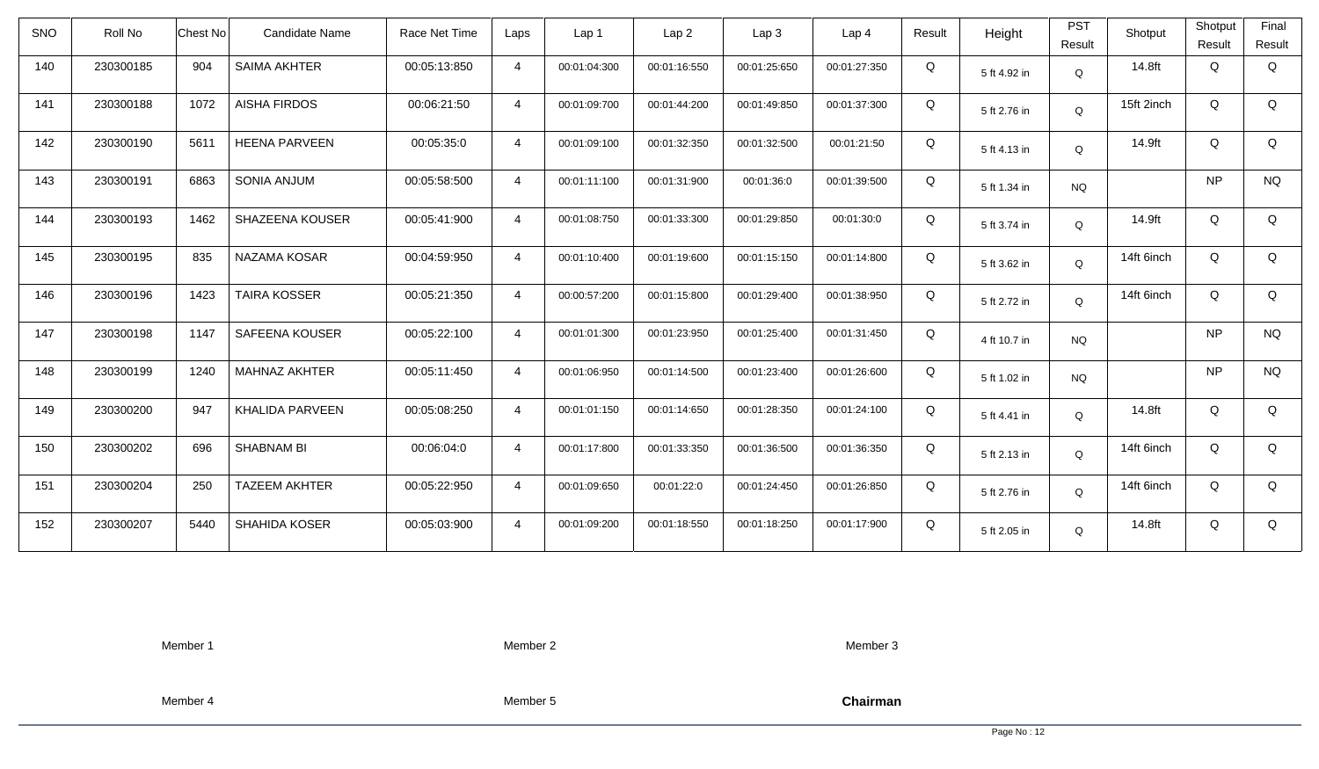| <b>SNO</b> | Roll No   | <b>Chest No</b> | <b>Candidate Name</b> | Race Net Time | Laps           | Lap 1        | Lap2         | Lap3         | Lap 4        | Result | Height       | <b>PST</b><br>Result | Shotput    | Shotput<br>Result | Final<br>Result |
|------------|-----------|-----------------|-----------------------|---------------|----------------|--------------|--------------|--------------|--------------|--------|--------------|----------------------|------------|-------------------|-----------------|
| 140        | 230300185 | 904             | <b>SAIMA AKHTER</b>   | 00:05:13:850  | $\overline{4}$ | 00:01:04:300 | 00:01:16:550 | 00:01:25:650 | 00:01:27:350 | Q      | 5 ft 4.92 in | $\mathsf Q$          | 14.8ft     | Q                 | Q               |
| 141        | 230300188 | 1072            | <b>AISHA FIRDOS</b>   | 00:06:21:50   | $\overline{4}$ | 00:01:09:700 | 00:01:44:200 | 00:01:49:850 | 00:01:37:300 | Q      | 5 ft 2.76 in | Q                    | 15ft 2inch | Q                 | Q               |
| 142        | 230300190 | 5611            | <b>HEENA PARVEEN</b>  | 00:05:35:0    | $\overline{4}$ | 00:01:09:100 | 00:01:32:350 | 00:01:32:500 | 00:01:21:50  | Q      | 5 ft 4.13 in | Q                    | 14.9ft     | Q                 | Q               |
| 143        | 230300191 | 6863            | SONIA ANJUM           | 00:05:58:500  | $\overline{4}$ | 00:01:11:100 | 00:01:31:900 | 00:01:36:0   | 00:01:39:500 | Q      | 5 ft 1.34 in | <b>NQ</b>            |            | <b>NP</b>         | <b>NQ</b>       |
| 144        | 230300193 | 1462            | SHAZEENA KOUSER       | 00:05:41:900  | $\overline{4}$ | 00:01:08:750 | 00:01:33:300 | 00:01:29:850 | 00:01:30:0   | Q      | 5 ft 3.74 in | Q                    | 14.9ft     | Q                 | Q               |
| 145        | 230300195 | 835             | NAZAMA KOSAR          | 00:04:59:950  | $\overline{4}$ | 00:01:10:400 | 00:01:19:600 | 00:01:15:150 | 00:01:14:800 | Q      | 5 ft 3.62 in | Q                    | 14ft 6inch | Q                 | Q               |
| 146        | 230300196 | 1423            | <b>TAIRA KOSSER</b>   | 00:05:21:350  | $\overline{4}$ | 00:00:57:200 | 00:01:15:800 | 00:01:29:400 | 00:01:38:950 | Q      | 5 ft 2.72 in | Q                    | 14ft 6inch | Q                 | Q               |
| 147        | 230300198 | 1147            | SAFEENA KOUSER        | 00:05:22:100  | $\overline{4}$ | 00:01:01:300 | 00:01:23:950 | 00:01:25:400 | 00:01:31:450 | Q      | 4 ft 10.7 in | <b>NQ</b>            |            | <b>NP</b>         | <b>NQ</b>       |
| 148        | 230300199 | 1240            | <b>MAHNAZ AKHTER</b>  | 00:05:11:450  | $\overline{4}$ | 00:01:06:950 | 00:01:14:500 | 00:01:23:400 | 00:01:26:600 | Q      | 5 ft 1.02 in | <b>NQ</b>            |            | <b>NP</b>         | <b>NQ</b>       |
| 149        | 230300200 | 947             | KHALIDA PARVEEN       | 00:05:08:250  | $\overline{4}$ | 00:01:01:150 | 00:01:14:650 | 00:01:28:350 | 00:01:24:100 | Q      | 5 ft 4.41 in | Q                    | 14.8ft     | Q                 | Q               |
| 150        | 230300202 | 696             | <b>SHABNAM BI</b>     | 00:06:04:0    | $\overline{4}$ | 00:01:17:800 | 00:01:33:350 | 00:01:36:500 | 00:01:36:350 | Q      | 5 ft 2.13 in | Q                    | 14ft 6inch | Q                 | Q               |
| 151        | 230300204 | 250             | <b>TAZEEM AKHTER</b>  | 00:05:22:950  | $\overline{4}$ | 00:01:09:650 | 00:01:22:0   | 00:01:24:450 | 00:01:26:850 | Q      | 5 ft 2.76 in | Q                    | 14ft 6inch | Q                 | Q               |
| 152        | 230300207 | 5440            | SHAHIDA KOSER         | 00:05:03:900  | $\overline{4}$ | 00:01:09:200 | 00:01:18:550 | 00:01:18:250 | 00:01:17:900 | Q      | 5 ft 2.05 in | Q                    | 14.8ft     | Q                 | Q               |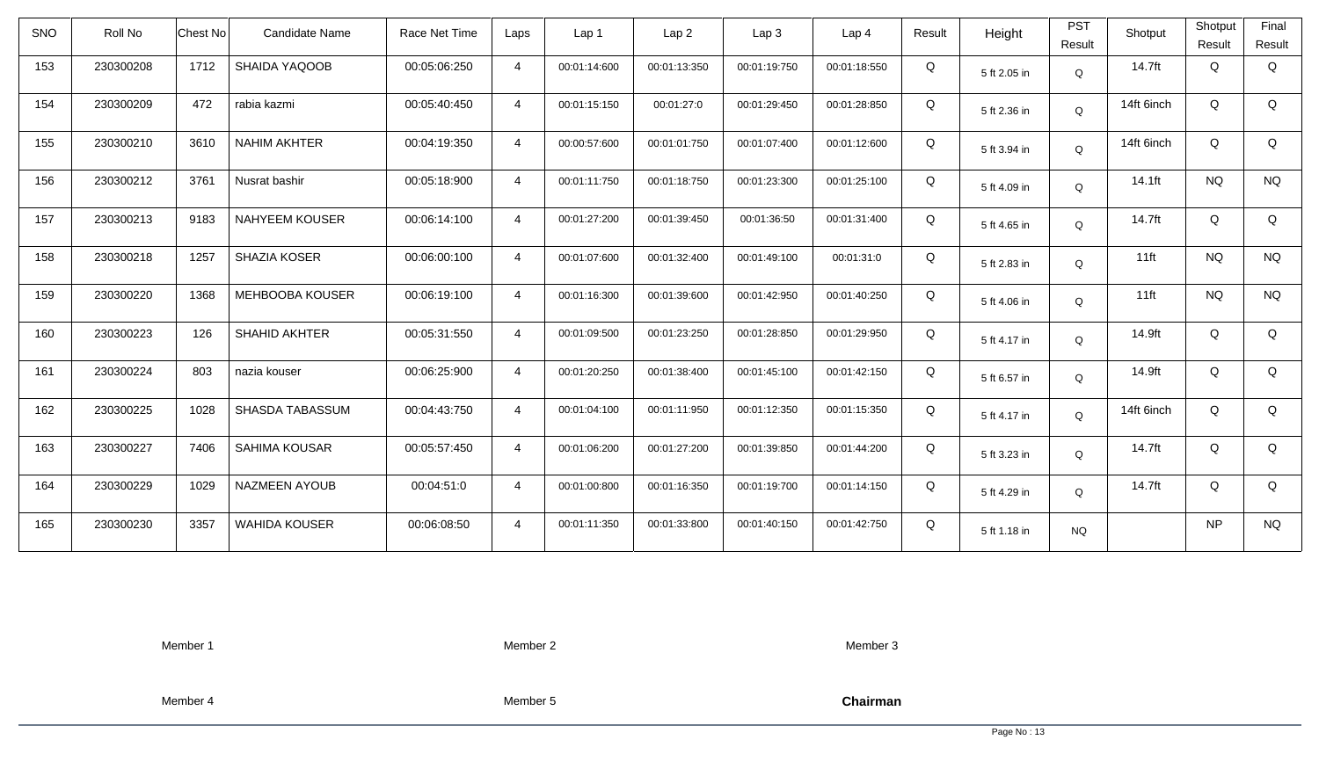| <b>SNO</b> | Roll No   | <b>Chest No</b> | <b>Candidate Name</b>  | Race Net Time | Laps           | Lap <sub>1</sub> | Lap <sub>2</sub> | Lap <sub>3</sub> | Lap <sub>4</sub> | Result | Height       | <b>PST</b><br>Result | Shotput    | Shotput<br>Result | Final<br>Result |
|------------|-----------|-----------------|------------------------|---------------|----------------|------------------|------------------|------------------|------------------|--------|--------------|----------------------|------------|-------------------|-----------------|
| 153        | 230300208 | 1712            | SHAIDA YAQOOB          | 00:05:06:250  | $\overline{4}$ | 00:01:14:600     | 00:01:13:350     | 00:01:19:750     | 00:01:18:550     | Q      | 5 ft 2.05 in | Q                    | 14.7ft     | Q                 | Q               |
| 154        | 230300209 | 472             | rabia kazmi            | 00:05:40:450  | $\overline{4}$ | 00:01:15:150     | 00:01:27:0       | 00:01:29:450     | 00:01:28:850     | Q      | 5 ft 2.36 in | Q                    | 14ft 6inch | Q                 | Q               |
| 155        | 230300210 | 3610            | <b>NAHIM AKHTER</b>    | 00:04:19:350  | $\overline{4}$ | 00:00:57:600     | 00:01:01:750     | 00:01:07:400     | 00:01:12:600     | Q      | 5 ft 3.94 in | Q                    | 14ft 6inch | Q                 | Q               |
| 156        | 230300212 | 3761            | Nusrat bashir          | 00:05:18:900  | $\overline{4}$ | 00:01:11:750     | 00:01:18:750     | 00:01:23:300     | 00:01:25:100     | Q      | 5 ft 4.09 in | Q                    | 14.1ft     | <b>NQ</b>         | <b>NQ</b>       |
| 157        | 230300213 | 9183            | <b>NAHYEEM KOUSER</b>  | 00:06:14:100  | $\overline{4}$ | 00:01:27:200     | 00:01:39:450     | 00:01:36:50      | 00:01:31:400     | Q      | 5 ft 4.65 in | Q                    | 14.7ft     | Q                 | Q               |
| 158        | 230300218 | 1257            | SHAZIA KOSER           | 00:06:00:100  | 4              | 00:01:07:600     | 00:01:32:400     | 00:01:49:100     | 00:01:31:0       | Q      | 5 ft 2.83 in | Q                    | $11$ ft    | <b>NQ</b>         | <b>NQ</b>       |
| 159        | 230300220 | 1368            | <b>MEHBOOBA KOUSER</b> | 00:06:19:100  | $\overline{4}$ | 00:01:16:300     | 00:01:39:600     | 00:01:42:950     | 00:01:40:250     | Q      | 5 ft 4.06 in | Q                    | $11$ ft    | <b>NQ</b>         | <b>NQ</b>       |
| 160        | 230300223 | 126             | <b>SHAHID AKHTER</b>   | 00:05:31:550  | $\overline{4}$ | 00:01:09:500     | 00:01:23:250     | 00:01:28:850     | 00:01:29:950     | Q      | 5 ft 4.17 in | Q                    | 14.9ft     | Q                 | Q               |
| 161        | 230300224 | 803             | nazia kouser           | 00:06:25:900  | $\overline{4}$ | 00:01:20:250     | 00:01:38:400     | 00:01:45:100     | 00:01:42:150     | Q      | 5 ft 6.57 in | $\mathsf Q$          | 14.9ft     | Q                 | Q               |
| 162        | 230300225 | 1028            | <b>SHASDA TABASSUM</b> | 00:04:43:750  | $\overline{4}$ | 00:01:04:100     | 00:01:11:950     | 00:01:12:350     | 00:01:15:350     | Q      | 5 ft 4.17 in | Q                    | 14ft 6inch | Q                 | Q               |
| 163        | 230300227 | 7406            | SAHIMA KOUSAR          | 00:05:57:450  | $\overline{4}$ | 00:01:06:200     | 00:01:27:200     | 00:01:39:850     | 00:01:44:200     | Q      | 5 ft 3.23 in | Q                    | 14.7ft     | Q                 | Q               |
| 164        | 230300229 | 1029            | <b>NAZMEEN AYOUB</b>   | 00:04:51:0    | $\overline{4}$ | 00:01:00:800     | 00:01:16:350     | 00:01:19:700     | 00:01:14:150     | Q      | 5 ft 4.29 in | Q                    | 14.7ft     | Q                 | Q               |
| 165        | 230300230 | 3357            | <b>WAHIDA KOUSER</b>   | 00:06:08:50   | $\overline{4}$ | 00:01:11:350     | 00:01:33:800     | 00:01:40:150     | 00:01:42:750     | Q      | 5 ft 1.18 in | <b>NQ</b>            |            | <b>NP</b>         | <b>NQ</b>       |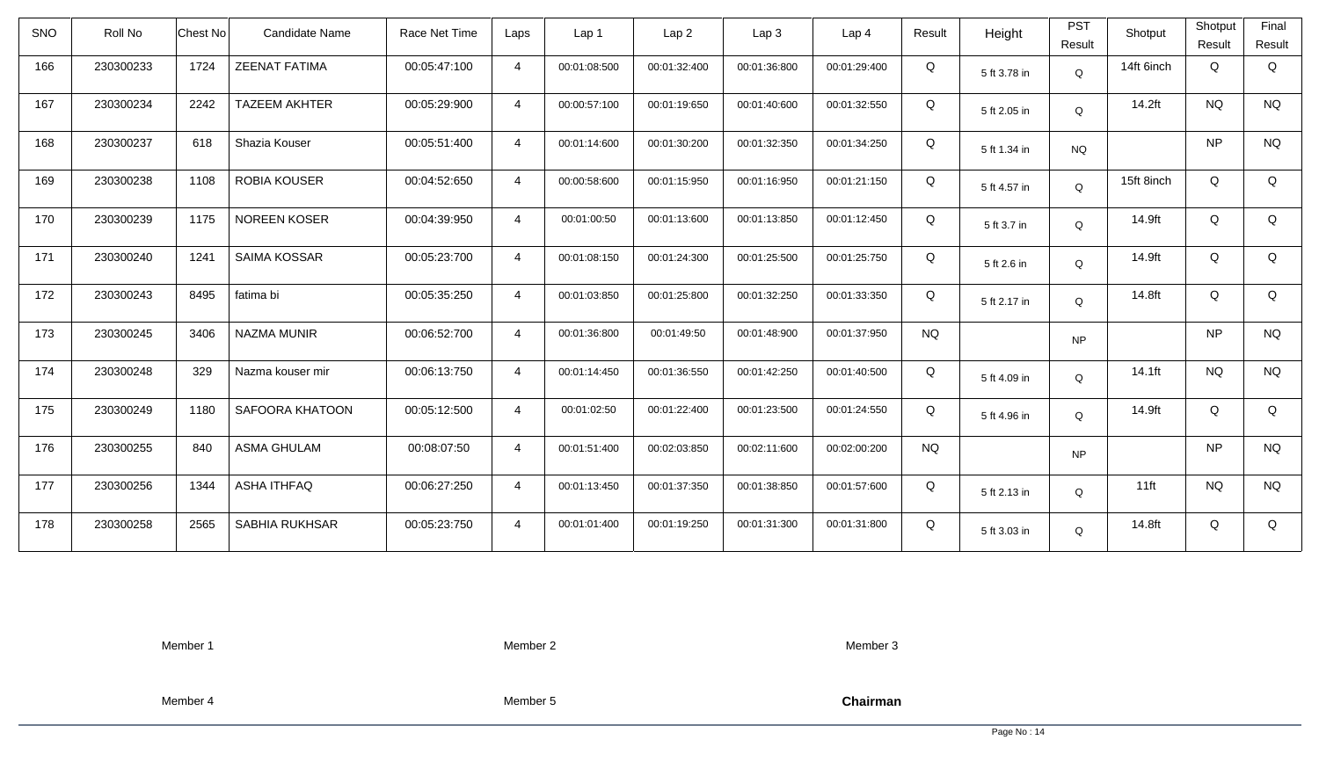| <b>SNO</b> | Roll No   | <b>Chest No</b> | <b>Candidate Name</b> | Race Net Time | Laps           | Lap <sub>1</sub> | Lap <sub>2</sub> | Lap <sub>3</sub> | Lap <sub>4</sub> | Result    | Height       | <b>PST</b><br>Result | Shotput    | Shotput<br>Result | Final<br>Result |
|------------|-----------|-----------------|-----------------------|---------------|----------------|------------------|------------------|------------------|------------------|-----------|--------------|----------------------|------------|-------------------|-----------------|
| 166        | 230300233 | 1724            | <b>ZEENAT FATIMA</b>  | 00:05:47:100  | $\overline{4}$ | 00:01:08:500     | 00:01:32:400     | 00:01:36:800     | 00:01:29:400     | Q         | 5 ft 3.78 in | Q                    | 14ft 6inch | Q                 | Q               |
| 167        | 230300234 | 2242            | <b>TAZEEM AKHTER</b>  | 00:05:29:900  | $\overline{4}$ | 00:00:57:100     | 00:01:19:650     | 00:01:40:600     | 00:01:32:550     | Q         | 5 ft 2.05 in | Q                    | 14.2ft     | <b>NQ</b>         | <b>NQ</b>       |
| 168        | 230300237 | 618             | Shazia Kouser         | 00:05:51:400  | $\overline{4}$ | 00:01:14:600     | 00:01:30:200     | 00:01:32:350     | 00:01:34:250     | Q         | 5 ft 1.34 in | <b>NQ</b>            |            | <b>NP</b>         | <b>NQ</b>       |
| 169        | 230300238 | 1108            | <b>ROBIA KOUSER</b>   | 00:04:52:650  | $\overline{4}$ | 00:00:58:600     | 00:01:15:950     | 00:01:16:950     | 00:01:21:150     | Q         | 5 ft 4.57 in | Q                    | 15ft 8inch | Q                 | Q               |
| 170        | 230300239 | 1175            | <b>NOREEN KOSER</b>   | 00:04:39:950  | $\overline{4}$ | 00:01:00:50      | 00:01:13:600     | 00:01:13:850     | 00:01:12:450     | Q         | 5 ft 3.7 in  | Q                    | 14.9ft     | Q                 | Q               |
| 171        | 230300240 | 1241            | SAIMA KOSSAR          | 00:05:23:700  | $\overline{4}$ | 00:01:08:150     | 00:01:24:300     | 00:01:25:500     | 00:01:25:750     | Q         | 5 ft 2.6 in  | Q                    | 14.9ft     | Q                 | Q               |
| 172        | 230300243 | 8495            | fatima bi             | 00:05:35:250  | $\overline{4}$ | 00:01:03:850     | 00:01:25:800     | 00:01:32:250     | 00:01:33:350     | Q         | 5 ft 2.17 in | Q                    | 14.8ft     | Q                 | Q               |
| 173        | 230300245 | 3406            | <b>NAZMA MUNIR</b>    | 00:06:52:700  | $\overline{4}$ | 00:01:36:800     | 00:01:49:50      | 00:01:48:900     | 00:01:37:950     | <b>NQ</b> |              | <b>NP</b>            |            | <b>NP</b>         | <b>NQ</b>       |
| 174        | 230300248 | 329             | Nazma kouser mir      | 00:06:13:750  | $\overline{4}$ | 00:01:14:450     | 00:01:36:550     | 00:01:42:250     | 00:01:40:500     | Q         | 5 ft 4.09 in | Q                    | $14.1$ ft  | <b>NQ</b>         | <b>NQ</b>       |
| 175        | 230300249 | 1180            | SAFOORA KHATOON       | 00:05:12:500  | $\overline{4}$ | 00:01:02:50      | 00:01:22:400     | 00:01:23:500     | 00:01:24:550     | Q         | 5 ft 4.96 in | Q                    | 14.9ft     | Q                 | Q               |
| 176        | 230300255 | 840             | ASMA GHULAM           | 00:08:07:50   | $\overline{4}$ | 00:01:51:400     | 00:02:03:850     | 00:02:11:600     | 00:02:00:200     | <b>NQ</b> |              | <b>NP</b>            |            | <b>NP</b>         | <b>NQ</b>       |
| 177        | 230300256 | 1344            | <b>ASHA ITHFAQ</b>    | 00:06:27:250  | $\overline{4}$ | 00:01:13:450     | 00:01:37:350     | 00:01:38:850     | 00:01:57:600     | Q         | 5 ft 2.13 in | Q                    | $11$ ft    | <b>NQ</b>         | <b>NQ</b>       |
| 178        | 230300258 | 2565            | SABHIA RUKHSAR        | 00:05:23:750  | $\overline{4}$ | 00:01:01:400     | 00:01:19:250     | 00:01:31:300     | 00:01:31:800     | Q         | 5 ft 3.03 in | Q                    | 14.8ft     | Q                 | Q               |

Member 2

Member 3

Member 4

Member 5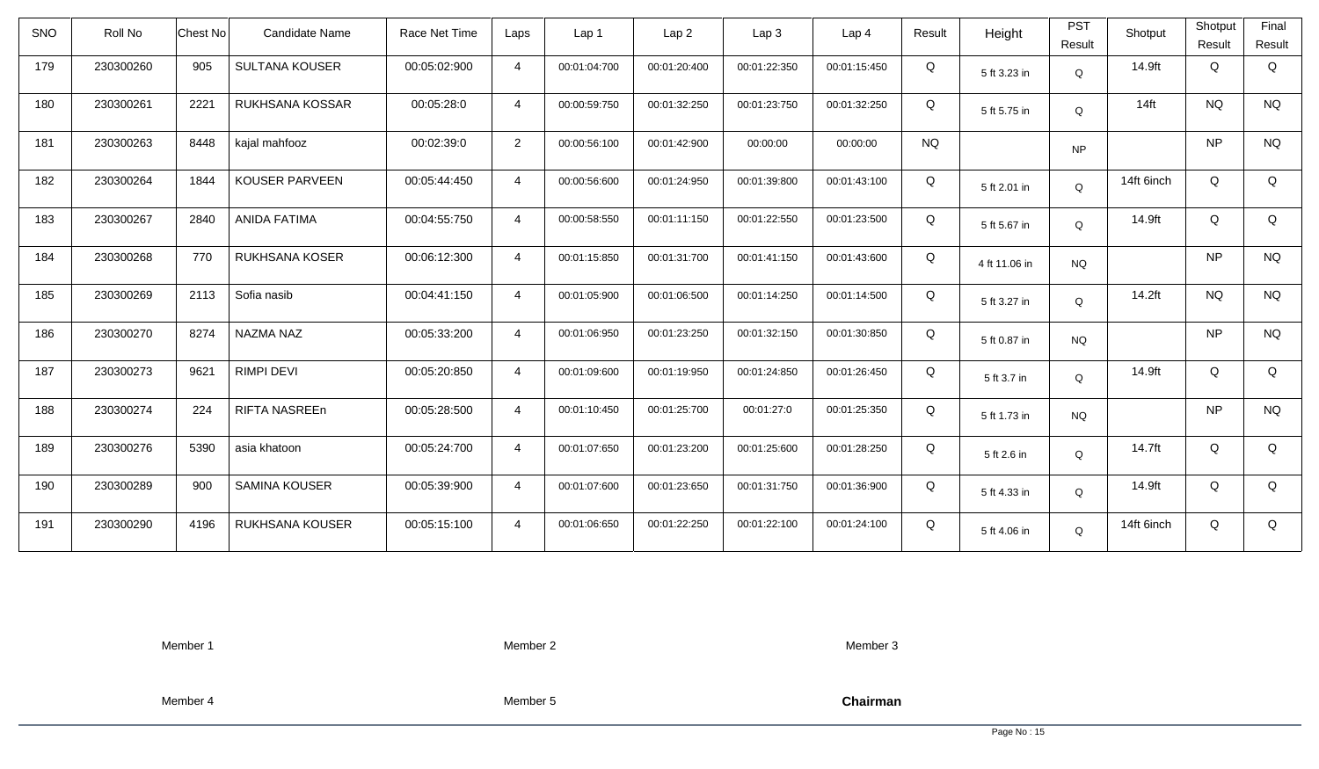| SNO | Roll No   | <b>Chest No</b> | <b>Candidate Name</b>  | Race Net Time | Laps           | Lap <sub>1</sub> | Lap <sub>2</sub> | Lap3         | Lap <sub>4</sub> | Result    | Height        | <b>PST</b><br>Result | Shotput    | Shotput<br>Result | Final<br>Result |
|-----|-----------|-----------------|------------------------|---------------|----------------|------------------|------------------|--------------|------------------|-----------|---------------|----------------------|------------|-------------------|-----------------|
| 179 | 230300260 | 905             | <b>SULTANA KOUSER</b>  | 00:05:02:900  | $\overline{4}$ | 00:01:04:700     | 00:01:20:400     | 00:01:22:350 | 00:01:15:450     | Q         | 5 ft 3.23 in  | Q                    | 14.9ft     | Q                 | Q               |
| 180 | 230300261 | 2221            | RUKHSANA KOSSAR        | 00:05:28:0    | $\overline{4}$ | 00:00:59:750     | 00:01:32:250     | 00:01:23:750 | 00:01:32:250     | Q         | 5 ft 5.75 in  | Q                    | $14$ ft    | <b>NQ</b>         | <b>NQ</b>       |
| 181 | 230300263 | 8448            | kajal mahfooz          | 00:02:39:0    | $\overline{2}$ | 00:00:56:100     | 00:01:42:900     | 00:00:00     | 00:00:00         | <b>NQ</b> |               | <b>NP</b>            |            | <b>NP</b>         | <b>NQ</b>       |
| 182 | 230300264 | 1844            | KOUSER PARVEEN         | 00:05:44:450  | $\overline{4}$ | 00:00:56:600     | 00:01:24:950     | 00:01:39:800 | 00:01:43:100     | Q         | 5 ft 2.01 in  | Q                    | 14ft 6inch | Q                 | Q               |
| 183 | 230300267 | 2840            | <b>ANIDA FATIMA</b>    | 00:04:55:750  | $\overline{4}$ | 00:00:58:550     | 00:01:11:150     | 00:01:22:550 | 00:01:23:500     | Q         | 5 ft 5.67 in  | Q                    | 14.9ft     | Q                 | Q               |
| 184 | 230300268 | 770             | RUKHSANA KOSER         | 00:06:12:300  | $\overline{4}$ | 00:01:15:850     | 00:01:31:700     | 00:01:41:150 | 00:01:43:600     | Q         | 4 ft 11.06 in | <b>NQ</b>            |            | <b>NP</b>         | <b>NQ</b>       |
| 185 | 230300269 | 2113            | Sofia nasib            | 00:04:41:150  | $\overline{4}$ | 00:01:05:900     | 00:01:06:500     | 00:01:14:250 | 00:01:14:500     | Q         | 5 ft 3.27 in  | Q                    | 14.2ft     | <b>NQ</b>         | <b>NQ</b>       |
| 186 | 230300270 | 8274            | NAZMA NAZ              | 00:05:33:200  | $\overline{4}$ | 00:01:06:950     | 00:01:23:250     | 00:01:32:150 | 00:01:30:850     | Q         | 5 ft 0.87 in  | <b>NQ</b>            |            | <b>NP</b>         | <b>NQ</b>       |
| 187 | 230300273 | 9621            | <b>RIMPI DEVI</b>      | 00:05:20:850  | $\overline{4}$ | 00:01:09:600     | 00:01:19:950     | 00:01:24:850 | 00:01:26:450     | Q         | 5 ft 3.7 in   | Q                    | 14.9ft     | Q                 | Q               |
| 188 | 230300274 | 224             | RIFTA NASREEn          | 00:05:28:500  | $\overline{4}$ | 00:01:10:450     | 00:01:25:700     | 00:01:27:0   | 00:01:25:350     | Q         | 5 ft 1.73 in  | <b>NQ</b>            |            | <b>NP</b>         | <b>NQ</b>       |
| 189 | 230300276 | 5390            | asia khatoon           | 00:05:24:700  | $\overline{4}$ | 00:01:07:650     | 00:01:23:200     | 00:01:25:600 | 00:01:28:250     | Q         | 5 ft 2.6 in   | Q                    | 14.7ft     | Q                 | Q               |
| 190 | 230300289 | 900             | <b>SAMINA KOUSER</b>   | 00:05:39:900  | $\overline{4}$ | 00:01:07:600     | 00:01:23:650     | 00:01:31:750 | 00:01:36:900     | Q         | 5 ft 4.33 in  | Q                    | 14.9ft     | Q                 | Q               |
| 191 | 230300290 | 4196            | <b>RUKHSANA KOUSER</b> | 00:05:15:100  | $\overline{4}$ | 00:01:06:650     | 00:01:22:250     | 00:01:22:100 | 00:01:24:100     | Q         | 5 ft 4.06 in  | Q                    | 14ft 6inch | Q                 | Q               |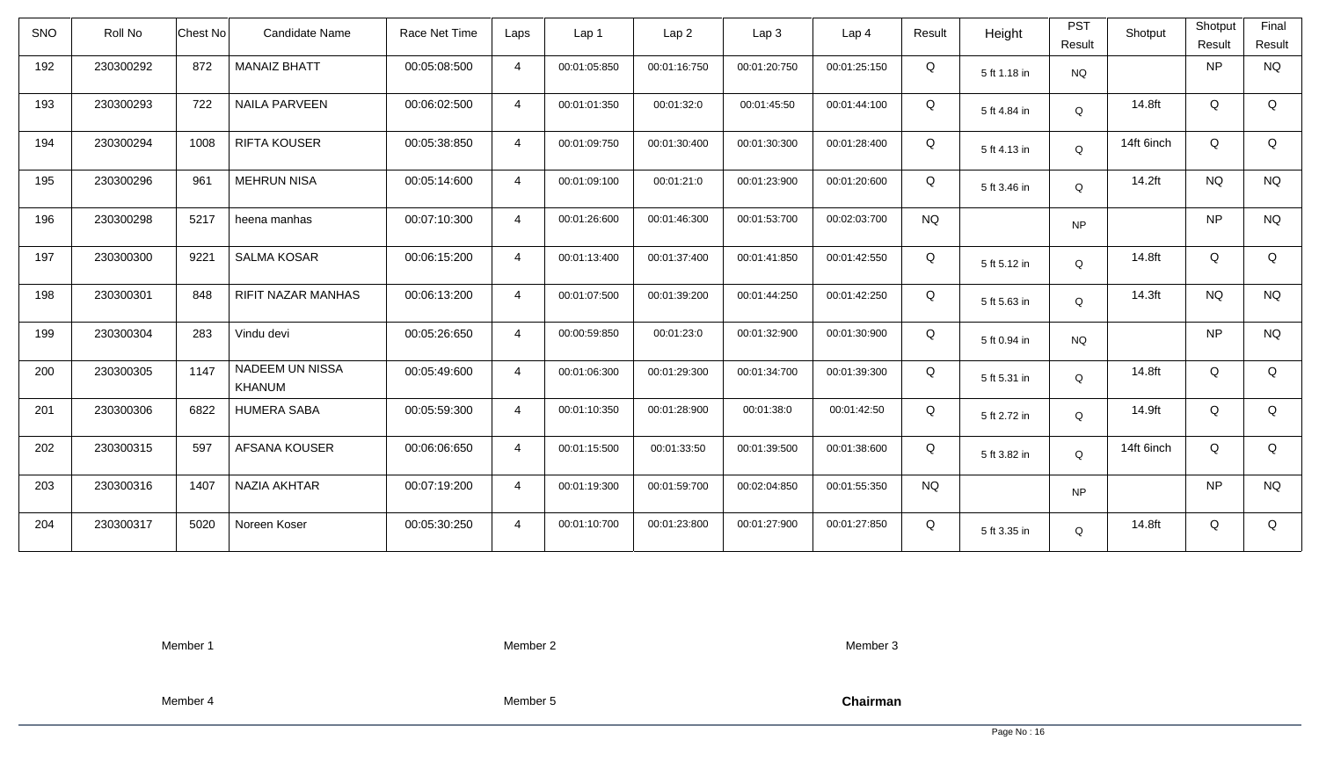| <b>SNO</b> | Roll No   | <b>Chest No</b> | <b>Candidate Name</b>            | Race Net Time | Laps           | Lap <sub>1</sub> | Lap <sub>2</sub> | Lap <sub>3</sub> | Lap <sub>4</sub> | Result    | Height       | <b>PST</b><br>Result | Shotput    | Shotput<br>Result | Final<br>Result |
|------------|-----------|-----------------|----------------------------------|---------------|----------------|------------------|------------------|------------------|------------------|-----------|--------------|----------------------|------------|-------------------|-----------------|
| 192        | 230300292 | 872             | <b>MANAIZ BHATT</b>              | 00:05:08:500  | $\overline{4}$ | 00:01:05:850     | 00:01:16:750     | 00:01:20:750     | 00:01:25:150     | Q         | 5 ft 1.18 in | <b>NQ</b>            |            | <b>NP</b>         | <b>NQ</b>       |
| 193        | 230300293 | 722             | <b>NAILA PARVEEN</b>             | 00:06:02:500  | $\overline{4}$ | 00:01:01:350     | 00:01:32:0       | 00:01:45:50      | 00:01:44:100     | Q         | 5 ft 4.84 in | Q                    | 14.8ft     | Q                 | Q               |
| 194        | 230300294 | 1008            | <b>RIFTA KOUSER</b>              | 00:05:38:850  | $\overline{4}$ | 00:01:09:750     | 00:01:30:400     | 00:01:30:300     | 00:01:28:400     | Q         | 5 ft 4.13 in | Q                    | 14ft 6inch | Q                 | Q               |
| 195        | 230300296 | 961             | <b>MEHRUN NISA</b>               | 00:05:14:600  | $\overline{4}$ | 00:01:09:100     | 00:01:21:0       | 00:01:23:900     | 00:01:20:600     | Q         | 5 ft 3.46 in | Q                    | 14.2ft     | <b>NQ</b>         | <b>NQ</b>       |
| 196        | 230300298 | 5217            | heena manhas                     | 00:07:10:300  | $\overline{4}$ | 00:01:26:600     | 00:01:46:300     | 00:01:53:700     | 00:02:03:700     | <b>NQ</b> |              | <b>NP</b>            |            | <b>NP</b>         | <b>NQ</b>       |
| 197        | 230300300 | 9221            | <b>SALMA KOSAR</b>               | 00:06:15:200  | $\overline{4}$ | 00:01:13:400     | 00:01:37:400     | 00:01:41:850     | 00:01:42:550     | Q         | 5 ft 5.12 in | Q                    | 14.8ft     | Q                 | Q               |
| 198        | 230300301 | 848             | <b>RIFIT NAZAR MANHAS</b>        | 00:06:13:200  | $\overline{4}$ | 00:01:07:500     | 00:01:39:200     | 00:01:44:250     | 00:01:42:250     | Q         | 5 ft 5.63 in | Q                    | 14.3ft     | <b>NQ</b>         | <b>NQ</b>       |
| 199        | 230300304 | 283             | Vindu devi                       | 00:05:26:650  | $\overline{4}$ | 00:00:59:850     | 00:01:23:0       | 00:01:32:900     | 00:01:30:900     | Q         | 5 ft 0.94 in | <b>NQ</b>            |            | <b>NP</b>         | <b>NQ</b>       |
| 200        | 230300305 | 1147            | <b>NADEEM UN NISSA</b><br>KHANUM | 00:05:49:600  | $\overline{4}$ | 00:01:06:300     | 00:01:29:300     | 00:01:34:700     | 00:01:39:300     | Q         | 5 ft 5.31 in | $\mathsf Q$          | 14.8ft     | Q                 | Q               |
| 201        | 230300306 | 6822            | <b>HUMERA SABA</b>               | 00:05:59:300  | $\overline{4}$ | 00:01:10:350     | 00:01:28:900     | 00:01:38:0       | 00:01:42:50      | Q         | 5 ft 2.72 in | Q                    | 14.9ft     | Q                 | Q               |
| 202        | 230300315 | 597             | AFSANA KOUSER                    | 00:06:06:650  | 4              | 00:01:15:500     | 00:01:33:50      | 00:01:39:500     | 00:01:38:600     | Q         | 5 ft 3.82 in | Q                    | 14ft 6inch | Q                 | Q               |
| 203        | 230300316 | 1407            | NAZIA AKHTAR                     | 00:07:19:200  | $\overline{4}$ | 00:01:19:300     | 00:01:59:700     | 00:02:04:850     | 00:01:55:350     | <b>NQ</b> |              | <b>NP</b>            |            | <b>NP</b>         | <b>NQ</b>       |
| 204        | 230300317 | 5020            | Noreen Koser                     | 00:05:30:250  | $\overline{4}$ | 00:01:10:700     | 00:01:23:800     | 00:01:27:900     | 00:01:27:850     | Q         | 5 ft 3.35 in | Q                    | 14.8ft     | Q                 | Q               |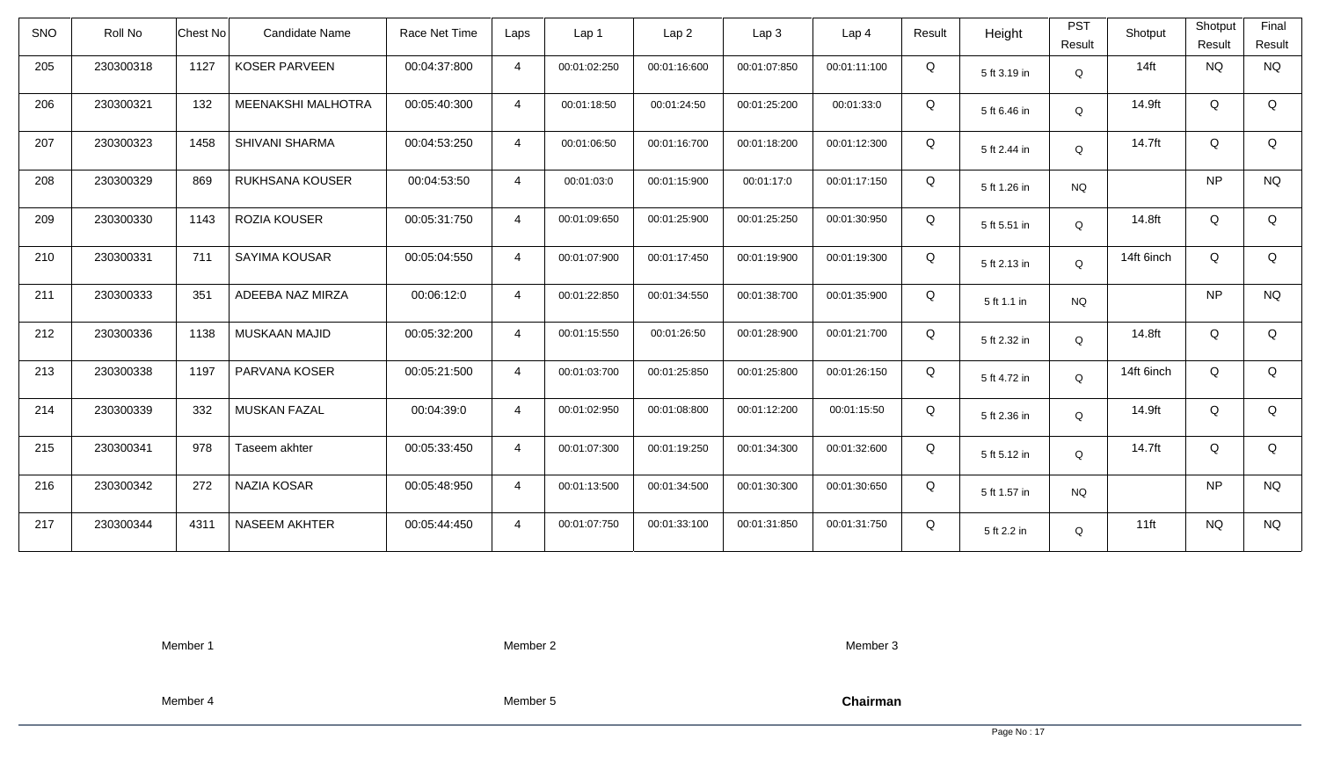| <b>SNO</b> | Roll No   | <b>Chest No</b> | <b>Candidate Name</b> | Race Net Time | Laps           | Lap 1        | Lap <sub>2</sub> | Lap3         | Lap <sub>4</sub> | Result | Height       | <b>PST</b><br>Result | Shotput    | Shotput<br>Result | Final<br>Result |
|------------|-----------|-----------------|-----------------------|---------------|----------------|--------------|------------------|--------------|------------------|--------|--------------|----------------------|------------|-------------------|-----------------|
| 205        | 230300318 | 1127            | <b>KOSER PARVEEN</b>  | 00:04:37:800  | $\overline{4}$ | 00:01:02:250 | 00:01:16:600     | 00:01:07:850 | 00:01:11:100     | Q      | 5 ft 3.19 in | Q                    | $14$ ft    | NQ                | <b>NQ</b>       |
| 206        | 230300321 | 132             | MEENAKSHI MALHOTRA    | 00:05:40:300  | $\overline{4}$ | 00:01:18:50  | 00:01:24:50      | 00:01:25:200 | 00:01:33:0       | Q      | 5 ft 6.46 in | Q                    | 14.9ft     | Q                 | Q               |
| 207        | 230300323 | 1458            | <b>SHIVANI SHARMA</b> | 00:04:53:250  | $\overline{4}$ | 00:01:06:50  | 00:01:16:700     | 00:01:18:200 | 00:01:12:300     | Q      | 5 ft 2.44 in | Q                    | 14.7ft     | Q                 | Q               |
| 208        | 230300329 | 869             | RUKHSANA KOUSER       | 00:04:53:50   | $\overline{4}$ | 00:01:03:0   | 00:01:15:900     | 00:01:17:0   | 00:01:17:150     | Q      | 5 ft 1.26 in | <b>NQ</b>            |            | <b>NP</b>         | <b>NQ</b>       |
| 209        | 230300330 | 1143            | ROZIA KOUSER          | 00:05:31:750  | $\overline{4}$ | 00:01:09:650 | 00:01:25:900     | 00:01:25:250 | 00:01:30:950     | Q      | 5 ft 5.51 in | Q                    | 14.8ft     | Q                 | Q               |
| 210        | 230300331 | 711             | SAYIMA KOUSAR         | 00:05:04:550  | $\overline{4}$ | 00:01:07:900 | 00:01:17:450     | 00:01:19:900 | 00:01:19:300     | Q      | 5 ft 2.13 in | Q                    | 14ft 6inch | Q                 | Q               |
| 211        | 230300333 | 351             | ADEEBA NAZ MIRZA      | 00:06:12:0    | $\overline{4}$ | 00:01:22:850 | 00:01:34:550     | 00:01:38:700 | 00:01:35:900     | Q      | 5 ft 1.1 in  | <b>NQ</b>            |            | <b>NP</b>         | <b>NQ</b>       |
| 212        | 230300336 | 1138            | MUSKAAN MAJID         | 00:05:32:200  | $\overline{4}$ | 00:01:15:550 | 00:01:26:50      | 00:01:28:900 | 00:01:21:700     | Q      | 5 ft 2.32 in | Q                    | 14.8ft     | Q                 | Q               |
| 213        | 230300338 | 1197            | PARVANA KOSER         | 00:05:21:500  | $\overline{4}$ | 00:01:03:700 | 00:01:25:850     | 00:01:25:800 | 00:01:26:150     | Q      | 5 ft 4.72 in | Q                    | 14ft 6inch | Q                 | Q               |
| 214        | 230300339 | 332             | MUSKAN FAZAL          | 00:04:39:0    | $\overline{4}$ | 00:01:02:950 | 00:01:08:800     | 00:01:12:200 | 00:01:15:50      | Q      | 5 ft 2.36 in | Q                    | 14.9ft     | Q                 | Q               |
| 215        | 230300341 | 978             | Taseem akhter         | 00:05:33:450  | $\overline{4}$ | 00:01:07:300 | 00:01:19:250     | 00:01:34:300 | 00:01:32:600     | Q      | 5 ft 5.12 in | Q                    | 14.7ft     | Q                 | Q               |
| 216        | 230300342 | 272             | <b>NAZIA KOSAR</b>    | 00:05:48:950  | $\overline{4}$ | 00:01:13:500 | 00:01:34:500     | 00:01:30:300 | 00:01:30:650     | Q      | 5 ft 1.57 in | <b>NQ</b>            |            | <b>NP</b>         | <b>NQ</b>       |
| 217        | 230300344 | 4311            | <b>NASEEM AKHTER</b>  | 00:05:44:450  | $\overline{4}$ | 00:01:07:750 | 00:01:33:100     | 00:01:31:850 | 00:01:31:750     | Q      | 5 ft 2.2 in  | Q                    | $11$ ft    | <b>NQ</b>         | <b>NQ</b>       |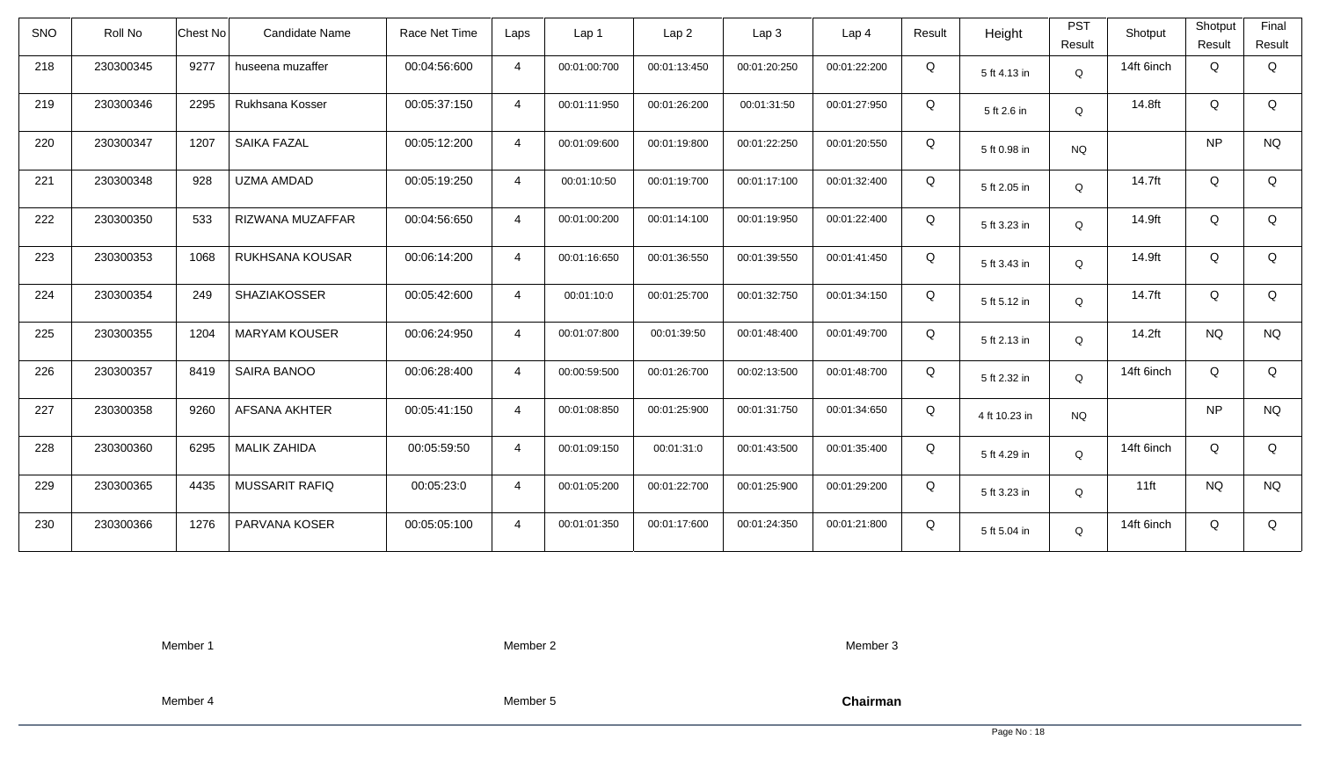| <b>SNO</b> | Roll No   | <b>Chest No</b> | <b>Candidate Name</b> | Race Net Time | Laps           | Lap <sub>1</sub> | Lap <sub>2</sub> | Lap <sub>3</sub> | Lap <sub>4</sub> | Result | Height        | <b>PST</b><br>Result | Shotput    | Shotput<br>Result | Final<br>Result |
|------------|-----------|-----------------|-----------------------|---------------|----------------|------------------|------------------|------------------|------------------|--------|---------------|----------------------|------------|-------------------|-----------------|
| 218        | 230300345 | 9277            | huseena muzaffer      | 00:04:56:600  | $\overline{4}$ | 00:01:00:700     | 00:01:13:450     | 00:01:20:250     | 00:01:22:200     | Q      | 5 ft 4.13 in  | Q                    | 14ft 6inch | Q                 | Q               |
| 219        | 230300346 | 2295            | Rukhsana Kosser       | 00:05:37:150  | $\overline{4}$ | 00:01:11:950     | 00:01:26:200     | 00:01:31:50      | 00:01:27:950     | Q      | 5 ft 2.6 in   | Q                    | 14.8ft     | Q                 | Q               |
| 220        | 230300347 | 1207            | <b>SAIKA FAZAL</b>    | 00:05:12:200  | $\overline{4}$ | 00:01:09:600     | 00:01:19:800     | 00:01:22:250     | 00:01:20:550     | Q      | 5 ft 0.98 in  | <b>NQ</b>            |            | <b>NP</b>         | <b>NQ</b>       |
| 221        | 230300348 | 928             | UZMA AMDAD            | 00:05:19:250  | $\overline{4}$ | 00:01:10:50      | 00:01:19:700     | 00:01:17:100     | 00:01:32:400     | Q      | 5 ft 2.05 in  | Q                    | 14.7ft     | Q                 | Q               |
| 222        | 230300350 | 533             | RIZWANA MUZAFFAR      | 00:04:56:650  | $\overline{4}$ | 00:01:00:200     | 00:01:14:100     | 00:01:19:950     | 00:01:22:400     | Q      | 5 ft 3.23 in  | Q                    | 14.9ft     | Q                 | Q               |
| 223        | 230300353 | 1068            | RUKHSANA KOUSAR       | 00:06:14:200  | $\overline{4}$ | 00:01:16:650     | 00:01:36:550     | 00:01:39:550     | 00:01:41:450     | Q      | 5 ft 3.43 in  | Q                    | 14.9ft     | Q                 | Q               |
| 224        | 230300354 | 249             | <b>SHAZIAKOSSER</b>   | 00:05:42:600  | $\overline{4}$ | 00:01:10:0       | 00:01:25:700     | 00:01:32:750     | 00:01:34:150     | Q      | 5 ft 5.12 in  | Q                    | 14.7ft     | Q                 | Q               |
| 225        | 230300355 | 1204            | <b>MARYAM KOUSER</b>  | 00:06:24:950  | 4              | 00:01:07:800     | 00:01:39:50      | 00:01:48:400     | 00:01:49:700     | Q      | 5 ft 2.13 in  | Q                    | 14.2ft     | <b>NQ</b>         | <b>NQ</b>       |
| 226        | 230300357 | 8419            | <b>SAIRA BANOO</b>    | 00:06:28:400  | $\overline{4}$ | 00:00:59:500     | 00:01:26:700     | 00:02:13:500     | 00:01:48:700     | Q      | 5 ft 2.32 in  | $\mathsf Q$          | 14ft 6inch | Q                 | Q               |
| 227        | 230300358 | 9260            | <b>AFSANA AKHTER</b>  | 00:05:41:150  | $\overline{4}$ | 00:01:08:850     | 00:01:25:900     | 00:01:31:750     | 00:01:34:650     | Q      | 4 ft 10.23 in | <b>NQ</b>            |            | <b>NP</b>         | <b>NQ</b>       |
| 228        | 230300360 | 6295            | <b>MALIK ZAHIDA</b>   | 00:05:59:50   | $\overline{4}$ | 00:01:09:150     | 00:01:31:0       | 00:01:43:500     | 00:01:35:400     | Q      | 5 ft 4.29 in  | Q                    | 14ft 6inch | Q                 | Q               |
| 229        | 230300365 | 4435            | <b>MUSSARIT RAFIQ</b> | 00:05:23:0    | $\overline{4}$ | 00:01:05:200     | 00:01:22:700     | 00:01:25:900     | 00:01:29:200     | Q      | 5 ft 3.23 in  | Q                    | $11$ ft    | <b>NQ</b>         | <b>NQ</b>       |
| 230        | 230300366 | 1276            | PARVANA KOSER         | 00:05:05:100  | $\overline{4}$ | 00:01:01:350     | 00:01:17:600     | 00:01:24:350     | 00:01:21:800     | Q      | 5 ft 5.04 in  | Q                    | 14ft 6inch | Q                 | Q               |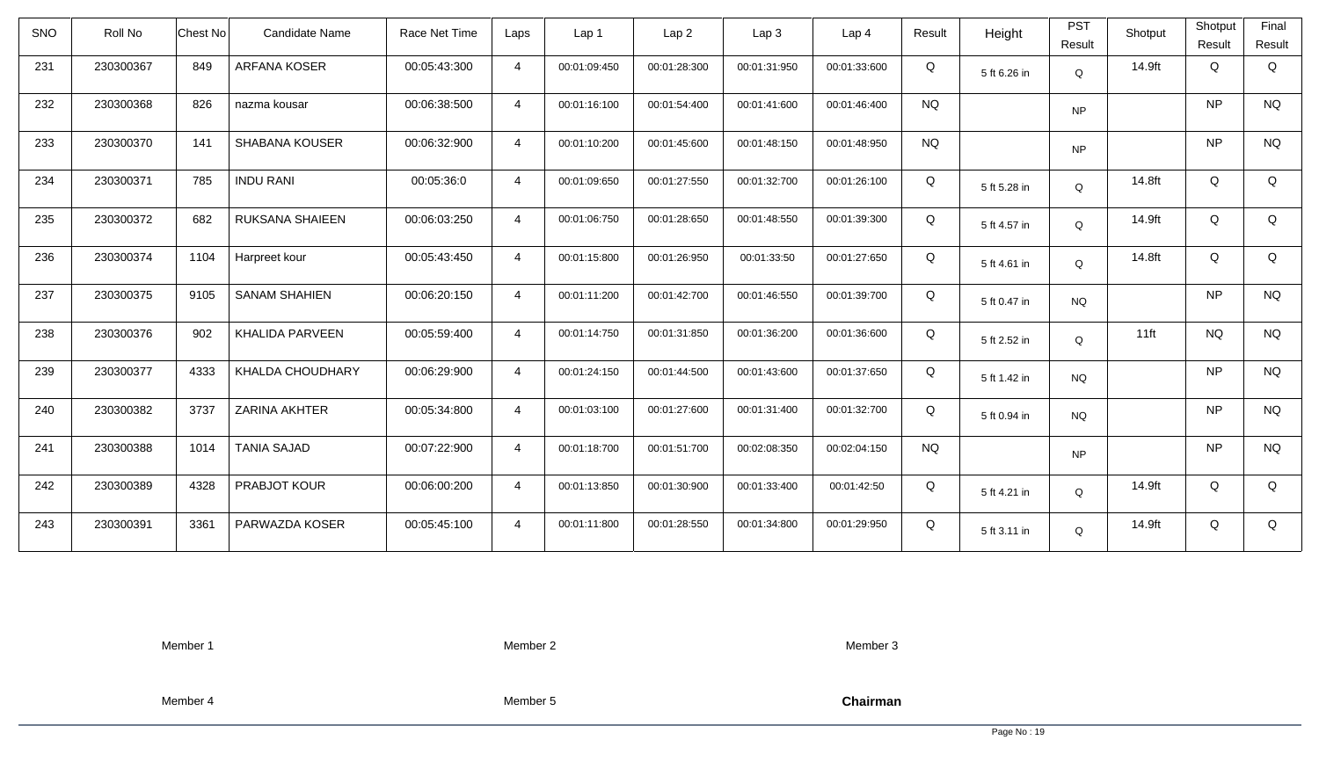| <b>SNO</b> | Roll No   | <b>Chest No</b> | Candidate Name         | Race Net Time | Laps           | Lap 1        | Lap <sub>2</sub> | Lap <sub>3</sub> | Lap <sub>4</sub> | Result    | Height       | <b>PST</b><br>Result | Shotput | Shotput<br>Result | Final<br>Result |
|------------|-----------|-----------------|------------------------|---------------|----------------|--------------|------------------|------------------|------------------|-----------|--------------|----------------------|---------|-------------------|-----------------|
| 231        | 230300367 | 849             | ARFANA KOSER           | 00:05:43:300  | $\overline{4}$ | 00:01:09:450 | 00:01:28:300     | 00:01:31:950     | 00:01:33:600     | Q         | 5 ft 6.26 in | Q                    | 14.9ft  | Q                 | Q               |
| 232        | 230300368 | 826             | nazma kousar           | 00:06:38:500  | $\overline{4}$ | 00:01:16:100 | 00:01:54:400     | 00:01:41:600     | 00:01:46:400     | <b>NQ</b> |              | <b>NP</b>            |         | <b>NP</b>         | <b>NQ</b>       |
| 233        | 230300370 | 141             | <b>SHABANA KOUSER</b>  | 00:06:32:900  | $\overline{4}$ | 00:01:10:200 | 00:01:45:600     | 00:01:48:150     | 00:01:48:950     | <b>NQ</b> |              | <b>NP</b>            |         | <b>NP</b>         | <b>NQ</b>       |
| 234        | 230300371 | 785             | <b>INDU RANI</b>       | 00:05:36:0    | $\overline{4}$ | 00:01:09:650 | 00:01:27:550     | 00:01:32:700     | 00:01:26:100     | Q         | 5 ft 5.28 in | Q                    | 14.8ft  | Q                 | Q               |
| 235        | 230300372 | 682             | RUKSANA SHAIEEN        | 00:06:03:250  | $\overline{4}$ | 00:01:06:750 | 00:01:28:650     | 00:01:48:550     | 00:01:39:300     | Q         | 5 ft 4.57 in | Q                    | 14.9ft  | Q                 | Q               |
| 236        | 230300374 | 1104            | Harpreet kour          | 00:05:43:450  | $\overline{4}$ | 00:01:15:800 | 00:01:26:950     | 00:01:33:50      | 00:01:27:650     | Q         | 5 ft 4.61 in | Q                    | 14.8ft  | Q                 | Q               |
| 237        | 230300375 | 9105            | <b>SANAM SHAHIEN</b>   | 00:06:20:150  | $\overline{4}$ | 00:01:11:200 | 00:01:42:700     | 00:01:46:550     | 00:01:39:700     | Q         | 5 ft 0.47 in | <b>NQ</b>            |         | <b>NP</b>         | <b>NQ</b>       |
| 238        | 230300376 | 902             | <b>KHALIDA PARVEEN</b> | 00:05:59:400  | $\overline{4}$ | 00:01:14:750 | 00:01:31:850     | 00:01:36:200     | 00:01:36:600     | Q         | 5 ft 2.52 in | Q                    | $11$ ft | <b>NQ</b>         | <b>NQ</b>       |
| 239        | 230300377 | 4333            | KHALDA CHOUDHARY       | 00:06:29:900  | $\overline{4}$ | 00:01:24:150 | 00:01:44:500     | 00:01:43:600     | 00:01:37:650     | Q         | 5 ft 1.42 in | <b>NQ</b>            |         | <b>NP</b>         | <b>NQ</b>       |
| 240        | 230300382 | 3737            | <b>ZARINA AKHTER</b>   | 00:05:34:800  | $\overline{4}$ | 00:01:03:100 | 00:01:27:600     | 00:01:31:400     | 00:01:32:700     | Q         | 5 ft 0.94 in | <b>NQ</b>            |         | <b>NP</b>         | <b>NQ</b>       |
| 241        | 230300388 | 1014            | <b>TANIA SAJAD</b>     | 00:07:22:900  | $\overline{4}$ | 00:01:18:700 | 00:01:51:700     | 00:02:08:350     | 00:02:04:150     | <b>NQ</b> |              | <b>NP</b>            |         | <b>NP</b>         | <b>NQ</b>       |
| 242        | 230300389 | 4328            | PRABJOT KOUR           | 00:06:00:200  | $\overline{4}$ | 00:01:13:850 | 00:01:30:900     | 00:01:33:400     | 00:01:42:50      | Q         | 5 ft 4.21 in | Q                    | 14.9ft  | Q                 | Q               |
| 243        | 230300391 | 3361            | PARWAZDA KOSER         | 00:05:45:100  | $\overline{4}$ | 00:01:11:800 | 00:01:28:550     | 00:01:34:800     | 00:01:29:950     | Q         | 5 ft 3.11 in | Q                    | 14.9ft  | Q                 | Q               |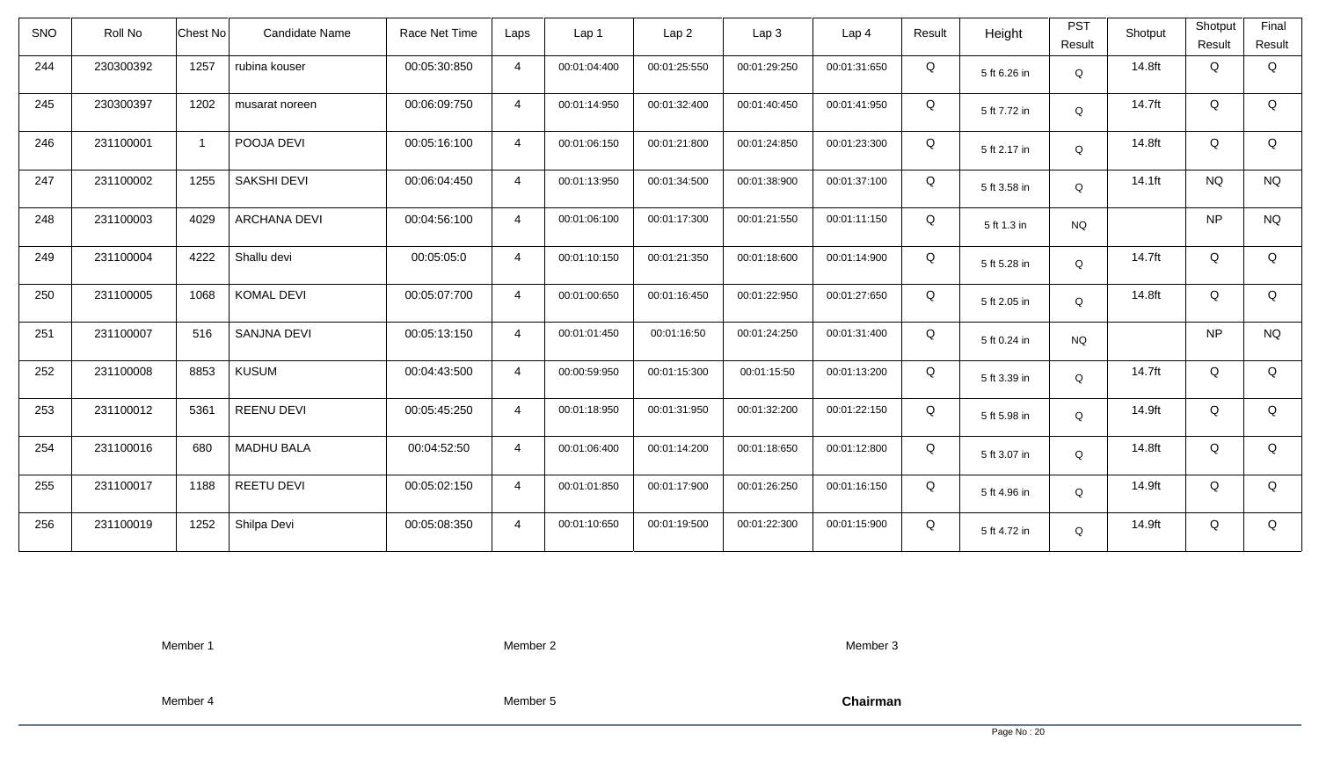| <b>SNO</b> | Roll No   | <b>Chest No</b> | Candidate Name      | Race Net Time | Laps           | Lap 1        | Lap <sub>2</sub> | Lap <sub>3</sub> | Lap <sub>4</sub> | Result | Height       | <b>PST</b><br>Result | Shotput | Shotput<br>Result | Final<br>Result |
|------------|-----------|-----------------|---------------------|---------------|----------------|--------------|------------------|------------------|------------------|--------|--------------|----------------------|---------|-------------------|-----------------|
| 244        | 230300392 | 1257            | rubina kouser       | 00:05:30:850  | $\overline{4}$ | 00:01:04:400 | 00:01:25:550     | 00:01:29:250     | 00:01:31:650     | Q      | 5 ft 6.26 in | Q                    | 14.8ft  | Q                 | Q               |
| 245        | 230300397 | 1202            | musarat noreen      | 00:06:09:750  | $\overline{4}$ | 00:01:14:950 | 00:01:32:400     | 00:01:40:450     | 00:01:41:950     | Q      | 5 ft 7.72 in | Q                    | 14.7ft  | Q                 | Q               |
| 246        | 231100001 |                 | POOJA DEVI          | 00:05:16:100  | $\overline{4}$ | 00:01:06:150 | 00:01:21:800     | 00:01:24:850     | 00:01:23:300     | Q      | 5 ft 2.17 in | Q                    | 14.8ft  | Q                 | Q               |
| 247        | 231100002 | 1255            | <b>SAKSHI DEVI</b>  | 00:06:04:450  | $\overline{4}$ | 00:01:13:950 | 00:01:34:500     | 00:01:38:900     | 00:01:37:100     | Q      | 5 ft 3.58 in | Q                    | 14.1ft  | <b>NQ</b>         | <b>NQ</b>       |
| 248        | 231100003 | 4029            | <b>ARCHANA DEVI</b> | 00:04:56:100  | $\overline{4}$ | 00:01:06:100 | 00:01:17:300     | 00:01:21:550     | 00:01:11:150     | Q      | 5 ft 1.3 in  | <b>NQ</b>            |         | <b>NP</b>         | <b>NQ</b>       |
| 249        | 231100004 | 4222            | Shallu devi         | 00:05:05:0    | $\overline{4}$ | 00:01:10:150 | 00:01:21:350     | 00:01:18:600     | 00:01:14:900     | Q      | 5 ft 5.28 in | Q                    | 14.7ft  | Q                 | Q               |
| 250        | 231100005 | 1068            | <b>KOMAL DEVI</b>   | 00:05:07:700  | $\overline{4}$ | 00:01:00:650 | 00:01:16:450     | 00:01:22:950     | 00:01:27:650     | Q      | 5 ft 2.05 in | Q                    | 14.8ft  | Q                 | Q               |
| 251        | 231100007 | 516             | <b>SANJNA DEVI</b>  | 00:05:13:150  | $\overline{4}$ | 00:01:01:450 | 00:01:16:50      | 00:01:24:250     | 00:01:31:400     | Q      | 5 ft 0.24 in | <b>NQ</b>            |         | <b>NP</b>         | <b>NQ</b>       |
| 252        | 231100008 | 8853            | <b>KUSUM</b>        | 00:04:43:500  | $\overline{4}$ | 00:00:59:950 | 00:01:15:300     | 00:01:15:50      | 00:01:13:200     | Q      | 5 ft 3.39 in | $\Omega$             | 14.7ft  | Q                 | Q               |
| 253        | 231100012 | 5361            | <b>REENU DEVI</b>   | 00:05:45:250  | $\overline{4}$ | 00:01:18:950 | 00:01:31:950     | 00:01:32:200     | 00:01:22:150     | Q      | 5 ft 5.98 in | Q                    | 14.9ft  | Q                 | Q               |
| 254        | 231100016 | 680             | <b>MADHU BALA</b>   | 00:04:52:50   | $\overline{4}$ | 00:01:06:400 | 00:01:14:200     | 00:01:18:650     | 00:01:12:800     | Q      | 5 ft 3.07 in | Q                    | 14.8ft  | Q                 | Q               |
| 255        | 231100017 | 1188            | <b>REETU DEVI</b>   | 00:05:02:150  | $\overline{4}$ | 00:01:01:850 | 00:01:17:900     | 00:01:26:250     | 00:01:16:150     | Q      | 5 ft 4.96 in | Q                    | 14.9ft  | Q                 | Q               |
| 256        | 231100019 | 1252            | Shilpa Devi         | 00:05:08:350  | $\overline{4}$ | 00:01:10:650 | 00:01:19:500     | 00:01:22:300     | 00:01:15:900     | Q      | 5 ft 4.72 in | Q                    | 14.9ft  | Q                 | Q               |

Member 2

Member 3

Member 4

Member 5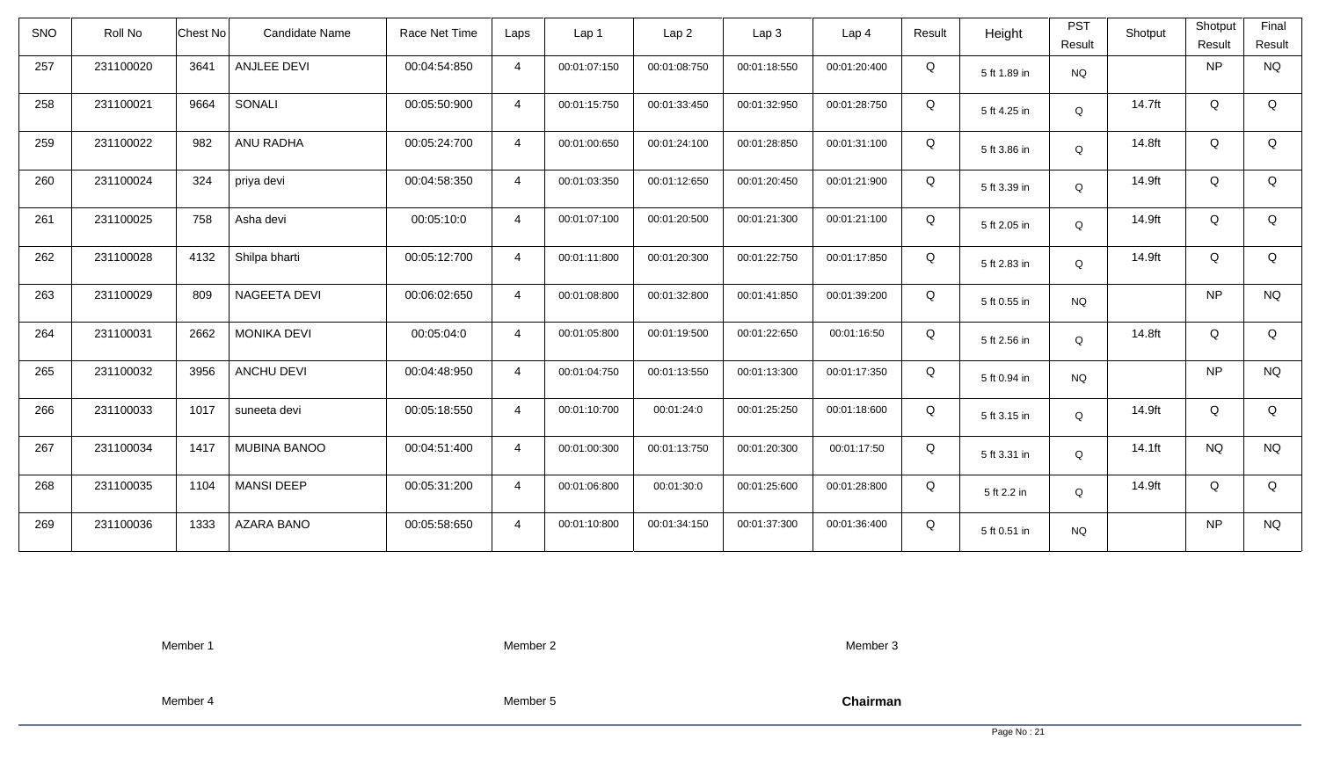| <b>SNO</b> | Roll No   | <b>Chest No</b> | Candidate Name      | Race Net Time | Laps           | Lap 1        | Lap <sub>2</sub> | Lap <sub>3</sub> | Lap <sub>4</sub> | Result | Height       | <b>PST</b><br>Result | Shotput | Shotput<br>Result | Final<br>Result |
|------------|-----------|-----------------|---------------------|---------------|----------------|--------------|------------------|------------------|------------------|--------|--------------|----------------------|---------|-------------------|-----------------|
| 257        | 231100020 | 3641            | ANJLEE DEVI         | 00:04:54:850  | $\overline{4}$ | 00:01:07:150 | 00:01:08:750     | 00:01:18:550     | 00:01:20:400     | Q      | 5 ft 1.89 in | <b>NQ</b>            |         | <b>NP</b>         | <b>NQ</b>       |
| 258        | 231100021 | 9664            | SONALI              | 00:05:50:900  | $\overline{4}$ | 00:01:15:750 | 00:01:33:450     | 00:01:32:950     | 00:01:28:750     | Q      | 5 ft 4.25 in | Q                    | 14.7ft  | Q                 | Q               |
| 259        | 231100022 | 982             | ANU RADHA           | 00:05:24:700  | $\overline{4}$ | 00:01:00:650 | 00:01:24:100     | 00:01:28:850     | 00:01:31:100     | Q      | 5 ft 3.86 in | Q                    | 14.8ft  | Q                 | Q               |
| 260        | 231100024 | 324             | priya devi          | 00:04:58:350  | $\overline{4}$ | 00:01:03:350 | 00:01:12:650     | 00:01:20:450     | 00:01:21:900     | Q      | 5 ft 3.39 in | Q                    | 14.9ft  | Q                 | Q               |
| 261        | 231100025 | 758             | Asha devi           | 00:05:10:0    | $\overline{4}$ | 00:01:07:100 | 00:01:20:500     | 00:01:21:300     | 00:01:21:100     | Q      | 5 ft 2.05 in | Q                    | 14.9ft  | Q                 | Q               |
| 262        | 231100028 | 4132            | Shilpa bharti       | 00:05:12:700  | $\overline{4}$ | 00:01:11:800 | 00:01:20:300     | 00:01:22:750     | 00:01:17:850     | Q      | 5 ft 2.83 in | Q                    | 14.9ft  | Q                 | Q               |
| 263        | 231100029 | 809             | <b>NAGEETA DEVI</b> | 00:06:02:650  | $\overline{4}$ | 00:01:08:800 | 00:01:32:800     | 00:01:41:850     | 00:01:39:200     | Q      | 5 ft 0.55 in | <b>NQ</b>            |         | <b>NP</b>         | $\rm N\rm Q$    |
| 264        | 231100031 | 2662            | <b>MONIKA DEVI</b>  | 00:05:04:0    | $\overline{4}$ | 00:01:05:800 | 00:01:19:500     | 00:01:22:650     | 00:01:16:50      | Q      | 5 ft 2.56 in | Q                    | 14.8ft  | Q                 | Q               |
| 265        | 231100032 | 3956            | <b>ANCHU DEVI</b>   | 00:04:48:950  | $\overline{4}$ | 00:01:04:750 | 00:01:13:550     | 00:01:13:300     | 00:01:17:350     | Q      | 5 ft 0.94 in | <b>NQ</b>            |         | <b>NP</b>         | <b>NQ</b>       |
| 266        | 231100033 | 1017            | suneeta devi        | 00:05:18:550  | $\overline{4}$ | 00:01:10:700 | 00:01:24:0       | 00:01:25:250     | 00:01:18:600     | Q      | 5 ft 3.15 in | Q                    | 14.9ft  | Q                 | Q               |
| 267        | 231100034 | 1417            | <b>MUBINA BANOO</b> | 00:04:51:400  | $\overline{4}$ | 00:01:00:300 | 00:01:13:750     | 00:01:20:300     | 00:01:17:50      | Q      | 5 ft 3.31 in | Q                    | 14.1ft  | <b>NQ</b>         | <b>NQ</b>       |
| 268        | 231100035 | 1104            | <b>MANSI DEEP</b>   | 00:05:31:200  | $\overline{4}$ | 00:01:06:800 | 00:01:30:0       | 00:01:25:600     | 00:01:28:800     | Q      | 5 ft 2.2 in  | Q                    | 14.9ft  | Q                 | Q               |
| 269        | 231100036 | 1333            | <b>AZARA BANO</b>   | 00:05:58:650  | $\overline{4}$ | 00:01:10:800 | 00:01:34:150     | 00:01:37:300     | 00:01:36:400     | Q      | 5 ft 0.51 in | <b>NQ</b>            |         | <b>NP</b>         | <b>NQ</b>       |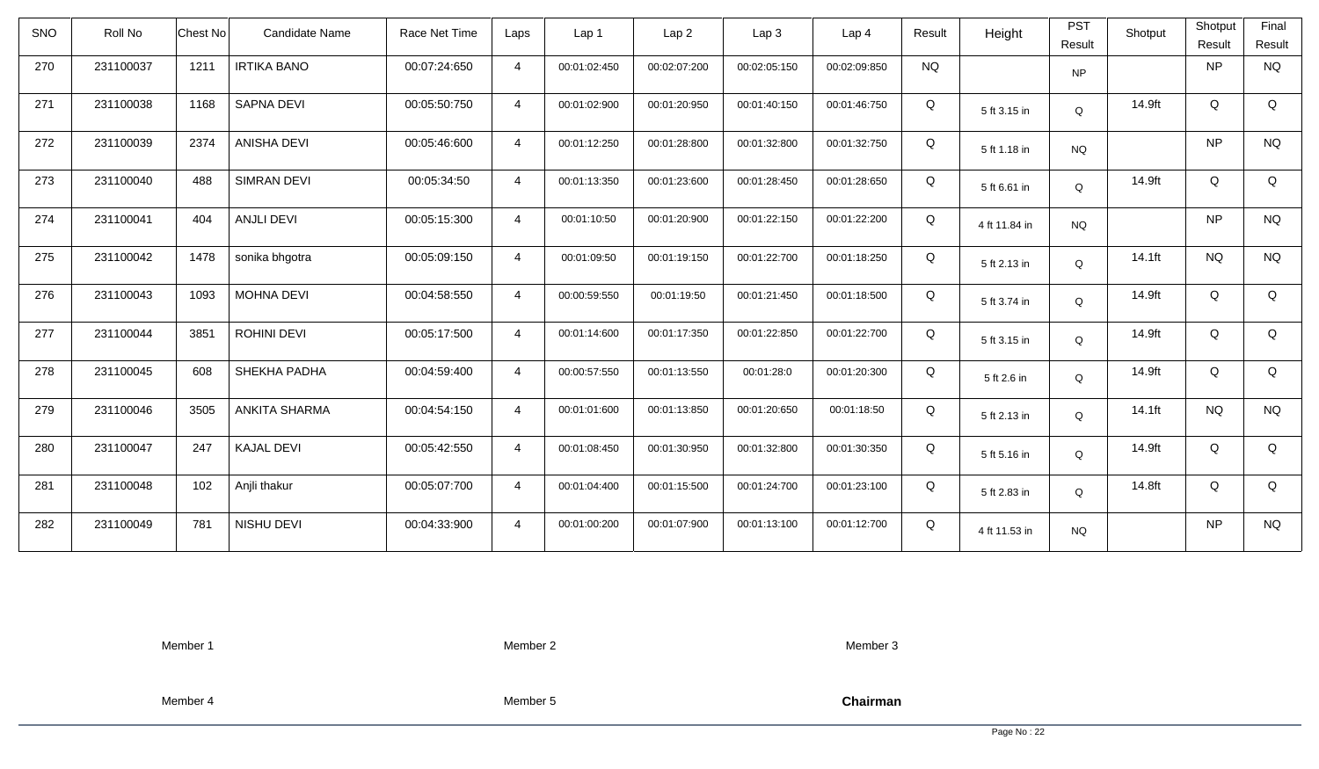| <b>SNO</b> | Roll No   | Candidate Name<br>Chest No   | Race Net Time | Laps           | Lap 1        | Lap <sub>2</sub> | Lap3         | Lap <sub>4</sub> | Result    | Height        | <b>PST</b><br>Result | Shotput   | Shotput<br>Result | Final<br>Result |
|------------|-----------|------------------------------|---------------|----------------|--------------|------------------|--------------|------------------|-----------|---------------|----------------------|-----------|-------------------|-----------------|
| 270        | 231100037 | 1211<br><b>IRTIKA BANO</b>   | 00:07:24:650  | $\overline{4}$ | 00:01:02:450 | 00:02:07:200     | 00:02:05:150 | 00:02:09:850     | <b>NQ</b> |               | <b>NP</b>            |           | <b>NP</b>         | <b>NQ</b>       |
| 271        | 231100038 | <b>SAPNA DEVI</b><br>1168    | 00:05:50:750  | $\overline{4}$ | 00:01:02:900 | 00:01:20:950     | 00:01:40:150 | 00:01:46:750     | Q         | 5 ft 3.15 in  | Q                    | 14.9ft    | Q                 | Q               |
| 272        | 231100039 | <b>ANISHA DEVI</b><br>2374   | 00:05:46:600  | $\overline{4}$ | 00:01:12:250 | 00:01:28:800     | 00:01:32:800 | 00:01:32:750     | Q         | 5 ft 1.18 in  | <b>NQ</b>            |           | NP                | <b>NQ</b>       |
| 273        | 231100040 | 488<br><b>SIMRAN DEVI</b>    | 00:05:34:50   | $\overline{4}$ | 00:01:13:350 | 00:01:23:600     | 00:01:28:450 | 00:01:28:650     | Q         | 5 ft 6.61 in  | Q                    | 14.9ft    | Q                 | Q               |
| 274        | 231100041 | <b>ANJLI DEVI</b><br>404     | 00:05:15:300  | $\overline{4}$ | 00:01:10:50  | 00:01:20:900     | 00:01:22:150 | 00:01:22:200     | Q         | 4 ft 11.84 in | <b>NQ</b>            |           | <b>NP</b>         | <b>NQ</b>       |
| 275        | 231100042 | 1478<br>sonika bhgotra       | 00:05:09:150  | $\overline{4}$ | 00:01:09:50  | 00:01:19:150     | 00:01:22:700 | 00:01:18:250     | Q         | 5 ft 2.13 in  | Q                    | $14.1$ ft | <b>NQ</b>         | <b>NQ</b>       |
| 276        | 231100043 | 1093<br><b>MOHNA DEVI</b>    | 00:04:58:550  | $\overline{4}$ | 00:00:59:550 | 00:01:19:50      | 00:01:21:450 | 00:01:18:500     | Q         | 5 ft 3.74 in  | Q                    | 14.9ft    | Q                 | Q               |
| 277        | 231100044 | 3851<br>ROHINI DEVI          | 00:05:17:500  | $\overline{4}$ | 00:01:14:600 | 00:01:17:350     | 00:01:22:850 | 00:01:22:700     | Q         | 5 ft 3.15 in  | Q                    | 14.9ft    | Q                 | Q               |
| 278        | 231100045 | 608<br>SHEKHA PADHA          | 00:04:59:400  | $\overline{4}$ | 00:00:57:550 | 00:01:13:550     | 00:01:28:0   | 00:01:20:300     | Q         | 5 ft 2.6 in   | Q                    | 14.9ft    | Q                 | Q               |
| 279        | 231100046 | 3505<br><b>ANKITA SHARMA</b> | 00:04:54:150  | $\overline{4}$ | 00:01:01:600 | 00:01:13:850     | 00:01:20:650 | 00:01:18:50      | Q         | 5 ft 2.13 in  | Q                    | 14.1ft    | <b>NQ</b>         | <b>NQ</b>       |
| 280        | 231100047 | 247<br><b>KAJAL DEVI</b>     | 00:05:42:550  | $\overline{4}$ | 00:01:08:450 | 00:01:30:950     | 00:01:32:800 | 00:01:30:350     | Q         | 5 ft 5.16 in  | Q                    | 14.9ft    | Q                 | Q               |
| 281        | 231100048 | 102<br>Anjli thakur          | 00:05:07:700  | $\overline{4}$ | 00:01:04:400 | 00:01:15:500     | 00:01:24:700 | 00:01:23:100     | Q         | 5 ft 2.83 in  | Q                    | 14.8ft    | Q                 | Q               |
| 282        | 231100049 | 781<br>NISHU DEVI            | 00:04:33:900  | $\overline{4}$ | 00:01:00:200 | 00:01:07:900     | 00:01:13:100 | 00:01:12:700     | Q         | 4 ft 11.53 in | <b>NQ</b>            |           | <b>NP</b>         | <b>NQ</b>       |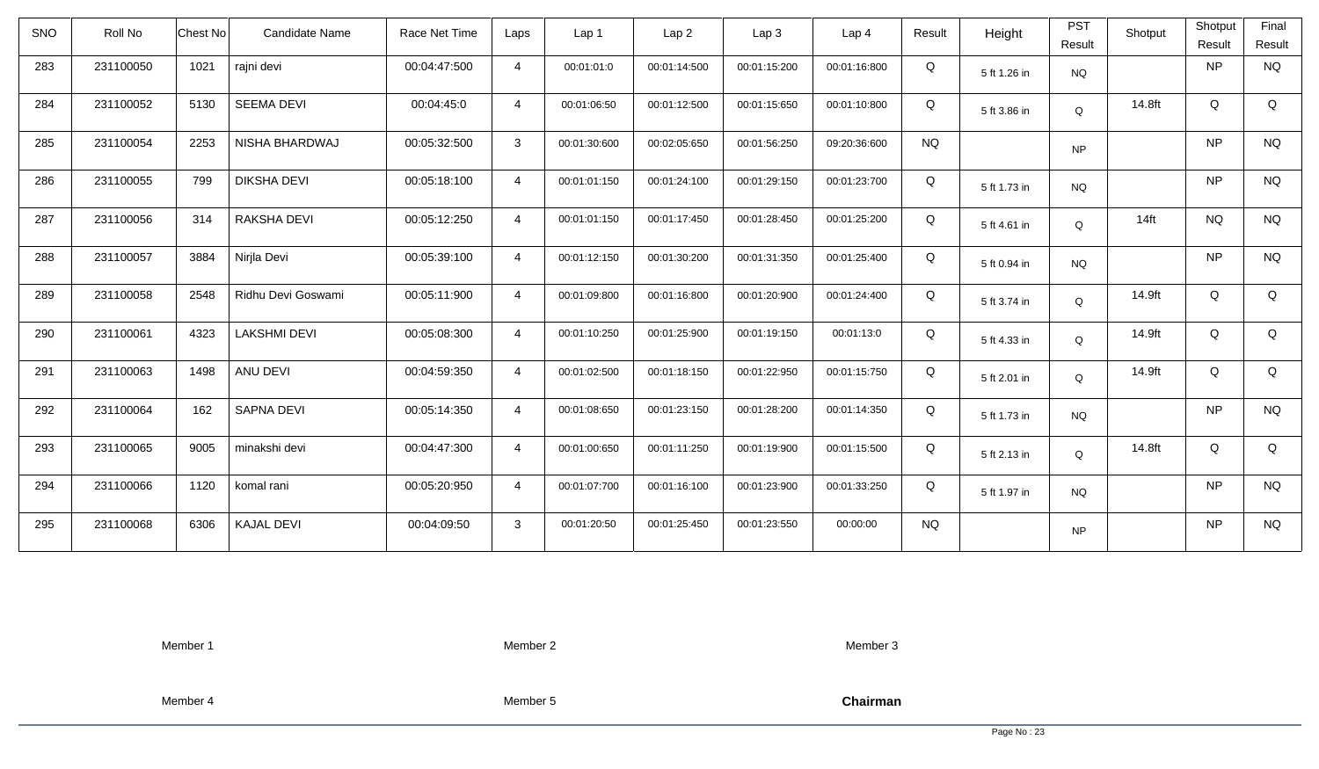| <b>SNO</b> | Roll No   | Chest No | Candidate Name      | Race Net Time | Laps           | Lap 1        | Lap <sub>2</sub> | Lap3         | Lap 4        | Result    | Height       | <b>PST</b><br>Result | Shotput | Shotput<br>Result | Final<br>Result |
|------------|-----------|----------|---------------------|---------------|----------------|--------------|------------------|--------------|--------------|-----------|--------------|----------------------|---------|-------------------|-----------------|
| 283        | 231100050 | 1021     | rajni devi          | 00:04:47:500  | $\overline{4}$ | 00:01:01:0   | 00:01:14:500     | 00:01:15:200 | 00:01:16:800 | Q         | 5 ft 1.26 in | <b>NQ</b>            |         | <b>NP</b>         | <b>NQ</b>       |
| 284        | 231100052 | 5130     | <b>SEEMA DEVI</b>   | 00:04:45:0    | $\overline{4}$ | 00:01:06:50  | 00:01:12:500     | 00:01:15:650 | 00:01:10:800 | Q         | 5 ft 3.86 in | Q                    | 14.8ft  | Q                 | Q               |
| 285        | 231100054 | 2253     | NISHA BHARDWAJ      | 00:05:32:500  | 3              | 00:01:30:600 | 00:02:05:650     | 00:01:56:250 | 09:20:36:600 | <b>NQ</b> |              | <b>NP</b>            |         | <b>NP</b>         | <b>NQ</b>       |
| 286        | 231100055 | 799      | <b>DIKSHA DEVI</b>  | 00:05:18:100  | $\overline{4}$ | 00:01:01:150 | 00:01:24:100     | 00:01:29:150 | 00:01:23:700 | Q         | 5 ft 1.73 in | <b>NQ</b>            |         | <b>NP</b>         | <b>NQ</b>       |
| 287        | 231100056 | 314      | RAKSHA DEVI         | 00:05:12:250  | $\overline{4}$ | 00:01:01:150 | 00:01:17:450     | 00:01:28:450 | 00:01:25:200 | Q         | 5 ft 4.61 in | Q                    | $14$ ft | <b>NQ</b>         | <b>NQ</b>       |
| 288        | 231100057 | 3884     | Nirjla Devi         | 00:05:39:100  | $\overline{4}$ | 00:01:12:150 | 00:01:30:200     | 00:01:31:350 | 00:01:25:400 | Q         | 5 ft 0.94 in | <b>NQ</b>            |         | <b>NP</b>         | <b>NQ</b>       |
| 289        | 231100058 | 2548     | Ridhu Devi Goswami  | 00:05:11:900  | $\overline{4}$ | 00:01:09:800 | 00:01:16:800     | 00:01:20:900 | 00:01:24:400 | Q         | 5 ft 3.74 in | Q                    | 14.9ft  | Q                 | Q               |
| 290        | 231100061 | 4323     | <b>LAKSHMI DEVI</b> | 00:05:08:300  | $\overline{4}$ | 00:01:10:250 | 00:01:25:900     | 00:01:19:150 | 00:01:13:0   | Q         | 5 ft 4.33 in | Q                    | 14.9ft  | Q                 | Q               |
| 291        | 231100063 | 1498     | ANU DEVI            | 00:04:59:350  | $\overline{4}$ | 00:01:02:500 | 00:01:18:150     | 00:01:22:950 | 00:01:15:750 | Q         | 5 ft 2.01 in | Q                    | 14.9ft  | Q                 | Q               |
| 292        | 231100064 | 162      | SAPNA DEVI          | 00:05:14:350  | $\overline{4}$ | 00:01:08:650 | 00:01:23:150     | 00:01:28:200 | 00:01:14:350 | Q         | 5 ft 1.73 in | <b>NQ</b>            |         | <b>NP</b>         | $\rm N\rm Q$    |
| 293        | 231100065 | 9005     | minakshi devi       | 00:04:47:300  | $\overline{4}$ | 00:01:00:650 | 00:01:11:250     | 00:01:19:900 | 00:01:15:500 | Q         | 5 ft 2.13 in | Q                    | 14.8ft  | Q                 | Q               |
| 294        | 231100066 | 1120     | komal rani          | 00:05:20:950  | $\overline{4}$ | 00:01:07:700 | 00:01:16:100     | 00:01:23:900 | 00:01:33:250 | Q         | 5 ft 1.97 in | <b>NQ</b>            |         | <b>NP</b>         | <b>NQ</b>       |
| 295        | 231100068 | 6306     | <b>KAJAL DEVI</b>   | 00:04:09:50   | $\mathbf{3}$   | 00:01:20:50  | 00:01:25:450     | 00:01:23:550 | 00:00:00     | <b>NQ</b> |              | <b>NP</b>            |         | <b>NP</b>         | <b>NQ</b>       |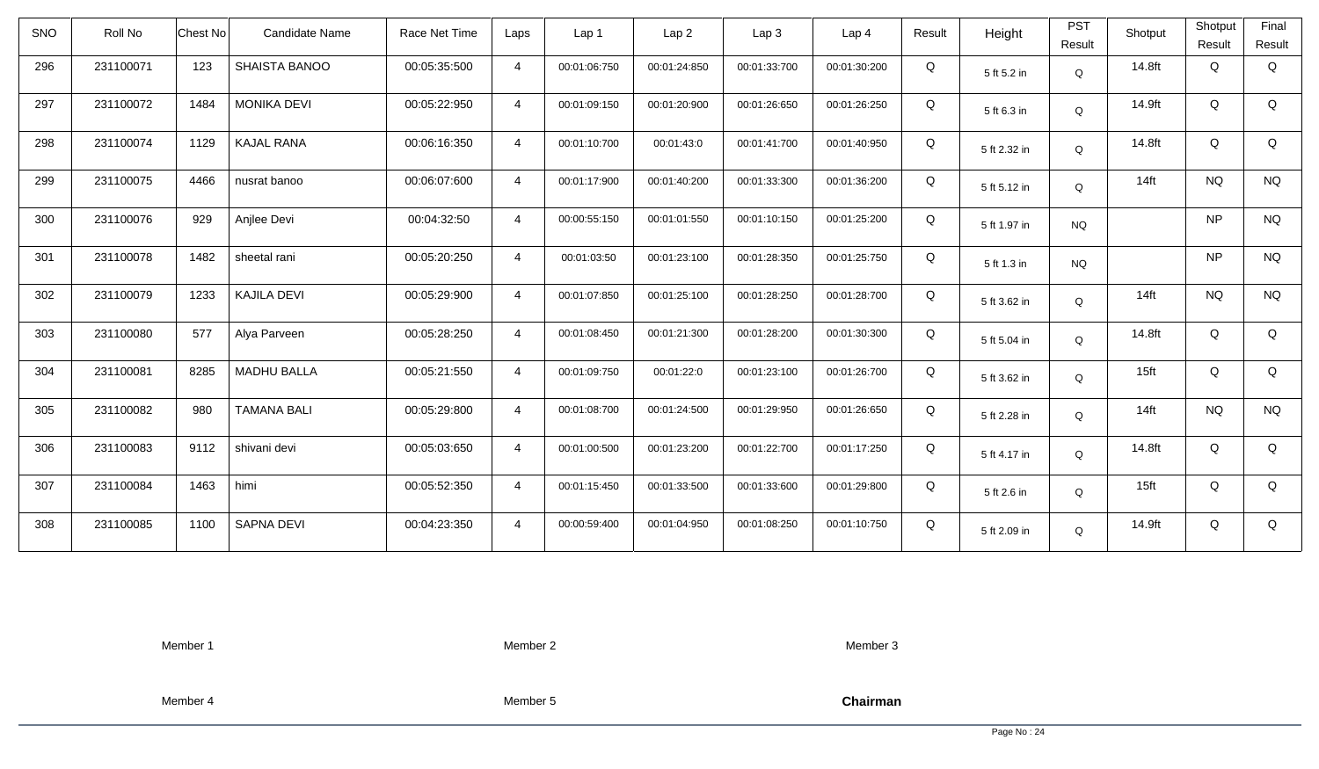| <b>SNO</b> | Roll No   | Chest No                   | Candidate Name | Race Net Time | Laps           | Lap 1        | Lap <sub>2</sub> | Lap3         | Lap 4        | Result | Height       | <b>PST</b><br>Result | Shotput          | Shotput<br>Result | Final<br>Result |
|------------|-----------|----------------------------|----------------|---------------|----------------|--------------|------------------|--------------|--------------|--------|--------------|----------------------|------------------|-------------------|-----------------|
| 296        | 231100071 | 123<br>SHAISTA BANOO       |                | 00:05:35:500  | $\overline{4}$ | 00:01:06:750 | 00:01:24:850     | 00:01:33:700 | 00:01:30:200 | Q      | 5 ft 5.2 in  | $\mathsf Q$          | 14.8ft           | Q                 | Q               |
| 297        | 231100072 | <b>MONIKA DEVI</b><br>1484 |                | 00:05:22:950  | $\overline{4}$ | 00:01:09:150 | 00:01:20:900     | 00:01:26:650 | 00:01:26:250 | Q      | 5 ft 6.3 in  | Q                    | 14.9ft           | Q                 | Q               |
| 298        | 231100074 | 1129<br><b>KAJAL RANA</b>  |                | 00:06:16:350  | $\overline{4}$ | 00:01:10:700 | 00:01:43:0       | 00:01:41:700 | 00:01:40:950 | Q      | 5 ft 2.32 in | Q                    | 14.8ft           | Q                 | Q               |
| 299        | 231100075 | 4466<br>nusrat banoo       |                | 00:06:07:600  | $\overline{4}$ | 00:01:17:900 | 00:01:40:200     | 00:01:33:300 | 00:01:36:200 | Q      | 5 ft 5.12 in | Q                    | $14$ ft          | <b>NQ</b>         | <b>NQ</b>       |
| 300        | 231100076 | Anjlee Devi<br>929         |                | 00:04:32:50   | $\overline{4}$ | 00:00:55:150 | 00:01:01:550     | 00:01:10:150 | 00:01:25:200 | Q      | 5 ft 1.97 in | <b>NQ</b>            |                  | <b>NP</b>         | <b>NQ</b>       |
| 301        | 231100078 | 1482<br>sheetal rani       |                | 00:05:20:250  | $\overline{4}$ | 00:01:03:50  | 00:01:23:100     | 00:01:28:350 | 00:01:25:750 | Q      | 5 ft 1.3 in  | <b>NQ</b>            |                  | <b>NP</b>         | <b>NQ</b>       |
| 302        | 231100079 | 1233<br>KAJILA DEVI        |                | 00:05:29:900  | $\overline{4}$ | 00:01:07:850 | 00:01:25:100     | 00:01:28:250 | 00:01:28:700 | Q      | 5 ft 3.62 in | Q                    | $14$ ft          | <b>NQ</b>         | <b>NQ</b>       |
| 303        | 231100080 | 577<br>Alya Parveen        |                | 00:05:28:250  | $\overline{4}$ | 00:01:08:450 | 00:01:21:300     | 00:01:28:200 | 00:01:30:300 | Q      | 5 ft 5.04 in | Q                    | 14.8ft           | Q                 | Q               |
| 304        | 231100081 | <b>MADHU BALLA</b><br>8285 |                | 00:05:21:550  | $\overline{4}$ | 00:01:09:750 | 00:01:22:0       | 00:01:23:100 | 00:01:26:700 | Q      | 5 ft 3.62 in | Q                    | 15 <sub>ft</sub> | Q                 | Q               |
| 305        | 231100082 | 980<br><b>TAMANA BALI</b>  |                | 00:05:29:800  | $\overline{4}$ | 00:01:08:700 | 00:01:24:500     | 00:01:29:950 | 00:01:26:650 | Q      | 5 ft 2.28 in | Q                    | $14$ ft          | <b>NQ</b>         | <b>NQ</b>       |
| 306        | 231100083 | 9112<br>shivani devi       |                | 00:05:03:650  | $\overline{4}$ | 00:01:00:500 | 00:01:23:200     | 00:01:22:700 | 00:01:17:250 | Q      | 5 ft 4.17 in | Q                    | 14.8ft           | Q                 | Q               |
| 307        | 231100084 | 1463<br>himi               |                | 00:05:52:350  | $\overline{4}$ | 00:01:15:450 | 00:01:33:500     | 00:01:33:600 | 00:01:29:800 | Q      | 5 ft 2.6 in  | Q                    | 15 <sub>ft</sub> | Q                 | Q               |
| 308        | 231100085 | SAPNA DEVI<br>1100         |                | 00:04:23:350  | $\overline{4}$ | 00:00:59:400 | 00:01:04:950     | 00:01:08:250 | 00:01:10:750 | Q      | 5 ft 2.09 in | Q                    | 14.9ft           | Q                 | Q               |

Member 2

Member 3

Member 4

Member 5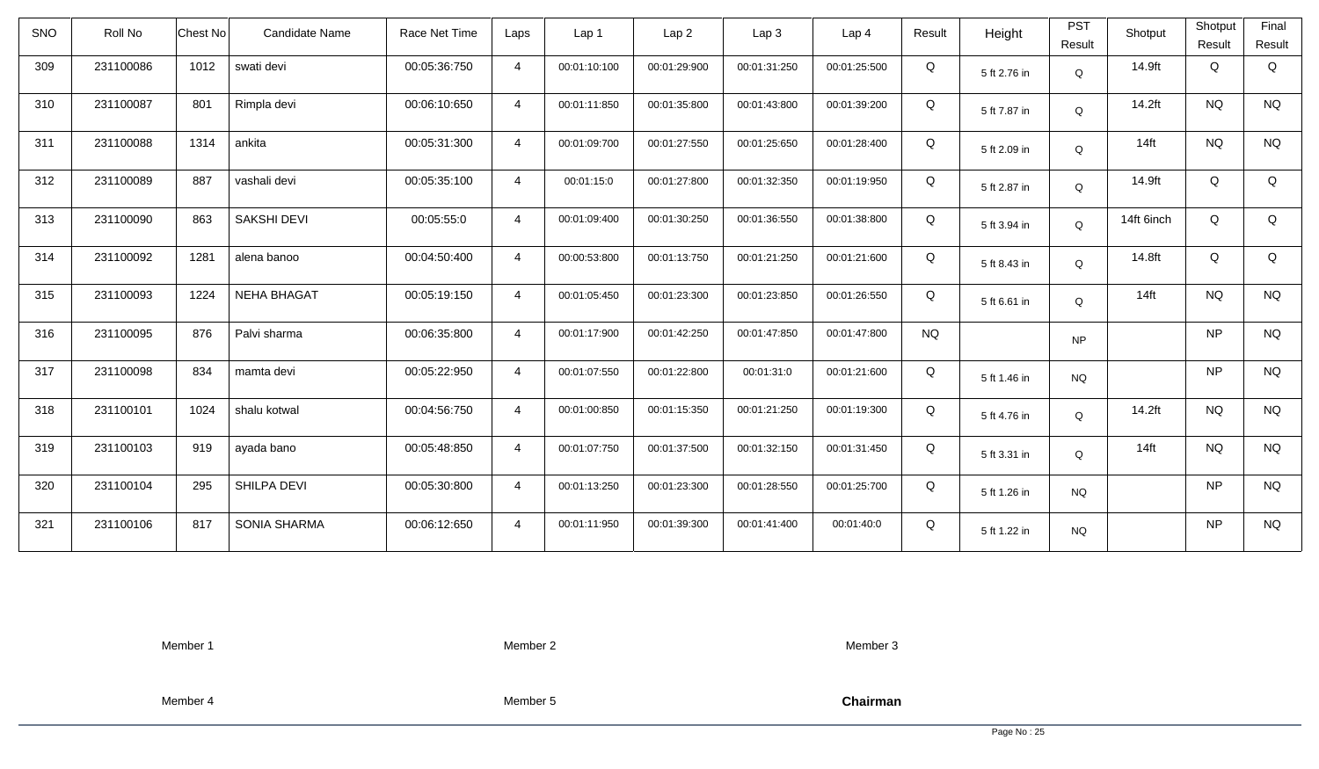| <b>SNO</b> | Roll No   | <b>Chest No</b> | Candidate Name      | Race Net Time | Laps           | Lap 1        | Lap <sub>2</sub> | Lap <sub>3</sub> | Lap <sub>4</sub> | Result    | Height       | <b>PST</b><br>Result | Shotput    | Shotput<br>Result | Final<br>Result |
|------------|-----------|-----------------|---------------------|---------------|----------------|--------------|------------------|------------------|------------------|-----------|--------------|----------------------|------------|-------------------|-----------------|
| 309        | 231100086 | 1012            | swati devi          | 00:05:36:750  | $\overline{4}$ | 00:01:10:100 | 00:01:29:900     | 00:01:31:250     | 00:01:25:500     | Q         | 5 ft 2.76 in | Q                    | 14.9ft     | Q                 | Q               |
| 310        | 231100087 | 801             | Rimpla devi         | 00:06:10:650  | $\overline{4}$ | 00:01:11:850 | 00:01:35:800     | 00:01:43:800     | 00:01:39:200     | Q         | 5 ft 7.87 in | Q                    | 14.2ft     | <b>NQ</b>         | <b>NQ</b>       |
| 311        | 231100088 | 1314            | ankita              | 00:05:31:300  | $\overline{4}$ | 00:01:09:700 | 00:01:27:550     | 00:01:25:650     | 00:01:28:400     | Q         | 5 ft 2.09 in | Q                    | $14$ ft    | <b>NQ</b>         | <b>NQ</b>       |
| 312        | 231100089 | 887             | vashali devi        | 00:05:35:100  | $\overline{4}$ | 00:01:15:0   | 00:01:27:800     | 00:01:32:350     | 00:01:19:950     | Q         | 5 ft 2.87 in | Q                    | 14.9ft     | Q                 | Q               |
| 313        | 231100090 | 863             | <b>SAKSHI DEVI</b>  | 00:05:55:0    | $\overline{4}$ | 00:01:09:400 | 00:01:30:250     | 00:01:36:550     | 00:01:38:800     | Q         | 5 ft 3.94 in | Q                    | 14ft 6inch | Q                 | Q               |
| 314        | 231100092 | 1281            | alena banoo         | 00:04:50:400  | $\overline{4}$ | 00:00:53:800 | 00:01:13:750     | 00:01:21:250     | 00:01:21:600     | Q         | 5 ft 8.43 in | Q                    | 14.8ft     | Q                 | Q               |
| 315        | 231100093 | 1224            | <b>NEHA BHAGAT</b>  | 00:05:19:150  | $\overline{4}$ | 00:01:05:450 | 00:01:23:300     | 00:01:23:850     | 00:01:26:550     | Q         | 5 ft 6.61 in | Q                    | $14$ ft    | <b>NQ</b>         | <b>NQ</b>       |
| 316        | 231100095 | 876             | Palvi sharma        | 00:06:35:800  | $\overline{4}$ | 00:01:17:900 | 00:01:42:250     | 00:01:47:850     | 00:01:47:800     | <b>NQ</b> |              | <b>NP</b>            |            | <b>NP</b>         | <b>NQ</b>       |
| 317        | 231100098 | 834             | mamta devi          | 00:05:22:950  | $\overline{4}$ | 00:01:07:550 | 00:01:22:800     | 00:01:31:0       | 00:01:21:600     | Q         | 5 ft 1.46 in | <b>NQ</b>            |            | <b>NP</b>         | <b>NQ</b>       |
| 318        | 231100101 | 1024            | shalu kotwal        | 00:04:56:750  | $\overline{4}$ | 00:01:00:850 | 00:01:15:350     | 00:01:21:250     | 00:01:19:300     | Q         | 5 ft 4.76 in | Q                    | 14.2ft     | <b>NQ</b>         | <b>NQ</b>       |
| 319        | 231100103 | 919             | ayada bano          | 00:05:48:850  | $\overline{4}$ | 00:01:07:750 | 00:01:37:500     | 00:01:32:150     | 00:01:31:450     | Q         | 5 ft 3.31 in | Q                    | $14$ ft    | <b>NQ</b>         | <b>NQ</b>       |
| 320        | 231100104 | 295             | SHILPA DEVI         | 00:05:30:800  | $\overline{4}$ | 00:01:13:250 | 00:01:23:300     | 00:01:28:550     | 00:01:25:700     | Q         | 5 ft 1.26 in | <b>NQ</b>            |            | <b>NP</b>         | <b>NQ</b>       |
| 321        | 231100106 | 817             | <b>SONIA SHARMA</b> | 00:06:12:650  | $\overline{4}$ | 00:01:11:950 | 00:01:39:300     | 00:01:41:400     | 00:01:40:0       | Q         | 5 ft 1.22 in | <b>NQ</b>            |            | <b>NP</b>         | <b>NQ</b>       |

Member 2

Member 3

Member 4

Member 5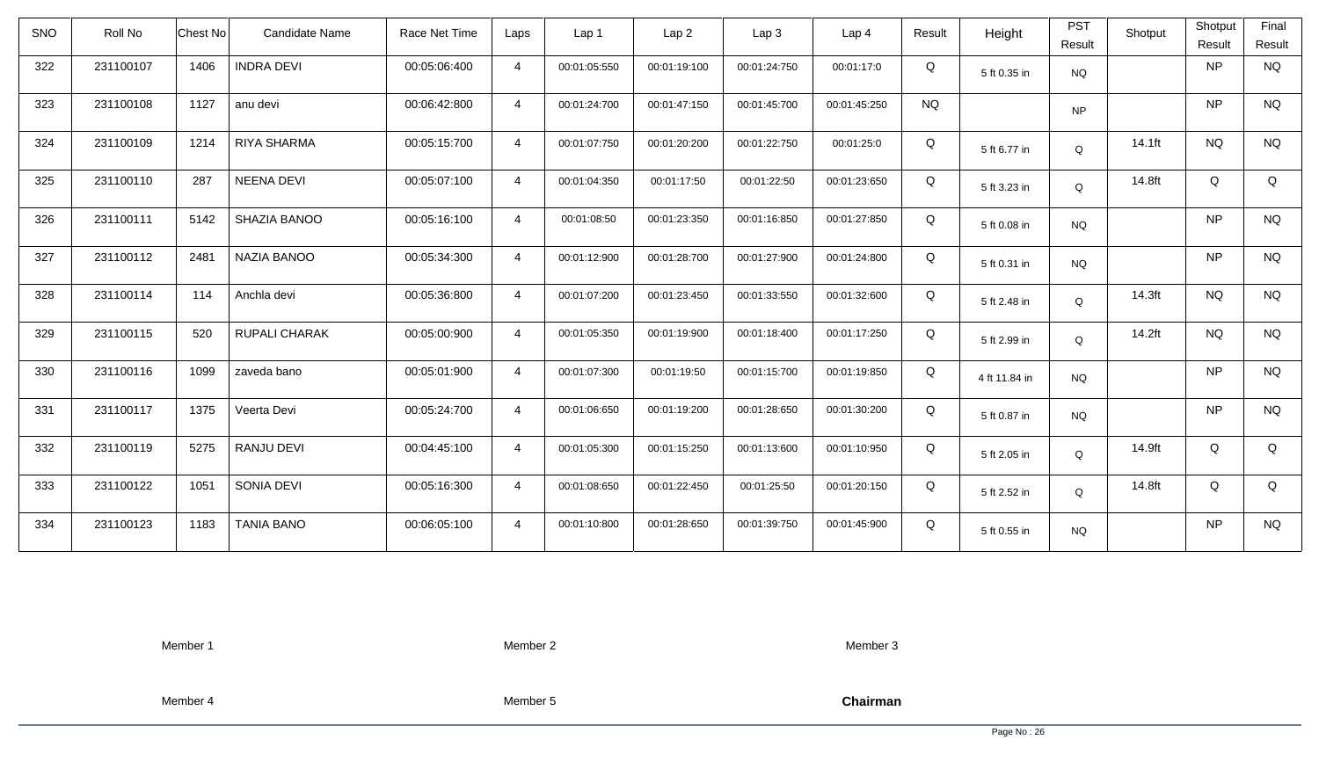| <b>SNO</b> | Roll No   | <b>Chest No</b> | Candidate Name     | Race Net Time | Laps           | Lap <sub>1</sub> | Lap <sub>2</sub> | Lap <sub>3</sub> | Lap <sub>4</sub> | Result    | Height        | <b>PST</b><br>Result | Shotput | Shotput<br>Result | Final<br>Result |
|------------|-----------|-----------------|--------------------|---------------|----------------|------------------|------------------|------------------|------------------|-----------|---------------|----------------------|---------|-------------------|-----------------|
| 322        | 231100107 | 1406            | <b>INDRA DEVI</b>  | 00:05:06:400  | $\overline{4}$ | 00:01:05:550     | 00:01:19:100     | 00:01:24:750     | 00:01:17:0       | Q         | 5 ft 0.35 in  | <b>NQ</b>            |         | <b>NP</b>         | <b>NQ</b>       |
| 323        | 231100108 | 1127            | anu devi           | 00:06:42:800  | $\overline{4}$ | 00:01:24:700     | 00:01:47:150     | 00:01:45:700     | 00:01:45:250     | <b>NQ</b> |               | <b>NP</b>            |         | <b>NP</b>         | <b>NQ</b>       |
| 324        | 231100109 | 1214            | <b>RIYA SHARMA</b> | 00:05:15:700  | $\overline{4}$ | 00:01:07:750     | 00:01:20:200     | 00:01:22:750     | 00:01:25:0       | Q         | 5 ft 6.77 in  | Q                    | 14.1ft  | <b>NQ</b>         | <b>NQ</b>       |
| 325        | 231100110 | 287             | <b>NEENA DEVI</b>  | 00:05:07:100  | $\overline{4}$ | 00:01:04:350     | 00:01:17:50      | 00:01:22:50      | 00:01:23:650     | Q         | 5 ft 3.23 in  | Q                    | 14.8ft  | Q                 | Q               |
| 326        | 231100111 | 5142            | SHAZIA BANOO       | 00:05:16:100  | $\overline{4}$ | 00:01:08:50      | 00:01:23:350     | 00:01:16:850     | 00:01:27:850     | Q         | 5 ft 0.08 in  | <b>NQ</b>            |         | <b>NP</b>         | <b>NQ</b>       |
| 327        | 231100112 | 2481            | NAZIA BANOO        | 00:05:34:300  | $\overline{4}$ | 00:01:12:900     | 00:01:28:700     | 00:01:27:900     | 00:01:24:800     | Q         | 5 ft 0.31 in  | <b>NQ</b>            |         | <b>NP</b>         | <b>NQ</b>       |
| 328        | 231100114 | 114             | Anchla devi        | 00:05:36:800  | $\overline{4}$ | 00:01:07:200     | 00:01:23:450     | 00:01:33:550     | 00:01:32:600     | Q         | 5 ft 2.48 in  | Q                    | 14.3ft  | <b>NQ</b>         | <b>NQ</b>       |
| 329        | 231100115 | 520             | RUPALI CHARAK      | 00:05:00:900  | $\overline{4}$ | 00:01:05:350     | 00:01:19:900     | 00:01:18:400     | 00:01:17:250     | Q         | 5 ft 2.99 in  | Q                    | 14.2ft  | <b>NQ</b>         | <b>NQ</b>       |
| 330        | 231100116 | 1099            | zaveda bano        | 00:05:01:900  | $\overline{4}$ | 00:01:07:300     | 00:01:19:50      | 00:01:15:700     | 00:01:19:850     | Q         | 4 ft 11.84 in | <b>NQ</b>            |         | <b>NP</b>         | <b>NQ</b>       |
| 331        | 231100117 | 1375            | Veerta Devi        | 00:05:24:700  | $\overline{4}$ | 00:01:06:650     | 00:01:19:200     | 00:01:28:650     | 00:01:30:200     | Q         | 5 ft 0.87 in  | <b>NQ</b>            |         | <b>NP</b>         | <b>NQ</b>       |
| 332        | 231100119 | 5275            | RANJU DEVI         | 00:04:45:100  | $\overline{4}$ | 00:01:05:300     | 00:01:15:250     | 00:01:13:600     | 00:01:10:950     | Q         | 5 ft 2.05 in  | Q                    | 14.9ft  | Q                 | Q               |
| 333        | 231100122 | 1051            | SONIA DEVI         | 00:05:16:300  | $\overline{4}$ | 00:01:08:650     | 00:01:22:450     | 00:01:25:50      | 00:01:20:150     | Q         | 5 ft 2.52 in  | Q                    | 14.8ft  | Q                 | Q               |
| 334        | 231100123 | 1183            | <b>TANIA BANO</b>  | 00:06:05:100  | $\overline{4}$ | 00:01:10:800     | 00:01:28:650     | 00:01:39:750     | 00:01:45:900     | Q         | 5 ft 0.55 in  | <b>NQ</b>            |         | <b>NP</b>         | <b>NQ</b>       |

Member 2

Member 3

Member 4

Member 5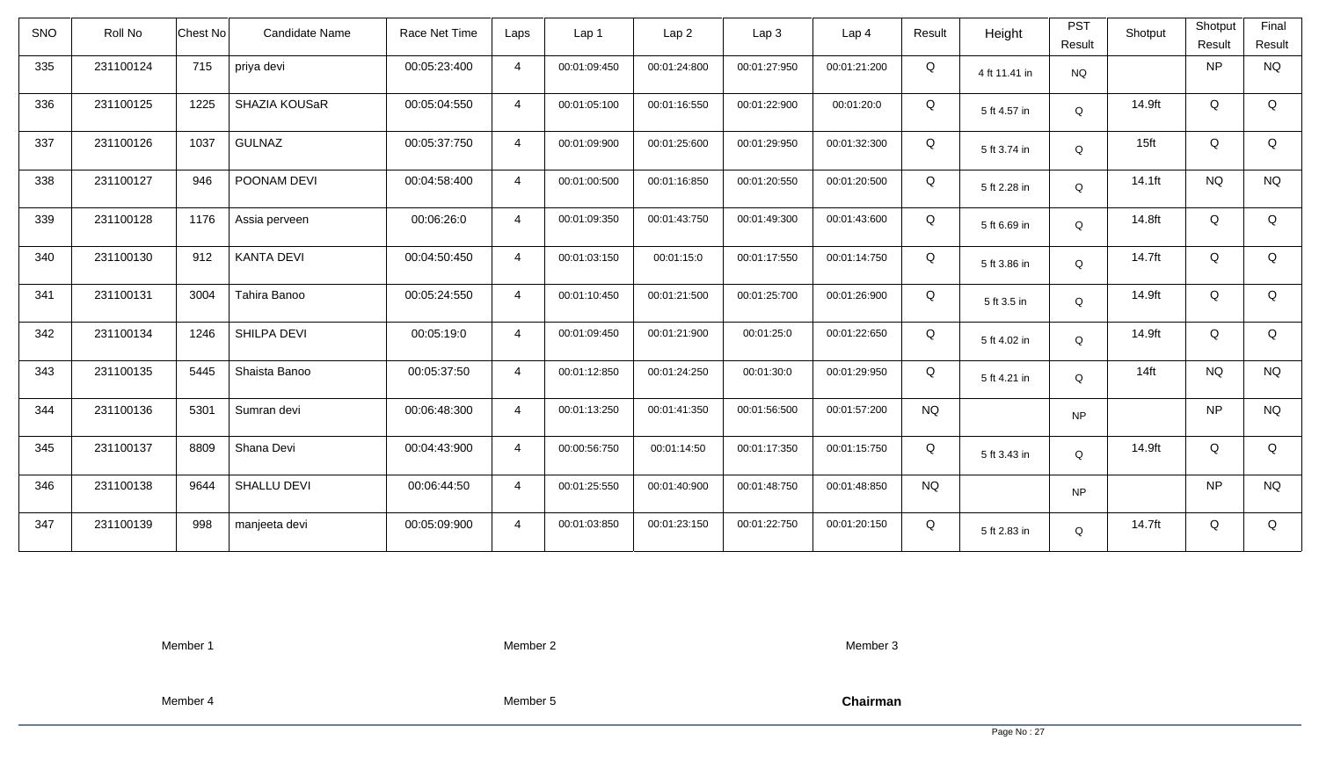| <b>SNO</b> | Roll No   | Chest No | Candidate Name     | Race Net Time | Laps           | Lap 1        | Lap <sub>2</sub> | Lap <sub>3</sub> | Lap <sub>4</sub> | Result    | Height        | <b>PST</b><br>Result | Shotput          | Shotput<br>Result | Final<br>Result |
|------------|-----------|----------|--------------------|---------------|----------------|--------------|------------------|------------------|------------------|-----------|---------------|----------------------|------------------|-------------------|-----------------|
| 335        | 231100124 | 715      | priya devi         | 00:05:23:400  | $\overline{4}$ | 00:01:09:450 | 00:01:24:800     | 00:01:27:950     | 00:01:21:200     | Q         | 4 ft 11.41 in | <b>NQ</b>            |                  | <b>NP</b>         | <b>NQ</b>       |
| 336        | 231100125 | 1225     | SHAZIA KOUSaR      | 00:05:04:550  | $\overline{4}$ | 00:01:05:100 | 00:01:16:550     | 00:01:22:900     | 00:01:20:0       | Q         | 5 ft 4.57 in  | Q                    | 14.9ft           | Q                 | Q               |
| 337        | 231100126 | 1037     | <b>GULNAZ</b>      | 00:05:37:750  | $\overline{4}$ | 00:01:09:900 | 00:01:25:600     | 00:01:29:950     | 00:01:32:300     | Q         | 5 ft 3.74 in  | Q                    | 15 <sub>ft</sub> | Q                 | Q               |
| 338        | 231100127 | 946      | POONAM DEVI        | 00:04:58:400  | $\overline{4}$ | 00:01:00:500 | 00:01:16:850     | 00:01:20:550     | 00:01:20:500     | Q         | 5 ft 2.28 in  | Q                    | 14.1ft           | <b>NQ</b>         | <b>NQ</b>       |
| 339        | 231100128 | 1176     | Assia perveen      | 00:06:26:0    | $\overline{4}$ | 00:01:09:350 | 00:01:43:750     | 00:01:49:300     | 00:01:43:600     | Q         | 5 ft 6.69 in  | Q                    | 14.8ft           | Q                 | Q               |
| 340        | 231100130 | 912      | <b>KANTA DEVI</b>  | 00:04:50:450  | $\overline{4}$ | 00:01:03:150 | 00:01:15:0       | 00:01:17:550     | 00:01:14:750     | Q         | 5 ft 3.86 in  | Q                    | 14.7ft           | Q                 | Q               |
| 341        | 231100131 | 3004     | Tahira Banoo       | 00:05:24:550  | $\overline{4}$ | 00:01:10:450 | 00:01:21:500     | 00:01:25:700     | 00:01:26:900     | Q         | 5 ft 3.5 in   | Q                    | 14.9ft           | Q                 | Q               |
| 342        | 231100134 | 1246     | SHILPA DEVI        | 00:05:19:0    | $\overline{4}$ | 00:01:09:450 | 00:01:21:900     | 00:01:25:0       | 00:01:22:650     | Q         | 5 ft 4.02 in  | Q                    | 14.9ft           | Q                 | Q               |
| 343        | 231100135 | 5445     | Shaista Banoo      | 00:05:37:50   | $\overline{4}$ | 00:01:12:850 | 00:01:24:250     | 00:01:30:0       | 00:01:29:950     | Q         | 5 ft 4.21 in  | Q                    | $14$ ft          | <b>NQ</b>         | <b>NQ</b>       |
| 344        | 231100136 | 5301     | Sumran devi        | 00:06:48:300  | $\overline{4}$ | 00:01:13:250 | 00:01:41:350     | 00:01:56:500     | 00:01:57:200     | <b>NQ</b> |               | <b>NP</b>            |                  | <b>NP</b>         | $\rm N\rm Q$    |
| 345        | 231100137 | 8809     | Shana Devi         | 00:04:43:900  | $\overline{4}$ | 00:00:56:750 | 00:01:14:50      | 00:01:17:350     | 00:01:15:750     | Q         | 5 ft 3.43 in  | Q                    | 14.9ft           | Q                 | Q               |
| 346        | 231100138 | 9644     | <b>SHALLU DEVI</b> | 00:06:44:50   | $\overline{4}$ | 00:01:25:550 | 00:01:40:900     | 00:01:48:750     | 00:01:48:850     | <b>NQ</b> |               | <b>NP</b>            |                  | <b>NP</b>         | <b>NQ</b>       |
| 347        | 231100139 | 998      | manjeeta devi      | 00:05:09:900  | $\overline{4}$ | 00:01:03:850 | 00:01:23:150     | 00:01:22:750     | 00:01:20:150     | Q         | 5 ft 2.83 in  | Q                    | 14.7ft           | Q                 | Q               |

Member 2

Member 3

Member 4

Member 5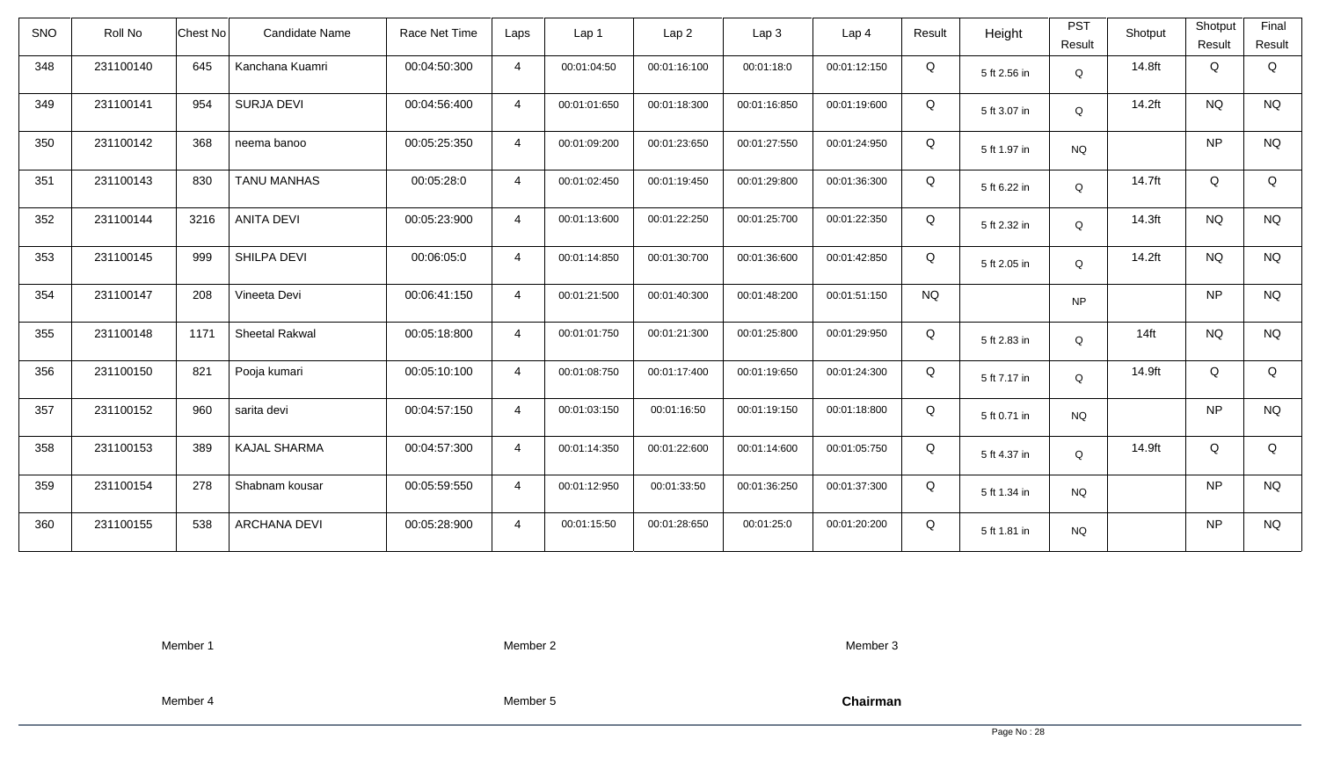| <b>SNO</b> | Roll No   | Candidate Name<br>Chest No    | Race Net Time | Laps           | Lap 1        | Lap <sub>2</sub> | Lap3         | Lap <sub>4</sub> | Result    | Height       | <b>PST</b><br>Result | Shotput | Shotput<br>Result | Final<br>Result |
|------------|-----------|-------------------------------|---------------|----------------|--------------|------------------|--------------|------------------|-----------|--------------|----------------------|---------|-------------------|-----------------|
| 348        | 231100140 | 645<br>Kanchana Kuamri        | 00:04:50:300  | $\overline{4}$ | 00:01:04:50  | 00:01:16:100     | 00:01:18:0   | 00:01:12:150     | Q         | 5 ft 2.56 in | Q                    | 14.8ft  | Q                 | Q               |
| 349        | 231100141 | <b>SURJA DEVI</b><br>954      | 00:04:56:400  | $\overline{4}$ | 00:01:01:650 | 00:01:18:300     | 00:01:16:850 | 00:01:19:600     | Q         | 5 ft 3.07 in | $\mathsf Q$          | 14.2ft  | <b>NQ</b>         | <b>NQ</b>       |
| 350        | 231100142 | 368<br>neema banoo            | 00:05:25:350  | $\overline{4}$ | 00:01:09:200 | 00:01:23:650     | 00:01:27:550 | 00:01:24:950     | Q         | 5 ft 1.97 in | <b>NQ</b>            |         | <b>NP</b>         | <b>NQ</b>       |
| 351        | 231100143 | 830<br><b>TANU MANHAS</b>     | 00:05:28:0    | $\overline{4}$ | 00:01:02:450 | 00:01:19:450     | 00:01:29:800 | 00:01:36:300     | Q         | 5 ft 6.22 in | Q                    | 14.7ft  | Q                 | Q               |
| 352        | 231100144 | <b>ANITA DEVI</b><br>3216     | 00:05:23:900  | $\overline{4}$ | 00:01:13:600 | 00:01:22:250     | 00:01:25:700 | 00:01:22:350     | Q         | 5 ft 2.32 in | Q                    | 14.3ft  | <b>NQ</b>         | <b>NQ</b>       |
| 353        | 231100145 | SHILPA DEVI<br>999            | 00:06:05:0    | $\overline{4}$ | 00:01:14:850 | 00:01:30:700     | 00:01:36:600 | 00:01:42:850     | Q         | 5 ft 2.05 in | $\mathsf Q$          | 14.2ft  | <b>NQ</b>         | <b>NQ</b>       |
| 354        | 231100147 | 208<br>Vineeta Devi           | 00:06:41:150  | $\overline{4}$ | 00:01:21:500 | 00:01:40:300     | 00:01:48:200 | 00:01:51:150     | <b>NQ</b> |              | <b>NP</b>            |         | <b>NP</b>         | <b>NQ</b>       |
| 355        | 231100148 | 1171<br><b>Sheetal Rakwal</b> | 00:05:18:800  | $\overline{4}$ | 00:01:01:750 | 00:01:21:300     | 00:01:25:800 | 00:01:29:950     | Q         | 5 ft 2.83 in | Q                    | $14$ ft | <b>NQ</b>         | <b>NQ</b>       |
| 356        | 231100150 | Pooja kumari<br>821           | 00:05:10:100  | $\overline{4}$ | 00:01:08:750 | 00:01:17:400     | 00:01:19:650 | 00:01:24:300     | Q         | 5 ft 7.17 in | $\mathsf Q$          | 14.9ft  | Q                 | Q               |
| 357        | 231100152 | 960<br>sarita devi            | 00:04:57:150  | $\overline{4}$ | 00:01:03:150 | 00:01:16:50      | 00:01:19:150 | 00:01:18:800     | Q         | 5 ft 0.71 in | <b>NQ</b>            |         | <b>NP</b>         | <b>NQ</b>       |
| 358        | 231100153 | <b>KAJAL SHARMA</b><br>389    | 00:04:57:300  | $\overline{4}$ | 00:01:14:350 | 00:01:22:600     | 00:01:14:600 | 00:01:05:750     | Q         | 5 ft 4.37 in | Q                    | 14.9ft  | Q                 | Q               |
| 359        | 231100154 | 278<br>Shabnam kousar         | 00:05:59:550  | $\overline{4}$ | 00:01:12:950 | 00:01:33:50      | 00:01:36:250 | 00:01:37:300     | Q         | 5 ft 1.34 in | <b>NQ</b>            |         | <b>NP</b>         | <b>NQ</b>       |
| 360        | 231100155 | 538<br><b>ARCHANA DEVI</b>    | 00:05:28:900  | $\overline{4}$ | 00:01:15:50  | 00:01:28:650     | 00:01:25:0   | 00:01:20:200     | Q         | 5 ft 1.81 in | <b>NQ</b>            |         | <b>NP</b>         | <b>NQ</b>       |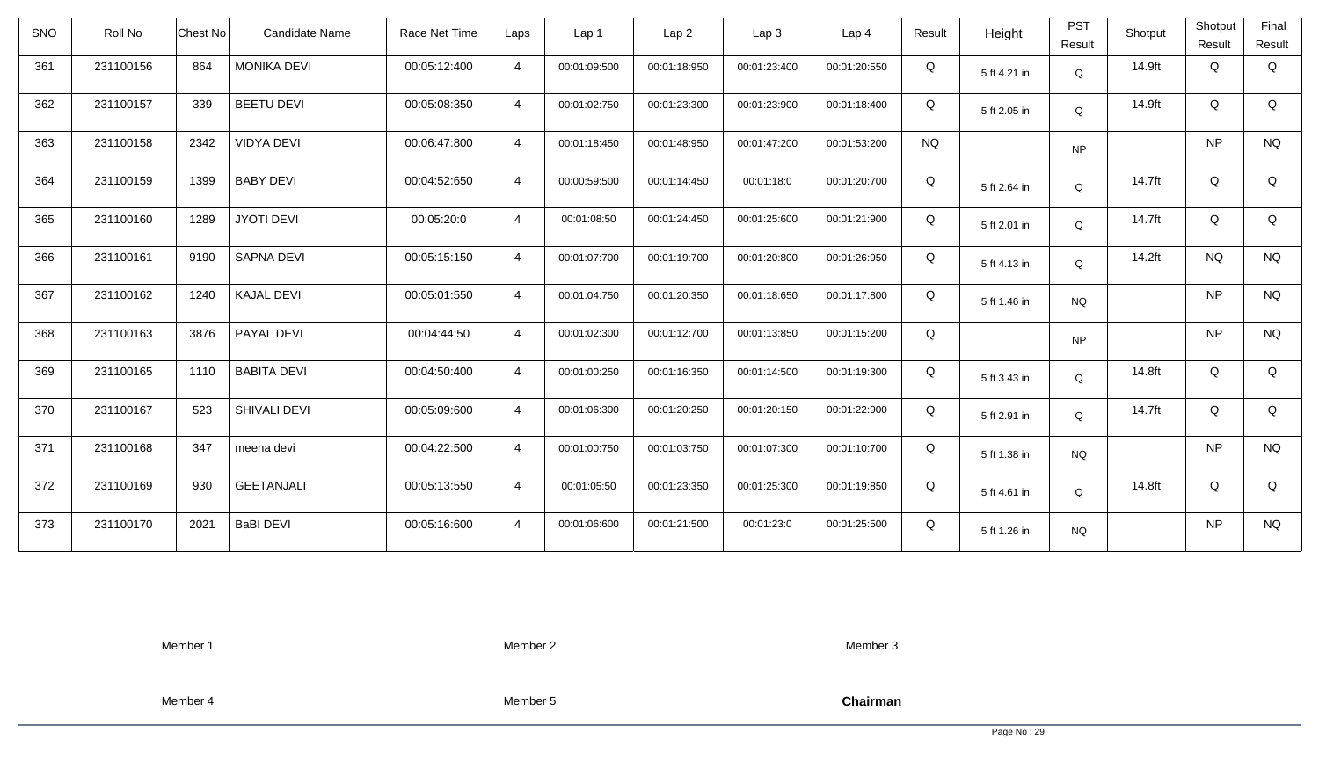| <b>SNO</b> | Roll No   | Chest No | Candidate Name     | Race Net Time | Laps           | Lap 1        | Lap <sub>2</sub> | Lap3         | Lap 4        | Result    | Height       | <b>PST</b><br>Result | Shotput | Shotput<br>Result | Final<br>Result |
|------------|-----------|----------|--------------------|---------------|----------------|--------------|------------------|--------------|--------------|-----------|--------------|----------------------|---------|-------------------|-----------------|
| 361        | 231100156 | 864      | <b>MONIKA DEVI</b> | 00:05:12:400  | $\overline{4}$ | 00:01:09:500 | 00:01:18:950     | 00:01:23:400 | 00:01:20:550 | Q         | 5 ft 4.21 in | Q                    | 14.9ft  | Q                 | Q               |
| 362        | 231100157 | 339      | <b>BEETU DEVI</b>  | 00:05:08:350  | $\overline{4}$ | 00:01:02:750 | 00:01:23:300     | 00:01:23:900 | 00:01:18:400 | Q         | 5 ft 2.05 in | Q                    | 14.9ft  | Q                 | Q               |
| 363        | 231100158 | 2342     | <b>VIDYA DEVI</b>  | 00:06:47:800  | $\overline{4}$ | 00:01:18:450 | 00:01:48:950     | 00:01:47:200 | 00:01:53:200 | <b>NQ</b> |              | <b>NP</b>            |         | <b>NP</b>         | <b>NQ</b>       |
| 364        | 231100159 | 1399     | <b>BABY DEVI</b>   | 00:04:52:650  | $\overline{4}$ | 00:00:59:500 | 00:01:14:450     | 00:01:18:0   | 00:01:20:700 | Q         | 5 ft 2.64 in | Q                    | 14.7ft  | Q                 | Q               |
| 365        | 231100160 | 1289     | <b>JYOTI DEVI</b>  | 00:05:20:0    | $\overline{4}$ | 00:01:08:50  | 00:01:24:450     | 00:01:25:600 | 00:01:21:900 | Q         | 5 ft 2.01 in | Q                    | 14.7ft  | Q                 | Q               |
| 366        | 231100161 | 9190     | <b>SAPNA DEVI</b>  | 00:05:15:150  | $\overline{4}$ | 00:01:07:700 | 00:01:19:700     | 00:01:20:800 | 00:01:26:950 | Q         | 5 ft 4.13 in | Q                    | 14.2ft  | <b>NQ</b>         | <b>NQ</b>       |
| 367        | 231100162 | 1240     | <b>KAJAL DEVI</b>  | 00:05:01:550  | $\overline{4}$ | 00:01:04:750 | 00:01:20:350     | 00:01:18:650 | 00:01:17:800 | Q         | 5 ft 1.46 in | <b>NQ</b>            |         | <b>NP</b>         | <b>NQ</b>       |
| 368        | 231100163 | 3876     | PAYAL DEVI         | 00:04:44:50   | $\overline{4}$ | 00:01:02:300 | 00:01:12:700     | 00:01:13:850 | 00:01:15:200 | Q         |              | <b>NP</b>            |         | <b>NP</b>         | <b>NQ</b>       |
| 369        | 231100165 | 1110     | <b>BABITA DEVI</b> | 00:04:50:400  | $\overline{4}$ | 00:01:00:250 | 00:01:16:350     | 00:01:14:500 | 00:01:19:300 | Q         | 5 ft 3.43 in | $\mathsf Q$          | 14.8ft  | Q                 | Q               |
| 370        | 231100167 | 523      | SHIVALI DEVI       | 00:05:09:600  | $\overline{4}$ | 00:01:06:300 | 00:01:20:250     | 00:01:20:150 | 00:01:22:900 | Q         | 5 ft 2.91 in | Q                    | 14.7ft  | Q                 | Q               |
| 371        | 231100168 | 347      | meena devi         | 00:04:22:500  | $\overline{4}$ | 00:01:00:750 | 00:01:03:750     | 00:01:07:300 | 00:01:10:700 | Q         | 5 ft 1.38 in | <b>NQ</b>            |         | <b>NP</b>         | <b>NQ</b>       |
| 372        | 231100169 | 930      | <b>GEETANJALI</b>  | 00:05:13:550  | $\overline{4}$ | 00:01:05:50  | 00:01:23:350     | 00:01:25:300 | 00:01:19:850 | Q         | 5 ft 4.61 in | Q                    | 14.8ft  | Q                 | Q               |
| 373        | 231100170 | 2021     | <b>BaBI DEVI</b>   | 00:05:16:600  | $\overline{4}$ | 00:01:06:600 | 00:01:21:500     | 00:01:23:0   | 00:01:25:500 | Q         | 5 ft 1.26 in | <b>NQ</b>            |         | <b>NP</b>         | <b>NQ</b>       |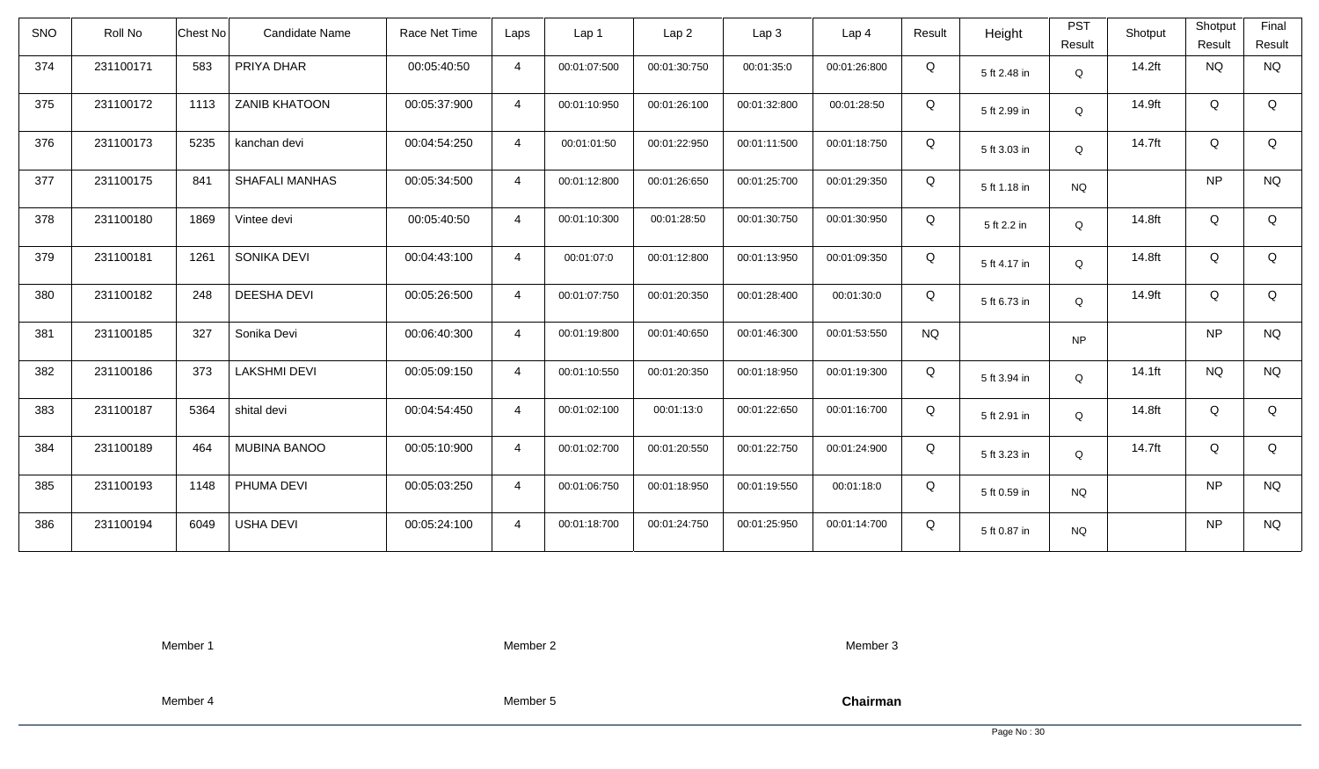| <b>SNO</b> | Roll No   | Chest No<br><b>Candidate Name</b> | Race Net Time | Laps           | Lap 1        | Lap <sub>2</sub> | Lap3         | Lap <sub>4</sub> | Result    | Height       | <b>PST</b><br>Result | Shotput   | Shotput<br>Result | Final<br>Result |
|------------|-----------|-----------------------------------|---------------|----------------|--------------|------------------|--------------|------------------|-----------|--------------|----------------------|-----------|-------------------|-----------------|
| 374        | 231100171 | 583<br>PRIYA DHAR                 | 00:05:40:50   | $\overline{4}$ | 00:01:07:500 | 00:01:30:750     | 00:01:35:0   | 00:01:26:800     | Q         | 5 ft 2.48 in | Q                    | 14.2ft    | <b>NQ</b>         | <b>NQ</b>       |
| 375        | 231100172 | <b>ZANIB KHATOON</b><br>1113      | 00:05:37:900  | $\overline{4}$ | 00:01:10:950 | 00:01:26:100     | 00:01:32:800 | 00:01:28:50      | Q         | 5 ft 2.99 in | Q                    | 14.9ft    | Q                 | Q               |
| 376        | 231100173 | 5235<br>kanchan devi              | 00:04:54:250  | $\overline{4}$ | 00:01:01:50  | 00:01:22:950     | 00:01:11:500 | 00:01:18:750     | Q         | 5 ft 3.03 in | Q                    | 14.7ft    | Q                 | Q               |
| 377        | 231100175 | 841<br><b>SHAFALI MANHAS</b>      | 00:05:34:500  | $\overline{4}$ | 00:01:12:800 | 00:01:26:650     | 00:01:25:700 | 00:01:29:350     | Q         | 5 ft 1.18 in | <b>NQ</b>            |           | <b>NP</b>         | <b>NQ</b>       |
| 378        | 231100180 | 1869<br>Vintee devi               | 00:05:40:50   | $\overline{4}$ | 00:01:10:300 | 00:01:28:50      | 00:01:30:750 | 00:01:30:950     | Q         | 5 ft 2.2 in  | Q                    | 14.8ft    | Q                 | Q               |
| 379        | 231100181 | SONIKA DEVI<br>1261               | 00:04:43:100  | $\overline{4}$ | 00:01:07:0   | 00:01:12:800     | 00:01:13:950 | 00:01:09:350     | Q         | 5 ft 4.17 in | Q                    | 14.8ft    | Q                 | Q               |
| 380        | 231100182 | 248<br><b>DEESHA DEVI</b>         | 00:05:26:500  | $\overline{4}$ | 00:01:07:750 | 00:01:20:350     | 00:01:28:400 | 00:01:30:0       | Q         | 5 ft 6.73 in | Q                    | 14.9ft    | Q                 | Q               |
| 381        | 231100185 | 327<br>Sonika Devi                | 00:06:40:300  | $\overline{4}$ | 00:01:19:800 | 00:01:40:650     | 00:01:46:300 | 00:01:53:550     | <b>NQ</b> |              | <b>NP</b>            |           | <b>NP</b>         | <b>NQ</b>       |
| 382        | 231100186 | 373<br><b>LAKSHMI DEVI</b>        | 00:05:09:150  | $\overline{4}$ | 00:01:10:550 | 00:01:20:350     | 00:01:18:950 | 00:01:19:300     | Q         | 5 ft 3.94 in | Q                    | $14.1$ ft | <b>NQ</b>         | <b>NQ</b>       |
| 383        | 231100187 | 5364<br>shital devi               | 00:04:54:450  | $\overline{4}$ | 00:01:02:100 | 00:01:13:0       | 00:01:22:650 | 00:01:16:700     | Q         | 5 ft 2.91 in | Q                    | 14.8ft    | Q                 | Q               |
| 384        | 231100189 | 464<br>MUBINA BANOO               | 00:05:10:900  | $\overline{4}$ | 00:01:02:700 | 00:01:20:550     | 00:01:22:750 | 00:01:24:900     | Q         | 5 ft 3.23 in | Q                    | 14.7ft    | Q                 | Q               |
| 385        | 231100193 | PHUMA DEVI<br>1148                | 00:05:03:250  | $\overline{4}$ | 00:01:06:750 | 00:01:18:950     | 00:01:19:550 | 00:01:18:0       | Q         | 5 ft 0.59 in | <b>NQ</b>            |           | <b>NP</b>         | <b>NQ</b>       |
| 386        | 231100194 | 6049<br><b>USHA DEVI</b>          | 00:05:24:100  | $\overline{4}$ | 00:01:18:700 | 00:01:24:750     | 00:01:25:950 | 00:01:14:700     | Q         | 5 ft 0.87 in | <b>NQ</b>            |           | <b>NP</b>         | <b>NQ</b>       |

Member 2

Member 3

Member 4

Member 5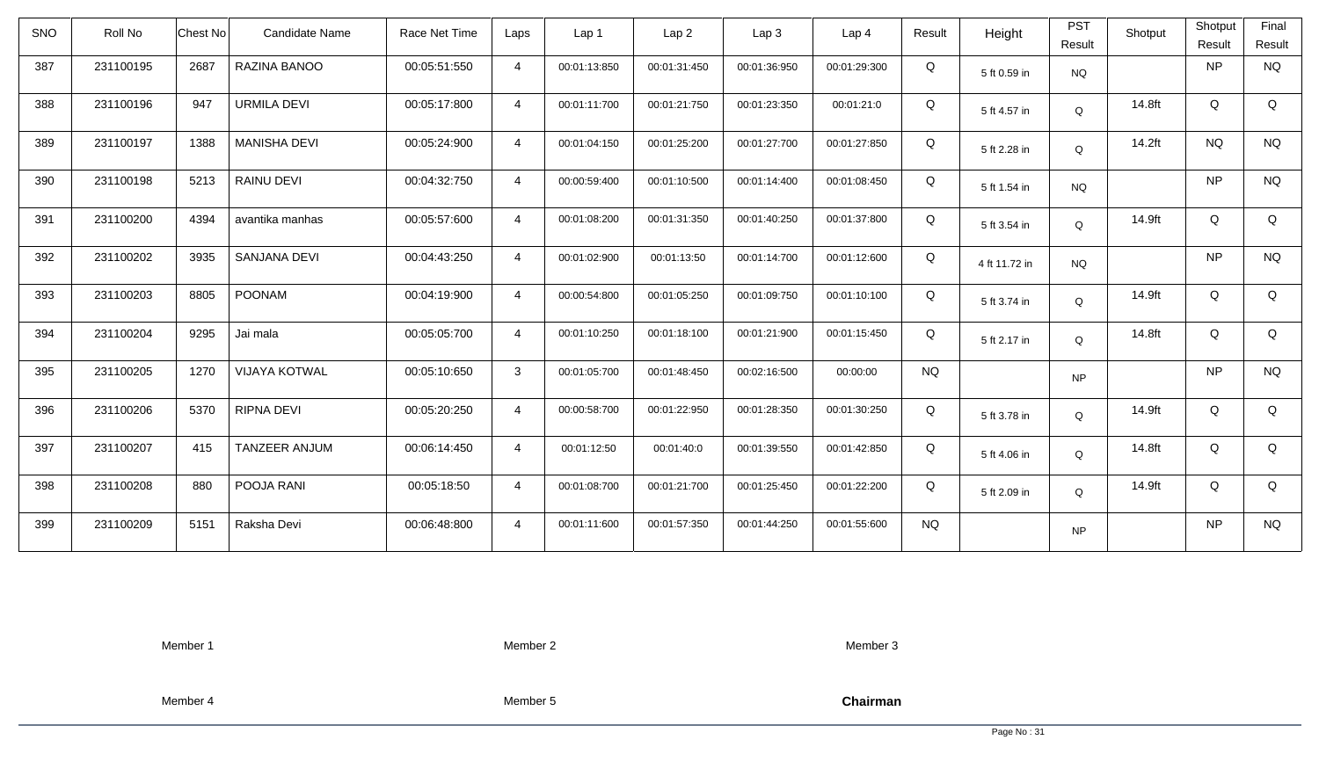| <b>SNO</b> | Roll No   | Chest No<br><b>Candidate Name</b> | Race Net Time | Laps           | Lap 1        | Lap <sub>2</sub> | Lap3         | Lap <sub>4</sub> | Result    | Height        | <b>PST</b><br>Result | Shotput | Shotput<br>Result | Final<br>Result |
|------------|-----------|-----------------------------------|---------------|----------------|--------------|------------------|--------------|------------------|-----------|---------------|----------------------|---------|-------------------|-----------------|
| 387        | 231100195 | 2687<br>RAZINA BANOO              | 00:05:51:550  | $\overline{4}$ | 00:01:13:850 | 00:01:31:450     | 00:01:36:950 | 00:01:29:300     | Q         | 5 ft 0.59 in  | <b>NQ</b>            |         | <b>NP</b>         | <b>NQ</b>       |
| 388        | 231100196 | URMILA DEVI<br>947                | 00:05:17:800  | $\overline{4}$ | 00:01:11:700 | 00:01:21:750     | 00:01:23:350 | 00:01:21:0       | Q         | 5 ft 4.57 in  | Q                    | 14.8ft  | Q                 | Q               |
| 389        | 231100197 | 1388<br><b>MANISHA DEVI</b>       | 00:05:24:900  | $\overline{4}$ | 00:01:04:150 | 00:01:25:200     | 00:01:27:700 | 00:01:27:850     | Q         | 5 ft 2.28 in  | Q                    | 14.2ft  | <b>NQ</b>         | <b>NQ</b>       |
| 390        | 231100198 | 5213<br>RAINU DEVI                | 00:04:32:750  | $\overline{4}$ | 00:00:59:400 | 00:01:10:500     | 00:01:14:400 | 00:01:08:450     | Q         | 5 ft 1.54 in  | <b>NQ</b>            |         | <b>NP</b>         | <b>NQ</b>       |
| 391        | 231100200 | 4394<br>avantika manhas           | 00:05:57:600  | $\overline{4}$ | 00:01:08:200 | 00:01:31:350     | 00:01:40:250 | 00:01:37:800     | Q         | 5 ft 3.54 in  | Q                    | 14.9ft  | Q                 | Q               |
| 392        | 231100202 | 3935<br>SANJANA DEVI              | 00:04:43:250  | $\overline{4}$ | 00:01:02:900 | 00:01:13:50      | 00:01:14:700 | 00:01:12:600     | Q         | 4 ft 11.72 in | <b>NQ</b>            |         | <b>NP</b>         | <b>NQ</b>       |
| 393        | 231100203 | 8805<br><b>POONAM</b>             | 00:04:19:900  | $\overline{4}$ | 00:00:54:800 | 00:01:05:250     | 00:01:09:750 | 00:01:10:100     | Q         | 5 ft 3.74 in  | Q                    | 14.9ft  | Q                 | Q               |
| 394        | 231100204 | 9295<br>Jai mala                  | 00:05:05:700  | $\overline{4}$ | 00:01:10:250 | 00:01:18:100     | 00:01:21:900 | 00:01:15:450     | Q         | 5 ft 2.17 in  | Q                    | 14.8ft  | Q                 | Q               |
| 395        | 231100205 | <b>VIJAYA KOTWAL</b><br>1270      | 00:05:10:650  | 3              | 00:01:05:700 | 00:01:48:450     | 00:02:16:500 | 00:00:00         | <b>NQ</b> |               | <b>NP</b>            |         | <b>NP</b>         | <b>NQ</b>       |
| 396        | 231100206 | 5370<br>RIPNA DEVI                | 00:05:20:250  | $\overline{4}$ | 00:00:58:700 | 00:01:22:950     | 00:01:28:350 | 00:01:30:250     | Q         | 5 ft 3.78 in  | Q                    | 14.9ft  | Q                 | Q               |
| 397        | 231100207 | TANZEER ANJUM<br>415              | 00:06:14:450  | $\overline{4}$ | 00:01:12:50  | 00:01:40:0       | 00:01:39:550 | 00:01:42:850     | Q         | 5 ft 4.06 in  | Q                    | 14.8ft  | Q                 | Q               |
| 398        | 231100208 | POOJA RANI<br>880                 | 00:05:18:50   | $\overline{4}$ | 00:01:08:700 | 00:01:21:700     | 00:01:25:450 | 00:01:22:200     | Q         | 5 ft 2.09 in  | Q                    | 14.9ft  | Q                 | Q               |
| 399        | 231100209 | 5151<br>Raksha Devi               | 00:06:48:800  | $\overline{4}$ | 00:01:11:600 | 00:01:57:350     | 00:01:44:250 | 00:01:55:600     | <b>NQ</b> |               | <b>NP</b>            |         | <b>NP</b>         | <b>NQ</b>       |

Member 2

Member 3

Member 4

Member 5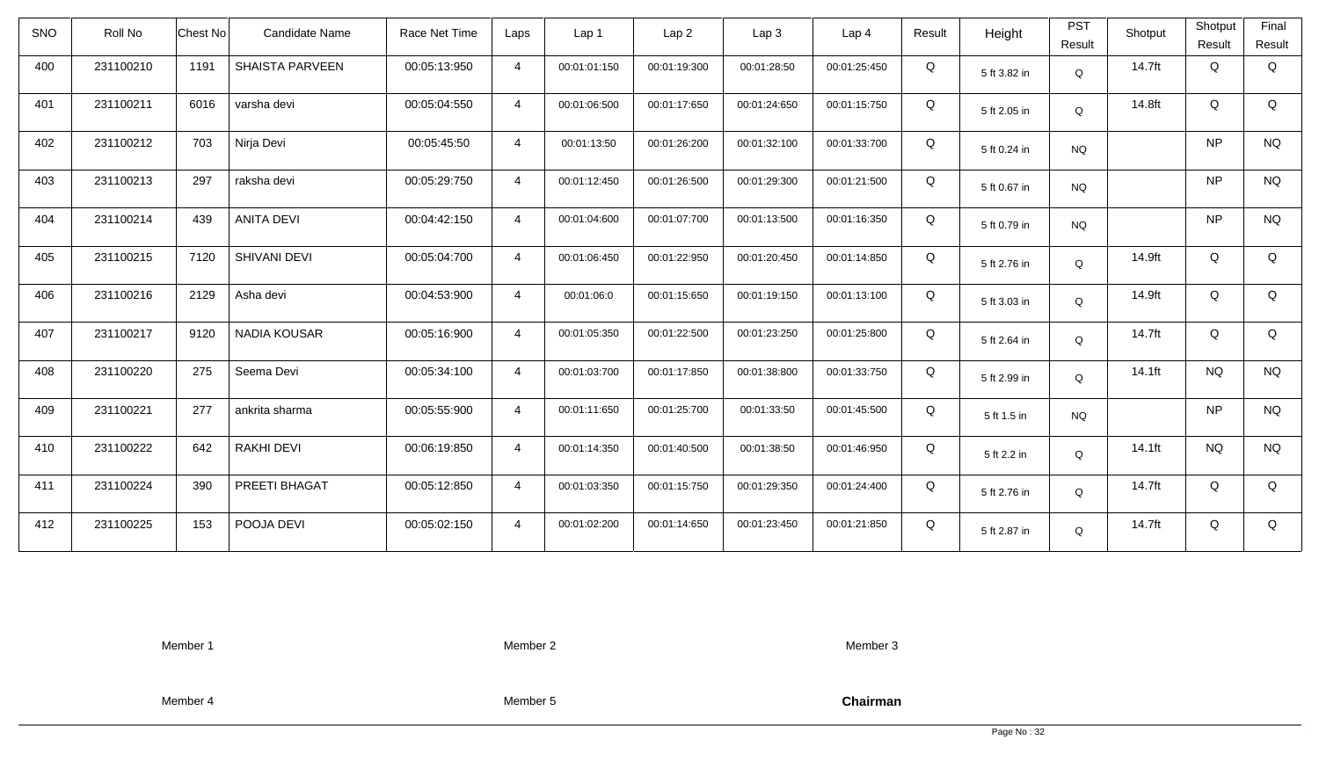| <b>SNO</b> | Roll No   | <b>Chest No</b> | Candidate Name         | Race Net Time | Laps           | Lap 1        | Lap <sub>2</sub> | Lap3         | Lap 4        | Result | Height       | <b>PST</b><br>Result | Shotput   | Shotput<br>Result | Final<br>Result |
|------------|-----------|-----------------|------------------------|---------------|----------------|--------------|------------------|--------------|--------------|--------|--------------|----------------------|-----------|-------------------|-----------------|
| 400        | 231100210 | 1191            | <b>SHAISTA PARVEEN</b> | 00:05:13:950  | $\overline{4}$ | 00:01:01:150 | 00:01:19:300     | 00:01:28:50  | 00:01:25:450 | Q      | 5 ft 3.82 in | $\mathsf Q$          | 14.7ft    | Q                 | Q               |
| 401        | 231100211 | 6016            | varsha devi            | 00:05:04:550  | $\overline{4}$ | 00:01:06:500 | 00:01:17:650     | 00:01:24:650 | 00:01:15:750 | Q      | 5 ft 2.05 in | Q                    | 14.8ft    | Q                 | Q               |
| 402        | 231100212 | 703             | Nirja Devi             | 00:05:45:50   | $\overline{4}$ | 00:01:13:50  | 00:01:26:200     | 00:01:32:100 | 00:01:33:700 | Q      | 5 ft 0.24 in | <b>NQ</b>            |           | <b>NP</b>         | <b>NQ</b>       |
| 403        | 231100213 | 297             | raksha devi            | 00:05:29:750  | $\overline{4}$ | 00:01:12:450 | 00:01:26:500     | 00:01:29:300 | 00:01:21:500 | Q      | 5 ft 0.67 in | <b>NQ</b>            |           | <b>NP</b>         | <b>NQ</b>       |
| 404        | 231100214 | 439             | <b>ANITA DEVI</b>      | 00:04:42:150  | $\overline{4}$ | 00:01:04:600 | 00:01:07:700     | 00:01:13:500 | 00:01:16:350 | Q      | 5 ft 0.79 in | <b>NQ</b>            |           | <b>NP</b>         | <b>NQ</b>       |
| 405        | 231100215 | 7120            | SHIVANI DEVI           | 00:05:04:700  | $\overline{4}$ | 00:01:06:450 | 00:01:22:950     | 00:01:20:450 | 00:01:14:850 | Q      | 5 ft 2.76 in | Q                    | 14.9ft    | Q                 | Q               |
| 406        | 231100216 | 2129            | Asha devi              | 00:04:53:900  | $\overline{4}$ | 00:01:06:0   | 00:01:15:650     | 00:01:19:150 | 00:01:13:100 | Q      | 5 ft 3.03 in | Q                    | 14.9ft    | Q                 | Q               |
| 407        | 231100217 | 9120            | <b>NADIA KOUSAR</b>    | 00:05:16:900  | $\overline{4}$ | 00:01:05:350 | 00:01:22:500     | 00:01:23:250 | 00:01:25:800 | Q      | 5 ft 2.64 in | Q                    | 14.7ft    | Q                 | Q               |
| 408        | 231100220 | 275             | Seema Devi             | 00:05:34:100  | $\overline{4}$ | 00:01:03:700 | 00:01:17:850     | 00:01:38:800 | 00:01:33:750 | Q      | 5 ft 2.99 in | Q                    | 14.1ft    | <b>NQ</b>         | <b>NQ</b>       |
| 409        | 231100221 | 277             | ankrita sharma         | 00:05:55:900  | $\overline{4}$ | 00:01:11:650 | 00:01:25:700     | 00:01:33:50  | 00:01:45:500 | Q      | 5 ft 1.5 in  | <b>NQ</b>            |           | <b>NP</b>         | <b>NQ</b>       |
| 410        | 231100222 | 642             | RAKHI DEVI             | 00:06:19:850  | $\overline{4}$ | 00:01:14:350 | 00:01:40:500     | 00:01:38:50  | 00:01:46:950 | Q      | 5 ft 2.2 in  | Q                    | $14.1$ ft | <b>NQ</b>         | <b>NQ</b>       |
| 411        | 231100224 | 390             | PREETI BHAGAT          | 00:05:12:850  | $\overline{4}$ | 00:01:03:350 | 00:01:15:750     | 00:01:29:350 | 00:01:24:400 | Q      | 5 ft 2.76 in | Q                    | 14.7ft    | Q                 | Q               |
| 412        | 231100225 | 153             | POOJA DEVI             | 00:05:02:150  | $\overline{4}$ | 00:01:02:200 | 00:01:14:650     | 00:01:23:450 | 00:01:21:850 | Q      | 5 ft 2.87 in | Q                    | 14.7ft    | Q                 | Q               |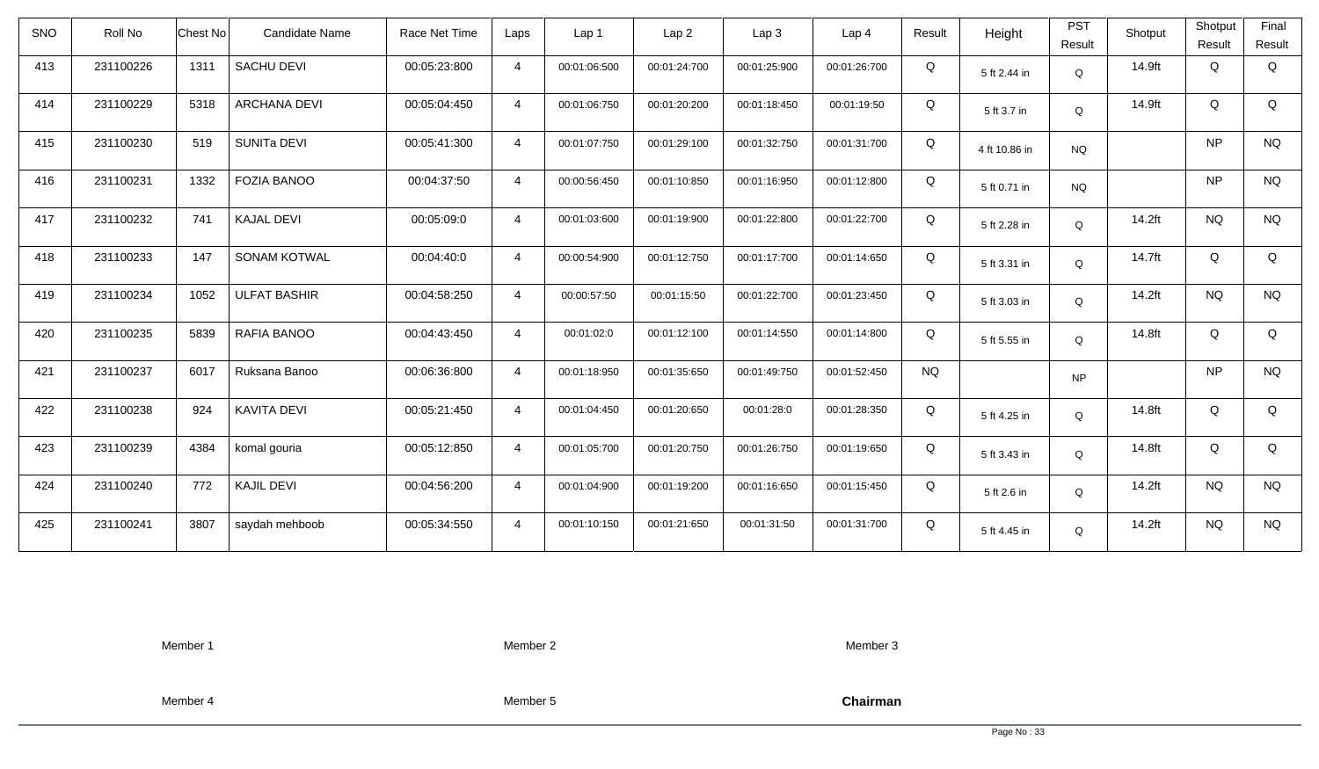| <b>SNO</b> | Roll No   | Chest No | Candidate Name      | Race Net Time | Laps           | Lap 1        | Lap <sub>2</sub> | Lap3         | Lap <sub>4</sub> | Result    | Height        | <b>PST</b><br>Result | Shotput | Shotput<br>Result | Final<br>Result |
|------------|-----------|----------|---------------------|---------------|----------------|--------------|------------------|--------------|------------------|-----------|---------------|----------------------|---------|-------------------|-----------------|
| 413        | 231100226 | 1311     | <b>SACHU DEVI</b>   | 00:05:23:800  | $\overline{4}$ | 00:01:06:500 | 00:01:24:700     | 00:01:25:900 | 00:01:26:700     | Q         | 5 ft 2.44 in  | $\mathsf Q$          | 14.9ft  | Q                 | Q               |
| 414        | 231100229 | 5318     | <b>ARCHANA DEVI</b> | 00:05:04:450  | $\overline{4}$ | 00:01:06:750 | 00:01:20:200     | 00:01:18:450 | 00:01:19:50      | Q         | 5 ft 3.7 in   | Q                    | 14.9ft  | Q                 | Q               |
| 415        | 231100230 | 519      | <b>SUNITA DEVI</b>  | 00:05:41:300  | $\overline{4}$ | 00:01:07:750 | 00:01:29:100     | 00:01:32:750 | 00:01:31:700     | Q         | 4 ft 10.86 in | <b>NQ</b>            |         | <b>NP</b>         | <b>NQ</b>       |
| 416        | 231100231 | 1332     | <b>FOZIA BANOO</b>  | 00:04:37:50   | $\overline{4}$ | 00:00:56:450 | 00:01:10:850     | 00:01:16:950 | 00:01:12:800     | Q         | 5 ft 0.71 in  | <b>NQ</b>            |         | <b>NP</b>         | <b>NQ</b>       |
| 417        | 231100232 | 741      | <b>KAJAL DEVI</b>   | 00:05:09:0    | $\overline{4}$ | 00:01:03:600 | 00:01:19:900     | 00:01:22:800 | 00:01:22:700     | Q         | 5 ft 2.28 in  | Q                    | 14.2ft  | <b>NQ</b>         | <b>NQ</b>       |
| 418        | 231100233 | 147      | <b>SONAM KOTWAL</b> | 00:04:40:0    | $\overline{4}$ | 00:00:54:900 | 00:01:12:750     | 00:01:17:700 | 00:01:14:650     | Q         | 5 ft 3.31 in  | Q                    | 14.7ft  | Q                 | Q               |
| 419        | 231100234 | 1052     | <b>ULFAT BASHIR</b> | 00:04:58:250  | $\overline{4}$ | 00:00:57:50  | 00:01:15:50      | 00:01:22:700 | 00:01:23:450     | Q         | 5 ft 3.03 in  | Q                    | 14.2ft  | <b>NQ</b>         | <b>NQ</b>       |
| 420        | 231100235 | 5839     | RAFIA BANOO         | 00:04:43:450  | $\overline{4}$ | 00:01:02:0   | 00:01:12:100     | 00:01:14:550 | 00:01:14:800     | Q         | 5 ft 5.55 in  | Q                    | 14.8ft  | Q                 | Q               |
| 421        | 231100237 | 6017     | Ruksana Banoo       | 00:06:36:800  | $\overline{4}$ | 00:01:18:950 | 00:01:35:650     | 00:01:49:750 | 00:01:52:450     | <b>NQ</b> |               | <b>NP</b>            |         | <b>NP</b>         | <b>NQ</b>       |
| 422        | 231100238 | 924      | <b>KAVITA DEVI</b>  | 00:05:21:450  | $\overline{4}$ | 00:01:04:450 | 00:01:20:650     | 00:01:28:0   | 00:01:28:350     | Q         | 5 ft 4.25 in  | Q                    | 14.8ft  | Q                 | Q               |
| 423        | 231100239 | 4384     | komal gouria        | 00:05:12:850  | $\overline{4}$ | 00:01:05:700 | 00:01:20:750     | 00:01:26:750 | 00:01:19:650     | Q         | 5 ft 3.43 in  | Q                    | 14.8ft  | Q                 | Q               |
| 424        | 231100240 | 772      | KAJIL DEVI          | 00:04:56:200  | $\overline{4}$ | 00:01:04:900 | 00:01:19:200     | 00:01:16:650 | 00:01:15:450     | Q         | 5 ft 2.6 in   | Q                    | 14.2ft  | <b>NQ</b>         | <b>NQ</b>       |
| 425        | 231100241 | 3807     | saydah mehboob      | 00:05:34:550  | $\overline{4}$ | 00:01:10:150 | 00:01:21:650     | 00:01:31:50  | 00:01:31:700     | Q         | 5 ft 4.45 in  | Q                    | 14.2ft  | <b>NQ</b>         | <b>NQ</b>       |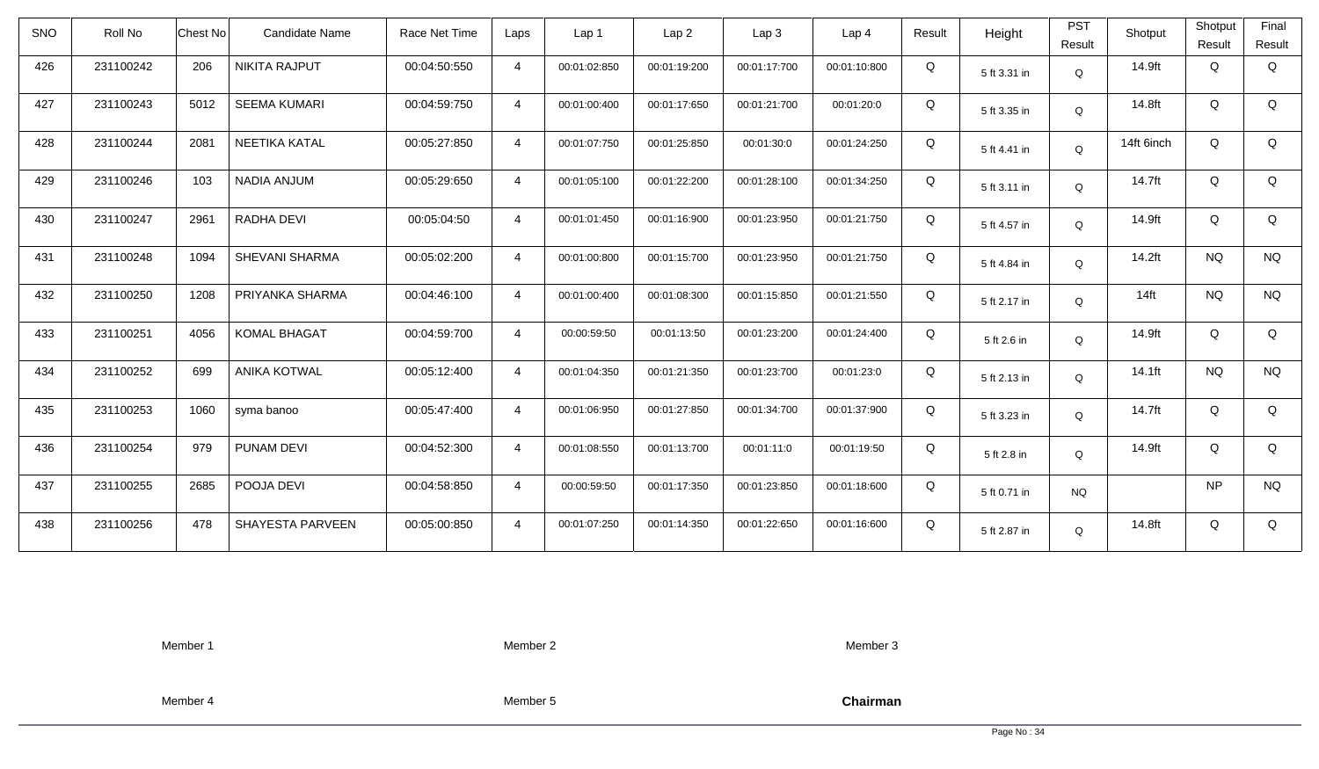| <b>SNO</b> | Roll No   | <b>Chest No</b> | Candidate Name          | Race Net Time | Laps           | Lap <sub>1</sub> | Lap <sub>2</sub> | Lap <sub>3</sub> | Lap <sub>4</sub> | Result | Height       | <b>PST</b><br>Result | Shotput    | Shotput<br>Result | Final<br>Result |
|------------|-----------|-----------------|-------------------------|---------------|----------------|------------------|------------------|------------------|------------------|--------|--------------|----------------------|------------|-------------------|-----------------|
| 426        | 231100242 | 206             | <b>NIKITA RAJPUT</b>    | 00:04:50:550  | $\overline{4}$ | 00:01:02:850     | 00:01:19:200     | 00:01:17:700     | 00:01:10:800     | Q      | 5 ft 3.31 in | Q                    | 14.9ft     | Q                 | Q               |
| 427        | 231100243 | 5012            | <b>SEEMA KUMARI</b>     | 00:04:59:750  | $\overline{4}$ | 00:01:00:400     | 00:01:17:650     | 00:01:21:700     | 00:01:20:0       | Q      | 5 ft 3.35 in | Q                    | 14.8ft     | Q                 | Q               |
| 428        | 231100244 | 2081            | NEETIKA KATAL           | 00:05:27:850  | $\overline{4}$ | 00:01:07:750     | 00:01:25:850     | 00:01:30:0       | 00:01:24:250     | Q      | 5 ft 4.41 in | Q                    | 14ft 6inch | Q                 | Q               |
| 429        | 231100246 | 103             | NADIA ANJUM             | 00:05:29:650  | $\overline{4}$ | 00:01:05:100     | 00:01:22:200     | 00:01:28:100     | 00:01:34:250     | Q      | 5 ft 3.11 in | Q                    | 14.7ft     | Q                 | Q               |
| 430        | 231100247 | 2961            | RADHA DEVI              | 00:05:04:50   | $\overline{4}$ | 00:01:01:450     | 00:01:16:900     | 00:01:23:950     | 00:01:21:750     | Q      | 5 ft 4.57 in | Q                    | 14.9ft     | Q                 | Q               |
| 431        | 231100248 | 1094            | <b>SHEVANI SHARMA</b>   | 00:05:02:200  | $\overline{4}$ | 00:01:00:800     | 00:01:15:700     | 00:01:23:950     | 00:01:21:750     | Q      | 5 ft 4.84 in | Q                    | 14.2ft     | <b>NQ</b>         | <b>NQ</b>       |
| 432        | 231100250 | 1208            | PRIYANKA SHARMA         | 00:04:46:100  | $\overline{4}$ | 00:01:00:400     | 00:01:08:300     | 00:01:15:850     | 00:01:21:550     | Q      | 5 ft 2.17 in | Q                    | $14$ ft    | <b>NQ</b>         | <b>NQ</b>       |
| 433        | 231100251 | 4056            | <b>KOMAL BHAGAT</b>     | 00:04:59:700  | $\overline{4}$ | 00:00:59:50      | 00:01:13:50      | 00:01:23:200     | 00:01:24:400     | Q      | 5 ft 2.6 in  | Q                    | 14.9ft     | Q                 | Q               |
| 434        | 231100252 | 699             | <b>ANIKA KOTWAL</b>     | 00:05:12:400  | $\overline{4}$ | 00:01:04:350     | 00:01:21:350     | 00:01:23:700     | 00:01:23:0       | Q      | 5 ft 2.13 in | Q                    | $14.1$ ft  | <b>NQ</b>         | <b>NQ</b>       |
| 435        | 231100253 | 1060            | syma banoo              | 00:05:47:400  | $\overline{4}$ | 00:01:06:950     | 00:01:27:850     | 00:01:34:700     | 00:01:37:900     | Q      | 5 ft 3.23 in | Q                    | 14.7ft     | Q                 | Q               |
| 436        | 231100254 | 979             | PUNAM DEVI              | 00:04:52:300  | $\overline{4}$ | 00:01:08:550     | 00:01:13:700     | 00:01:11:0       | 00:01:19:50      | Q      | 5 ft 2.8 in  | Q                    | 14.9ft     | Q                 | Q               |
| 437        | 231100255 | 2685            | POOJA DEVI              | 00:04:58:850  | $\overline{4}$ | 00:00:59:50      | 00:01:17:350     | 00:01:23:850     | 00:01:18:600     | Q      | 5 ft 0.71 in | <b>NQ</b>            |            | <b>NP</b>         | <b>NQ</b>       |
| 438        | 231100256 | 478             | <b>SHAYESTA PARVEEN</b> | 00:05:00:850  | $\overline{4}$ | 00:01:07:250     | 00:01:14:350     | 00:01:22:650     | 00:01:16:600     | Q      | 5 ft 2.87 in | Q                    | 14.8ft     | Q                 | Q               |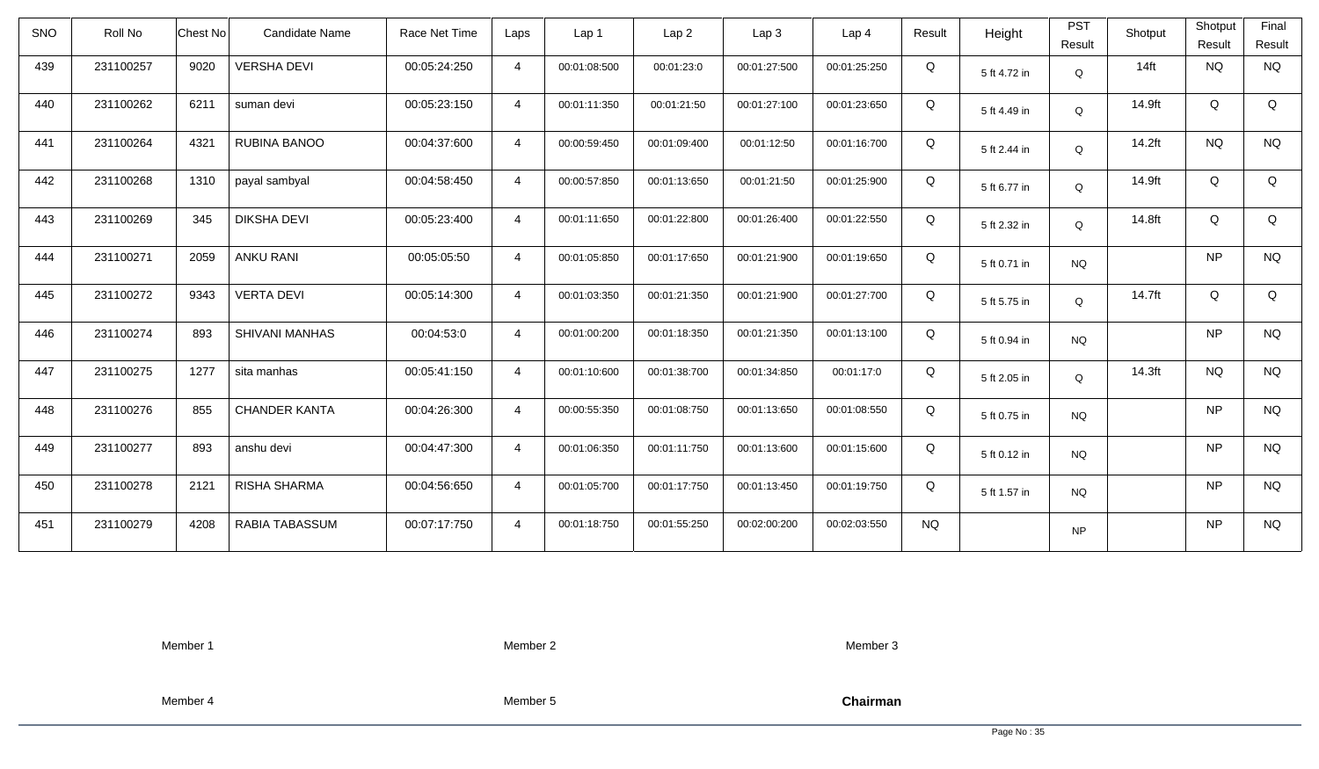| <b>SNO</b> | Roll No   | <b>Chest No</b> | Candidate Name        | Race Net Time | Laps           | Lap 1        | Lap <sub>2</sub> | Lap <sub>3</sub> | Lap <sub>4</sub> | Result    | Height       | <b>PST</b><br>Result | Shotput            | Shotput<br>Result | Final<br>Result |
|------------|-----------|-----------------|-----------------------|---------------|----------------|--------------|------------------|------------------|------------------|-----------|--------------|----------------------|--------------------|-------------------|-----------------|
| 439        | 231100257 | 9020            | <b>VERSHA DEVI</b>    | 00:05:24:250  | $\overline{4}$ | 00:01:08:500 | 00:01:23:0       | 00:01:27:500     | 00:01:25:250     | Q         | 5 ft 4.72 in | Q                    | $14$ ft            | <b>NQ</b>         | <b>NQ</b>       |
| 440        | 231100262 | 6211            | suman devi            | 00:05:23:150  | $\overline{4}$ | 00:01:11:350 | 00:01:21:50      | 00:01:27:100     | 00:01:23:650     | Q         | 5 ft 4.49 in | Q                    | 14.9ft             | Q                 | Q               |
| 441        | 231100264 | 4321            | RUBINA BANOO          | 00:04:37:600  | $\overline{4}$ | 00:00:59:450 | 00:01:09:400     | 00:01:12:50      | 00:01:16:700     | Q         | 5 ft 2.44 in | Q                    | 14.2ft             | <b>NQ</b>         | <b>NQ</b>       |
| 442        | 231100268 | 1310            | payal sambyal         | 00:04:58:450  | $\overline{4}$ | 00:00:57:850 | 00:01:13:650     | 00:01:21:50      | 00:01:25:900     | Q         | 5 ft 6.77 in | Q                    | 14.9ft             | Q                 | Q               |
| 443        | 231100269 | 345             | <b>DIKSHA DEVI</b>    | 00:05:23:400  | $\overline{4}$ | 00:01:11:650 | 00:01:22:800     | 00:01:26:400     | 00:01:22:550     | Q         | 5 ft 2.32 in | Q                    | 14.8ft             | Q                 | Q               |
| 444        | 231100271 | 2059            | <b>ANKU RANI</b>      | 00:05:05:50   | $\overline{4}$ | 00:01:05:850 | 00:01:17:650     | 00:01:21:900     | 00:01:19:650     | Q         | 5 ft 0.71 in | <b>NQ</b>            |                    | <b>NP</b>         | <b>NQ</b>       |
| 445        | 231100272 | 9343            | <b>VERTA DEVI</b>     | 00:05:14:300  | $\overline{4}$ | 00:01:03:350 | 00:01:21:350     | 00:01:21:900     | 00:01:27:700     | Q         | 5 ft 5.75 in | Q                    | 14.7ft             | Q                 | Q               |
| 446        | 231100274 | 893             | <b>SHIVANI MANHAS</b> | 00:04:53:0    | $\overline{4}$ | 00:01:00:200 | 00:01:18:350     | 00:01:21:350     | 00:01:13:100     | Q         | 5 ft 0.94 in | <b>NQ</b>            |                    | <b>NP</b>         | <b>NQ</b>       |
| 447        | 231100275 | 1277            | sita manhas           | 00:05:41:150  | $\overline{4}$ | 00:01:10:600 | 00:01:38:700     | 00:01:34:850     | 00:01:17:0       | Q         | 5 ft 2.05 in | $\Omega$             | 14.3 <sub>ft</sub> | <b>NQ</b>         | <b>NQ</b>       |
| 448        | 231100276 | 855             | <b>CHANDER KANTA</b>  | 00:04:26:300  | $\overline{4}$ | 00:00:55:350 | 00:01:08:750     | 00:01:13:650     | 00:01:08:550     | Q         | 5 ft 0.75 in | <b>NQ</b>            |                    | <b>NP</b>         | <b>NQ</b>       |
| 449        | 231100277 | 893             | anshu devi            | 00:04:47:300  | $\overline{4}$ | 00:01:06:350 | 00:01:11:750     | 00:01:13:600     | 00:01:15:600     | Q         | 5 ft 0.12 in | <b>NQ</b>            |                    | <b>NP</b>         | <b>NQ</b>       |
| 450        | 231100278 | 2121            | RISHA SHARMA          | 00:04:56:650  | $\overline{4}$ | 00:01:05:700 | 00:01:17:750     | 00:01:13:450     | 00:01:19:750     | Q         | 5 ft 1.57 in | <b>NQ</b>            |                    | <b>NP</b>         | <b>NQ</b>       |
| 451        | 231100279 | 4208            | RABIA TABASSUM        | 00:07:17:750  | $\overline{4}$ | 00:01:18:750 | 00:01:55:250     | 00:02:00:200     | 00:02:03:550     | <b>NQ</b> |              | <b>NP</b>            |                    | <b>NP</b>         | <b>NQ</b>       |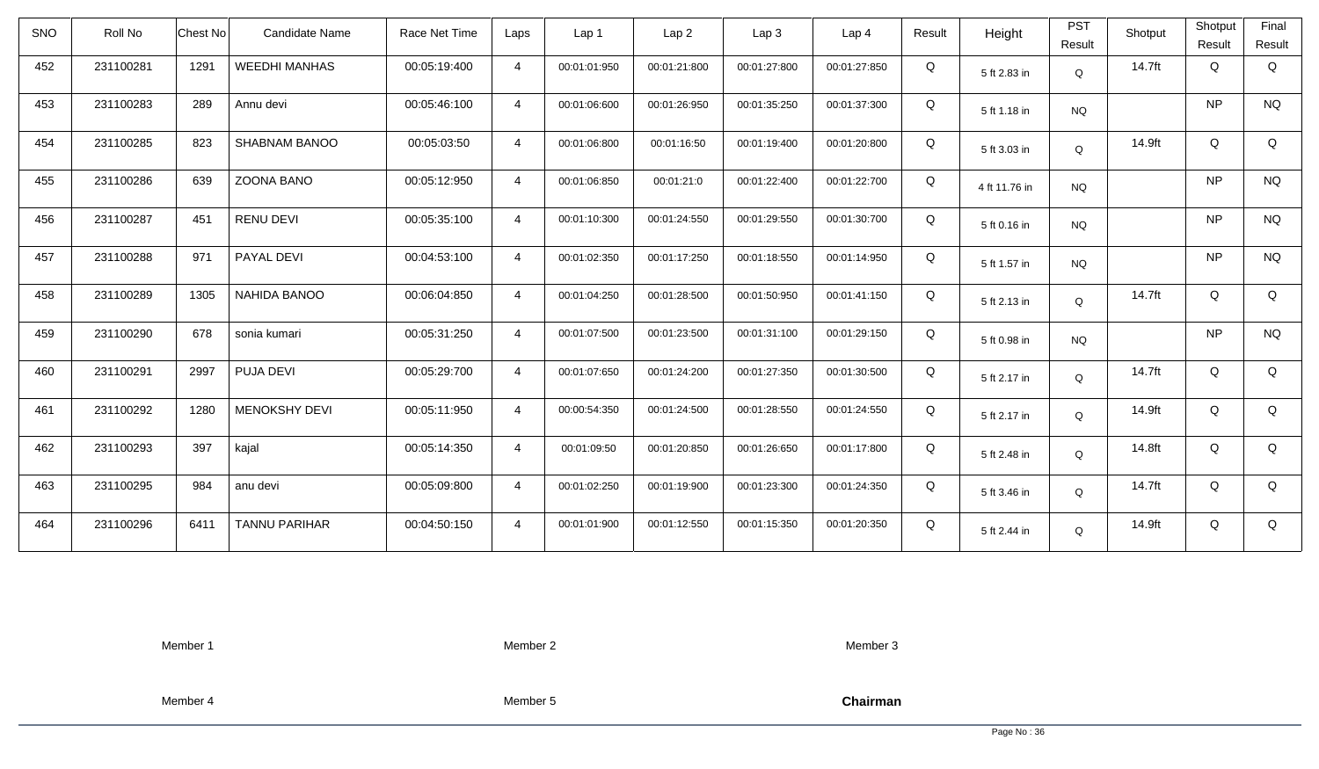| <b>SNO</b> | Roll No   | <b>Chest No</b> | Candidate Name       | Race Net Time | Laps           | Lap <sub>1</sub> | Lap <sub>2</sub> | Lap <sub>3</sub> | Lap <sub>4</sub> | Result | Height        | <b>PST</b><br>Result | Shotput | Shotput<br>Result | Final<br>Result |
|------------|-----------|-----------------|----------------------|---------------|----------------|------------------|------------------|------------------|------------------|--------|---------------|----------------------|---------|-------------------|-----------------|
| 452        | 231100281 | 1291            | <b>WEEDHI MANHAS</b> | 00:05:19:400  | $\overline{4}$ | 00:01:01:950     | 00:01:21:800     | 00:01:27:800     | 00:01:27:850     | Q      | 5 ft 2.83 in  | Q                    | 14.7ft  | Q                 | Q               |
| 453        | 231100283 | 289             | Annu devi            | 00:05:46:100  | $\overline{4}$ | 00:01:06:600     | 00:01:26:950     | 00:01:35:250     | 00:01:37:300     | Q      | 5 ft 1.18 in  | <b>NQ</b>            |         | <b>NP</b>         | <b>NQ</b>       |
| 454        | 231100285 | 823             | <b>SHABNAM BANOO</b> | 00:05:03:50   | $\overline{4}$ | 00:01:06:800     | 00:01:16:50      | 00:01:19:400     | 00:01:20:800     | Q      | 5 ft 3.03 in  | Q                    | 14.9ft  | Q                 | Q               |
| 455        | 231100286 | 639             | ZOONA BANO           | 00:05:12:950  | $\overline{4}$ | 00:01:06:850     | 00:01:21:0       | 00:01:22:400     | 00:01:22:700     | Q      | 4 ft 11.76 in | <b>NQ</b>            |         | <b>NP</b>         | <b>NQ</b>       |
| 456        | 231100287 | 451             | <b>RENU DEVI</b>     | 00:05:35:100  | $\overline{4}$ | 00:01:10:300     | 00:01:24:550     | 00:01:29:550     | 00:01:30:700     | Q      | 5 ft 0.16 in  | <b>NQ</b>            |         | <b>NP</b>         | <b>NQ</b>       |
| 457        | 231100288 | 971             | PAYAL DEVI           | 00:04:53:100  | $\overline{4}$ | 00:01:02:350     | 00:01:17:250     | 00:01:18:550     | 00:01:14:950     | Q      | 5 ft 1.57 in  | <b>NQ</b>            |         | <b>NP</b>         | <b>NQ</b>       |
| 458        | 231100289 | 1305            | <b>NAHIDA BANOO</b>  | 00:06:04:850  | $\overline{4}$ | 00:01:04:250     | 00:01:28:500     | 00:01:50:950     | 00:01:41:150     | Q      | 5 ft 2.13 in  | Q                    | 14.7ft  | Q                 | Q               |
| 459        | 231100290 | 678             | sonia kumari         | 00:05:31:250  | $\overline{4}$ | 00:01:07:500     | 00:01:23:500     | 00:01:31:100     | 00:01:29:150     | Q      | 5 ft 0.98 in  | <b>NQ</b>            |         | <b>NP</b>         | <b>NQ</b>       |
| 460        | 231100291 | 2997            | PUJA DEVI            | 00:05:29:700  | $\overline{4}$ | 00:01:07:650     | 00:01:24:200     | 00:01:27:350     | 00:01:30:500     | Q      | 5 ft 2.17 in  | Q                    | 14.7ft  | Q                 | Q               |
| 461        | 231100292 | 1280            | <b>MENOKSHY DEVI</b> | 00:05:11:950  | $\overline{4}$ | 00:00:54:350     | 00:01:24:500     | 00:01:28:550     | 00:01:24:550     | Q      | 5 ft 2.17 in  | Q                    | 14.9ft  | Q                 | Q               |
| 462        | 231100293 | 397             | kajal                | 00:05:14:350  | $\overline{4}$ | 00:01:09:50      | 00:01:20:850     | 00:01:26:650     | 00:01:17:800     | Q      | 5 ft 2.48 in  | Q                    | 14.8ft  | Q                 | Q               |
| 463        | 231100295 | 984             | anu devi             | 00:05:09:800  | $\overline{4}$ | 00:01:02:250     | 00:01:19:900     | 00:01:23:300     | 00:01:24:350     | Q      | 5 ft 3.46 in  | Q                    | 14.7ft  | Q                 | Q               |
| 464        | 231100296 | 6411            | <b>TANNU PARIHAR</b> | 00:04:50:150  | $\overline{4}$ | 00:01:01:900     | 00:01:12:550     | 00:01:15:350     | 00:01:20:350     | Q      | 5 ft 2.44 in  | Q                    | 14.9ft  | Q                 | Q               |

Member 2

Member 3

Member 4

Member 5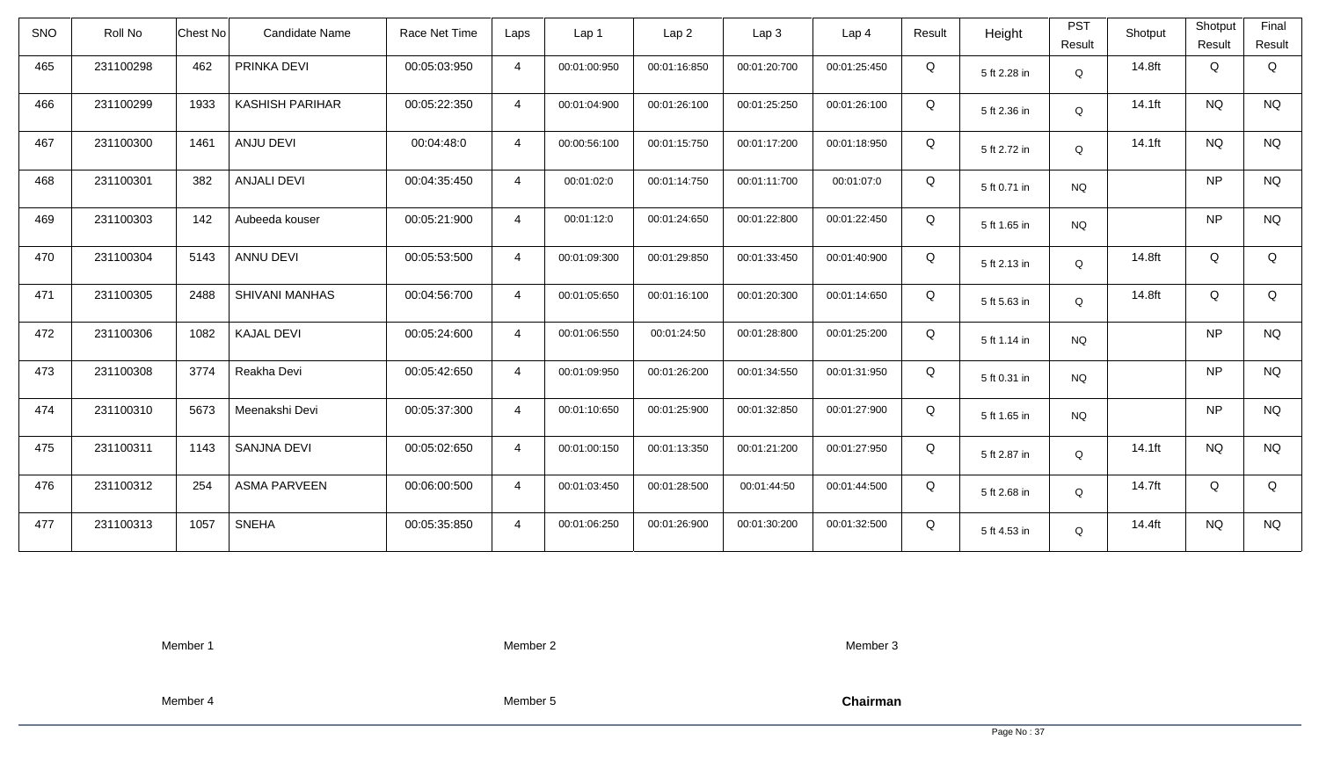| <b>SNO</b> | Roll No   | <b>Chest No</b> | Candidate Name         | Race Net Time | Laps           | Lap 1        | Lap <sub>2</sub> | Lap <sub>3</sub> | Lap <sub>4</sub> | Result | Height       | <b>PST</b><br>Result | Shotput | Shotput<br>Result | Final<br>Result |
|------------|-----------|-----------------|------------------------|---------------|----------------|--------------|------------------|------------------|------------------|--------|--------------|----------------------|---------|-------------------|-----------------|
| 465        | 231100298 | 462             | PRINKA DEVI            | 00:05:03:950  | $\overline{4}$ | 00:01:00:950 | 00:01:16:850     | 00:01:20:700     | 00:01:25:450     | Q      | 5 ft 2.28 in | Q                    | 14.8ft  | Q                 | Q               |
| 466        | 231100299 | 1933            | <b>KASHISH PARIHAR</b> | 00:05:22:350  | $\overline{4}$ | 00:01:04:900 | 00:01:26:100     | 00:01:25:250     | 00:01:26:100     | Q      | 5 ft 2.36 in | Q                    | 14.1ft  | <b>NQ</b>         | <b>NQ</b>       |
| 467        | 231100300 | 1461            | ANJU DEVI              | 00:04:48:0    | $\overline{4}$ | 00:00:56:100 | 00:01:15:750     | 00:01:17:200     | 00:01:18:950     | Q      | 5 ft 2.72 in | Q                    | 14.1ft  | <b>NQ</b>         | <b>NQ</b>       |
| 468        | 231100301 | 382             | ANJALI DEVI            | 00:04:35:450  | $\overline{4}$ | 00:01:02:0   | 00:01:14:750     | 00:01:11:700     | 00:01:07:0       | Q      | 5 ft 0.71 in | <b>NQ</b>            |         | <b>NP</b>         | <b>NQ</b>       |
| 469        | 231100303 | 142             | Aubeeda kouser         | 00:05:21:900  | $\overline{4}$ | 00:01:12:0   | 00:01:24:650     | 00:01:22:800     | 00:01:22:450     | Q      | 5 ft 1.65 in | <b>NQ</b>            |         | <b>NP</b>         | <b>NQ</b>       |
| 470        | 231100304 | 5143            | <b>ANNU DEVI</b>       | 00:05:53:500  | $\overline{4}$ | 00:01:09:300 | 00:01:29:850     | 00:01:33:450     | 00:01:40:900     | Q      | 5 ft 2.13 in | Q                    | 14.8ft  | Q                 | Q               |
| 471        | 231100305 | 2488            | <b>SHIVANI MANHAS</b>  | 00:04:56:700  | $\overline{4}$ | 00:01:05:650 | 00:01:16:100     | 00:01:20:300     | 00:01:14:650     | Q      | 5 ft 5.63 in | Q                    | 14.8ft  | Q                 | Q               |
| 472        | 231100306 | 1082            | <b>KAJAL DEVI</b>      | 00:05:24:600  | $\overline{4}$ | 00:01:06:550 | 00:01:24:50      | 00:01:28:800     | 00:01:25:200     | Q      | 5 ft 1.14 in | <b>NQ</b>            |         | <b>NP</b>         | <b>NQ</b>       |
| 473        | 231100308 | 3774            | Reakha Devi            | 00:05:42:650  | $\overline{4}$ | 00:01:09:950 | 00:01:26:200     | 00:01:34:550     | 00:01:31:950     | Q      | 5 ft 0.31 in | <b>NQ</b>            |         | <b>NP</b>         | <b>NQ</b>       |
| 474        | 231100310 | 5673            | Meenakshi Devi         | 00:05:37:300  | $\overline{4}$ | 00:01:10:650 | 00:01:25:900     | 00:01:32:850     | 00:01:27:900     | Q      | 5 ft 1.65 in | <b>NQ</b>            |         | <b>NP</b>         | <b>NQ</b>       |
| 475        | 231100311 | 1143            | <b>SANJNA DEVI</b>     | 00:05:02:650  | $\overline{4}$ | 00:01:00:150 | 00:01:13:350     | 00:01:21:200     | 00:01:27:950     | Q      | 5 ft 2.87 in | Q                    | 14.1ft  | <b>NQ</b>         | <b>NQ</b>       |
| 476        | 231100312 | 254             | <b>ASMA PARVEEN</b>    | 00:06:00:500  | $\overline{4}$ | 00:01:03:450 | 00:01:28:500     | 00:01:44:50      | 00:01:44:500     | Q      | 5 ft 2.68 in | Q                    | 14.7ft  | Q                 | Q               |
| 477        | 231100313 | 1057            | <b>SNEHA</b>           | 00:05:35:850  | $\overline{4}$ | 00:01:06:250 | 00:01:26:900     | 00:01:30:200     | 00:01:32:500     | Q      | 5 ft 4.53 in | Q                    | 14.4ft  | <b>NQ</b>         | <b>NQ</b>       |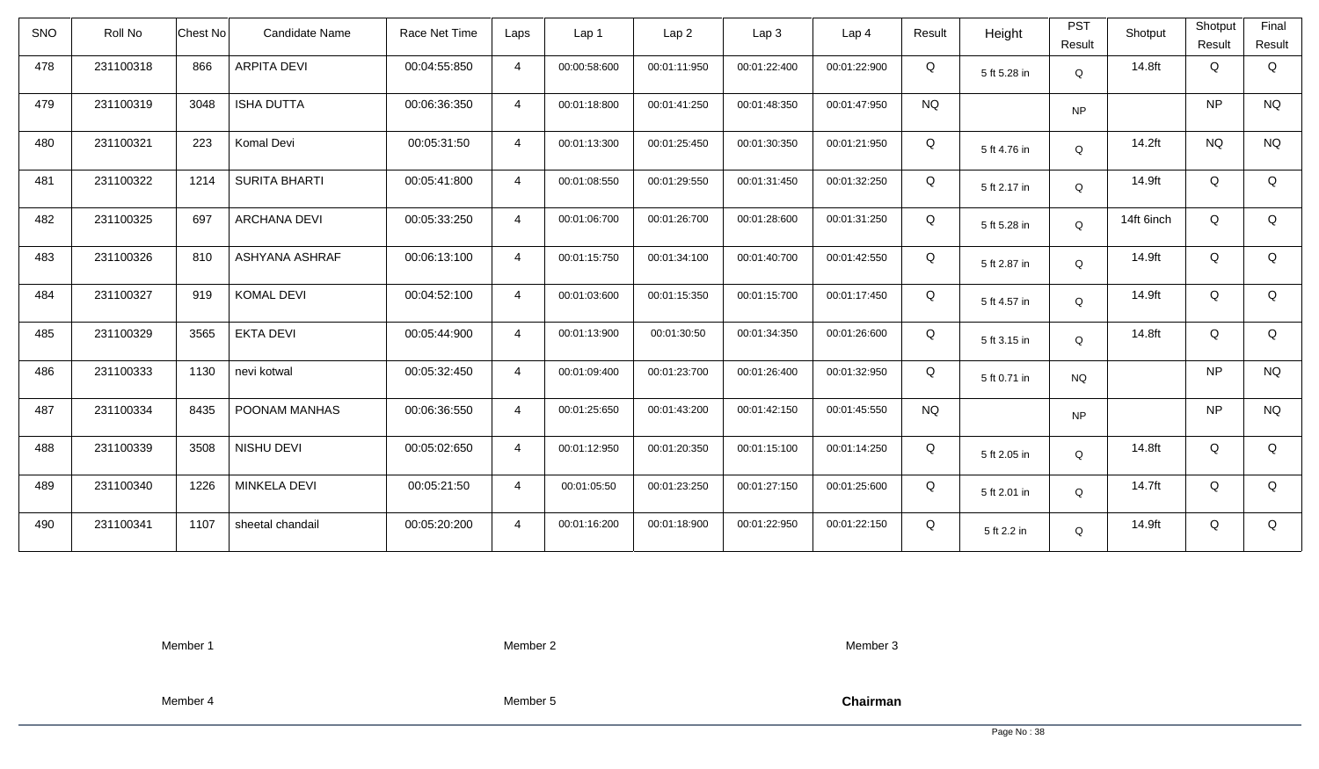| <b>SNO</b> | Roll No   | <b>Chest No</b> | Candidate Name       | Race Net Time | Laps           | Lap <sub>1</sub> | Lap <sub>2</sub> | Lap <sub>3</sub> | Lap <sub>4</sub> | Result    | Height       | <b>PST</b><br>Result | Shotput    | Shotput<br>Result | Final<br>Result |
|------------|-----------|-----------------|----------------------|---------------|----------------|------------------|------------------|------------------|------------------|-----------|--------------|----------------------|------------|-------------------|-----------------|
| 478        | 231100318 | 866             | <b>ARPITA DEVI</b>   | 00:04:55:850  | $\overline{4}$ | 00:00:58:600     | 00:01:11:950     | 00:01:22:400     | 00:01:22:900     | Q         | 5 ft 5.28 in | Q                    | 14.8ft     | Q                 | Q               |
| 479        | 231100319 | 3048            | <b>ISHA DUTTA</b>    | 00:06:36:350  | $\overline{4}$ | 00:01:18:800     | 00:01:41:250     | 00:01:48:350     | 00:01:47:950     | <b>NQ</b> |              | <b>NP</b>            |            | <b>NP</b>         | <b>NQ</b>       |
| 480        | 231100321 | 223             | Komal Devi           | 00:05:31:50   | $\overline{4}$ | 00:01:13:300     | 00:01:25:450     | 00:01:30:350     | 00:01:21:950     | Q         | 5 ft 4.76 in | Q                    | 14.2ft     | <b>NQ</b>         | <b>NQ</b>       |
| 481        | 231100322 | 1214            | <b>SURITA BHARTI</b> | 00:05:41:800  | $\overline{4}$ | 00:01:08:550     | 00:01:29:550     | 00:01:31:450     | 00:01:32:250     | Q         | 5 ft 2.17 in | Q                    | 14.9ft     | Q                 | Q               |
| 482        | 231100325 | 697             | <b>ARCHANA DEVI</b>  | 00:05:33:250  | $\overline{4}$ | 00:01:06:700     | 00:01:26:700     | 00:01:28:600     | 00:01:31:250     | Q         | 5 ft 5.28 in | Q                    | 14ft 6inch | Q                 | Q               |
| 483        | 231100326 | 810             | ASHYANA ASHRAF       | 00:06:13:100  | 4              | 00:01:15:750     | 00:01:34:100     | 00:01:40:700     | 00:01:42:550     | Q         | 5 ft 2.87 in | Q                    | 14.9ft     | Q                 | Q               |
| 484        | 231100327 | 919             | <b>KOMAL DEVI</b>    | 00:04:52:100  | $\overline{4}$ | 00:01:03:600     | 00:01:15:350     | 00:01:15:700     | 00:01:17:450     | Q         | 5 ft 4.57 in | Q                    | 14.9ft     | Q                 | Q               |
| 485        | 231100329 | 3565            | <b>EKTA DEVI</b>     | 00:05:44:900  | 4              | 00:01:13:900     | 00:01:30:50      | 00:01:34:350     | 00:01:26:600     | Q         | 5 ft 3.15 in | Q                    | 14.8ft     | Q                 | Q               |
| 486        | 231100333 | 1130            | nevi kotwal          | 00:05:32:450  | $\overline{4}$ | 00:01:09:400     | 00:01:23:700     | 00:01:26:400     | 00:01:32:950     | Q         | 5 ft 0.71 in | <b>NQ</b>            |            | <b>NP</b>         | <b>NQ</b>       |
| 487        | 231100334 | 8435            | POONAM MANHAS        | 00:06:36:550  | $\overline{4}$ | 00:01:25:650     | 00:01:43:200     | 00:01:42:150     | 00:01:45:550     | <b>NQ</b> |              | <b>NP</b>            |            | <b>NP</b>         | <b>NQ</b>       |
| 488        | 231100339 | 3508            | NISHU DEVI           | 00:05:02:650  | $\overline{4}$ | 00:01:12:950     | 00:01:20:350     | 00:01:15:100     | 00:01:14:250     | Q         | 5 ft 2.05 in | Q                    | 14.8ft     | Q                 | Q               |
| 489        | 231100340 | 1226            | MINKELA DEVI         | 00:05:21:50   | $\overline{4}$ | 00:01:05:50      | 00:01:23:250     | 00:01:27:150     | 00:01:25:600     | Q         | 5 ft 2.01 in | Q                    | 14.7ft     | Q                 | Q               |
| 490        | 231100341 | 1107            | sheetal chandail     | 00:05:20:200  | $\overline{4}$ | 00:01:16:200     | 00:01:18:900     | 00:01:22:950     | 00:01:22:150     | Q         | 5 ft 2.2 in  | Q                    | 14.9ft     | Q                 | Q               |

Member 2

Member 3

Member 4

Member 5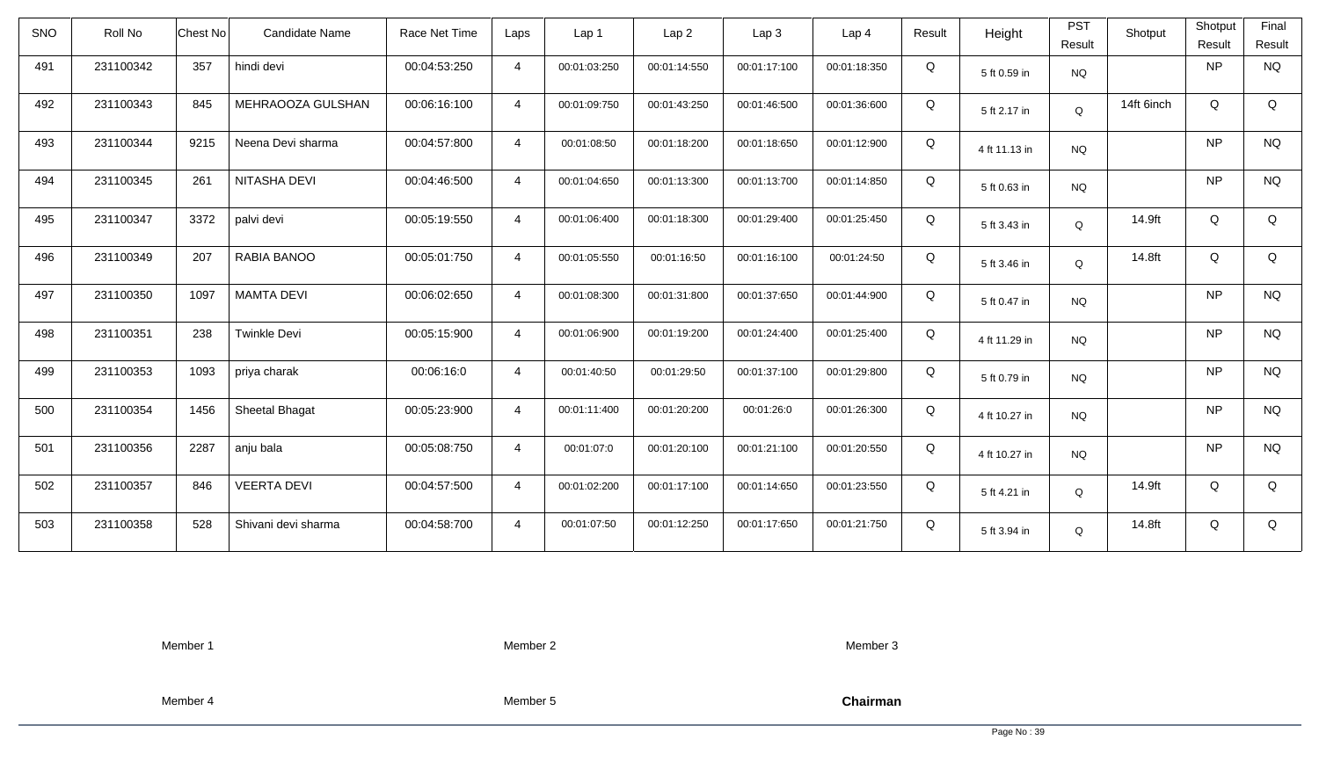| SNO | Roll No   | Chest No | <b>Candidate Name</b> | Race Net Time | Laps           | Lap <sub>1</sub> | Lap 2        | Lap <sub>3</sub> | Lap <sub>4</sub> | Result | Height        | <b>PST</b><br>Result | Shotput    | Shotput<br>Result | Final<br>Result |
|-----|-----------|----------|-----------------------|---------------|----------------|------------------|--------------|------------------|------------------|--------|---------------|----------------------|------------|-------------------|-----------------|
| 491 | 231100342 | 357      | hindi devi            | 00:04:53:250  | $\overline{4}$ | 00:01:03:250     | 00:01:14:550 | 00:01:17:100     | 00:01:18:350     | Q      | 5 ft 0.59 in  | <b>NQ</b>            |            | <b>NP</b>         | <b>NQ</b>       |
| 492 | 231100343 | 845      | MEHRAOOZA GULSHAN     | 00:06:16:100  | $\overline{4}$ | 00:01:09:750     | 00:01:43:250 | 00:01:46:500     | 00:01:36:600     | Q      | 5 ft 2.17 in  | Q                    | 14ft 6inch | Q                 | Q               |
| 493 | 231100344 | 9215     | Neena Devi sharma     | 00:04:57:800  | $\overline{4}$ | 00:01:08:50      | 00:01:18:200 | 00:01:18:650     | 00:01:12:900     | Q      | 4 ft 11.13 in | <b>NQ</b>            |            | <b>NP</b>         | <b>NQ</b>       |
| 494 | 231100345 | 261      | NITASHA DEVI          | 00:04:46:500  | $\overline{4}$ | 00:01:04:650     | 00:01:13:300 | 00:01:13:700     | 00:01:14:850     | Q      | 5 ft 0.63 in  | <b>NQ</b>            |            | <b>NP</b>         | <b>NQ</b>       |
| 495 | 231100347 | 3372     | palvi devi            | 00:05:19:550  | $\overline{4}$ | 00:01:06:400     | 00:01:18:300 | 00:01:29:400     | 00:01:25:450     | Q      | 5 ft 3.43 in  | Q                    | 14.9ft     | Q                 | Q               |
| 496 | 231100349 | 207      | RABIA BANOO           | 00:05:01:750  | $\overline{4}$ | 00:01:05:550     | 00:01:16:50  | 00:01:16:100     | 00:01:24:50      | Q      | 5 ft 3.46 in  | Q                    | 14.8ft     | Q                 | Q               |
| 497 | 231100350 | 1097     | <b>MAMTA DEVI</b>     | 00:06:02:650  | $\overline{4}$ | 00:01:08:300     | 00:01:31:800 | 00:01:37:650     | 00:01:44:900     | Q      | 5 ft 0.47 in  | <b>NQ</b>            |            | <b>NP</b>         | <b>NQ</b>       |
| 498 | 231100351 | 238      | <b>Twinkle Devi</b>   | 00:05:15:900  | $\overline{4}$ | 00:01:06:900     | 00:01:19:200 | 00:01:24:400     | 00:01:25:400     | Q      | 4 ft 11.29 in | <b>NQ</b>            |            | <b>NP</b>         | <b>NQ</b>       |
| 499 | 231100353 | 1093     | priya charak          | 00:06:16:0    | $\overline{4}$ | 00:01:40:50      | 00:01:29:50  | 00:01:37:100     | 00:01:29:800     | Q      | 5 ft 0.79 in  | <b>NQ</b>            |            | NP                | <b>NQ</b>       |
| 500 | 231100354 | 1456     | Sheetal Bhagat        | 00:05:23:900  | $\overline{4}$ | 00:01:11:400     | 00:01:20:200 | 00:01:26:0       | 00:01:26:300     | Q      | 4 ft 10.27 in | <b>NQ</b>            |            | <b>NP</b>         | <b>NQ</b>       |
| 501 | 231100356 | 2287     | anju bala             | 00:05:08:750  | $\overline{4}$ | 00:01:07:0       | 00:01:20:100 | 00:01:21:100     | 00:01:20:550     | Q      | 4 ft 10.27 in | <b>NQ</b>            |            | <b>NP</b>         | <b>NQ</b>       |
| 502 | 231100357 | 846      | <b>VEERTA DEVI</b>    | 00:04:57:500  | $\overline{4}$ | 00:01:02:200     | 00:01:17:100 | 00:01:14:650     | 00:01:23:550     | Q      | 5 ft 4.21 in  | Q                    | 14.9ft     | Q                 | Q               |
| 503 | 231100358 | 528      | Shivani devi sharma   | 00:04:58:700  | $\overline{4}$ | 00:01:07:50      | 00:01:12:250 | 00:01:17:650     | 00:01:21:750     | Q      | 5 ft 3.94 in  | Q                    | 14.8ft     | Q                 | Q               |

Member 2

Member 3

Member 4

Member 5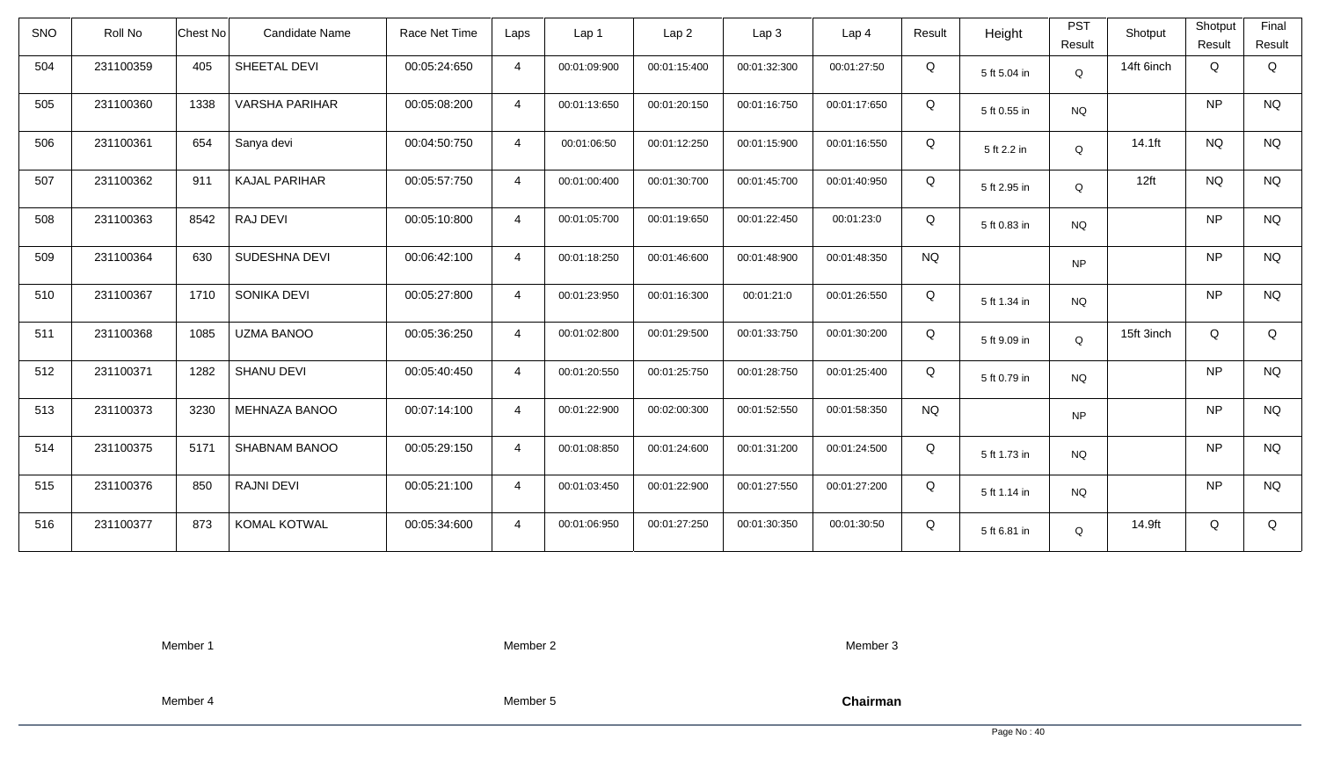| <b>SNO</b> | Roll No   | Chest No | Candidate Name        | Race Net Time | Laps           | Lap 1        | Lap <sub>2</sub> | Lap3         | Lap 4        | Result    | Height       | <b>PST</b><br>Result | Shotput          | Shotput<br>Result | Final<br>Result |
|------------|-----------|----------|-----------------------|---------------|----------------|--------------|------------------|--------------|--------------|-----------|--------------|----------------------|------------------|-------------------|-----------------|
| 504        | 231100359 | 405      | SHEETAL DEVI          | 00:05:24:650  | $\overline{4}$ | 00:01:09:900 | 00:01:15:400     | 00:01:32:300 | 00:01:27:50  | Q         | 5 ft 5.04 in | Q                    | 14ft 6inch       | Q                 | Q               |
| 505        | 231100360 | 1338     | <b>VARSHA PARIHAR</b> | 00:05:08:200  | $\overline{4}$ | 00:01:13:650 | 00:01:20:150     | 00:01:16:750 | 00:01:17:650 | Q         | 5 ft 0.55 in | <b>NQ</b>            |                  | <b>NP</b>         | <b>NQ</b>       |
| 506        | 231100361 | 654      | Sanya devi            | 00:04:50:750  | $\overline{4}$ | 00:01:06:50  | 00:01:12:250     | 00:01:15:900 | 00:01:16:550 | Q         | 5 ft 2.2 in  | Q                    | 14.1ft           | <b>NQ</b>         | <b>NQ</b>       |
| 507        | 231100362 | 911      | <b>KAJAL PARIHAR</b>  | 00:05:57:750  | $\overline{4}$ | 00:01:00:400 | 00:01:30:700     | 00:01:45:700 | 00:01:40:950 | Q         | 5 ft 2.95 in | Q                    | 12 <sup>ft</sup> | <b>NQ</b>         | <b>NQ</b>       |
| 508        | 231100363 | 8542     | RAJ DEVI              | 00:05:10:800  | $\overline{4}$ | 00:01:05:700 | 00:01:19:650     | 00:01:22:450 | 00:01:23:0   | Q         | 5 ft 0.83 in | <b>NQ</b>            |                  | <b>NP</b>         | <b>NQ</b>       |
| 509        | 231100364 | 630      | SUDESHNA DEVI         | 00:06:42:100  | $\overline{4}$ | 00:01:18:250 | 00:01:46:600     | 00:01:48:900 | 00:01:48:350 | <b>NQ</b> |              | <b>NP</b>            |                  | <b>NP</b>         | <b>NQ</b>       |
| 510        | 231100367 | 1710     | SONIKA DEVI           | 00:05:27:800  | $\overline{4}$ | 00:01:23:950 | 00:01:16:300     | 00:01:21:0   | 00:01:26:550 | Q         | 5 ft 1.34 in | <b>NQ</b>            |                  | <b>NP</b>         | <b>NQ</b>       |
| 511        | 231100368 | 1085     | <b>UZMA BANOO</b>     | 00:05:36:250  | $\overline{4}$ | 00:01:02:800 | 00:01:29:500     | 00:01:33:750 | 00:01:30:200 | Q         | 5 ft 9.09 in | $\mathsf Q$          | 15ft 3inch       | Q                 | Q               |
| 512        | 231100371 | 1282     | <b>SHANU DEVI</b>     | 00:05:40:450  | $\overline{4}$ | 00:01:20:550 | 00:01:25:750     | 00:01:28:750 | 00:01:25:400 | Q         | 5 ft 0.79 in | <b>NQ</b>            |                  | <b>NP</b>         | <b>NQ</b>       |
| 513        | 231100373 | 3230     | <b>MEHNAZA BANOO</b>  | 00:07:14:100  | $\overline{4}$ | 00:01:22:900 | 00:02:00:300     | 00:01:52:550 | 00:01:58:350 | <b>NQ</b> |              | <b>NP</b>            |                  | <b>NP</b>         | <b>NQ</b>       |
| 514        | 231100375 | 5171     | SHABNAM BANOO         | 00:05:29:150  | $\overline{4}$ | 00:01:08:850 | 00:01:24:600     | 00:01:31:200 | 00:01:24:500 | Q         | 5 ft 1.73 in | <b>NQ</b>            |                  | <b>NP</b>         | <b>NQ</b>       |
| 515        | 231100376 | 850      | <b>RAJNI DEVI</b>     | 00:05:21:100  | $\overline{4}$ | 00:01:03:450 | 00:01:22:900     | 00:01:27:550 | 00:01:27:200 | Q         | 5 ft 1.14 in | <b>NQ</b>            |                  | <b>NP</b>         | <b>NQ</b>       |
| 516        | 231100377 | 873      | <b>KOMAL KOTWAL</b>   | 00:05:34:600  | $\overline{4}$ | 00:01:06:950 | 00:01:27:250     | 00:01:30:350 | 00:01:30:50  | Q         | 5 ft 6.81 in | Q                    | 14.9ft           | Q                 | Q               |

Member 2

Member 3

Member 4

Member 5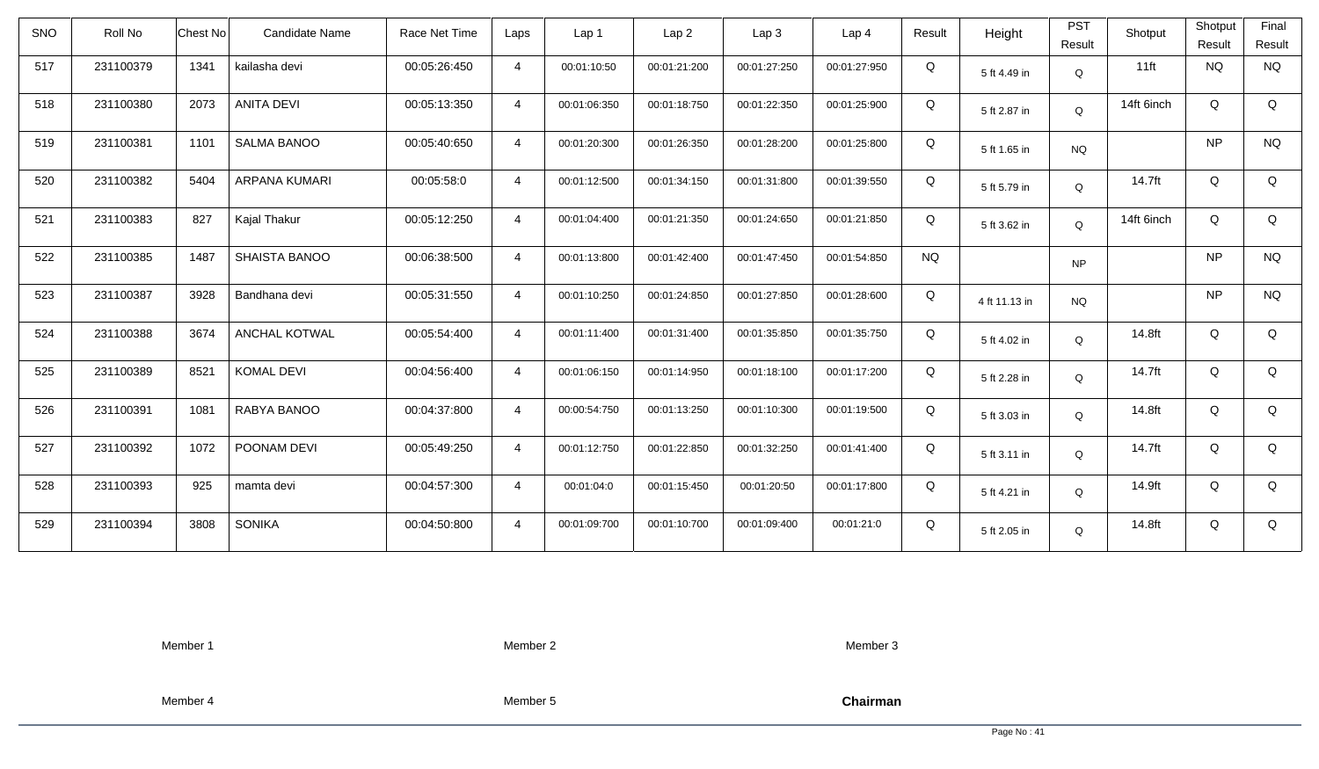| <b>SNO</b> | Roll No   | Candidate Name<br><b>Chest No</b> | Race Net Time | Laps           | Lap 1        | Lap <sub>2</sub> | Lap3         | Lap 4        | Result    | Height        | <b>PST</b><br>Result | Shotput    | Shotput<br>Result | Final<br>Result |
|------------|-----------|-----------------------------------|---------------|----------------|--------------|------------------|--------------|--------------|-----------|---------------|----------------------|------------|-------------------|-----------------|
| 517        | 231100379 | 1341<br>kailasha devi             | 00:05:26:450  | $\overline{4}$ | 00:01:10:50  | 00:01:21:200     | 00:01:27:250 | 00:01:27:950 | Q         | 5 ft 4.49 in  | Q                    | $11$ ft    | NQ                | <b>NQ</b>       |
| 518        | 231100380 | <b>ANITA DEVI</b><br>2073         | 00:05:13:350  | $\overline{4}$ | 00:01:06:350 | 00:01:18:750     | 00:01:22:350 | 00:01:25:900 | Q         | 5 ft 2.87 in  | Q                    | 14ft 6inch | Q                 | Q               |
| 519        | 231100381 | <b>SALMA BANOO</b><br>1101        | 00:05:40:650  | $\overline{4}$ | 00:01:20:300 | 00:01:26:350     | 00:01:28:200 | 00:01:25:800 | Q         | 5 ft 1.65 in  | <b>NQ</b>            |            | <b>NP</b>         | <b>NQ</b>       |
| 520        | 231100382 | 5404<br>ARPANA KUMARI             | 00:05:58:0    | $\overline{4}$ | 00:01:12:500 | 00:01:34:150     | 00:01:31:800 | 00:01:39:550 | Q         | 5 ft 5.79 in  | Q                    | 14.7ft     | Q                 | Q               |
| 521        | 231100383 | 827<br>Kajal Thakur               | 00:05:12:250  | $\overline{4}$ | 00:01:04:400 | 00:01:21:350     | 00:01:24:650 | 00:01:21:850 | Q         | 5 ft 3.62 in  | Q                    | 14ft 6inch | Q                 | Q               |
| 522        | 231100385 | 1487<br>SHAISTA BANOO             | 00:06:38:500  | $\overline{4}$ | 00:01:13:800 | 00:01:42:400     | 00:01:47:450 | 00:01:54:850 | <b>NQ</b> |               | <b>NP</b>            |            | <b>NP</b>         | <b>NQ</b>       |
| 523        | 231100387 | 3928<br>Bandhana devi             | 00:05:31:550  | $\overline{4}$ | 00:01:10:250 | 00:01:24:850     | 00:01:27:850 | 00:01:28:600 | Q         | 4 ft 11.13 in | <b>NQ</b>            |            | <b>NP</b>         | <b>NQ</b>       |
| 524        | 231100388 | <b>ANCHAL KOTWAL</b><br>3674      | 00:05:54:400  | $\overline{4}$ | 00:01:11:400 | 00:01:31:400     | 00:01:35:850 | 00:01:35:750 | Q         | 5 ft 4.02 in  | Q                    | 14.8ft     | Q                 | Q               |
| 525        | 231100389 | 8521<br><b>KOMAL DEVI</b>         | 00:04:56:400  | $\overline{4}$ | 00:01:06:150 | 00:01:14:950     | 00:01:18:100 | 00:01:17:200 | Q         | 5 ft 2.28 in  | Q                    | 14.7ft     | Q                 | Q               |
| 526        | 231100391 | 1081<br>RABYA BANOO               | 00:04:37:800  | $\overline{4}$ | 00:00:54:750 | 00:01:13:250     | 00:01:10:300 | 00:01:19:500 | Q         | 5 ft 3.03 in  | Q                    | 14.8ft     | Q                 | Q               |
| 527        | 231100392 | 1072<br>POONAM DEVI               | 00:05:49:250  | $\overline{4}$ | 00:01:12:750 | 00:01:22:850     | 00:01:32:250 | 00:01:41:400 | Q         | 5 ft 3.11 in  | Q                    | 14.7ft     | Q                 | Q               |
| 528        | 231100393 | 925<br>mamta devi                 | 00:04:57:300  | $\overline{4}$ | 00:01:04:0   | 00:01:15:450     | 00:01:20:50  | 00:01:17:800 | Q         | 5 ft 4.21 in  | Q                    | 14.9ft     | Q                 | Q               |
| 529        | 231100394 | 3808<br><b>SONIKA</b>             | 00:04:50:800  | $\overline{4}$ | 00:01:09:700 | 00:01:10:700     | 00:01:09:400 | 00:01:21:0   | Q         | 5 ft 2.05 in  | Q                    | 14.8ft     | Q                 | Q               |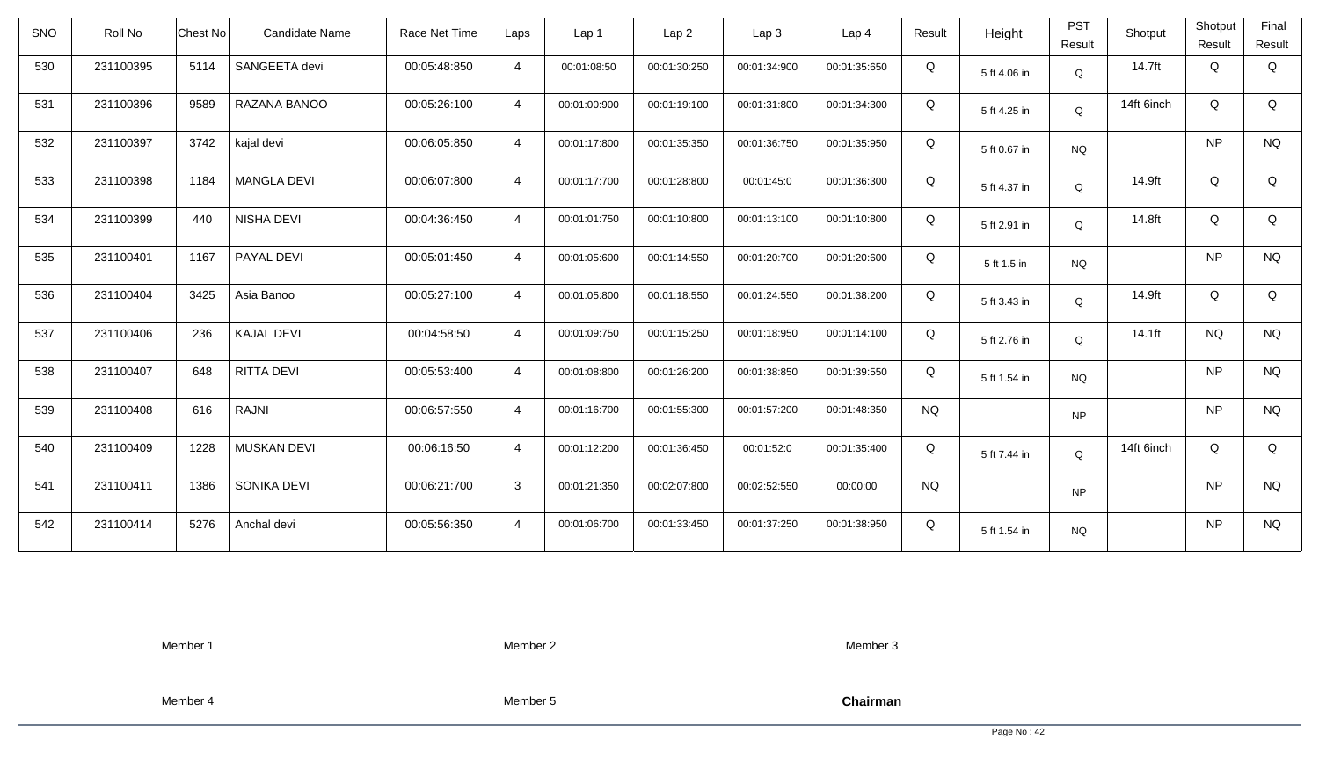| <b>SNO</b> | Roll No   | <b>Chest No</b> | Candidate Name     | Race Net Time | Laps           | Lap 1        | Lap <sub>2</sub> | Lap3         | Lap 4        | Result    | Height       | <b>PST</b><br>Result | Shotput    | Shotput<br>Result | Final<br>Result |
|------------|-----------|-----------------|--------------------|---------------|----------------|--------------|------------------|--------------|--------------|-----------|--------------|----------------------|------------|-------------------|-----------------|
| 530        | 231100395 | 5114            | SANGEETA devi      | 00:05:48:850  | $\overline{4}$ | 00:01:08:50  | 00:01:30:250     | 00:01:34:900 | 00:01:35:650 | Q         | 5 ft 4.06 in | Q                    | 14.7ft     | Q                 | Q               |
| 531        | 231100396 | 9589            | RAZANA BANOO       | 00:05:26:100  | $\overline{4}$ | 00:01:00:900 | 00:01:19:100     | 00:01:31:800 | 00:01:34:300 | Q         | 5 ft 4.25 in | Q                    | 14ft 6inch | Q                 | Q               |
| 532        | 231100397 | 3742            | kajal devi         | 00:06:05:850  | $\overline{4}$ | 00:01:17:800 | 00:01:35:350     | 00:01:36:750 | 00:01:35:950 | Q         | 5 ft 0.67 in | <b>NQ</b>            |            | <b>NP</b>         | <b>NQ</b>       |
| 533        | 231100398 | 1184            | <b>MANGLA DEVI</b> | 00:06:07:800  | $\overline{4}$ | 00:01:17:700 | 00:01:28:800     | 00:01:45:0   | 00:01:36:300 | Q         | 5 ft 4.37 in | Q                    | 14.9ft     | Q                 | Q               |
| 534        | 231100399 | 440             | NISHA DEVI         | 00:04:36:450  | $\overline{4}$ | 00:01:01:750 | 00:01:10:800     | 00:01:13:100 | 00:01:10:800 | Q         | 5 ft 2.91 in | Q                    | 14.8ft     | Q                 | Q               |
| 535        | 231100401 | 1167            | PAYAL DEVI         | 00:05:01:450  | $\overline{4}$ | 00:01:05:600 | 00:01:14:550     | 00:01:20:700 | 00:01:20:600 | Q         | 5 ft 1.5 in  | <b>NQ</b>            |            | <b>NP</b>         | <b>NQ</b>       |
| 536        | 231100404 | 3425            | Asia Banoo         | 00:05:27:100  | $\overline{4}$ | 00:01:05:800 | 00:01:18:550     | 00:01:24:550 | 00:01:38:200 | Q         | 5 ft 3.43 in | Q                    | 14.9ft     | Q                 | Q               |
| 537        | 231100406 | 236             | <b>KAJAL DEVI</b>  | 00:04:58:50   | $\overline{4}$ | 00:01:09:750 | 00:01:15:250     | 00:01:18:950 | 00:01:14:100 | Q         | 5 ft 2.76 in | Q                    | 14.1ft     | <b>NQ</b>         | <b>NQ</b>       |
| 538        | 231100407 | 648             | <b>RITTA DEVI</b>  | 00:05:53:400  | $\overline{4}$ | 00:01:08:800 | 00:01:26:200     | 00:01:38:850 | 00:01:39:550 | Q         | 5 ft 1.54 in | <b>NQ</b>            |            | <b>NP</b>         | <b>NQ</b>       |
| 539        | 231100408 | 616             | RAJNI              | 00:06:57:550  | $\overline{4}$ | 00:01:16:700 | 00:01:55:300     | 00:01:57:200 | 00:01:48:350 | <b>NQ</b> |              | <b>NP</b>            |            | <b>NP</b>         | $\rm N\rm Q$    |
| 540        | 231100409 | 1228            | <b>MUSKAN DEVI</b> | 00:06:16:50   | $\overline{4}$ | 00:01:12:200 | 00:01:36:450     | 00:01:52:0   | 00:01:35:400 | Q         | 5 ft 7.44 in | Q                    | 14ft 6inch | Q                 | Q               |
| 541        | 231100411 | 1386            | SONIKA DEVI        | 00:06:21:700  | $\mathbf{3}$   | 00:01:21:350 | 00:02:07:800     | 00:02:52:550 | 00:00:00     | <b>NQ</b> |              | <b>NP</b>            |            | <b>NP</b>         | <b>NQ</b>       |
| 542        | 231100414 | 5276            | Anchal devi        | 00:05:56:350  | $\overline{4}$ | 00:01:06:700 | 00:01:33:450     | 00:01:37:250 | 00:01:38:950 | Q         | 5 ft 1.54 in | <b>NQ</b>            |            | <b>NP</b>         | <b>NQ</b>       |

Member 2

Member 3

Member 4

Member 5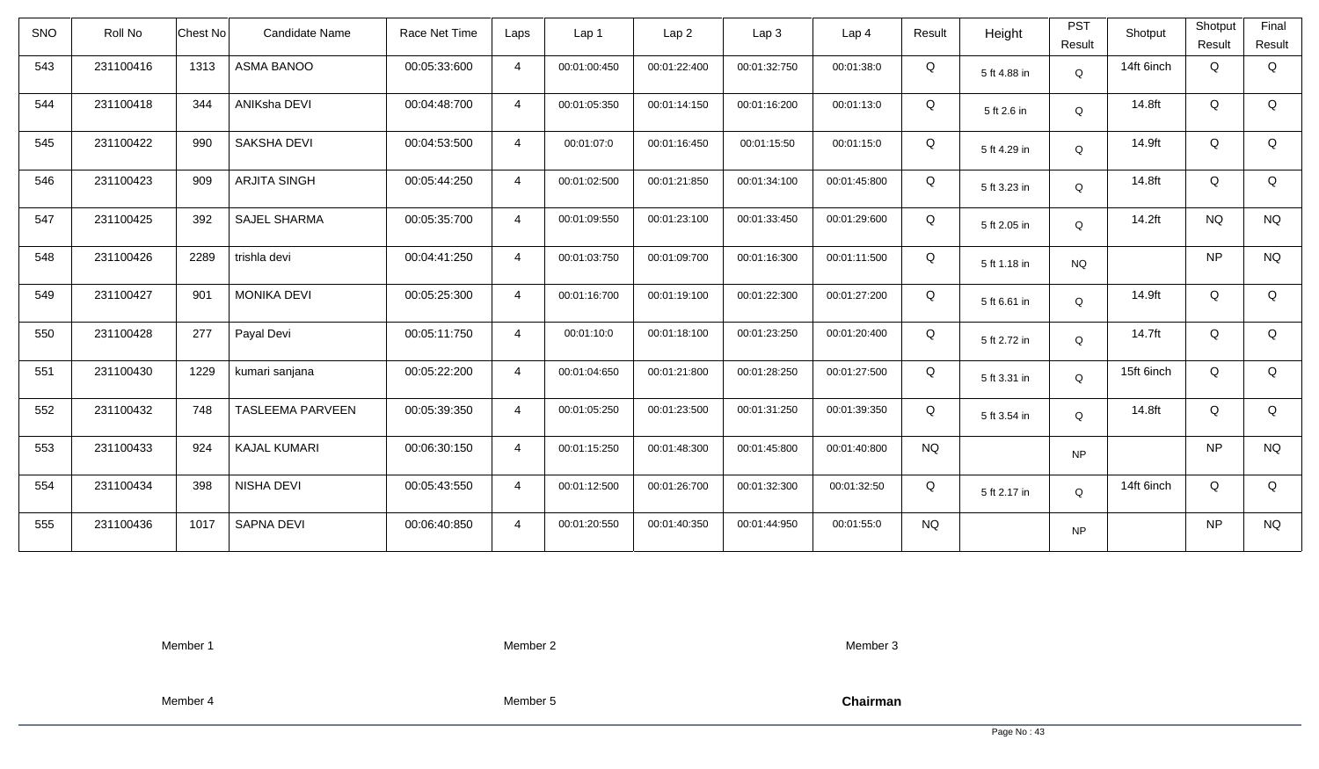| <b>SNO</b> | Roll No   | Chest No | Candidate Name          | Race Net Time | Laps           | Lap 1        | Lap <sub>2</sub> | Lap3         | Lap <sub>4</sub> | Result    | Height       | <b>PST</b><br>Result | Shotput    | Shotput<br>Result | Final<br>Result |
|------------|-----------|----------|-------------------------|---------------|----------------|--------------|------------------|--------------|------------------|-----------|--------------|----------------------|------------|-------------------|-----------------|
| 543        | 231100416 | 1313     | ASMA BANOO              | 00:05:33:600  | $\overline{4}$ | 00:01:00:450 | 00:01:22:400     | 00:01:32:750 | 00:01:38:0       | Q         | 5 ft 4.88 in | Q                    | 14ft 6inch | Q                 | Q               |
| 544        | 231100418 | 344      | ANIKsha DEVI            | 00:04:48:700  | $\overline{4}$ | 00:01:05:350 | 00:01:14:150     | 00:01:16:200 | 00:01:13:0       | Q         | 5 ft 2.6 in  | Q                    | 14.8ft     | Q                 | Q               |
| 545        | 231100422 | 990      | SAKSHA DEVI             | 00:04:53:500  | $\overline{4}$ | 00:01:07:0   | 00:01:16:450     | 00:01:15:50  | 00:01:15:0       | Q         | 5 ft 4.29 in | Q                    | 14.9ft     | Q                 | Q               |
| 546        | 231100423 | 909      | <b>ARJITA SINGH</b>     | 00:05:44:250  | $\overline{4}$ | 00:01:02:500 | 00:01:21:850     | 00:01:34:100 | 00:01:45:800     | Q         | 5 ft 3.23 in | Q                    | 14.8ft     | Q                 | Q               |
| 547        | 231100425 | 392      | <b>SAJEL SHARMA</b>     | 00:05:35:700  | $\overline{4}$ | 00:01:09:550 | 00:01:23:100     | 00:01:33:450 | 00:01:29:600     | Q         | 5 ft 2.05 in | Q                    | $14.2$ ft  | <b>NQ</b>         | <b>NQ</b>       |
| 548        | 231100426 | 2289     | trishla devi            | 00:04:41:250  | $\overline{4}$ | 00:01:03:750 | 00:01:09:700     | 00:01:16:300 | 00:01:11:500     | Q         | 5 ft 1.18 in | <b>NQ</b>            |            | <b>NP</b>         | <b>NQ</b>       |
| 549        | 231100427 | 901      | <b>MONIKA DEVI</b>      | 00:05:25:300  | $\overline{4}$ | 00:01:16:700 | 00:01:19:100     | 00:01:22:300 | 00:01:27:200     | Q         | 5 ft 6.61 in | Q                    | 14.9ft     | Q                 | Q               |
| 550        | 231100428 | 277      | Payal Devi              | 00:05:11:750  | $\overline{4}$ | 00:01:10:0   | 00:01:18:100     | 00:01:23:250 | 00:01:20:400     | Q         | 5 ft 2.72 in | Q                    | 14.7ft     | Q                 | Q               |
| 551        | 231100430 | 1229     | kumari sanjana          | 00:05:22:200  | $\overline{4}$ | 00:01:04:650 | 00:01:21:800     | 00:01:28:250 | 00:01:27:500     | Q         | 5 ft 3.31 in | $\mathsf Q$          | 15ft 6inch | Q                 | Q               |
| 552        | 231100432 | 748      | <b>TASLEEMA PARVEEN</b> | 00:05:39:350  | $\overline{4}$ | 00:01:05:250 | 00:01:23:500     | 00:01:31:250 | 00:01:39:350     | Q         | 5 ft 3.54 in | $\mathsf Q$          | 14.8ft     | Q                 | Q               |
| 553        | 231100433 | 924      | <b>KAJAL KUMARI</b>     | 00:06:30:150  | $\overline{4}$ | 00:01:15:250 | 00:01:48:300     | 00:01:45:800 | 00:01:40:800     | <b>NQ</b> |              | <b>NP</b>            |            | <b>NP</b>         | <b>NQ</b>       |
| 554        | 231100434 | 398      | NISHA DEVI              | 00:05:43:550  | $\overline{4}$ | 00:01:12:500 | 00:01:26:700     | 00:01:32:300 | 00:01:32:50      | Q         | 5 ft 2.17 in | Q                    | 14ft 6inch | Q                 | Q               |
| 555        | 231100436 | 1017     | SAPNA DEVI              | 00:06:40:850  | $\overline{4}$ | 00:01:20:550 | 00:01:40:350     | 00:01:44:950 | 00:01:55:0       | <b>NQ</b> |              | <b>NP</b>            |            | <b>NP</b>         | <b>NQ</b>       |

Member 2

Member 3

Member 4

Member 5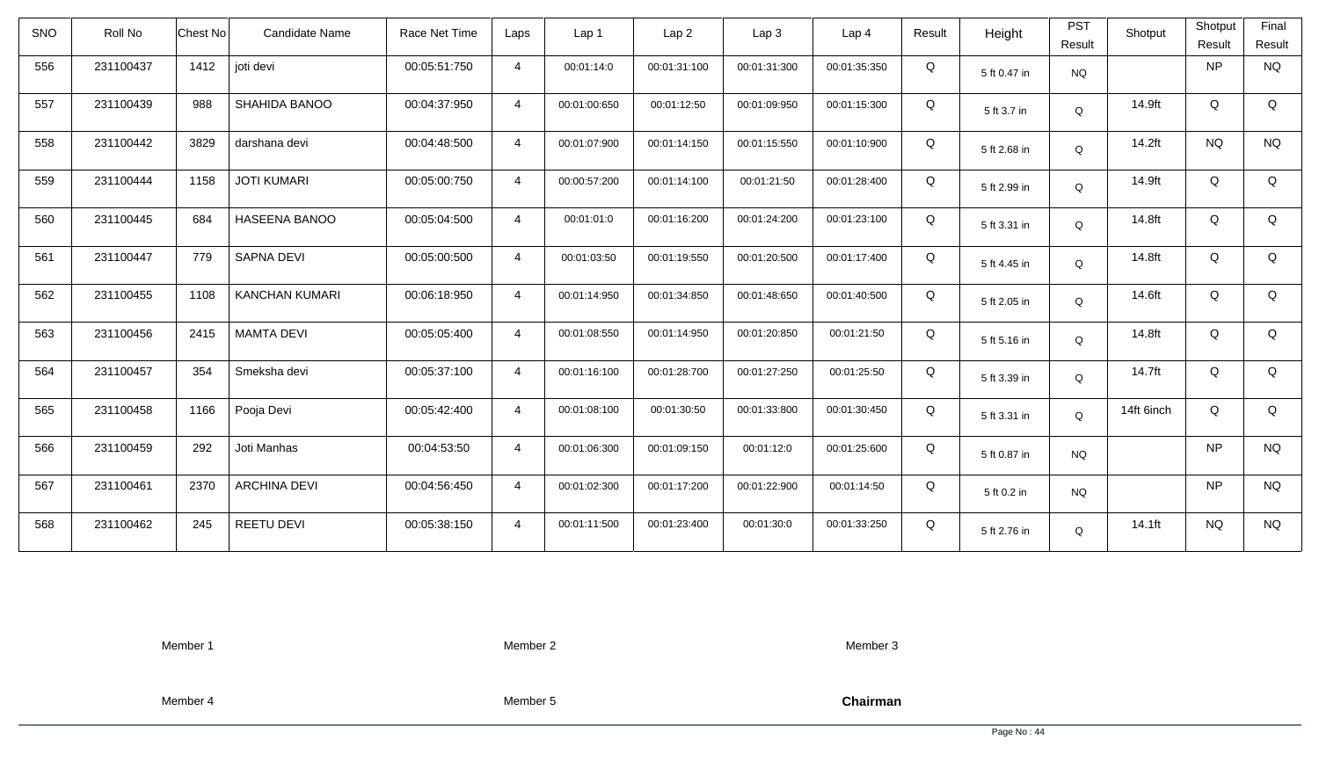| <b>SNO</b> | Roll No   | Chest No | Candidate Name        | Race Net Time | Laps           | Lap 1        | Lap <sub>2</sub> | Lap3         | Lap 4        | Result | Height       | <b>PST</b><br>Result | Shotput    | Shotput<br>Result | Final<br>Result |
|------------|-----------|----------|-----------------------|---------------|----------------|--------------|------------------|--------------|--------------|--------|--------------|----------------------|------------|-------------------|-----------------|
| 556        | 231100437 | 1412     | joti devi             | 00:05:51:750  | $\overline{4}$ | 00:01:14:0   | 00:01:31:100     | 00:01:31:300 | 00:01:35:350 | Q      | 5 ft 0.47 in | <b>NQ</b>            |            | <b>NP</b>         | <b>NQ</b>       |
| 557        | 231100439 | 988      | SHAHIDA BANOO         | 00:04:37:950  | $\overline{4}$ | 00:01:00:650 | 00:01:12:50      | 00:01:09:950 | 00:01:15:300 | Q      | 5 ft 3.7 in  | Q                    | 14.9ft     | Q                 | Q               |
| 558        | 231100442 | 3829     | darshana devi         | 00:04:48:500  | $\overline{4}$ | 00:01:07:900 | 00:01:14:150     | 00:01:15:550 | 00:01:10:900 | Q      | 5 ft 2.68 in | Q                    | 14.2ft     | <b>NQ</b>         | <b>NQ</b>       |
| 559        | 231100444 | 1158     | <b>JOTI KUMARI</b>    | 00:05:00:750  | $\overline{4}$ | 00:00:57:200 | 00:01:14:100     | 00:01:21:50  | 00:01:28:400 | Q      | 5 ft 2.99 in | Q                    | 14.9ft     | Q                 | Q               |
| 560        | 231100445 | 684      | HASEENA BANOO         | 00:05:04:500  | $\overline{4}$ | 00:01:01:0   | 00:01:16:200     | 00:01:24:200 | 00:01:23:100 | Q      | 5 ft 3.31 in | Q                    | 14.8ft     | Q                 | Q               |
| 561        | 231100447 | 779      | SAPNA DEVI            | 00:05:00:500  | $\overline{4}$ | 00:01:03:50  | 00:01:19:550     | 00:01:20:500 | 00:01:17:400 | Q      | 5 ft 4.45 in | $\mathsf Q$          | 14.8ft     | Q                 | Q               |
| 562        | 231100455 | 1108     | <b>KANCHAN KUMARI</b> | 00:06:18:950  | $\overline{4}$ | 00:01:14:950 | 00:01:34:850     | 00:01:48:650 | 00:01:40:500 | Q      | 5 ft 2.05 in | Q                    | 14.6ft     | Q                 | Q               |
| 563        | 231100456 | 2415     | <b>MAMTA DEVI</b>     | 00:05:05:400  | $\overline{4}$ | 00:01:08:550 | 00:01:14:950     | 00:01:20:850 | 00:01:21:50  | Q      | 5 ft 5.16 in | Q                    | 14.8ft     | Q                 | Q               |
| 564        | 231100457 | 354      | Smeksha devi          | 00:05:37:100  | $\overline{4}$ | 00:01:16:100 | 00:01:28:700     | 00:01:27:250 | 00:01:25:50  | Q      | 5 ft 3.39 in | $\mathsf Q$          | 14.7ft     | Q                 | Q               |
| 565        | 231100458 | 1166     | Pooja Devi            | 00:05:42:400  | $\overline{4}$ | 00:01:08:100 | 00:01:30:50      | 00:01:33:800 | 00:01:30:450 | Q      | 5 ft 3.31 in | Q                    | 14ft 6inch | Q                 | Q               |
| 566        | 231100459 | 292      | Joti Manhas           | 00:04:53:50   | $\overline{4}$ | 00:01:06:300 | 00:01:09:150     | 00:01:12:0   | 00:01:25:600 | Q      | 5 ft 0.87 in | <b>NQ</b>            |            | <b>NP</b>         | <b>NQ</b>       |
| 567        | 231100461 | 2370     | <b>ARCHINA DEVI</b>   | 00:04:56:450  | $\overline{4}$ | 00:01:02:300 | 00:01:17:200     | 00:01:22:900 | 00:01:14:50  | Q      | 5 ft 0.2 in  | <b>NQ</b>            |            | <b>NP</b>         | <b>NQ</b>       |
| 568        | 231100462 | 245      | <b>REETU DEVI</b>     | 00:05:38:150  | $\overline{4}$ | 00:01:11:500 | 00:01:23:400     | 00:01:30:0   | 00:01:33:250 | Q      | 5 ft 2.76 in | Q                    | 14.1ft     | <b>NQ</b>         | <b>NQ</b>       |

Member 2

Member 3

Member 4

Member 5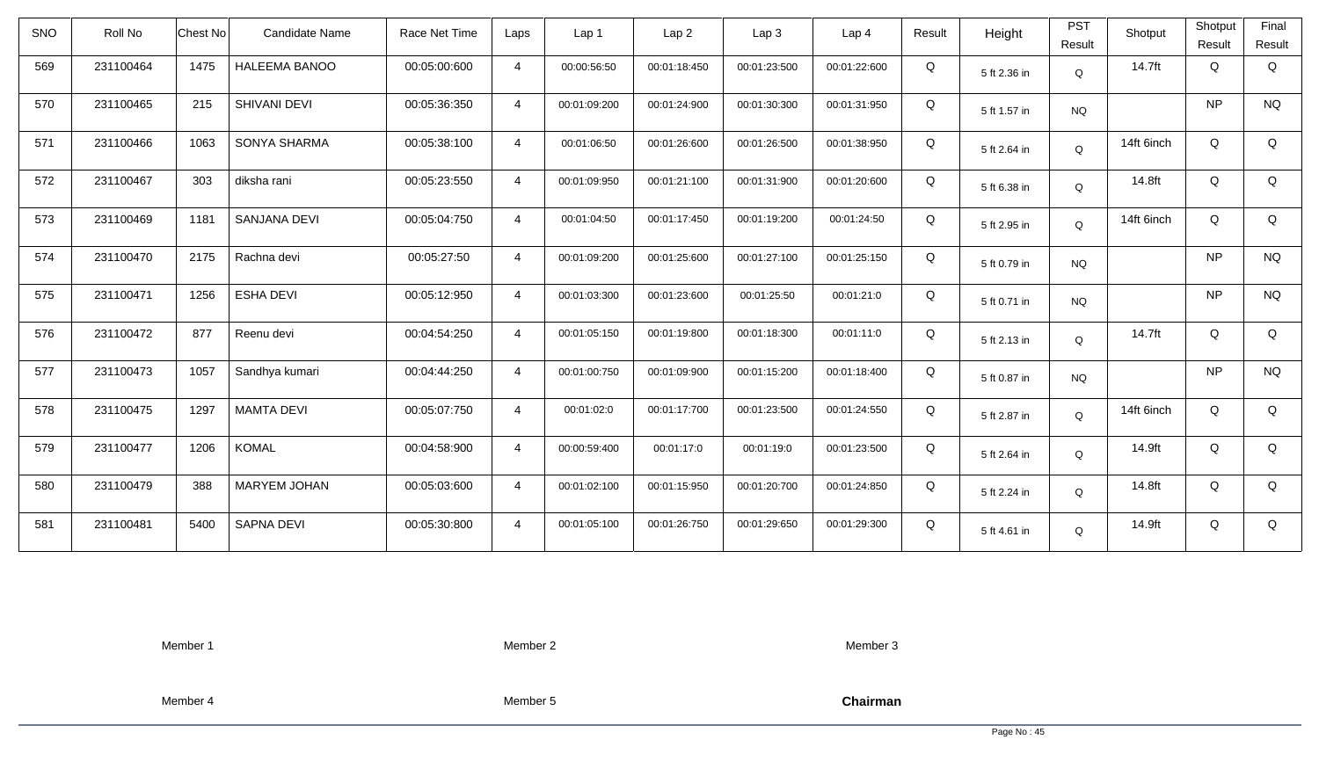| <b>SNO</b> | Roll No   | <b>Chest No</b> | Candidate Name      | Race Net Time | Laps           | Lap 1        | Lap <sub>2</sub> | Lap <sub>3</sub> | Lap <sub>4</sub> | Result | Height       | <b>PST</b><br>Result | Shotput    | Shotput<br>Result | Final<br>Result |
|------------|-----------|-----------------|---------------------|---------------|----------------|--------------|------------------|------------------|------------------|--------|--------------|----------------------|------------|-------------------|-----------------|
| 569        | 231100464 | 1475            | HALEEMA BANOO       | 00:05:00:600  | $\overline{4}$ | 00:00:56:50  | 00:01:18:450     | 00:01:23:500     | 00:01:22:600     | Q      | 5 ft 2.36 in | Q                    | 14.7ft     | Q                 | Q               |
| 570        | 231100465 | 215             | SHIVANI DEVI        | 00:05:36:350  | $\overline{4}$ | 00:01:09:200 | 00:01:24:900     | 00:01:30:300     | 00:01:31:950     | Q      | 5 ft 1.57 in | <b>NQ</b>            |            | <b>NP</b>         | <b>NQ</b>       |
| 571        | 231100466 | 1063            | SONYA SHARMA        | 00:05:38:100  | $\overline{4}$ | 00:01:06:50  | 00:01:26:600     | 00:01:26:500     | 00:01:38:950     | Q      | 5 ft 2.64 in | Q                    | 14ft 6inch | Q                 | Q               |
| 572        | 231100467 | 303             | diksha rani         | 00:05:23:550  | $\overline{4}$ | 00:01:09:950 | 00:01:21:100     | 00:01:31:900     | 00:01:20:600     | Q      | 5 ft 6.38 in | Q                    | 14.8ft     | Q                 | Q               |
| 573        | 231100469 | 1181            | SANJANA DEVI        | 00:05:04:750  | $\overline{4}$ | 00:01:04:50  | 00:01:17:450     | 00:01:19:200     | 00:01:24:50      | Q      | 5 ft 2.95 in | Q                    | 14ft 6inch | Q                 | Q               |
| 574        | 231100470 | 2175            | Rachna devi         | 00:05:27:50   | $\overline{4}$ | 00:01:09:200 | 00:01:25:600     | 00:01:27:100     | 00:01:25:150     | Q      | 5 ft 0.79 in | <b>NQ</b>            |            | <b>NP</b>         | <b>NQ</b>       |
| 575        | 231100471 | 1256            | <b>ESHA DEVI</b>    | 00:05:12:950  | $\overline{4}$ | 00:01:03:300 | 00:01:23:600     | 00:01:25:50      | 00:01:21:0       | Q      | 5 ft 0.71 in | <b>NQ</b>            |            | <b>NP</b>         | $\rm N\rm Q$    |
| 576        | 231100472 | 877             | Reenu devi          | 00:04:54:250  | $\overline{4}$ | 00:01:05:150 | 00:01:19:800     | 00:01:18:300     | 00:01:11:0       | Q      | 5 ft 2.13 in | Q                    | 14.7ft     | Q                 | Q               |
| 577        | 231100473 | 1057            | Sandhya kumari      | 00:04:44:250  | $\overline{4}$ | 00:01:00:750 | 00:01:09:900     | 00:01:15:200     | 00:01:18:400     | Q      | 5 ft 0.87 in | <b>NQ</b>            |            | <b>NP</b>         | <b>NQ</b>       |
| 578        | 231100475 | 1297            | <b>MAMTA DEVI</b>   | 00:05:07:750  | $\overline{4}$ | 00:01:02:0   | 00:01:17:700     | 00:01:23:500     | 00:01:24:550     | Q      | 5 ft 2.87 in | Q                    | 14ft 6inch | Q                 | Q               |
| 579        | 231100477 | 1206            | <b>KOMAL</b>        | 00:04:58:900  | $\overline{4}$ | 00:00:59:400 | 00:01:17:0       | 00:01:19:0       | 00:01:23:500     | Q      | 5 ft 2.64 in | Q                    | 14.9ft     | Q                 | Q               |
| 580        | 231100479 | 388             | <b>MARYEM JOHAN</b> | 00:05:03:600  | $\overline{4}$ | 00:01:02:100 | 00:01:15:950     | 00:01:20:700     | 00:01:24:850     | Q      | 5 ft 2.24 in | Q                    | 14.8ft     | Q                 | Q               |
| 581        | 231100481 | 5400            | SAPNA DEVI          | 00:05:30:800  | $\overline{4}$ | 00:01:05:100 | 00:01:26:750     | 00:01:29:650     | 00:01:29:300     | Q      | 5 ft 4.61 in | Q                    | 14.9ft     | Q                 | Q               |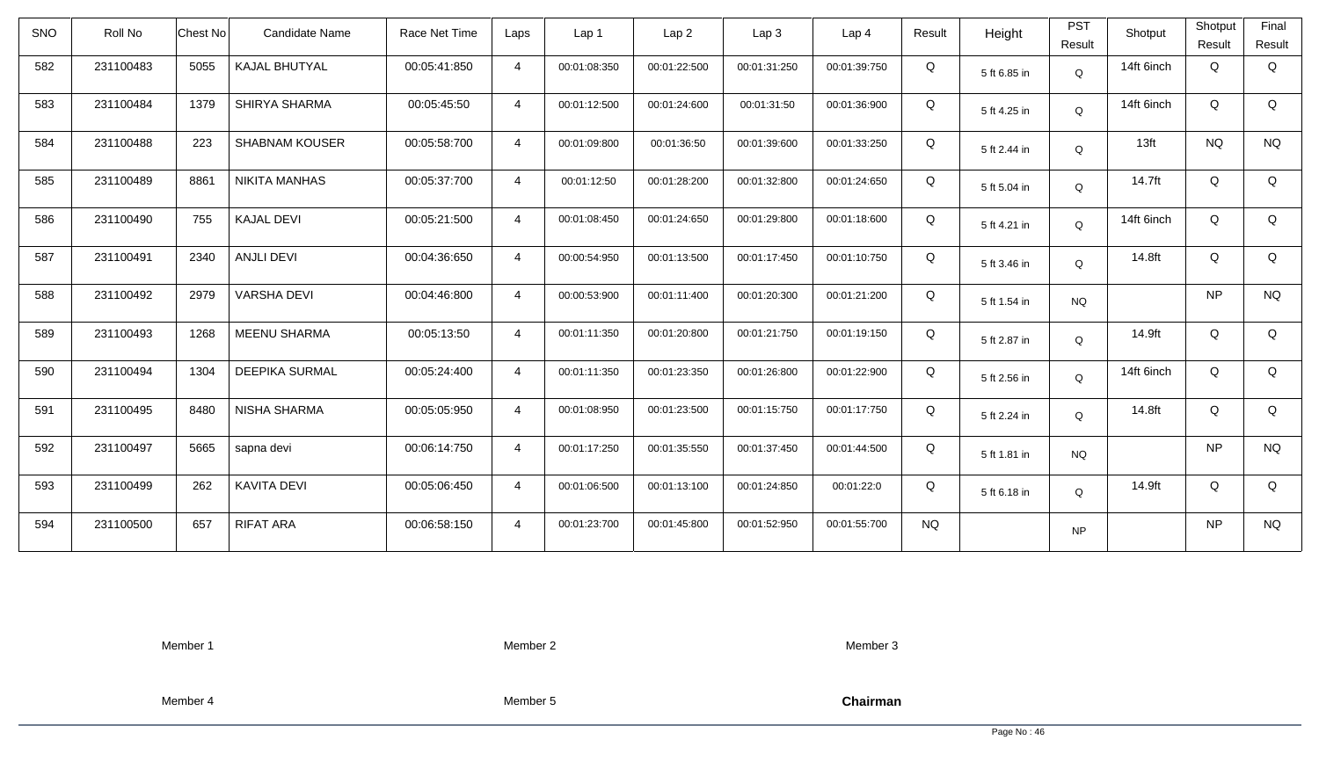| SNO | Roll No   | <b>Chest No</b> | <b>Candidate Name</b> | Race Net Time | Laps           | Lap <sub>1</sub> | Lap2         | Lap3         | Lap <sub>4</sub> | Result    | Height       | <b>PST</b>  | Shotput    | Shotput   | Final       |
|-----|-----------|-----------------|-----------------------|---------------|----------------|------------------|--------------|--------------|------------------|-----------|--------------|-------------|------------|-----------|-------------|
|     |           |                 |                       |               |                |                  |              |              |                  |           |              | Result      |            | Result    | Result      |
| 582 | 231100483 | 5055            | KAJAL BHUTYAL         | 00:05:41:850  | $\overline{4}$ | 00:01:08:350     | 00:01:22:500 | 00:01:31:250 | 00:01:39:750     | Q         | 5 ft 6.85 in | $\mathsf Q$ | 14ft 6inch | Q         | Q           |
| 583 | 231100484 | 1379            | SHIRYA SHARMA         | 00:05:45:50   | $\overline{4}$ | 00:01:12:500     | 00:01:24:600 | 00:01:31:50  | 00:01:36:900     | Q         | 5 ft 4.25 in | Q           | 14ft 6inch | Q         | $\mathsf Q$ |
| 584 | 231100488 | 223             | <b>SHABNAM KOUSER</b> | 00:05:58:700  | $\overline{4}$ | 00:01:09:800     | 00:01:36:50  | 00:01:39:600 | 00:01:33:250     | Q         | 5 ft 2.44 in | Q           | 13ft       | <b>NQ</b> | <b>NQ</b>   |
| 585 | 231100489 | 8861            | <b>NIKITA MANHAS</b>  | 00:05:37:700  | $\overline{4}$ | 00:01:12:50      | 00:01:28:200 | 00:01:32:800 | 00:01:24:650     | Q         | 5 ft 5.04 in | Q           | 14.7ft     | Q         | Q           |
| 586 | 231100490 | 755             | <b>KAJAL DEVI</b>     | 00:05:21:500  | $\overline{4}$ | 00:01:08:450     | 00:01:24:650 | 00:01:29:800 | 00:01:18:600     | Q         | 5 ft 4.21 in | Q           | 14ft 6inch | Q         | Q           |
| 587 | 231100491 | 2340            | <b>ANJLI DEVI</b>     | 00:04:36:650  | $\overline{4}$ | 00:00:54:950     | 00:01:13:500 | 00:01:17:450 | 00:01:10:750     | Q         | 5 ft 3.46 in | Q           | 14.8ft     | Q         | Q           |
| 588 | 231100492 | 2979            | <b>VARSHA DEVI</b>    | 00:04:46:800  | $\overline{4}$ | 00:00:53:900     | 00:01:11:400 | 00:01:20:300 | 00:01:21:200     | Q         | 5 ft 1.54 in | NQ          |            | <b>NP</b> | <b>NQ</b>   |
| 589 | 231100493 | 1268            | <b>MEENU SHARMA</b>   | 00:05:13:50   | 4              | 00:01:11:350     | 00:01:20:800 | 00:01:21:750 | 00:01:19:150     | Q         | 5 ft 2.87 in | Q           | 14.9ft     | Q         | Q           |
| 590 | 231100494 | 1304            | <b>DEEPIKA SURMAL</b> | 00:05:24:400  | $\overline{4}$ | 00:01:11:350     | 00:01:23:350 | 00:01:26:800 | 00:01:22:900     | Q         | 5 ft 2.56 in | Q           | 14ft 6inch | Q         | Q           |
| 591 | 231100495 | 8480            | NISHA SHARMA          | 00:05:05:950  | $\overline{4}$ | 00:01:08:950     | 00:01:23:500 | 00:01:15:750 | 00:01:17:750     | Q         | 5 ft 2.24 in | Q           | 14.8ft     | Q         | Q           |
| 592 | 231100497 | 5665            | sapna devi            | 00:06:14:750  | $\overline{4}$ | 00:01:17:250     | 00:01:35:550 | 00:01:37:450 | 00:01:44:500     | Q         | 5 ft 1.81 in | <b>NQ</b>   |            | <b>NP</b> | <b>NQ</b>   |
| 593 | 231100499 | 262             | <b>KAVITA DEVI</b>    | 00:05:06:450  | $\overline{4}$ | 00:01:06:500     | 00:01:13:100 | 00:01:24:850 | 00:01:22:0       | Q         | 5 ft 6.18 in | Q           | 14.9ft     | Q         | Q           |
| 594 | 231100500 | 657             | <b>RIFAT ARA</b>      | 00:06:58:150  | $\overline{4}$ | 00:01:23:700     | 00:01:45:800 | 00:01:52:950 | 00:01:55:700     | <b>NQ</b> |              | <b>NP</b>   |            | <b>NP</b> | <b>NQ</b>   |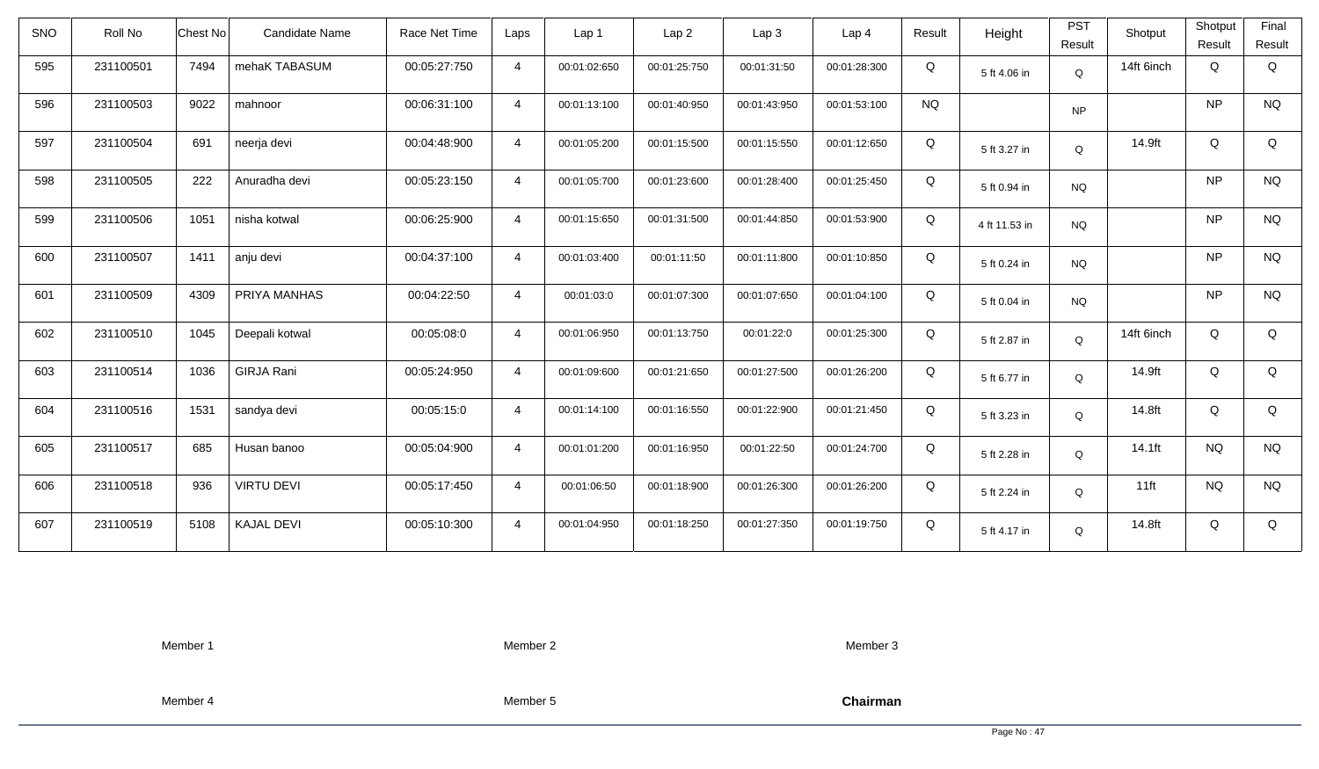| <b>SNO</b> | Roll No   | Chest No | Candidate Name    | Race Net Time | Laps           | Lap 1        | Lap <sub>2</sub> | Lap3         | Lap <sub>4</sub> | Result    | Height        | <b>PST</b><br>Result | Shotput    | Shotput<br>Result | Final<br>Result |
|------------|-----------|----------|-------------------|---------------|----------------|--------------|------------------|--------------|------------------|-----------|---------------|----------------------|------------|-------------------|-----------------|
| 595        | 231100501 | 7494     | mehaK TABASUM     | 00:05:27:750  | $\overline{4}$ | 00:01:02:650 | 00:01:25:750     | 00:01:31:50  | 00:01:28:300     | Q         | 5 ft 4.06 in  | Q                    | 14ft 6inch | Q                 | Q               |
| 596        | 231100503 | 9022     | mahnoor           | 00:06:31:100  | $\overline{4}$ | 00:01:13:100 | 00:01:40:950     | 00:01:43:950 | 00:01:53:100     | <b>NQ</b> |               | <b>NP</b>            |            | <b>NP</b>         | <b>NQ</b>       |
| 597        | 231100504 | 691      | neerja devi       | 00:04:48:900  | $\overline{4}$ | 00:01:05:200 | 00:01:15:500     | 00:01:15:550 | 00:01:12:650     | Q         | 5 ft 3.27 in  | Q                    | 14.9ft     | Q                 | Q               |
| 598        | 231100505 | 222      | Anuradha devi     | 00:05:23:150  | $\overline{4}$ | 00:01:05:700 | 00:01:23:600     | 00:01:28:400 | 00:01:25:450     | Q         | 5 ft 0.94 in  | <b>NQ</b>            |            | <b>NP</b>         | <b>NQ</b>       |
| 599        | 231100506 | 1051     | nisha kotwal      | 00:06:25:900  | $\overline{4}$ | 00:01:15:650 | 00:01:31:500     | 00:01:44:850 | 00:01:53:900     | Q         | 4 ft 11.53 in | <b>NQ</b>            |            | <b>NP</b>         | <b>NQ</b>       |
| 600        | 231100507 | 1411     | anju devi         | 00:04:37:100  | $\overline{4}$ | 00:01:03:400 | 00:01:11:50      | 00:01:11:800 | 00:01:10:850     | Q         | 5 ft 0.24 in  | <b>NQ</b>            |            | <b>NP</b>         | <b>NQ</b>       |
| 601        | 231100509 | 4309     | PRIYA MANHAS      | 00:04:22:50   | $\overline{4}$ | 00:01:03:0   | 00:01:07:300     | 00:01:07:650 | 00:01:04:100     | Q         | 5 ft 0.04 in  | <b>NQ</b>            |            | <b>NP</b>         | <b>NQ</b>       |
| 602        | 231100510 | 1045     | Deepali kotwal    | 00:05:08:0    | $\overline{4}$ | 00:01:06:950 | 00:01:13:750     | 00:01:22:0   | 00:01:25:300     | Q         | 5 ft 2.87 in  | Q                    | 14ft 6inch | Q                 | Q               |
| 603        | 231100514 | 1036     | <b>GIRJA Rani</b> | 00:05:24:950  | $\overline{4}$ | 00:01:09:600 | 00:01:21:650     | 00:01:27:500 | 00:01:26:200     | Q         | 5 ft 6.77 in  | $\mathsf Q$          | 14.9ft     | Q                 | Q               |
| 604        | 231100516 | 1531     | sandya devi       | 00:05:15:0    | $\overline{4}$ | 00:01:14:100 | 00:01:16:550     | 00:01:22:900 | 00:01:21:450     | Q         | 5 ft 3.23 in  | Q                    | 14.8ft     | Q                 | Q               |
| 605        | 231100517 | 685      | Husan banoo       | 00:05:04:900  | $\overline{4}$ | 00:01:01:200 | 00:01:16:950     | 00:01:22:50  | 00:01:24:700     | Q         | 5 ft 2.28 in  | Q                    | 14.1ft     | <b>NQ</b>         | <b>NQ</b>       |
| 606        | 231100518 | 936      | <b>VIRTU DEVI</b> | 00:05:17:450  | $\overline{4}$ | 00:01:06:50  | 00:01:18:900     | 00:01:26:300 | 00:01:26:200     | Q         | 5 ft 2.24 in  | Q                    | $11$ ft    | <b>NQ</b>         | <b>NQ</b>       |
| 607        | 231100519 | 5108     | <b>KAJAL DEVI</b> | 00:05:10:300  | $\overline{4}$ | 00:01:04:950 | 00:01:18:250     | 00:01:27:350 | 00:01:19:750     | Q         | 5 ft 4.17 in  | Q                    | 14.8ft     | Q                 | Q               |

Member 2

Member 3

Member 4

Member 5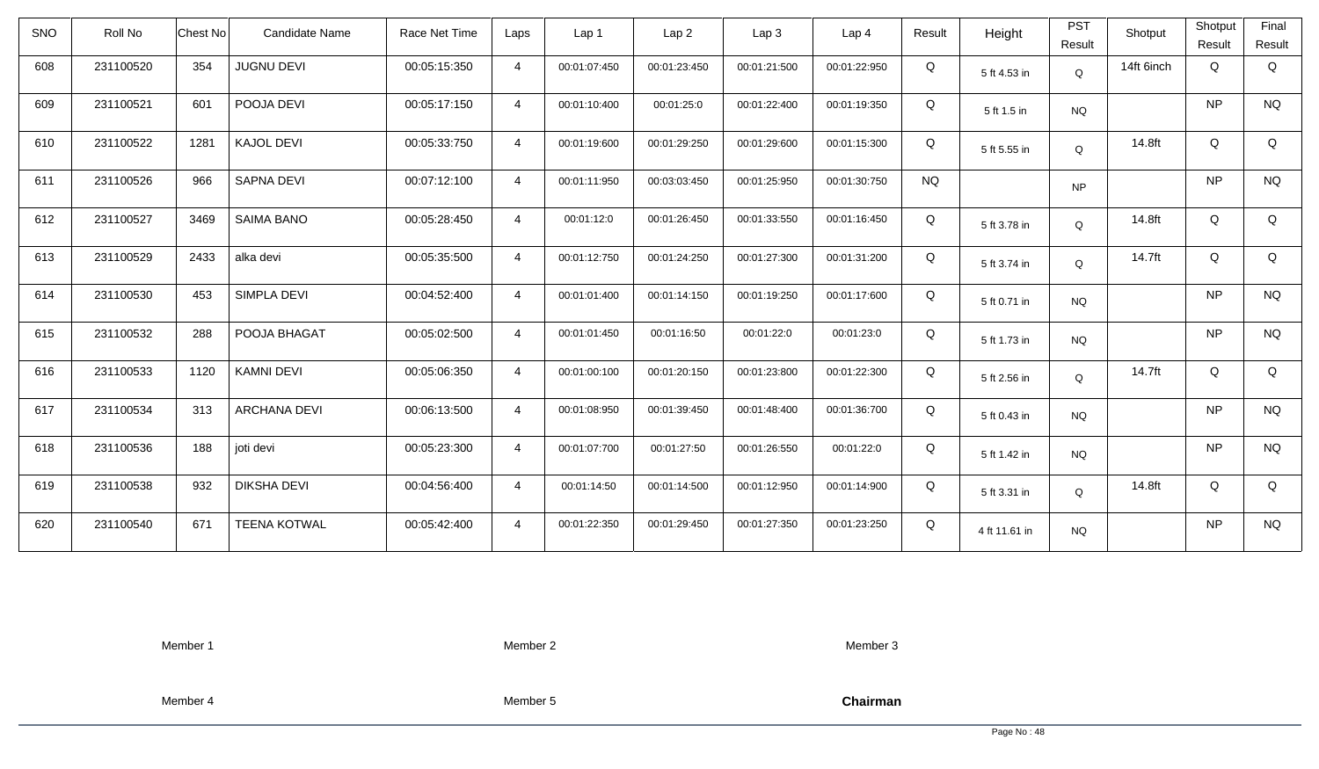| <b>SNO</b> | Roll No   | Chest No | Candidate Name      | Race Net Time | Laps           | Lap 1        | Lap <sub>2</sub> | Lap3         | Lap 4        | Result    | Height        | <b>PST</b><br>Result | Shotput    | Shotput<br>Result | Final<br>Result |
|------------|-----------|----------|---------------------|---------------|----------------|--------------|------------------|--------------|--------------|-----------|---------------|----------------------|------------|-------------------|-----------------|
| 608        | 231100520 | 354      | <b>JUGNU DEVI</b>   | 00:05:15:350  | $\overline{4}$ | 00:01:07:450 | 00:01:23:450     | 00:01:21:500 | 00:01:22:950 | Q         | 5 ft 4.53 in  | Q                    | 14ft 6inch | Q                 | Q               |
| 609        | 231100521 | 601      | POOJA DEVI          | 00:05:17:150  | $\overline{4}$ | 00:01:10:400 | 00:01:25:0       | 00:01:22:400 | 00:01:19:350 | Q         | 5 ft 1.5 in   | <b>NQ</b>            |            | <b>NP</b>         | <b>NQ</b>       |
| 610        | 231100522 | 1281     | <b>KAJOL DEVI</b>   | 00:05:33:750  | $\overline{4}$ | 00:01:19:600 | 00:01:29:250     | 00:01:29:600 | 00:01:15:300 | Q         | 5 ft 5.55 in  | Q                    | 14.8ft     | Q                 | Q               |
| 611        | 231100526 | 966      | SAPNA DEVI          | 00:07:12:100  | $\overline{4}$ | 00:01:11:950 | 00:03:03:450     | 00:01:25:950 | 00:01:30:750 | <b>NQ</b> |               | <b>NP</b>            |            | <b>NP</b>         | <b>NQ</b>       |
| 612        | 231100527 | 3469     | <b>SAIMA BANO</b>   | 00:05:28:450  | $\overline{4}$ | 00:01:12:0   | 00:01:26:450     | 00:01:33:550 | 00:01:16:450 | Q         | 5 ft 3.78 in  | Q                    | 14.8ft     | Q                 | Q               |
| 613        | 231100529 | 2433     | alka devi           | 00:05:35:500  | $\overline{4}$ | 00:01:12:750 | 00:01:24:250     | 00:01:27:300 | 00:01:31:200 | Q         | 5 ft 3.74 in  | $\mathsf Q$          | 14.7ft     | Q                 | Q               |
| 614        | 231100530 | 453      | SIMPLA DEVI         | 00:04:52:400  | $\overline{4}$ | 00:01:01:400 | 00:01:14:150     | 00:01:19:250 | 00:01:17:600 | Q         | 5 ft 0.71 in  | <b>NQ</b>            |            | <b>NP</b>         | <b>NQ</b>       |
| 615        | 231100532 | 288      | POOJA BHAGAT        | 00:05:02:500  | $\overline{4}$ | 00:01:01:450 | 00:01:16:50      | 00:01:22:0   | 00:01:23:0   | Q         | 5 ft 1.73 in  | NQ                   |            | <b>NP</b>         | <b>NQ</b>       |
| 616        | 231100533 | 1120     | <b>KAMNI DEVI</b>   | 00:05:06:350  | $\overline{4}$ | 00:01:00:100 | 00:01:20:150     | 00:01:23:800 | 00:01:22:300 | Q         | 5 ft 2.56 in  | $\mathsf Q$          | 14.7ft     | Q                 | Q               |
| 617        | 231100534 | 313      | <b>ARCHANA DEVI</b> | 00:06:13:500  | $\overline{4}$ | 00:01:08:950 | 00:01:39:450     | 00:01:48:400 | 00:01:36:700 | Q         | 5 ft 0.43 in  | NQ                   |            | <b>NP</b>         | <b>NQ</b>       |
| 618        | 231100536 | 188      | joti devi           | 00:05:23:300  | $\overline{4}$ | 00:01:07:700 | 00:01:27:50      | 00:01:26:550 | 00:01:22:0   | Q         | 5 ft 1.42 in  | <b>NQ</b>            |            | <b>NP</b>         | <b>NQ</b>       |
| 619        | 231100538 | 932      | <b>DIKSHA DEVI</b>  | 00:04:56:400  | $\overline{4}$ | 00:01:14:50  | 00:01:14:500     | 00:01:12:950 | 00:01:14:900 | Q         | 5 ft 3.31 in  | Q                    | 14.8ft     | Q                 | Q               |
| 620        | 231100540 | 671      | <b>TEENA KOTWAL</b> | 00:05:42:400  | $\overline{4}$ | 00:01:22:350 | 00:01:29:450     | 00:01:27:350 | 00:01:23:250 | Q         | 4 ft 11.61 in | <b>NQ</b>            |            | <b>NP</b>         | <b>NQ</b>       |

Member 2

Member 3

Member 4

Member 5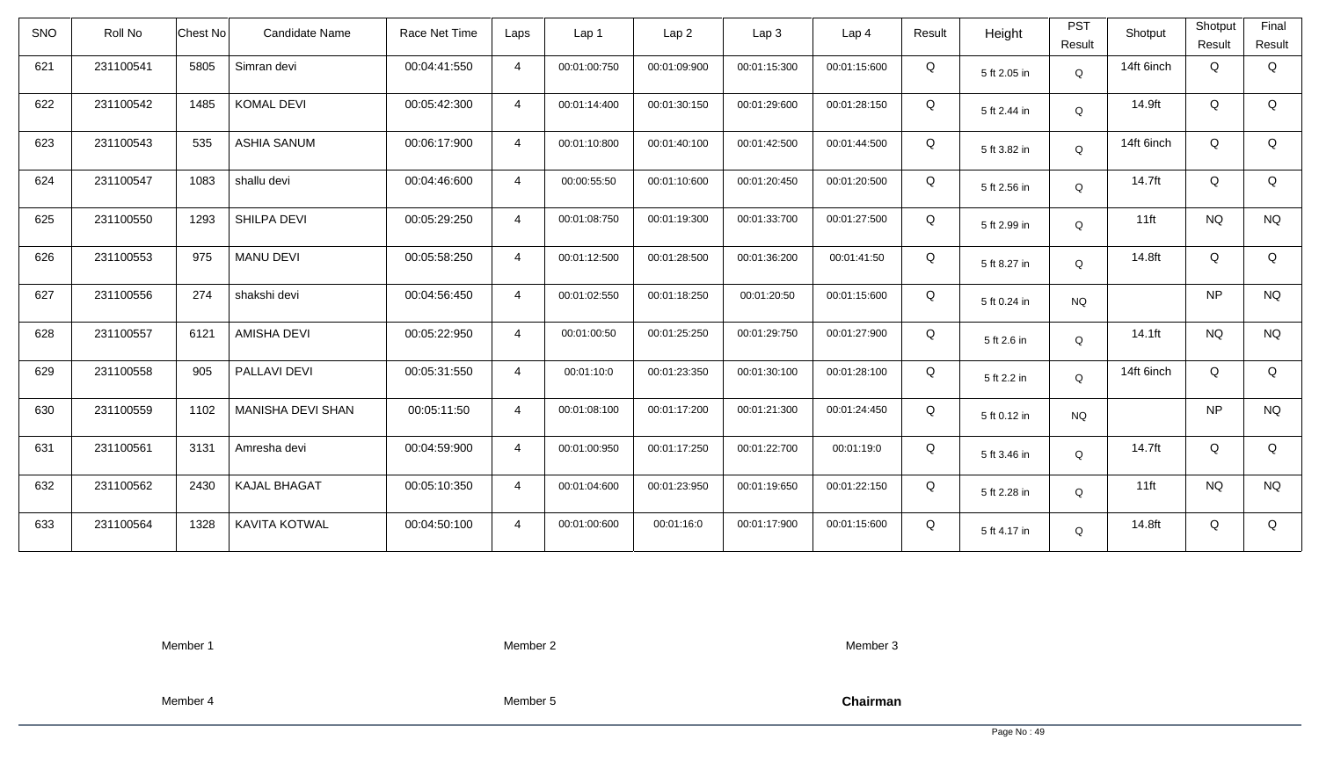| <b>SNO</b> | Roll No   | <b>Chest No</b> | Candidate Name       | Race Net Time | Laps           | Lap <sub>1</sub> | Lap <sub>2</sub> | Lap <sub>3</sub> | Lap <sub>4</sub> | Result | Height       | <b>PST</b><br>Result | Shotput    | Shotput<br>Result | Final<br>Result |
|------------|-----------|-----------------|----------------------|---------------|----------------|------------------|------------------|------------------|------------------|--------|--------------|----------------------|------------|-------------------|-----------------|
| 621        | 231100541 | 5805            | Simran devi          | 00:04:41:550  | $\overline{4}$ | 00:01:00:750     | 00:01:09:900     | 00:01:15:300     | 00:01:15:600     | Q      | 5 ft 2.05 in | Q                    | 14ft 6inch | Q                 | Q               |
| 622        | 231100542 | 1485            | <b>KOMAL DEVI</b>    | 00:05:42:300  | $\overline{4}$ | 00:01:14:400     | 00:01:30:150     | 00:01:29:600     | 00:01:28:150     | Q      | 5 ft 2.44 in | Q                    | 14.9ft     | Q                 | Q               |
| 623        | 231100543 | 535             | <b>ASHIA SANUM</b>   | 00:06:17:900  | $\overline{4}$ | 00:01:10:800     | 00:01:40:100     | 00:01:42:500     | 00:01:44:500     | Q      | 5 ft 3.82 in | Q                    | 14ft 6inch | Q                 | Q               |
| 624        | 231100547 | 1083            | shallu devi          | 00:04:46:600  | $\overline{4}$ | 00:00:55:50      | 00:01:10:600     | 00:01:20:450     | 00:01:20:500     | Q      | 5 ft 2.56 in | Q                    | 14.7ft     | Q                 | Q               |
| 625        | 231100550 | 1293            | SHILPA DEVI          | 00:05:29:250  | $\overline{4}$ | 00:01:08:750     | 00:01:19:300     | 00:01:33:700     | 00:01:27:500     | Q      | 5 ft 2.99 in | Q                    | $11$ ft    | <b>NQ</b>         | <b>NQ</b>       |
| 626        | 231100553 | 975             | <b>MANU DEVI</b>     | 00:05:58:250  | $\overline{4}$ | 00:01:12:500     | 00:01:28:500     | 00:01:36:200     | 00:01:41:50      | Q      | 5 ft 8.27 in | Q                    | 14.8ft     | Q                 | Q               |
| 627        | 231100556 | 274             | shakshi devi         | 00:04:56:450  | $\overline{4}$ | 00:01:02:550     | 00:01:18:250     | 00:01:20:50      | 00:01:15:600     | Q      | 5 ft 0.24 in | <b>NQ</b>            |            | <b>NP</b>         | $\rm N\rm Q$    |
| 628        | 231100557 | 6121            | <b>AMISHA DEVI</b>   | 00:05:22:950  | $\overline{4}$ | 00:01:00:50      | 00:01:25:250     | 00:01:29:750     | 00:01:27:900     | Q      | 5 ft 2.6 in  | Q                    | 14.1ft     | <b>NQ</b>         | <b>NQ</b>       |
| 629        | 231100558 | 905             | PALLAVI DEVI         | 00:05:31:550  | $\overline{4}$ | 00:01:10:0       | 00:01:23:350     | 00:01:30:100     | 00:01:28:100     | Q      | 5 ft 2.2 in  | Q                    | 14ft 6inch | Q                 | Q               |
| 630        | 231100559 | 1102            | MANISHA DEVI SHAN    | 00:05:11:50   | $\overline{4}$ | 00:01:08:100     | 00:01:17:200     | 00:01:21:300     | 00:01:24:450     | Q      | 5 ft 0.12 in | <b>NQ</b>            |            | <b>NP</b>         | <b>NQ</b>       |
| 631        | 231100561 | 3131            | Amresha devi         | 00:04:59:900  | $\overline{4}$ | 00:01:00:950     | 00:01:17:250     | 00:01:22:700     | 00:01:19:0       | Q      | 5 ft 3.46 in | Q                    | 14.7ft     | Q                 | Q               |
| 632        | 231100562 | 2430            | <b>KAJAL BHAGAT</b>  | 00:05:10:350  | $\overline{4}$ | 00:01:04:600     | 00:01:23:950     | 00:01:19:650     | 00:01:22:150     | Q      | 5 ft 2.28 in | Q                    | $11$ ft    | <b>NQ</b>         | <b>NQ</b>       |
| 633        | 231100564 | 1328            | <b>KAVITA KOTWAL</b> | 00:04:50:100  | $\overline{4}$ | 00:01:00:600     | 00:01:16:0       | 00:01:17:900     | 00:01:15:600     | Q      | 5 ft 4.17 in | Q                    | 14.8ft     | Q                 | Q               |

Member 2

Member 3

Member 4

Member 5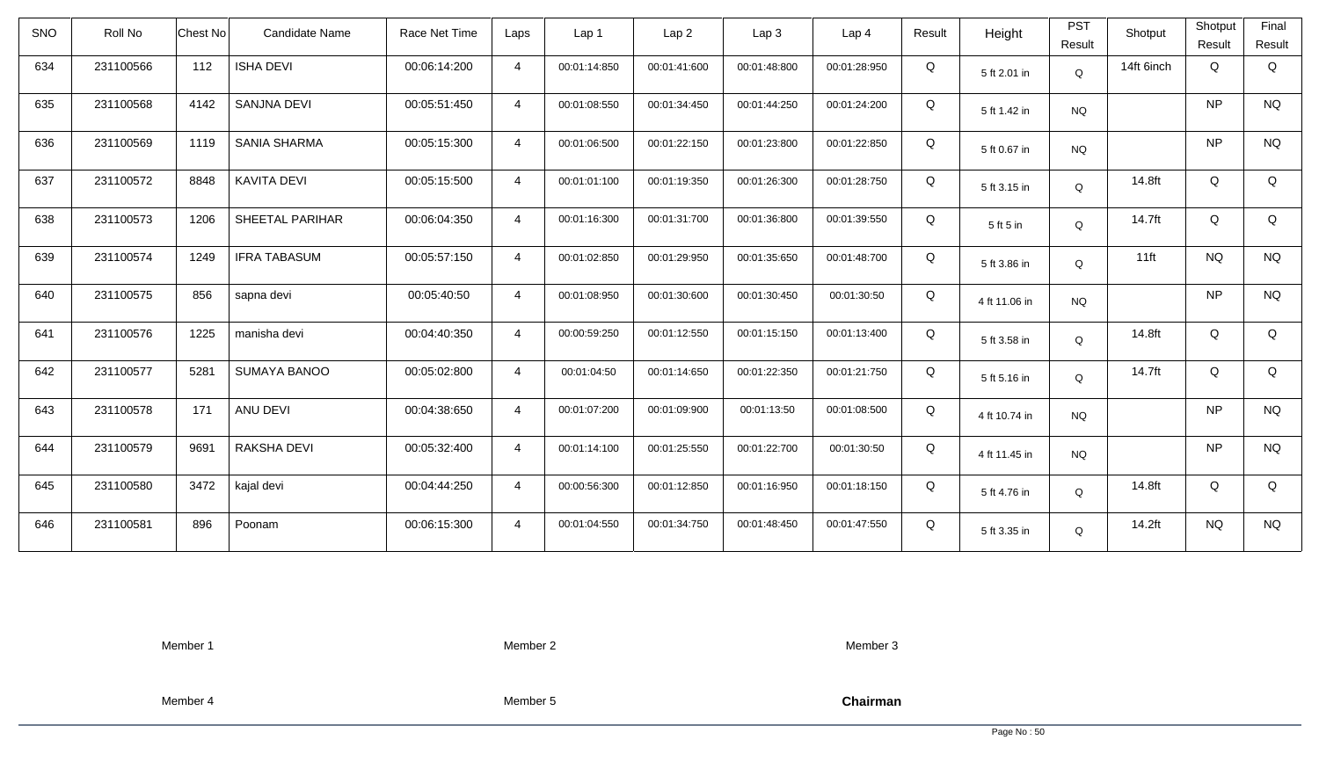| <b>SNO</b> | Roll No   | <b>Chest No</b> | <b>Candidate Name</b> | Race Net Time | Laps           | Lap 1        | Lap <sub>2</sub> | Lap3         | Lap 4        | Result | Height        | <b>PST</b><br>Result | Shotput    | Shotput<br>Result | Final<br>Result |
|------------|-----------|-----------------|-----------------------|---------------|----------------|--------------|------------------|--------------|--------------|--------|---------------|----------------------|------------|-------------------|-----------------|
| 634        | 231100566 | 112             | <b>ISHA DEVI</b>      | 00:06:14:200  | $\overline{4}$ | 00:01:14:850 | 00:01:41:600     | 00:01:48:800 | 00:01:28:950 | Q      | 5 ft 2.01 in  | Q                    | 14ft 6inch | Q                 | Q               |
| 635        | 231100568 | 4142            | <b>SANJNA DEVI</b>    | 00:05:51:450  | $\overline{4}$ | 00:01:08:550 | 00:01:34:450     | 00:01:44:250 | 00:01:24:200 | Q      | 5 ft 1.42 in  | <b>NQ</b>            |            | <b>NP</b>         | <b>NQ</b>       |
| 636        | 231100569 | 1119            | <b>SANIA SHARMA</b>   | 00:05:15:300  | $\overline{4}$ | 00:01:06:500 | 00:01:22:150     | 00:01:23:800 | 00:01:22:850 | Q      | 5 ft 0.67 in  | <b>NQ</b>            |            | <b>NP</b>         | <b>NQ</b>       |
| 637        | 231100572 | 8848            | <b>KAVITA DEVI</b>    | 00:05:15:500  | $\overline{4}$ | 00:01:01:100 | 00:01:19:350     | 00:01:26:300 | 00:01:28:750 | Q      | 5 ft 3.15 in  | Q                    | 14.8ft     | Q                 | Q               |
| 638        | 231100573 | 1206            | SHEETAL PARIHAR       | 00:06:04:350  | $\overline{4}$ | 00:01:16:300 | 00:01:31:700     | 00:01:36:800 | 00:01:39:550 | Q      | 5 ft 5 in     | Q                    | 14.7ft     | Q                 | Q               |
| 639        | 231100574 | 1249            | <b>IFRA TABASUM</b>   | 00:05:57:150  | $\overline{4}$ | 00:01:02:850 | 00:01:29:950     | 00:01:35:650 | 00:01:48:700 | Q      | 5 ft 3.86 in  | Q                    | $11$ ft    | <b>NQ</b>         | <b>NQ</b>       |
| 640        | 231100575 | 856             | sapna devi            | 00:05:40:50   | $\overline{4}$ | 00:01:08:950 | 00:01:30:600     | 00:01:30:450 | 00:01:30:50  | Q      | 4 ft 11.06 in | <b>NQ</b>            |            | <b>NP</b>         | <b>NQ</b>       |
| 641        | 231100576 | 1225            | manisha devi          | 00:04:40:350  | $\overline{4}$ | 00:00:59:250 | 00:01:12:550     | 00:01:15:150 | 00:01:13:400 | Q      | 5 ft 3.58 in  | Q                    | 14.8ft     | Q                 | Q               |
| 642        | 231100577 | 5281            | <b>SUMAYA BANOO</b>   | 00:05:02:800  | $\overline{4}$ | 00:01:04:50  | 00:01:14:650     | 00:01:22:350 | 00:01:21:750 | Q      | 5 ft 5.16 in  | $\mathsf Q$          | 14.7ft     | Q                 | Q               |
| 643        | 231100578 | 171             | ANU DEVI              | 00:04:38:650  | $\overline{4}$ | 00:01:07:200 | 00:01:09:900     | 00:01:13:50  | 00:01:08:500 | Q      | 4 ft 10.74 in | <b>NQ</b>            |            | <b>NP</b>         | <b>NQ</b>       |
| 644        | 231100579 | 9691            | RAKSHA DEVI           | 00:05:32:400  | $\overline{4}$ | 00:01:14:100 | 00:01:25:550     | 00:01:22:700 | 00:01:30:50  | Q      | 4 ft 11.45 in | <b>NQ</b>            |            | <b>NP</b>         | <b>NQ</b>       |
| 645        | 231100580 | 3472            | kajal devi            | 00:04:44:250  | $\overline{4}$ | 00:00:56:300 | 00:01:12:850     | 00:01:16:950 | 00:01:18:150 | Q      | 5 ft 4.76 in  | Q                    | 14.8ft     | Q                 | Q               |
| 646        | 231100581 | 896             | Poonam                | 00:06:15:300  | $\overline{4}$ | 00:01:04:550 | 00:01:34:750     | 00:01:48:450 | 00:01:47:550 | Q      | 5 ft 3.35 in  | Q                    | 14.2ft     | <b>NQ</b>         | <b>NQ</b>       |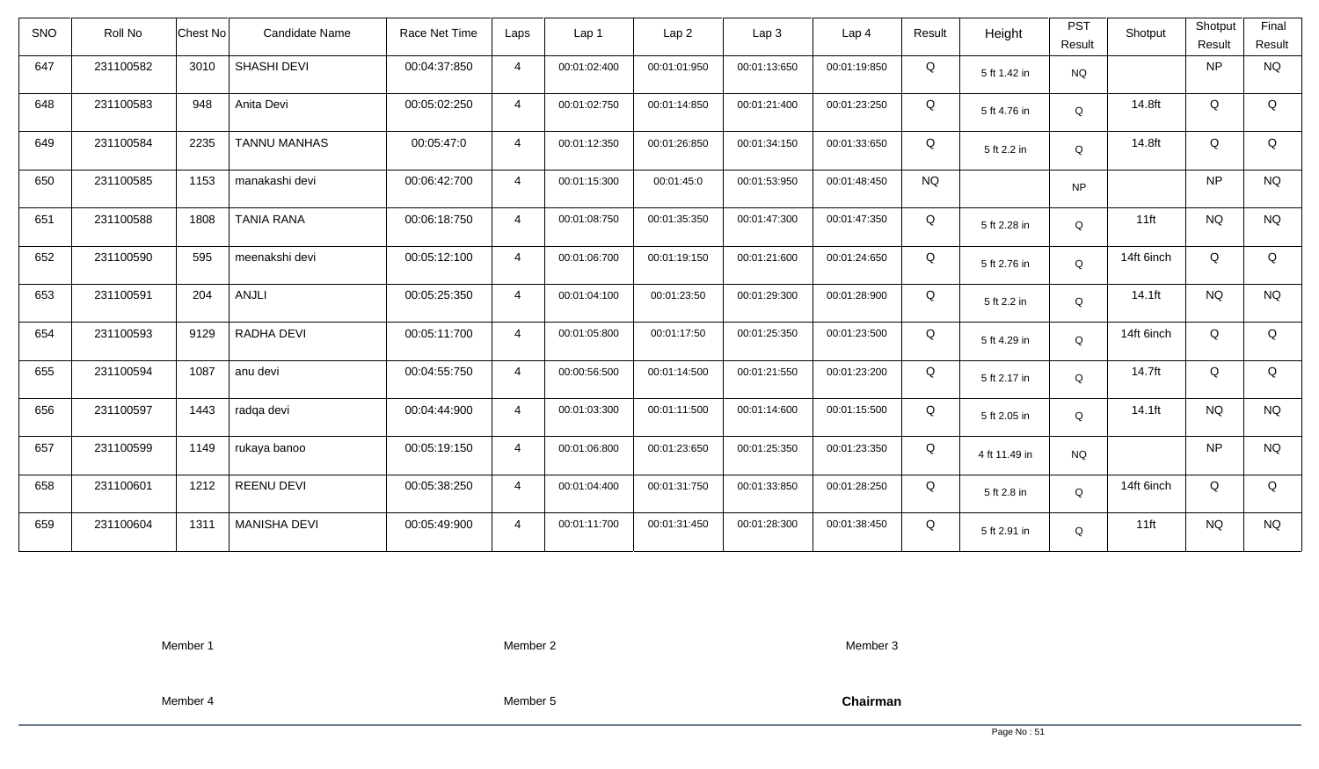| <b>SNO</b> | Roll No   | Chest No | Candidate Name      | Race Net Time | Laps           | Lap 1        | Lap <sub>2</sub> | Lap3         | Lap 4        | Result    | Height        | <b>PST</b><br>Result | Shotput    | Shotput<br>Result | Final<br>Result |
|------------|-----------|----------|---------------------|---------------|----------------|--------------|------------------|--------------|--------------|-----------|---------------|----------------------|------------|-------------------|-----------------|
| 647        | 231100582 | 3010     | SHASHI DEVI         | 00:04:37:850  | $\overline{4}$ | 00:01:02:400 | 00:01:01:950     | 00:01:13:650 | 00:01:19:850 | Q         | 5 ft 1.42 in  | <b>NQ</b>            |            | <b>NP</b>         | <b>NQ</b>       |
| 648        | 231100583 | 948      | Anita Devi          | 00:05:02:250  | $\overline{4}$ | 00:01:02:750 | 00:01:14:850     | 00:01:21:400 | 00:01:23:250 | Q         | 5 ft 4.76 in  | $\mathsf Q$          | 14.8ft     | Q                 | Q               |
| 649        | 231100584 | 2235     | <b>TANNU MANHAS</b> | 00:05:47:0    | $\overline{4}$ | 00:01:12:350 | 00:01:26:850     | 00:01:34:150 | 00:01:33:650 | Q         | 5 ft 2.2 in   | Q                    | 14.8ft     | Q                 | Q               |
| 650        | 231100585 | 1153     | manakashi devi      | 00:06:42:700  | $\overline{4}$ | 00:01:15:300 | 00:01:45:0       | 00:01:53:950 | 00:01:48:450 | <b>NQ</b> |               | <b>NP</b>            |            | <b>NP</b>         | <b>NQ</b>       |
| 651        | 231100588 | 1808     | <b>TANIA RANA</b>   | 00:06:18:750  | $\overline{4}$ | 00:01:08:750 | 00:01:35:350     | 00:01:47:300 | 00:01:47:350 | Q         | 5 ft 2.28 in  | Q                    | $11$ ft    | <b>NQ</b>         | <b>NQ</b>       |
| 652        | 231100590 | 595      | meenakshi devi      | 00:05:12:100  | $\overline{4}$ | 00:01:06:700 | 00:01:19:150     | 00:01:21:600 | 00:01:24:650 | Q         | 5 ft 2.76 in  | $\mathsf Q$          | 14ft 6inch | Q                 | Q               |
| 653        | 231100591 | 204      | ANJLI               | 00:05:25:350  | $\overline{4}$ | 00:01:04:100 | 00:01:23:50      | 00:01:29:300 | 00:01:28:900 | Q         | 5 ft 2.2 in   | Q                    | 14.1ft     | <b>NQ</b>         | <b>NQ</b>       |
| 654        | 231100593 | 9129     | RADHA DEVI          | 00:05:11:700  | $\overline{4}$ | 00:01:05:800 | 00:01:17:50      | 00:01:25:350 | 00:01:23:500 | Q         | 5 ft 4.29 in  | Q                    | 14ft 6inch | Q                 | Q               |
| 655        | 231100594 | 1087     | anu devi            | 00:04:55:750  | $\overline{4}$ | 00:00:56:500 | 00:01:14:500     | 00:01:21:550 | 00:01:23:200 | Q         | 5 ft 2.17 in  | $\mathsf Q$          | 14.7ft     | Q                 | Q               |
| 656        | 231100597 | 1443     | radqa devi          | 00:04:44:900  | $\overline{4}$ | 00:01:03:300 | 00:01:11:500     | 00:01:14:600 | 00:01:15:500 | Q         | 5 ft 2.05 in  | $\mathsf Q$          | 14.1ft     | <b>NQ</b>         | <b>NQ</b>       |
| 657        | 231100599 | 1149     | rukaya banoo        | 00:05:19:150  | $\overline{4}$ | 00:01:06:800 | 00:01:23:650     | 00:01:25:350 | 00:01:23:350 | Q         | 4 ft 11.49 in | <b>NQ</b>            |            | <b>NP</b>         | <b>NQ</b>       |
| 658        | 231100601 | 1212     | <b>REENU DEVI</b>   | 00:05:38:250  | $\overline{4}$ | 00:01:04:400 | 00:01:31:750     | 00:01:33:850 | 00:01:28:250 | Q         | 5 ft 2.8 in   | $\mathsf Q$          | 14ft 6inch | Q                 | Q               |
| 659        | 231100604 | 1311     | <b>MANISHA DEVI</b> | 00:05:49:900  | $\overline{4}$ | 00:01:11:700 | 00:01:31:450     | 00:01:28:300 | 00:01:38:450 | Q         | 5 ft 2.91 in  | Q                    | $11$ ft    | <b>NQ</b>         | <b>NQ</b>       |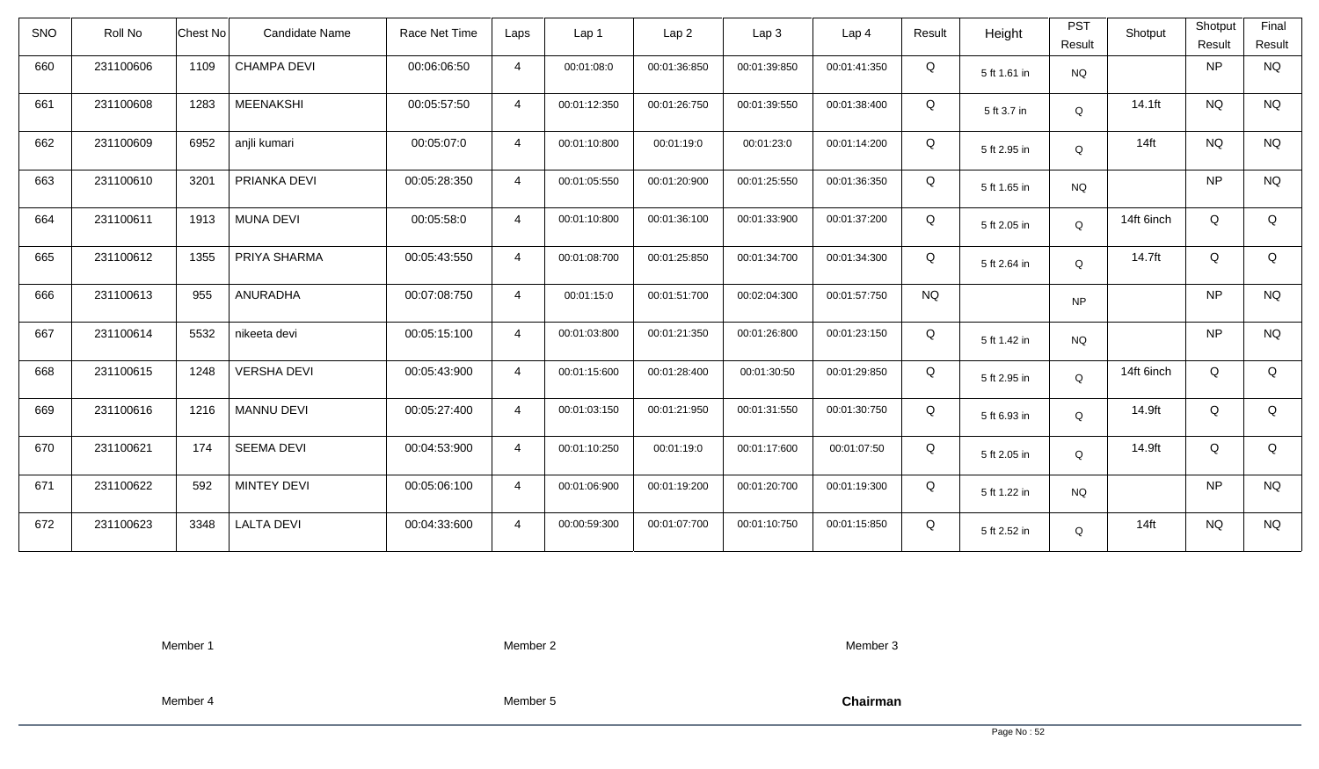| <b>SNO</b> | Roll No   | Chest No<br><b>Candidate Name</b> | Race Net Time | Laps           | Lap 1        | Lap <sub>2</sub> | Lap3         | Lap <sub>4</sub> | Result    | Height       | <b>PST</b><br>Result | Shotput    | Shotput<br>Result | Final<br>Result |
|------------|-----------|-----------------------------------|---------------|----------------|--------------|------------------|--------------|------------------|-----------|--------------|----------------------|------------|-------------------|-----------------|
| 660        | 231100606 | 1109<br><b>CHAMPA DEVI</b>        | 00:06:06:50   | $\overline{4}$ | 00:01:08:0   | 00:01:36:850     | 00:01:39:850 | 00:01:41:350     | Q         | 5 ft 1.61 in | <b>NQ</b>            |            | <b>NP</b>         | <b>NQ</b>       |
| 661        | 231100608 | <b>MEENAKSHI</b><br>1283          | 00:05:57:50   | $\overline{4}$ | 00:01:12:350 | 00:01:26:750     | 00:01:39:550 | 00:01:38:400     | Q         | 5 ft 3.7 in  | Q                    | 14.1ft     | <b>NQ</b>         | <b>NQ</b>       |
| 662        | 231100609 | 6952<br>anjli kumari              | 00:05:07:0    | $\overline{4}$ | 00:01:10:800 | 00:01:19:0       | 00:01:23:0   | 00:01:14:200     | Q         | 5 ft 2.95 in | Q                    | $14$ ft    | <b>NQ</b>         | <b>NQ</b>       |
| 663        | 231100610 | 3201<br>PRIANKA DEVI              | 00:05:28:350  | $\overline{4}$ | 00:01:05:550 | 00:01:20:900     | 00:01:25:550 | 00:01:36:350     | Q         | 5 ft 1.65 in | <b>NQ</b>            |            | <b>NP</b>         | <b>NQ</b>       |
| 664        | 231100611 | 1913<br><b>MUNA DEVI</b>          | 00:05:58:0    | $\overline{4}$ | 00:01:10:800 | 00:01:36:100     | 00:01:33:900 | 00:01:37:200     | Q         | 5 ft 2.05 in | Q                    | 14ft 6inch | Q                 | Q               |
| 665        | 231100612 | 1355<br>PRIYA SHARMA              | 00:05:43:550  | $\overline{4}$ | 00:01:08:700 | 00:01:25:850     | 00:01:34:700 | 00:01:34:300     | Q         | 5 ft 2.64 in | Q                    | 14.7ft     | Q                 | Q               |
| 666        | 231100613 | 955<br>ANURADHA                   | 00:07:08:750  | $\overline{4}$ | 00:01:15:0   | 00:01:51:700     | 00:02:04:300 | 00:01:57:750     | <b>NQ</b> |              | <b>NP</b>            |            | <b>NP</b>         | <b>NQ</b>       |
| 667        | 231100614 | 5532<br>nikeeta devi              | 00:05:15:100  | $\overline{4}$ | 00:01:03:800 | 00:01:21:350     | 00:01:26:800 | 00:01:23:150     | Q         | 5 ft 1.42 in | <b>NQ</b>            |            | <b>NP</b>         | <b>NQ</b>       |
| 668        | 231100615 | 1248<br><b>VERSHA DEVI</b>        | 00:05:43:900  | $\overline{4}$ | 00:01:15:600 | 00:01:28:400     | 00:01:30:50  | 00:01:29:850     | Q         | 5 ft 2.95 in | Q                    | 14ft 6inch | Q                 | Q               |
| 669        | 231100616 | 1216<br><b>MANNU DEVI</b>         | 00:05:27:400  | $\overline{4}$ | 00:01:03:150 | 00:01:21:950     | 00:01:31:550 | 00:01:30:750     | Q         | 5 ft 6.93 in | Q                    | 14.9ft     | Q                 | Q               |
| 670        | 231100621 | 174<br><b>SEEMA DEVI</b>          | 00:04:53:900  | $\overline{4}$ | 00:01:10:250 | 00:01:19:0       | 00:01:17:600 | 00:01:07:50      | Q         | 5 ft 2.05 in | Q                    | 14.9ft     | Q                 | Q               |
| 671        | 231100622 | <b>MINTEY DEVI</b><br>592         | 00:05:06:100  | $\overline{4}$ | 00:01:06:900 | 00:01:19:200     | 00:01:20:700 | 00:01:19:300     | Q         | 5 ft 1.22 in | <b>NQ</b>            |            | <b>NP</b>         | <b>NQ</b>       |
| 672        | 231100623 | <b>LALTA DEVI</b><br>3348         | 00:04:33:600  | $\overline{4}$ | 00:00:59:300 | 00:01:07:700     | 00:01:10:750 | 00:01:15:850     | Q         | 5 ft 2.52 in | Q                    | $14$ ft    | <b>NQ</b>         | <b>NQ</b>       |

Member 2

Member 3

Member 4

Member 5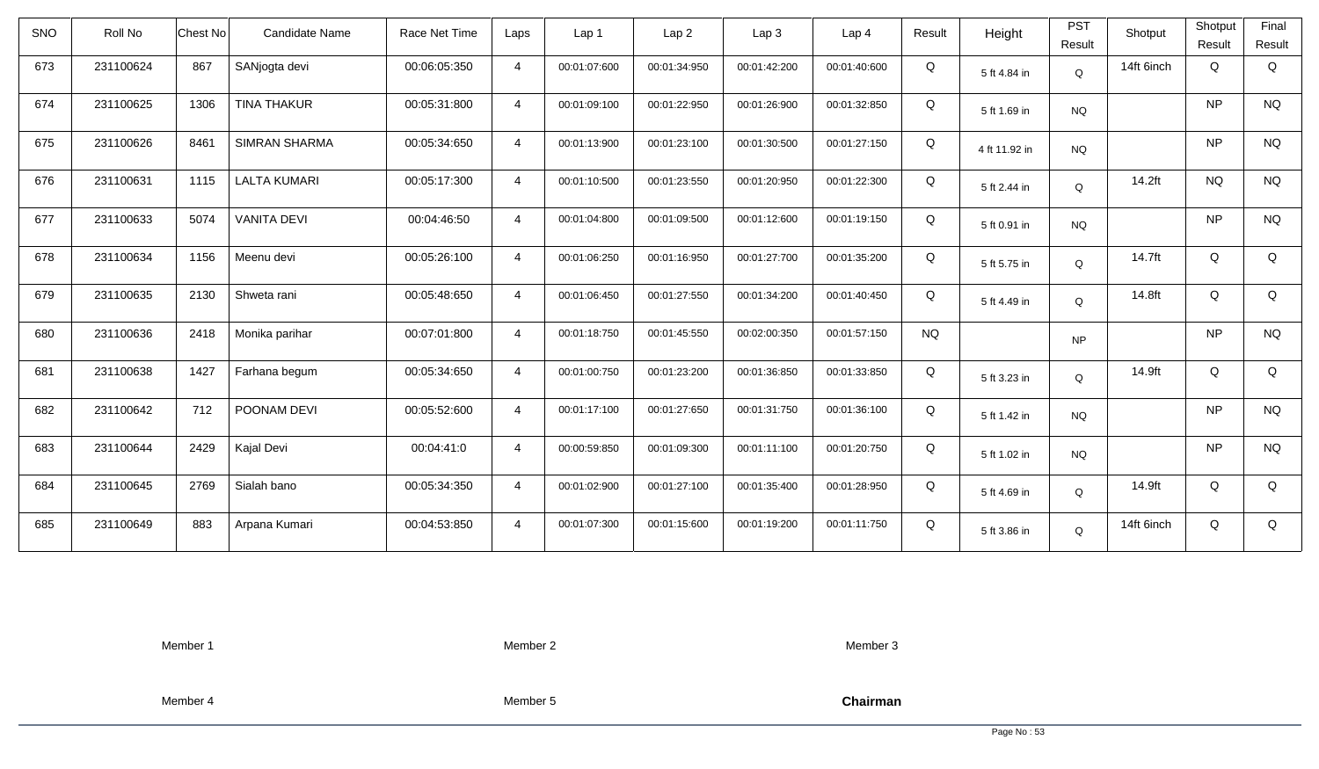| <b>SNO</b> | Roll No   | Chest No | Candidate Name       | Race Net Time | Laps           | Lap 1        | Lap <sub>2</sub> | Lap <sub>3</sub> | Lap <sub>4</sub> | Result    | Height        | <b>PST</b><br>Result | Shotput    | Shotput<br>Result | Final<br>Result |
|------------|-----------|----------|----------------------|---------------|----------------|--------------|------------------|------------------|------------------|-----------|---------------|----------------------|------------|-------------------|-----------------|
| 673        | 231100624 | 867      | SANjogta devi        | 00:06:05:350  | $\overline{4}$ | 00:01:07:600 | 00:01:34:950     | 00:01:42:200     | 00:01:40:600     | Q         | 5 ft 4.84 in  | $\mathsf Q$          | 14ft 6inch | Q                 | Q               |
| 674        | 231100625 | 1306     | <b>TINA THAKUR</b>   | 00:05:31:800  | $\overline{4}$ | 00:01:09:100 | 00:01:22:950     | 00:01:26:900     | 00:01:32:850     | Q         | 5 ft 1.69 in  | <b>NQ</b>            |            | <b>NP</b>         | <b>NQ</b>       |
| 675        | 231100626 | 8461     | <b>SIMRAN SHARMA</b> | 00:05:34:650  | $\overline{4}$ | 00:01:13:900 | 00:01:23:100     | 00:01:30:500     | 00:01:27:150     | Q         | 4 ft 11.92 in | <b>NQ</b>            |            | <b>NP</b>         | <b>NQ</b>       |
| 676        | 231100631 | 1115     | <b>LALTA KUMARI</b>  | 00:05:17:300  | $\overline{4}$ | 00:01:10:500 | 00:01:23:550     | 00:01:20:950     | 00:01:22:300     | Q         | 5 ft 2.44 in  | $\mathsf Q$          | 14.2ft     | <b>NQ</b>         | <b>NQ</b>       |
| 677        | 231100633 | 5074     | <b>VANITA DEVI</b>   | 00:04:46:50   | $\overline{4}$ | 00:01:04:800 | 00:01:09:500     | 00:01:12:600     | 00:01:19:150     | Q         | 5 ft 0.91 in  | <b>NQ</b>            |            | <b>NP</b>         | <b>NQ</b>       |
| 678        | 231100634 | 1156     | Meenu devi           | 00:05:26:100  | $\overline{4}$ | 00:01:06:250 | 00:01:16:950     | 00:01:27:700     | 00:01:35:200     | Q         | 5 ft 5.75 in  | Q                    | 14.7ft     | Q                 | Q               |
| 679        | 231100635 | 2130     | Shweta rani          | 00:05:48:650  | $\overline{4}$ | 00:01:06:450 | 00:01:27:550     | 00:01:34:200     | 00:01:40:450     | Q         | 5 ft 4.49 in  | $\mathsf Q$          | 14.8ft     | Q                 | Q               |
| 680        | 231100636 | 2418     | Monika parihar       | 00:07:01:800  | $\overline{4}$ | 00:01:18:750 | 00:01:45:550     | 00:02:00:350     | 00:01:57:150     | <b>NQ</b> |               | <b>NP</b>            |            | <b>NP</b>         | <b>NQ</b>       |
| 681        | 231100638 | 1427     | Farhana begum        | 00:05:34:650  | $\overline{4}$ | 00:01:00:750 | 00:01:23:200     | 00:01:36:850     | 00:01:33:850     | Q         | 5 ft 3.23 in  | $\mathsf Q$          | 14.9ft     | Q                 | Q               |
| 682        | 231100642 | 712      | POONAM DEVI          | 00:05:52:600  | $\overline{4}$ | 00:01:17:100 | 00:01:27:650     | 00:01:31:750     | 00:01:36:100     | Q         | 5 ft 1.42 in  | <b>NQ</b>            |            | <b>NP</b>         | <b>NQ</b>       |
| 683        | 231100644 | 2429     | Kajal Devi           | 00:04:41:0    | $\overline{4}$ | 00:00:59:850 | 00:01:09:300     | 00:01:11:100     | 00:01:20:750     | Q         | 5 ft 1.02 in  | <b>NQ</b>            |            | <b>NP</b>         | <b>NQ</b>       |
| 684        | 231100645 | 2769     | Sialah bano          | 00:05:34:350  | $\overline{4}$ | 00:01:02:900 | 00:01:27:100     | 00:01:35:400     | 00:01:28:950     | Q         | 5 ft 4.69 in  | Q                    | 14.9ft     | Q                 | Q               |
| 685        | 231100649 | 883      | Arpana Kumari        | 00:04:53:850  | $\overline{4}$ | 00:01:07:300 | 00:01:15:600     | 00:01:19:200     | 00:01:11:750     | Q         | 5 ft 3.86 in  | Q                    | 14ft 6inch | Q                 | Q               |

Member 2

Member 3

Member 4

Member 5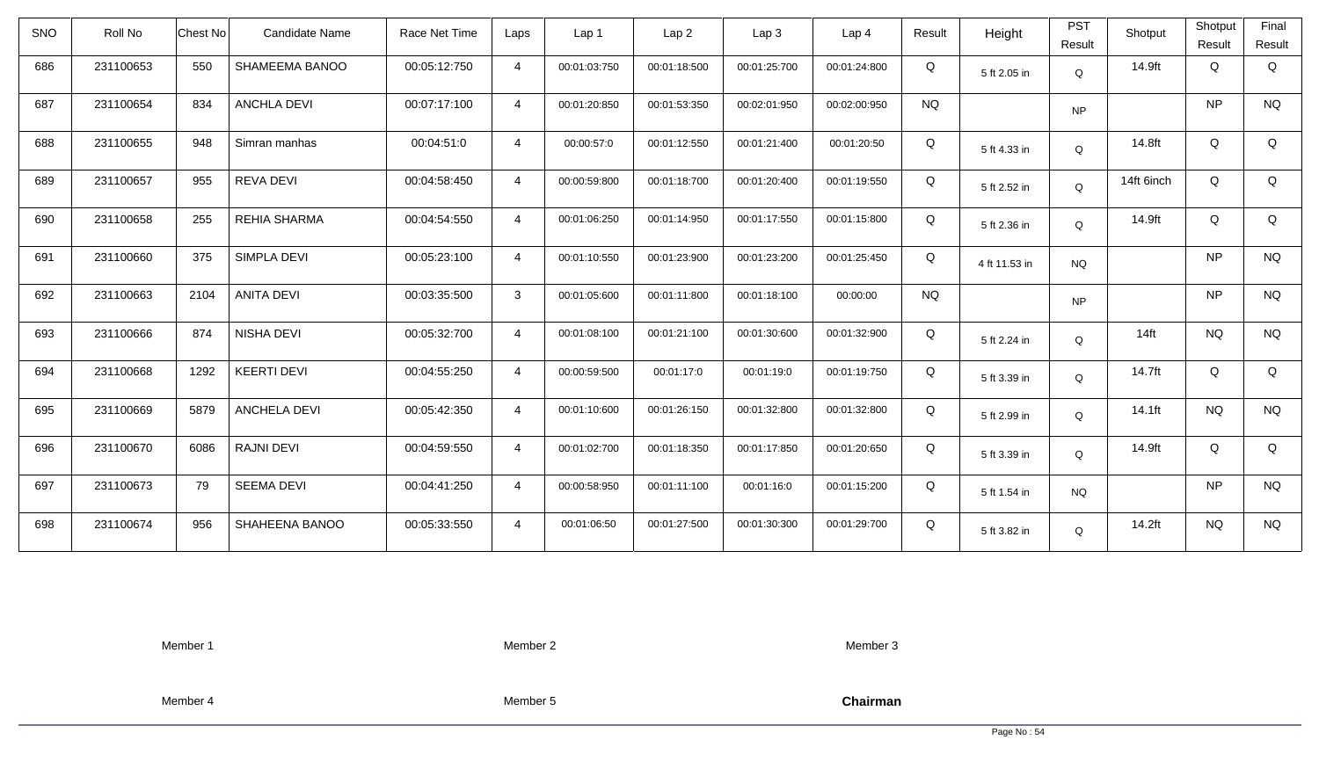| <b>SNO</b> | Roll No   | <b>Chest No</b> | Candidate Name      | Race Net Time | Laps           | Lap <sub>1</sub> | Lap <sub>2</sub> | Lap <sub>3</sub> | Lap <sub>4</sub> | Result    | Height        | <b>PST</b><br>Result | Shotput    | Shotput<br>Result | Final<br>Result |
|------------|-----------|-----------------|---------------------|---------------|----------------|------------------|------------------|------------------|------------------|-----------|---------------|----------------------|------------|-------------------|-----------------|
| 686        | 231100653 | 550             | SHAMEEMA BANOO      | 00:05:12:750  | $\overline{4}$ | 00:01:03:750     | 00:01:18:500     | 00:01:25:700     | 00:01:24:800     | Q         | 5 ft 2.05 in  | Q                    | 14.9ft     | Q                 | Q               |
| 687        | 231100654 | 834             | <b>ANCHLA DEVI</b>  | 00:07:17:100  | $\overline{4}$ | 00:01:20:850     | 00:01:53:350     | 00:02:01:950     | 00:02:00:950     | <b>NQ</b> |               | <b>NP</b>            |            | <b>NP</b>         | <b>NQ</b>       |
| 688        | 231100655 | 948             | Simran manhas       | 00:04:51:0    | $\overline{4}$ | 00:00:57:0       | 00:01:12:550     | 00:01:21:400     | 00:01:20:50      | Q         | 5 ft 4.33 in  | Q                    | 14.8ft     | Q                 | Q               |
| 689        | 231100657 | 955             | <b>REVA DEVI</b>    | 00:04:58:450  | $\overline{4}$ | 00:00:59:800     | 00:01:18:700     | 00:01:20:400     | 00:01:19:550     | Q         | 5 ft 2.52 in  | Q                    | 14ft 6inch | Q                 | Q               |
| 690        | 231100658 | 255             | <b>REHIA SHARMA</b> | 00:04:54:550  | $\overline{4}$ | 00:01:06:250     | 00:01:14:950     | 00:01:17:550     | 00:01:15:800     | Q         | 5 ft 2.36 in  | Q                    | 14.9ft     | Q                 | Q               |
| 691        | 231100660 | 375             | SIMPLA DEVI         | 00:05:23:100  | $\overline{4}$ | 00:01:10:550     | 00:01:23:900     | 00:01:23:200     | 00:01:25:450     | Q         | 4 ft 11.53 in | <b>NQ</b>            |            | <b>NP</b>         | <b>NQ</b>       |
| 692        | 231100663 | 2104            | ANITA DEVI          | 00:03:35:500  | $\mathbf{3}$   | 00:01:05:600     | 00:01:11:800     | 00:01:18:100     | 00:00:00         | <b>NQ</b> |               | <b>NP</b>            |            | <b>NP</b>         | <b>NQ</b>       |
| 693        | 231100666 | 874             | NISHA DEVI          | 00:05:32:700  | $\overline{4}$ | 00:01:08:100     | 00:01:21:100     | 00:01:30:600     | 00:01:32:900     | Q         | 5 ft 2.24 in  | Q                    | $14$ ft    | <b>NQ</b>         | <b>NQ</b>       |
| 694        | 231100668 | 1292            | <b>KEERTI DEVI</b>  | 00:04:55:250  | $\overline{4}$ | 00:00:59:500     | 00:01:17:0       | 00:01:19:0       | 00:01:19:750     | Q         | 5 ft 3.39 in  | $\mathsf Q$          | 14.7ft     | Q                 | Q               |
| 695        | 231100669 | 5879            | <b>ANCHELA DEVI</b> | 00:05:42:350  | $\overline{4}$ | 00:01:10:600     | 00:01:26:150     | 00:01:32:800     | 00:01:32:800     | Q         | 5 ft 2.99 in  | Q                    | 14.1ft     | <b>NQ</b>         | <b>NQ</b>       |
| 696        | 231100670 | 6086            | <b>RAJNI DEVI</b>   | 00:04:59:550  | $\overline{4}$ | 00:01:02:700     | 00:01:18:350     | 00:01:17:850     | 00:01:20:650     | Q         | 5 ft 3.39 in  | Q                    | 14.9ft     | Q                 | Q               |
| 697        | 231100673 | 79              | <b>SEEMA DEVI</b>   | 00:04:41:250  | $\overline{4}$ | 00:00:58:950     | 00:01:11:100     | 00:01:16:0       | 00:01:15:200     | Q         | 5 ft 1.54 in  | <b>NQ</b>            |            | <b>NP</b>         | <b>NQ</b>       |
| 698        | 231100674 | 956             | SHAHEENA BANOO      | 00:05:33:550  | $\overline{4}$ | 00:01:06:50      | 00:01:27:500     | 00:01:30:300     | 00:01:29:700     | Q         | 5 ft 3.82 in  | Q                    | 14.2ft     | <b>NQ</b>         | <b>NQ</b>       |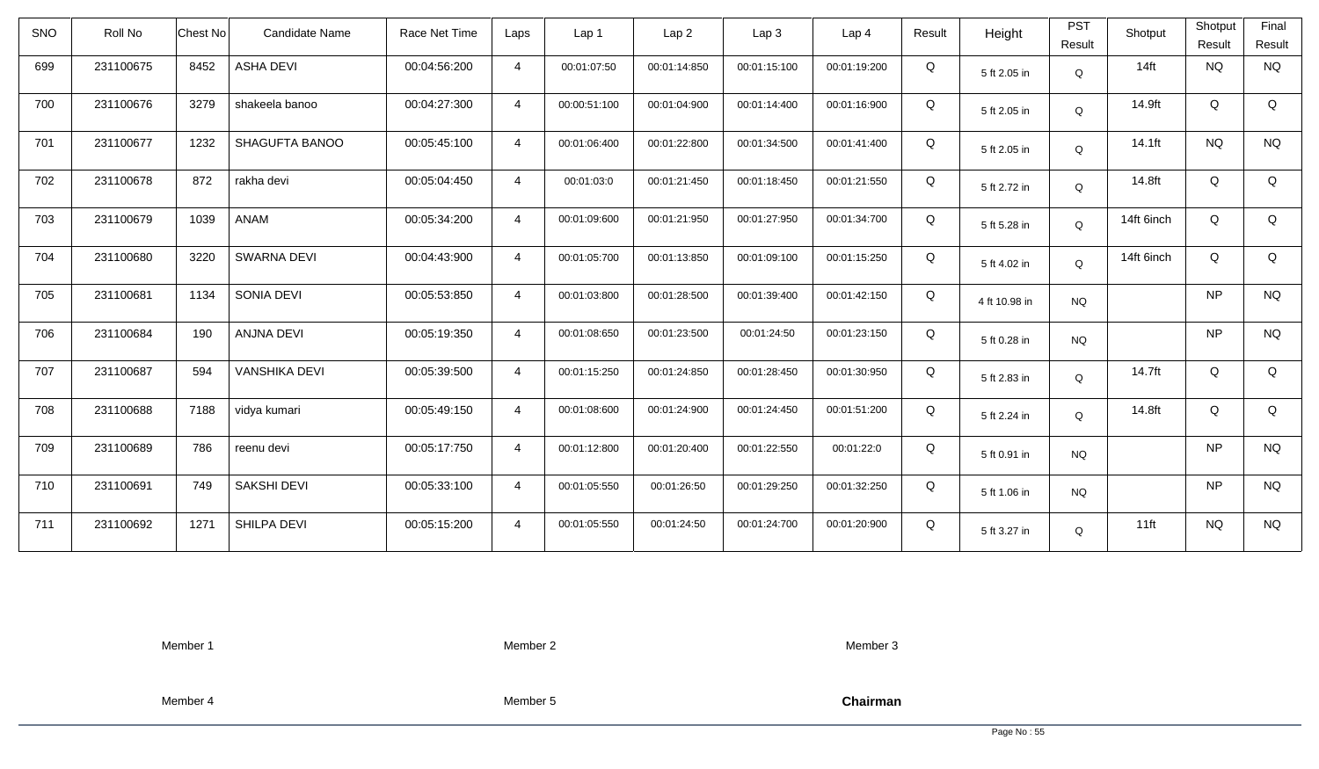| <b>SNO</b> | Roll No   | <b>Chest No</b> | Candidate Name       | Race Net Time | Laps           | Lap <sub>1</sub> | Lap <sub>2</sub> | Lap <sub>3</sub> | Lap <sub>4</sub> | Result | Height        | <b>PST</b><br>Result | Shotput    | Shotput<br>Result | Final<br>Result |
|------------|-----------|-----------------|----------------------|---------------|----------------|------------------|------------------|------------------|------------------|--------|---------------|----------------------|------------|-------------------|-----------------|
| 699        | 231100675 | 8452            | <b>ASHA DEVI</b>     | 00:04:56:200  | $\overline{4}$ | 00:01:07:50      | 00:01:14:850     | 00:01:15:100     | 00:01:19:200     | Q      | 5 ft 2.05 in  | Q                    | $14$ ft    | <b>NQ</b>         | <b>NQ</b>       |
| 700        | 231100676 | 3279            | shakeela banoo       | 00:04:27:300  | $\overline{4}$ | 00:00:51:100     | 00:01:04:900     | 00:01:14:400     | 00:01:16:900     | Q      | 5 ft 2.05 in  | Q                    | 14.9ft     | Q                 | Q               |
| 701        | 231100677 | 1232            | SHAGUFTA BANOO       | 00:05:45:100  | $\overline{4}$ | 00:01:06:400     | 00:01:22:800     | 00:01:34:500     | 00:01:41:400     | Q      | 5 ft 2.05 in  | Q                    | 14.1ft     | <b>NQ</b>         | <b>NQ</b>       |
| 702        | 231100678 | 872             | rakha devi           | 00:05:04:450  | $\overline{4}$ | 00:01:03:0       | 00:01:21:450     | 00:01:18:450     | 00:01:21:550     | Q      | 5 ft 2.72 in  | Q                    | 14.8ft     | Q                 | Q               |
| 703        | 231100679 | 1039            | ANAM                 | 00:05:34:200  | $\overline{4}$ | 00:01:09:600     | 00:01:21:950     | 00:01:27:950     | 00:01:34:700     | Q      | 5 ft 5.28 in  | Q                    | 14ft 6inch | Q                 | Q               |
| 704        | 231100680 | 3220            | <b>SWARNA DEVI</b>   | 00:04:43:900  | $\overline{4}$ | 00:01:05:700     | 00:01:13:850     | 00:01:09:100     | 00:01:15:250     | Q      | 5 ft 4.02 in  | Q                    | 14ft 6inch | Q                 | Q               |
| 705        | 231100681 | 1134            | SONIA DEVI           | 00:05:53:850  | $\overline{4}$ | 00:01:03:800     | 00:01:28:500     | 00:01:39:400     | 00:01:42:150     | Q      | 4 ft 10.98 in | <b>NQ</b>            |            | <b>NP</b>         | <b>NQ</b>       |
| 706        | 231100684 | 190             | <b>ANJNA DEVI</b>    | 00:05:19:350  | $\overline{4}$ | 00:01:08:650     | 00:01:23:500     | 00:01:24:50      | 00:01:23:150     | Q      | 5 ft 0.28 in  | <b>NQ</b>            |            | <b>NP</b>         | <b>NQ</b>       |
| 707        | 231100687 | 594             | <b>VANSHIKA DEVI</b> | 00:05:39:500  | $\overline{4}$ | 00:01:15:250     | 00:01:24:850     | 00:01:28:450     | 00:01:30:950     | Q      | 5 ft 2.83 in  | Q                    | 14.7ft     | Q                 | Q               |
| 708        | 231100688 | 7188            | vidya kumari         | 00:05:49:150  | $\overline{4}$ | 00:01:08:600     | 00:01:24:900     | 00:01:24:450     | 00:01:51:200     | Q      | 5 ft 2.24 in  | Q                    | 14.8ft     | Q                 | Q               |
| 709        | 231100689 | 786             | reenu devi           | 00:05:17:750  | $\overline{4}$ | 00:01:12:800     | 00:01:20:400     | 00:01:22:550     | 00:01:22:0       | Q      | 5 ft 0.91 in  | <b>NQ</b>            |            | <b>NP</b>         | <b>NQ</b>       |
| 710        | 231100691 | 749             | <b>SAKSHI DEVI</b>   | 00:05:33:100  | $\overline{4}$ | 00:01:05:550     | 00:01:26:50      | 00:01:29:250     | 00:01:32:250     | Q      | 5 ft 1.06 in  | <b>NQ</b>            |            | <b>NP</b>         | <b>NQ</b>       |
| 711        | 231100692 | 1271            | SHILPA DEVI          | 00:05:15:200  | $\overline{4}$ | 00:01:05:550     | 00:01:24:50      | 00:01:24:700     | 00:01:20:900     | Q      | 5 ft 3.27 in  | Q                    | $11$ ft    | <b>NQ</b>         | <b>NQ</b>       |

Member 2

Member 3

Member 4

Member 5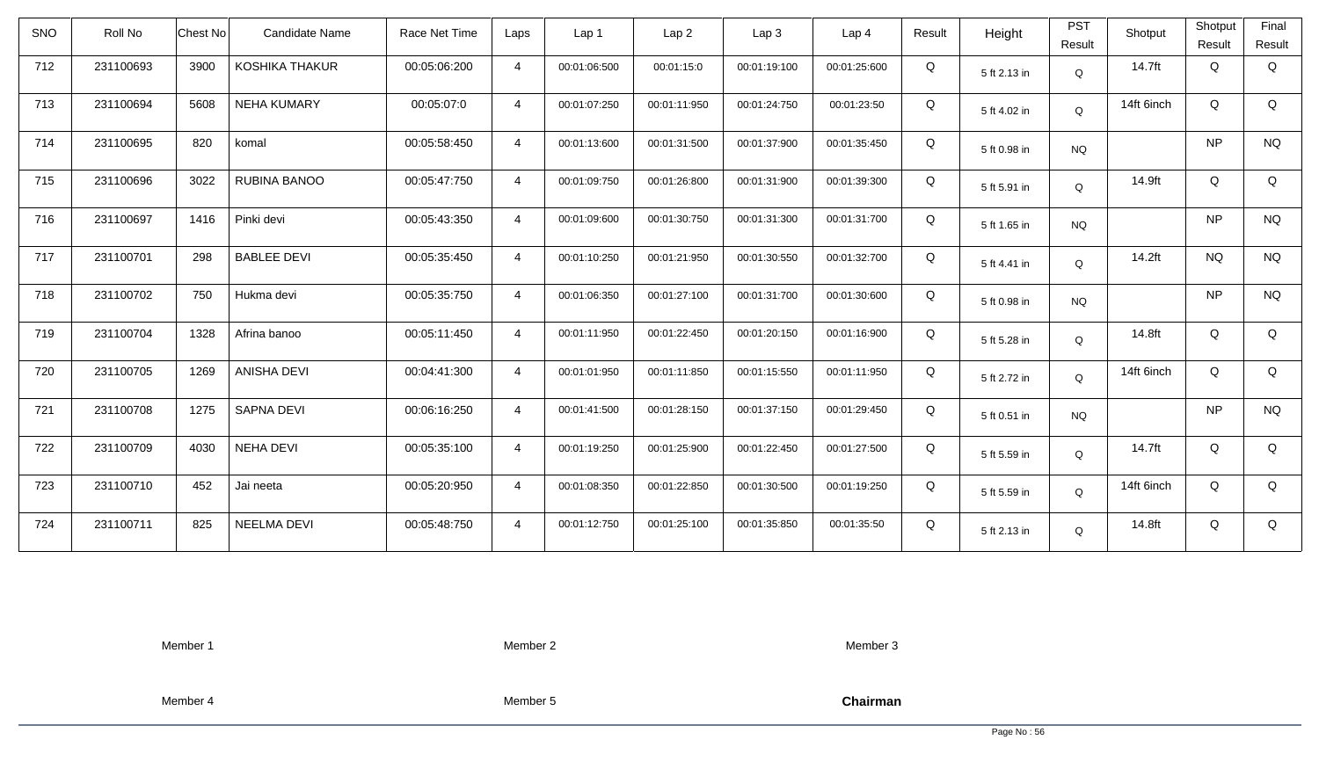| <b>SNO</b> | Roll No   | <b>Chest No</b> | Candidate Name        | Race Net Time | Laps           | Lap <sub>1</sub> | Lap <sub>2</sub> | Lap <sub>3</sub> | Lap <sub>4</sub> | Result | Height       | <b>PST</b><br>Result | Shotput    | Shotput<br>Result | Final<br>Result |
|------------|-----------|-----------------|-----------------------|---------------|----------------|------------------|------------------|------------------|------------------|--------|--------------|----------------------|------------|-------------------|-----------------|
| 712        | 231100693 | 3900            | <b>KOSHIKA THAKUR</b> | 00:05:06:200  | $\overline{4}$ | 00:01:06:500     | 00:01:15:0       | 00:01:19:100     | 00:01:25:600     | Q      | 5 ft 2.13 in | Q                    | 14.7ft     | Q                 | Q               |
| 713        | 231100694 | 5608            | <b>NEHA KUMARY</b>    | 00:05:07:0    | $\overline{4}$ | 00:01:07:250     | 00:01:11:950     | 00:01:24:750     | 00:01:23:50      | Q      | 5 ft 4.02 in | Q                    | 14ft 6inch | Q                 | Q               |
| 714        | 231100695 | 820             | komal                 | 00:05:58:450  | $\overline{4}$ | 00:01:13:600     | 00:01:31:500     | 00:01:37:900     | 00:01:35:450     | Q      | 5 ft 0.98 in | <b>NQ</b>            |            | <b>NP</b>         | <b>NQ</b>       |
| 715        | 231100696 | 3022            | RUBINA BANOO          | 00:05:47:750  | $\overline{4}$ | 00:01:09:750     | 00:01:26:800     | 00:01:31:900     | 00:01:39:300     | Q      | 5 ft 5.91 in | Q                    | 14.9ft     | Q                 | Q               |
| 716        | 231100697 | 1416            | Pinki devi            | 00:05:43:350  | $\overline{4}$ | 00:01:09:600     | 00:01:30:750     | 00:01:31:300     | 00:01:31:700     | Q      | 5 ft 1.65 in | <b>NQ</b>            |            | <b>NP</b>         | <b>NQ</b>       |
| 717        | 231100701 | 298             | <b>BABLEE DEVI</b>    | 00:05:35:450  | $\overline{4}$ | 00:01:10:250     | 00:01:21:950     | 00:01:30:550     | 00:01:32:700     | Q      | 5 ft 4.41 in | Q                    | 14.2ft     | <b>NQ</b>         | <b>NQ</b>       |
| 718        | 231100702 | 750             | Hukma devi            | 00:05:35:750  | $\overline{4}$ | 00:01:06:350     | 00:01:27:100     | 00:01:31:700     | 00:01:30:600     | Q      | 5 ft 0.98 in | <b>NQ</b>            |            | <b>NP</b>         | <b>NQ</b>       |
| 719        | 231100704 | 1328            | Afrina banoo          | 00:05:11:450  | $\overline{4}$ | 00:01:11:950     | 00:01:22:450     | 00:01:20:150     | 00:01:16:900     | Q      | 5 ft 5.28 in | Q                    | 14.8ft     | Q                 | Q               |
| 720        | 231100705 | 1269            | <b>ANISHA DEVI</b>    | 00:04:41:300  | $\overline{4}$ | 00:01:01:950     | 00:01:11:850     | 00:01:15:550     | 00:01:11:950     | Q      | 5 ft 2.72 in | Q                    | 14ft 6inch | Q                 | Q               |
| 721        | 231100708 | 1275            | SAPNA DEVI            | 00:06:16:250  | $\overline{4}$ | 00:01:41:500     | 00:01:28:150     | 00:01:37:150     | 00:01:29:450     | Q      | 5 ft 0.51 in | <b>NQ</b>            |            | <b>NP</b>         | <b>NQ</b>       |
| 722        | 231100709 | 4030            | <b>NEHA DEVI</b>      | 00:05:35:100  | $\overline{4}$ | 00:01:19:250     | 00:01:25:900     | 00:01:22:450     | 00:01:27:500     | Q      | 5 ft 5.59 in | Q                    | 14.7ft     | Q                 | Q               |
| 723        | 231100710 | 452             | Jai neeta             | 00:05:20:950  | $\overline{4}$ | 00:01:08:350     | 00:01:22:850     | 00:01:30:500     | 00:01:19:250     | Q      | 5 ft 5.59 in | Q                    | 14ft 6inch | Q                 | Q               |
| 724        | 231100711 | 825             | <b>NEELMA DEVI</b>    | 00:05:48:750  | $\overline{4}$ | 00:01:12:750     | 00:01:25:100     | 00:01:35:850     | 00:01:35:50      | Q      | 5 ft 2.13 in | Q                    | 14.8ft     | Q                 | Q               |

Member 2

Member 3

Member 4

Member 5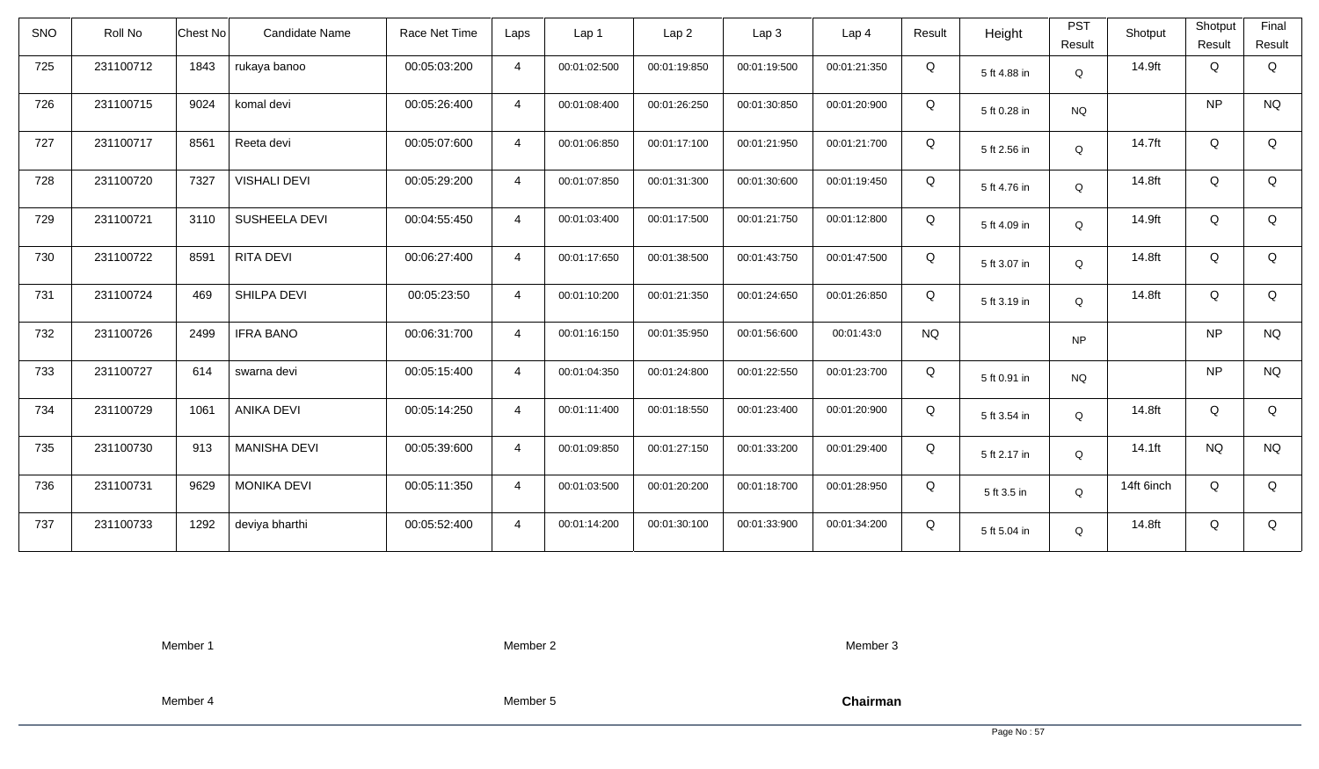| <b>SNO</b> | Roll No   | <b>Chest No</b> | Candidate Name      | Race Net Time | Laps           | Lap 1        | Lap <sub>2</sub> | Lap <sub>3</sub> | Lap <sub>4</sub> | Result    | Height       | <b>PST</b><br>Result | Shotput    | Shotput<br>Result | Final<br>Result |
|------------|-----------|-----------------|---------------------|---------------|----------------|--------------|------------------|------------------|------------------|-----------|--------------|----------------------|------------|-------------------|-----------------|
| 725        | 231100712 | 1843            | rukaya banoo        | 00:05:03:200  | $\overline{4}$ | 00:01:02:500 | 00:01:19:850     | 00:01:19:500     | 00:01:21:350     | Q         | 5 ft 4.88 in | Q                    | 14.9ft     | Q                 | Q               |
| 726        | 231100715 | 9024            | komal devi          | 00:05:26:400  | $\overline{4}$ | 00:01:08:400 | 00:01:26:250     | 00:01:30:850     | 00:01:20:900     | Q         | 5 ft 0.28 in | <b>NQ</b>            |            | <b>NP</b>         | <b>NQ</b>       |
| 727        | 231100717 | 8561            | Reeta devi          | 00:05:07:600  | $\overline{4}$ | 00:01:06:850 | 00:01:17:100     | 00:01:21:950     | 00:01:21:700     | Q         | 5 ft 2.56 in | Q                    | 14.7ft     | Q                 | Q               |
| 728        | 231100720 | 7327            | <b>VISHALI DEVI</b> | 00:05:29:200  | $\overline{4}$ | 00:01:07:850 | 00:01:31:300     | 00:01:30:600     | 00:01:19:450     | Q         | 5 ft 4.76 in | Q                    | 14.8ft     | Q                 | Q               |
| 729        | 231100721 | 3110            | SUSHEELA DEVI       | 00:04:55:450  | $\overline{4}$ | 00:01:03:400 | 00:01:17:500     | 00:01:21:750     | 00:01:12:800     | Q         | 5 ft 4.09 in | Q                    | 14.9ft     | Q                 | Q               |
| 730        | 231100722 | 8591            | <b>RITA DEVI</b>    | 00:06:27:400  | $\overline{4}$ | 00:01:17:650 | 00:01:38:500     | 00:01:43:750     | 00:01:47:500     | Q         | 5 ft 3.07 in | Q                    | 14.8ft     | Q                 | Q               |
| 731        | 231100724 | 469             | SHILPA DEVI         | 00:05:23:50   | $\overline{4}$ | 00:01:10:200 | 00:01:21:350     | 00:01:24:650     | 00:01:26:850     | Q         | 5 ft 3.19 in | Q                    | 14.8ft     | Q                 | Q               |
| 732        | 231100726 | 2499            | <b>IFRA BANO</b>    | 00:06:31:700  | $\overline{4}$ | 00:01:16:150 | 00:01:35:950     | 00:01:56:600     | 00:01:43:0       | <b>NQ</b> |              | NP                   |            | <b>NP</b>         | <b>NQ</b>       |
| 733        | 231100727 | 614             | swarna devi         | 00:05:15:400  | $\overline{4}$ | 00:01:04:350 | 00:01:24:800     | 00:01:22:550     | 00:01:23:700     | Q         | 5 ft 0.91 in | <b>NQ</b>            |            | <b>NP</b>         | <b>NQ</b>       |
| 734        | 231100729 | 1061            | <b>ANIKA DEVI</b>   | 00:05:14:250  | $\overline{4}$ | 00:01:11:400 | 00:01:18:550     | 00:01:23:400     | 00:01:20:900     | Q         | 5 ft 3.54 in | Q                    | 14.8ft     | Q                 | Q               |
| 735        | 231100730 | 913             | <b>MANISHA DEVI</b> | 00:05:39:600  | $\overline{4}$ | 00:01:09:850 | 00:01:27:150     | 00:01:33:200     | 00:01:29:400     | Q         | 5 ft 2.17 in | Q                    | 14.1ft     | <b>NQ</b>         | <b>NQ</b>       |
| 736        | 231100731 | 9629            | <b>MONIKA DEVI</b>  | 00:05:11:350  | $\overline{4}$ | 00:01:03:500 | 00:01:20:200     | 00:01:18:700     | 00:01:28:950     | Q         | 5 ft 3.5 in  | Q                    | 14ft 6inch | Q                 | Q               |
| 737        | 231100733 | 1292            | deviya bharthi      | 00:05:52:400  | $\overline{4}$ | 00:01:14:200 | 00:01:30:100     | 00:01:33:900     | 00:01:34:200     | Q         | 5 ft 5.04 in | Q                    | 14.8ft     | Q                 | Q               |

Member 2

Member 3

Member 4

Member 5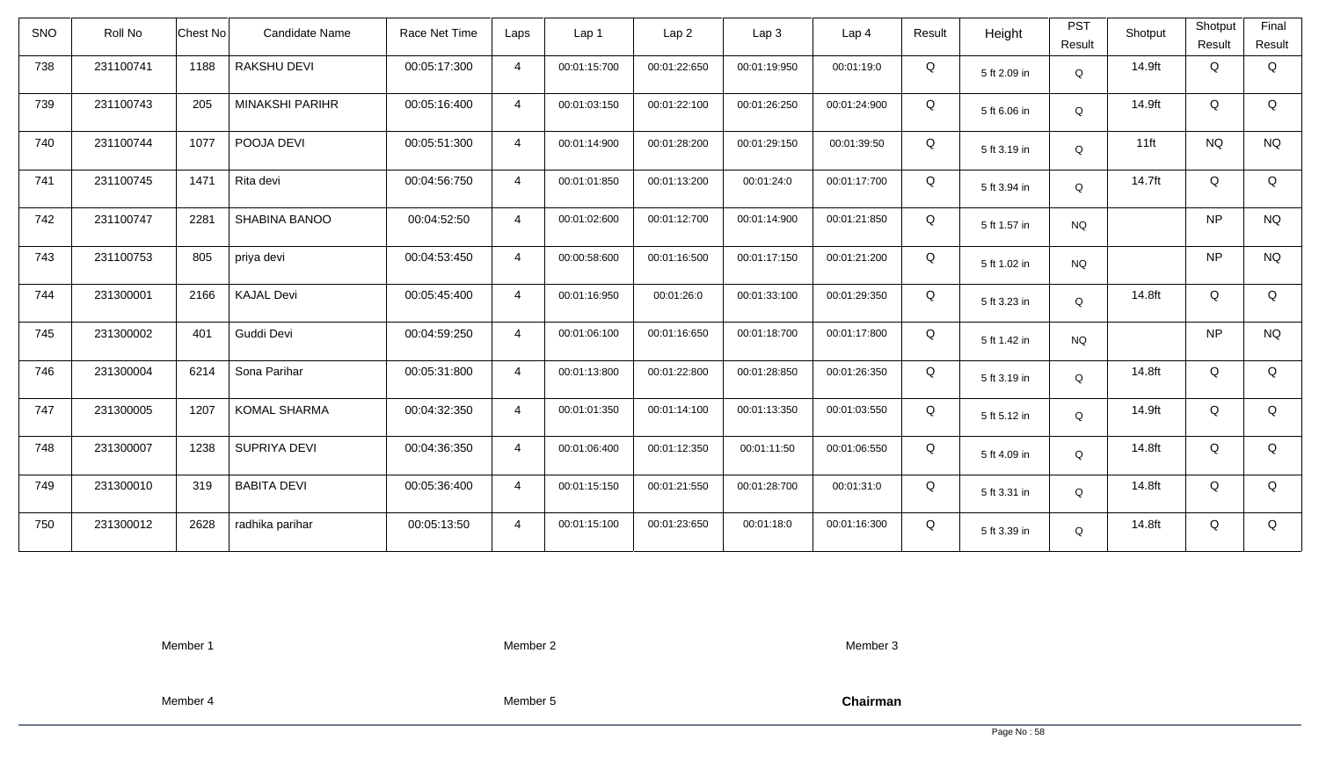| <b>SNO</b> | Roll No   | Chest No | Candidate Name         | Race Net Time | Laps           | Lap 1        | Lap <sub>2</sub> | Lap <sub>3</sub> | Lap <sub>4</sub> | Result | Height       | <b>PST</b><br>Result | Shotput | Shotput<br>Result | Final<br>Result |
|------------|-----------|----------|------------------------|---------------|----------------|--------------|------------------|------------------|------------------|--------|--------------|----------------------|---------|-------------------|-----------------|
| 738        | 231100741 | 1188     | RAKSHU DEVI            | 00:05:17:300  | $\overline{4}$ | 00:01:15:700 | 00:01:22:650     | 00:01:19:950     | 00:01:19:0       | Q      | 5 ft 2.09 in | $\mathsf Q$          | 14.9ft  | Q                 | Q               |
| 739        | 231100743 | 205      | <b>MINAKSHI PARIHR</b> | 00:05:16:400  | $\overline{4}$ | 00:01:03:150 | 00:01:22:100     | 00:01:26:250     | 00:01:24:900     | Q      | 5 ft 6.06 in | Q                    | 14.9ft  | Q                 | Q               |
| 740        | 231100744 | 1077     | POOJA DEVI             | 00:05:51:300  | $\overline{4}$ | 00:01:14:900 | 00:01:28:200     | 00:01:29:150     | 00:01:39:50      | Q      | 5 ft 3.19 in | Q                    | $11$ ft | <b>NQ</b>         | <b>NQ</b>       |
| 741        | 231100745 | 1471     | Rita devi              | 00:04:56:750  | $\overline{4}$ | 00:01:01:850 | 00:01:13:200     | 00:01:24:0       | 00:01:17:700     | Q      | 5 ft 3.94 in | $\mathsf Q$          | 14.7ft  | Q                 | Q               |
| 742        | 231100747 | 2281     | SHABINA BANOO          | 00:04:52:50   | $\overline{4}$ | 00:01:02:600 | 00:01:12:700     | 00:01:14:900     | 00:01:21:850     | Q      | 5 ft 1.57 in | <b>NQ</b>            |         | <b>NP</b>         | <b>NQ</b>       |
| 743        | 231100753 | 805      | priya devi             | 00:04:53:450  | $\overline{4}$ | 00:00:58:600 | 00:01:16:500     | 00:01:17:150     | 00:01:21:200     | Q      | 5 ft 1.02 in | <b>NQ</b>            |         | <b>NP</b>         | <b>NQ</b>       |
| 744        | 231300001 | 2166     | <b>KAJAL Devi</b>      | 00:05:45:400  | $\overline{4}$ | 00:01:16:950 | 00:01:26:0       | 00:01:33:100     | 00:01:29:350     | Q      | 5 ft 3.23 in | Q                    | 14.8ft  | Q                 | Q               |
| 745        | 231300002 | 401      | Guddi Devi             | 00:04:59:250  | $\overline{4}$ | 00:01:06:100 | 00:01:16:650     | 00:01:18:700     | 00:01:17:800     | Q      | 5 ft 1.42 in | <b>NQ</b>            |         | <b>NP</b>         | <b>NQ</b>       |
| 746        | 231300004 | 6214     | Sona Parihar           | 00:05:31:800  | $\overline{4}$ | 00:01:13:800 | 00:01:22:800     | 00:01:28:850     | 00:01:26:350     | Q      | 5 ft 3.19 in | Q                    | 14.8ft  | Q                 | Q               |
| 747        | 231300005 | 1207     | KOMAL SHARMA           | 00:04:32:350  | $\overline{4}$ | 00:01:01:350 | 00:01:14:100     | 00:01:13:350     | 00:01:03:550     | Q      | 5 ft 5.12 in | Q                    | 14.9ft  | Q                 | Q               |
| 748        | 231300007 | 1238     | SUPRIYA DEVI           | 00:04:36:350  | $\overline{4}$ | 00:01:06:400 | 00:01:12:350     | 00:01:11:50      | 00:01:06:550     | Q      | 5 ft 4.09 in | Q                    | 14.8ft  | Q                 | Q               |
| 749        | 231300010 | 319      | <b>BABITA DEVI</b>     | 00:05:36:400  | $\overline{4}$ | 00:01:15:150 | 00:01:21:550     | 00:01:28:700     | 00:01:31:0       | Q      | 5 ft 3.31 in | Q                    | 14.8ft  | Q                 | Q               |
| 750        | 231300012 | 2628     | radhika parihar        | 00:05:13:50   | $\overline{4}$ | 00:01:15:100 | 00:01:23:650     | 00:01:18:0       | 00:01:16:300     | Q      | 5 ft 3.39 in | Q                    | 14.8ft  | Q                 | Q               |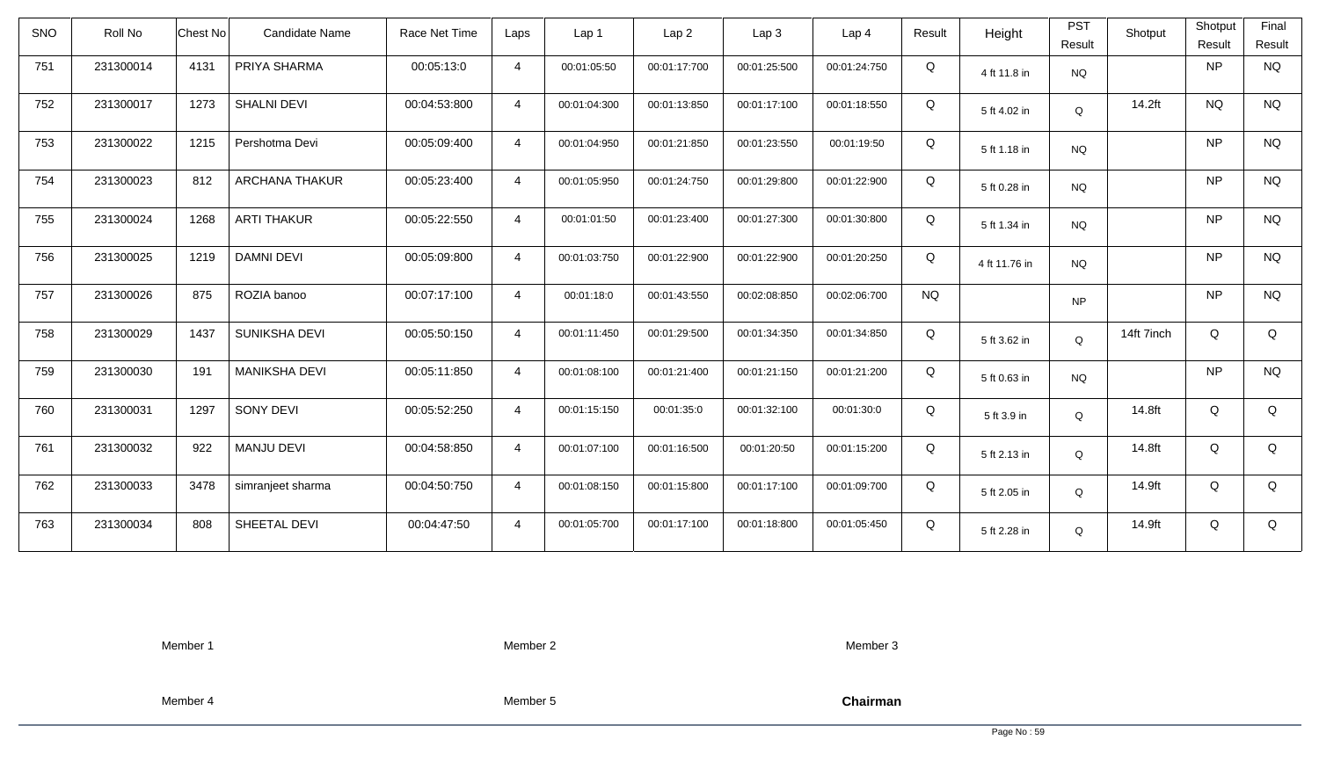| <b>SNO</b> | Roll No   | Chest No | Candidate Name        | Race Net Time | Laps           | Lap 1        | Lap <sub>2</sub> | Lap3         | Lap <sub>4</sub> | Result    | Height        | <b>PST</b><br>Result | Shotput    | Shotput<br>Result | Final<br>Result |
|------------|-----------|----------|-----------------------|---------------|----------------|--------------|------------------|--------------|------------------|-----------|---------------|----------------------|------------|-------------------|-----------------|
| 751        | 231300014 | 4131     | PRIYA SHARMA          | 00:05:13:0    | $\overline{4}$ | 00:01:05:50  | 00:01:17:700     | 00:01:25:500 | 00:01:24:750     | Q         | 4 ft 11.8 in  | <b>NQ</b>            |            | <b>NP</b>         | <b>NQ</b>       |
| 752        | 231300017 | 1273     | <b>SHALNI DEVI</b>    | 00:04:53:800  | $\overline{4}$ | 00:01:04:300 | 00:01:13:850     | 00:01:17:100 | 00:01:18:550     | Q         | 5 ft 4.02 in  | Q                    | 14.2ft     | <b>NQ</b>         | <b>NQ</b>       |
| 753        | 231300022 | 1215     | Pershotma Devi        | 00:05:09:400  | $\overline{4}$ | 00:01:04:950 | 00:01:21:850     | 00:01:23:550 | 00:01:19:50      | Q         | 5 ft 1.18 in  | <b>NQ</b>            |            | <b>NP</b>         | <b>NQ</b>       |
| 754        | 231300023 | 812      | <b>ARCHANA THAKUR</b> | 00:05:23:400  | $\overline{4}$ | 00:01:05:950 | 00:01:24:750     | 00:01:29:800 | 00:01:22:900     | Q         | 5 ft 0.28 in  | <b>NQ</b>            |            | <b>NP</b>         | <b>NQ</b>       |
| 755        | 231300024 | 1268     | <b>ARTI THAKUR</b>    | 00:05:22:550  | $\overline{4}$ | 00:01:01:50  | 00:01:23:400     | 00:01:27:300 | 00:01:30:800     | Q         | 5 ft 1.34 in  | <b>NQ</b>            |            | <b>NP</b>         | <b>NQ</b>       |
| 756        | 231300025 | 1219     | <b>DAMNI DEVI</b>     | 00:05:09:800  | $\overline{4}$ | 00:01:03:750 | 00:01:22:900     | 00:01:22:900 | 00:01:20:250     | Q         | 4 ft 11.76 in | <b>NQ</b>            |            | <b>NP</b>         | <b>NQ</b>       |
| 757        | 231300026 | 875      | ROZIA banoo           | 00:07:17:100  | $\overline{4}$ | 00:01:18:0   | 00:01:43:550     | 00:02:08:850 | 00:02:06:700     | <b>NQ</b> |               | <b>NP</b>            |            | <b>NP</b>         | <b>NQ</b>       |
| 758        | 231300029 | 1437     | <b>SUNIKSHA DEVI</b>  | 00:05:50:150  | $\overline{4}$ | 00:01:11:450 | 00:01:29:500     | 00:01:34:350 | 00:01:34:850     | Q         | 5 ft 3.62 in  | Q                    | 14ft 7inch | Q                 | Q               |
| 759        | 231300030 | 191      | <b>MANIKSHA DEVI</b>  | 00:05:11:850  | $\overline{4}$ | 00:01:08:100 | 00:01:21:400     | 00:01:21:150 | 00:01:21:200     | Q         | 5 ft 0.63 in  | <b>NQ</b>            |            | <b>NP</b>         | <b>NQ</b>       |
| 760        | 231300031 | 1297     | SONY DEVI             | 00:05:52:250  | $\overline{4}$ | 00:01:15:150 | 00:01:35:0       | 00:01:32:100 | 00:01:30:0       | Q         | 5 ft 3.9 in   | Q                    | 14.8ft     | Q                 | Q               |
| 761        | 231300032 | 922      | <b>MANJU DEVI</b>     | 00:04:58:850  | $\overline{4}$ | 00:01:07:100 | 00:01:16:500     | 00:01:20:50  | 00:01:15:200     | Q         | 5 ft 2.13 in  | Q                    | 14.8ft     | Q                 | Q               |
| 762        | 231300033 | 3478     | simranjeet sharma     | 00:04:50:750  | $\overline{4}$ | 00:01:08:150 | 00:01:15:800     | 00:01:17:100 | 00:01:09:700     | Q         | 5 ft 2.05 in  | Q                    | 14.9ft     | Q                 | Q               |
| 763        | 231300034 | 808      | SHEETAL DEVI          | 00:04:47:50   | $\overline{4}$ | 00:01:05:700 | 00:01:17:100     | 00:01:18:800 | 00:01:05:450     | Q         | 5 ft 2.28 in  | Q                    | 14.9ft     | Q                 | Q               |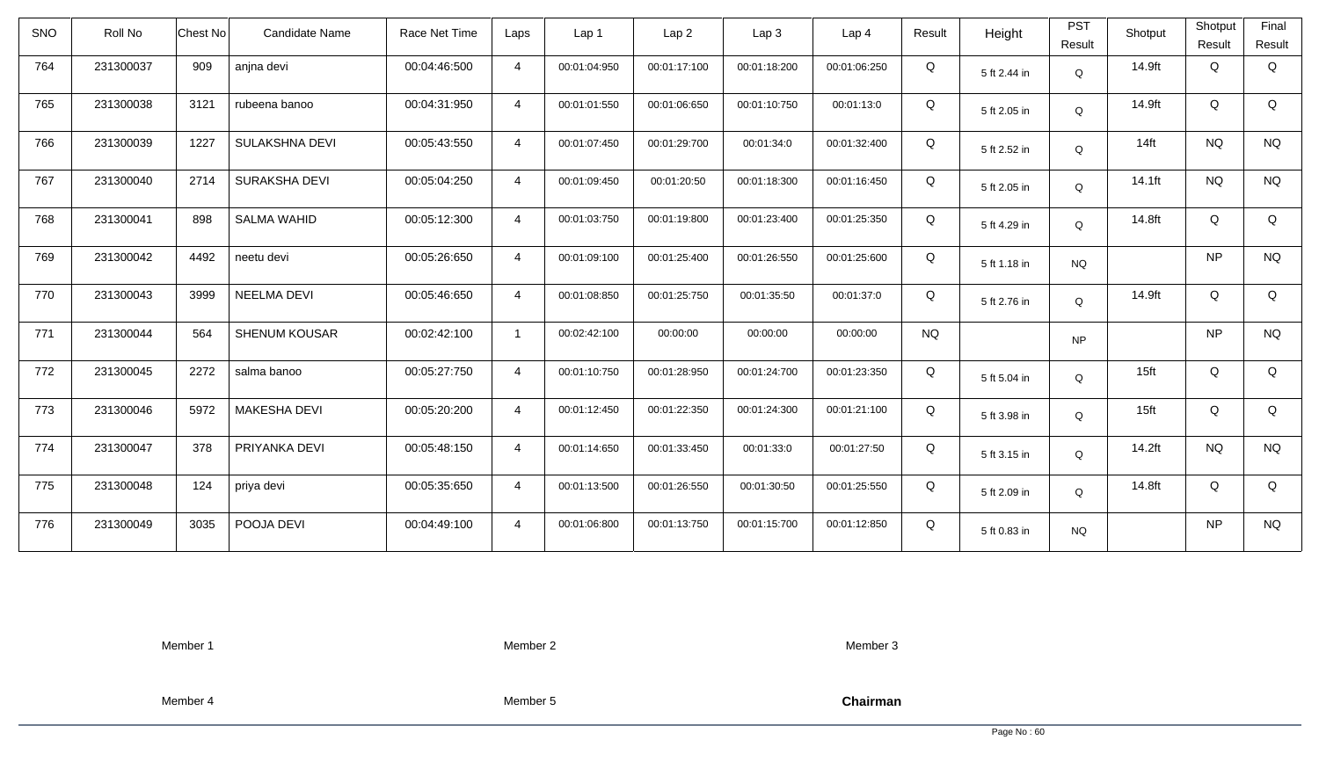| <b>SNO</b> | Roll No   | <b>Chest No</b> | Candidate Name       | Race Net Time | Laps           | Lap <sub>1</sub> | Lap <sub>2</sub> | Lap <sub>3</sub> | Lap <sub>4</sub> | Result    | Height       | <b>PST</b><br>Result | Shotput          | Shotput<br>Result | Final<br>Result |
|------------|-----------|-----------------|----------------------|---------------|----------------|------------------|------------------|------------------|------------------|-----------|--------------|----------------------|------------------|-------------------|-----------------|
| 764        | 231300037 | 909             | anjna devi           | 00:04:46:500  | $\overline{4}$ | 00:01:04:950     | 00:01:17:100     | 00:01:18:200     | 00:01:06:250     | Q         | 5 ft 2.44 in | Q                    | 14.9ft           | Q                 | Q               |
| 765        | 231300038 | 3121            | rubeena banoo        | 00:04:31:950  | $\overline{4}$ | 00:01:01:550     | 00:01:06:650     | 00:01:10:750     | 00:01:13:0       | Q         | 5 ft 2.05 in | Q                    | 14.9ft           | Q                 | Q               |
| 766        | 231300039 | 1227            | SULAKSHNA DEVI       | 00:05:43:550  | $\overline{4}$ | 00:01:07:450     | 00:01:29:700     | 00:01:34:0       | 00:01:32:400     | Q         | 5 ft 2.52 in | Q                    | $14$ ft          | <b>NQ</b>         | <b>NQ</b>       |
| 767        | 231300040 | 2714            | SURAKSHA DEVI        | 00:05:04:250  | $\overline{4}$ | 00:01:09:450     | 00:01:20:50      | 00:01:18:300     | 00:01:16:450     | Q         | 5 ft 2.05 in | Q                    | 14.1ft           | <b>NQ</b>         | <b>NQ</b>       |
| 768        | 231300041 | 898             | <b>SALMA WAHID</b>   | 00:05:12:300  | $\overline{4}$ | 00:01:03:750     | 00:01:19:800     | 00:01:23:400     | 00:01:25:350     | Q         | 5 ft 4.29 in | Q                    | 14.8ft           | Q                 | Q               |
| 769        | 231300042 | 4492            | neetu devi           | 00:05:26:650  | $\overline{4}$ | 00:01:09:100     | 00:01:25:400     | 00:01:26:550     | 00:01:25:600     | Q         | 5 ft 1.18 in | <b>NQ</b>            |                  | <b>NP</b>         | <b>NQ</b>       |
| 770        | 231300043 | 3999            | <b>NEELMA DEVI</b>   | 00:05:46:650  | $\overline{4}$ | 00:01:08:850     | 00:01:25:750     | 00:01:35:50      | 00:01:37:0       | Q         | 5 ft 2.76 in | Q                    | 14.9ft           | Q                 | Q               |
| 771        | 231300044 | 564             | <b>SHENUM KOUSAR</b> | 00:02:42:100  | $\overline{1}$ | 00:02:42:100     | 00:00:00         | 00:00:00         | 00:00:00         | <b>NQ</b> |              | <b>NP</b>            |                  | <b>NP</b>         | <b>NQ</b>       |
| 772        | 231300045 | 2272            | salma banoo          | 00:05:27:750  | $\overline{4}$ | 00:01:10:750     | 00:01:28:950     | 00:01:24:700     | 00:01:23:350     | Q         | 5 ft 5.04 in | Q                    | 15 <sup>ft</sup> | Q                 | Q               |
| 773        | 231300046 | 5972            | <b>MAKESHA DEVI</b>  | 00:05:20:200  | $\overline{4}$ | 00:01:12:450     | 00:01:22:350     | 00:01:24:300     | 00:01:21:100     | Q         | 5 ft 3.98 in | Q                    | 15 <sub>ft</sub> | Q                 | Q               |
| 774        | 231300047 | 378             | PRIYANKA DEVI        | 00:05:48:150  | $\overline{4}$ | 00:01:14:650     | 00:01:33:450     | 00:01:33:0       | 00:01:27:50      | Q         | 5 ft 3.15 in | Q                    | 14.2ft           | <b>NQ</b>         | <b>NQ</b>       |
| 775        | 231300048 | 124             | priya devi           | 00:05:35:650  | $\overline{4}$ | 00:01:13:500     | 00:01:26:550     | 00:01:30:50      | 00:01:25:550     | Q         | 5 ft 2.09 in | Q                    | 14.8ft           | Q                 | Q               |
| 776        | 231300049 | 3035            | POOJA DEVI           | 00:04:49:100  | $\overline{4}$ | 00:01:06:800     | 00:01:13:750     | 00:01:15:700     | 00:01:12:850     | Q         | 5 ft 0.83 in | <b>NQ</b>            |                  | <b>NP</b>         | <b>NQ</b>       |

Member 2

Member 3

Member 4

Member 5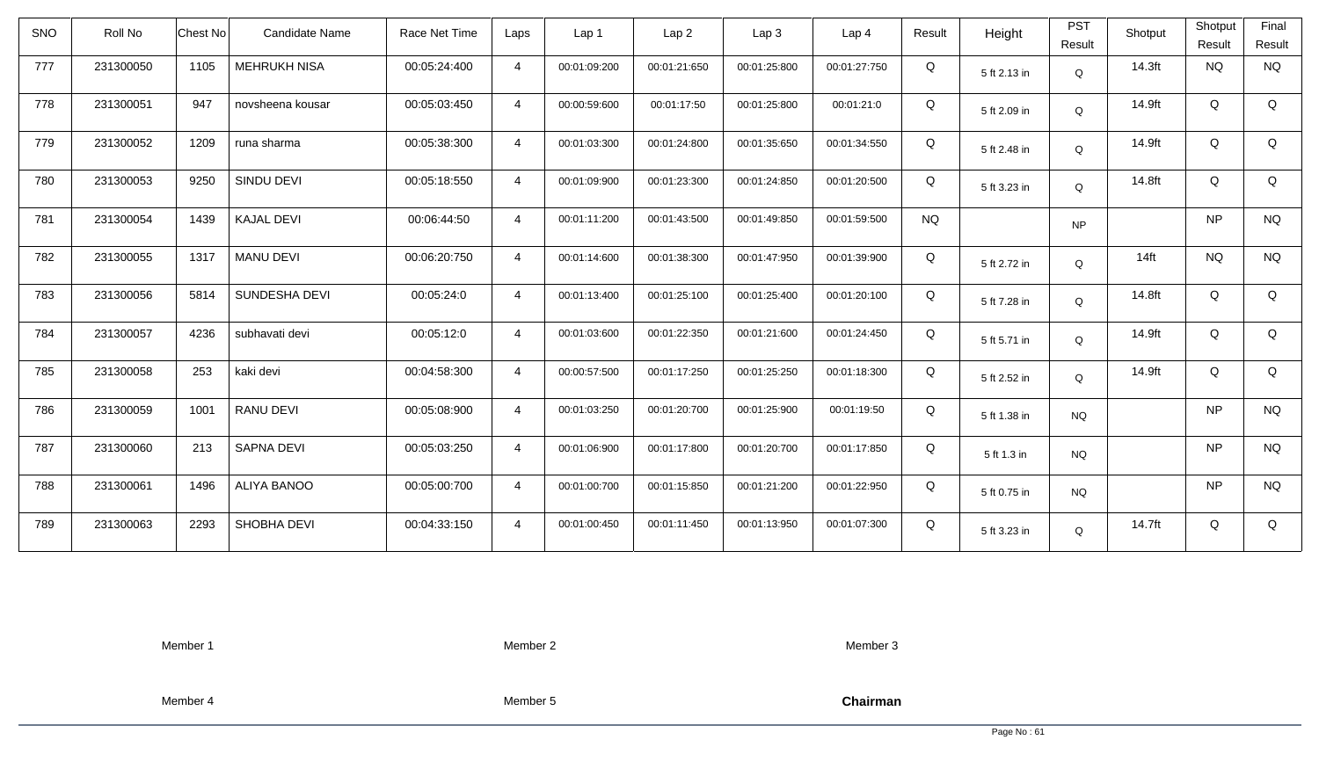| <b>SNO</b> | Roll No   | <b>Chest No</b> | Candidate Name      | Race Net Time | Laps           | Lap 1        | Lap <sub>2</sub> | Lap3         | Lap 4        | Result    | Height       | <b>PST</b><br>Result | Shotput | Shotput<br>Result | Final<br>Result |
|------------|-----------|-----------------|---------------------|---------------|----------------|--------------|------------------|--------------|--------------|-----------|--------------|----------------------|---------|-------------------|-----------------|
| 777        | 231300050 | 1105            | <b>MEHRUKH NISA</b> | 00:05:24:400  | $\overline{4}$ | 00:01:09:200 | 00:01:21:650     | 00:01:25:800 | 00:01:27:750 | Q         | 5 ft 2.13 in | Q                    | 14.3ft  | <b>NQ</b>         | <b>NQ</b>       |
| 778        | 231300051 | 947             | novsheena kousar    | 00:05:03:450  | $\overline{4}$ | 00:00:59:600 | 00:01:17:50      | 00:01:25:800 | 00:01:21:0   | Q         | 5 ft 2.09 in | Q                    | 14.9ft  | Q                 | Q               |
| 779        | 231300052 | 1209            | runa sharma         | 00:05:38:300  | $\overline{4}$ | 00:01:03:300 | 00:01:24:800     | 00:01:35:650 | 00:01:34:550 | Q         | 5 ft 2.48 in | Q                    | 14.9ft  | Q                 | Q               |
| 780        | 231300053 | 9250            | SINDU DEVI          | 00:05:18:550  | $\overline{4}$ | 00:01:09:900 | 00:01:23:300     | 00:01:24:850 | 00:01:20:500 | Q         | 5 ft 3.23 in | Q                    | 14.8ft  | Q                 | Q               |
| 781        | 231300054 | 1439            | <b>KAJAL DEVI</b>   | 00:06:44:50   | $\overline{4}$ | 00:01:11:200 | 00:01:43:500     | 00:01:49:850 | 00:01:59:500 | <b>NQ</b> |              | <b>NP</b>            |         | <b>NP</b>         | <b>NQ</b>       |
| 782        | 231300055 | 1317            | <b>MANU DEVI</b>    | 00:06:20:750  | $\overline{4}$ | 00:01:14:600 | 00:01:38:300     | 00:01:47:950 | 00:01:39:900 | Q         | 5 ft 2.72 in | Q                    | $14$ ft | <b>NQ</b>         | <b>NQ</b>       |
| 783        | 231300056 | 5814            | SUNDESHA DEVI       | 00:05:24:0    | $\overline{4}$ | 00:01:13:400 | 00:01:25:100     | 00:01:25:400 | 00:01:20:100 | Q         | 5 ft 7.28 in | Q                    | 14.8ft  | Q                 | Q               |
| 784        | 231300057 | 4236            | subhavati devi      | 00:05:12:0    | $\overline{4}$ | 00:01:03:600 | 00:01:22:350     | 00:01:21:600 | 00:01:24:450 | Q         | 5 ft 5.71 in | Q                    | 14.9ft  | Q                 | Q               |
| 785        | 231300058 | 253             | kaki devi           | 00:04:58:300  | $\overline{4}$ | 00:00:57:500 | 00:01:17:250     | 00:01:25:250 | 00:01:18:300 | Q         | 5 ft 2.52 in | Q                    | 14.9ft  | Q                 | Q               |
| 786        | 231300059 | 1001            | RANU DEVI           | 00:05:08:900  | $\overline{4}$ | 00:01:03:250 | 00:01:20:700     | 00:01:25:900 | 00:01:19:50  | Q         | 5 ft 1.38 in | <b>NQ</b>            |         | <b>NP</b>         | $\rm N\rm Q$    |
| 787        | 231300060 | 213             | SAPNA DEVI          | 00:05:03:250  | $\overline{4}$ | 00:01:06:900 | 00:01:17:800     | 00:01:20:700 | 00:01:17:850 | Q         | 5 ft 1.3 in  | <b>NQ</b>            |         | <b>NP</b>         | <b>NQ</b>       |
| 788        | 231300061 | 1496            | <b>ALIYA BANOO</b>  | 00:05:00:700  | $\overline{4}$ | 00:01:00:700 | 00:01:15:850     | 00:01:21:200 | 00:01:22:950 | Q         | 5 ft 0.75 in | <b>NQ</b>            |         | <b>NP</b>         | <b>NQ</b>       |
| 789        | 231300063 | 2293            | SHOBHA DEVI         | 00:04:33:150  | $\overline{4}$ | 00:01:00:450 | 00:01:11:450     | 00:01:13:950 | 00:01:07:300 | Q         | 5 ft 3.23 in | Q                    | 14.7ft  | Q                 | Q               |

Member 2

Member 3

Member 4

Member 5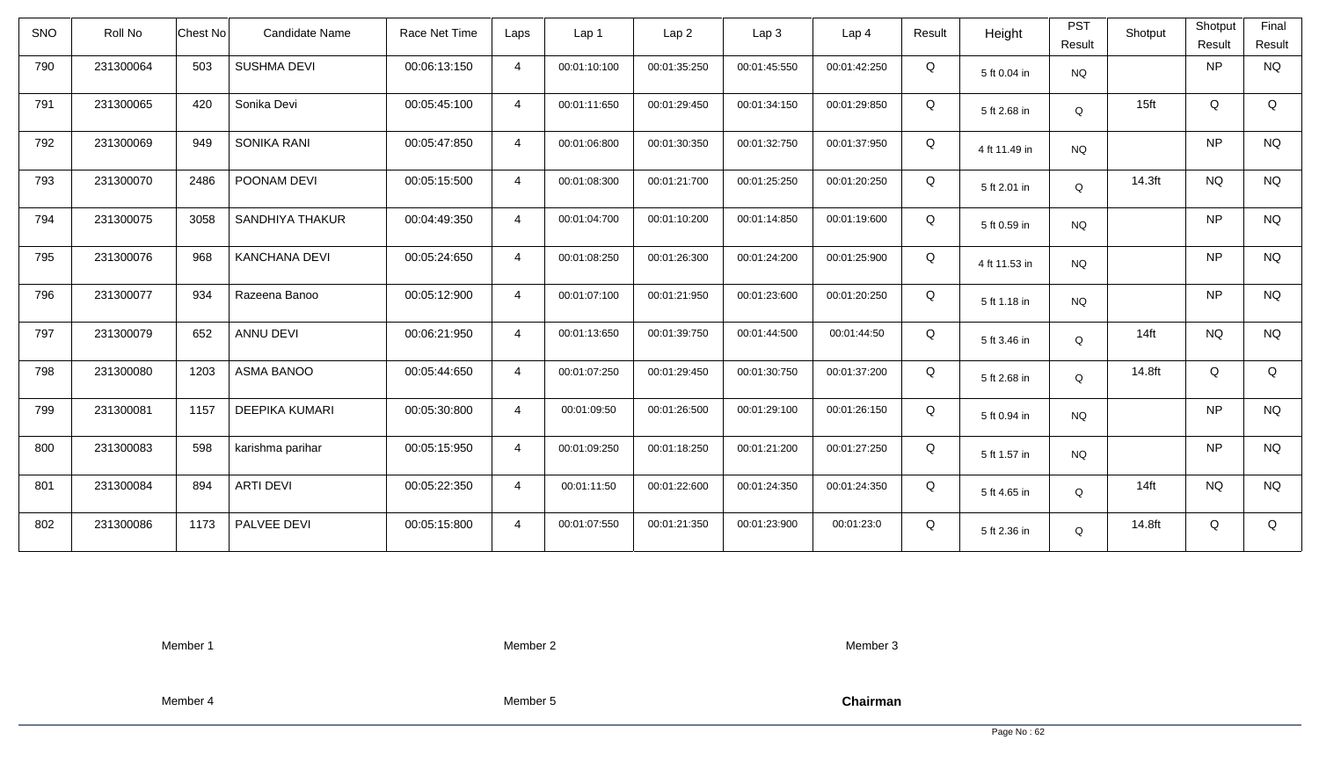| <b>SNO</b> | Roll No   | Chest No | <b>Candidate Name</b> | Race Net Time | Laps           | Lap <sub>1</sub> | Lap 2        | Lap <sub>3</sub> | Lap <sub>4</sub> | Result | Height        | <b>PST</b><br>Result | Shotput          | Shotput<br>Result | Final<br>Result |
|------------|-----------|----------|-----------------------|---------------|----------------|------------------|--------------|------------------|------------------|--------|---------------|----------------------|------------------|-------------------|-----------------|
| 790        | 231300064 | 503      | <b>SUSHMA DEVI</b>    | 00:06:13:150  | $\overline{4}$ | 00:01:10:100     | 00:01:35:250 | 00:01:45:550     | 00:01:42:250     | Q      | 5 ft 0.04 in  | <b>NQ</b>            |                  | NP                | <b>NQ</b>       |
| 791        | 231300065 | 420      | Sonika Devi           | 00:05:45:100  | $\overline{4}$ | 00:01:11:650     | 00:01:29:450 | 00:01:34:150     | 00:01:29:850     | Q      | 5 ft 2.68 in  | Q                    | 15 <sub>ft</sub> | Q                 | Q               |
| 792        | 231300069 | 949      | SONIKA RANI           | 00:05:47:850  | $\overline{4}$ | 00:01:06:800     | 00:01:30:350 | 00:01:32:750     | 00:01:37:950     | Q      | 4 ft 11.49 in | <b>NQ</b>            |                  | NP                | <b>NQ</b>       |
| 793        | 231300070 | 2486     | POONAM DEVI           | 00:05:15:500  | $\overline{4}$ | 00:01:08:300     | 00:01:21:700 | 00:01:25:250     | 00:01:20:250     | Q      | 5 ft 2.01 in  | Q                    | 14.3ft           | <b>NQ</b>         | <b>NQ</b>       |
| 794        | 231300075 | 3058     | SANDHIYA THAKUR       | 00:04:49:350  | $\overline{4}$ | 00:01:04:700     | 00:01:10:200 | 00:01:14:850     | 00:01:19:600     | Q      | 5 ft 0.59 in  | <b>NQ</b>            |                  | <b>NP</b>         | <b>NQ</b>       |
| 795        | 231300076 | 968      | <b>KANCHANA DEVI</b>  | 00:05:24:650  | $\overline{4}$ | 00:01:08:250     | 00:01:26:300 | 00:01:24:200     | 00:01:25:900     | Q      | 4 ft 11.53 in | <b>NQ</b>            |                  | <b>NP</b>         | <b>NQ</b>       |
| 796        | 231300077 | 934      | Razeena Banoo         | 00:05:12:900  | $\overline{4}$ | 00:01:07:100     | 00:01:21:950 | 00:01:23:600     | 00:01:20:250     | Q      | 5 ft 1.18 in  | <b>NQ</b>            |                  | <b>NP</b>         | <b>NQ</b>       |
| 797        | 231300079 | 652      | ANNU DEVI             | 00:06:21:950  | $\overline{4}$ | 00:01:13:650     | 00:01:39:750 | 00:01:44:500     | 00:01:44:50      | Q      | 5 ft 3.46 in  | Q                    | $14$ ft          | <b>NQ</b>         | <b>NQ</b>       |
| 798        | 231300080 | 1203     | <b>ASMA BANOO</b>     | 00:05:44:650  | $\overline{4}$ | 00:01:07:250     | 00:01:29:450 | 00:01:30:750     | 00:01:37:200     | Q      | 5 ft 2.68 in  | Q                    | 14.8ft           | Q                 | Q               |
| 799        | 231300081 | 1157     | <b>DEEPIKA KUMARI</b> | 00:05:30:800  | $\overline{4}$ | 00:01:09:50      | 00:01:26:500 | 00:01:29:100     | 00:01:26:150     | Q      | 5 ft 0.94 in  | <b>NQ</b>            |                  | <b>NP</b>         | <b>NQ</b>       |
| 800        | 231300083 | 598      | karishma parihar      | 00:05:15:950  | $\overline{4}$ | 00:01:09:250     | 00:01:18:250 | 00:01:21:200     | 00:01:27:250     | Q      | 5 ft 1.57 in  | <b>NQ</b>            |                  | NP                | <b>NQ</b>       |
| 801        | 231300084 | 894      | <b>ARTI DEVI</b>      | 00:05:22:350  | $\overline{4}$ | 00:01:11:50      | 00:01:22:600 | 00:01:24:350     | 00:01:24:350     | Q      | 5 ft 4.65 in  | Q                    | $14$ ft          | <b>NQ</b>         | <b>NQ</b>       |
| 802        | 231300086 | 1173     | PALVEE DEVI           | 00:05:15:800  | $\overline{4}$ | 00:01:07:550     | 00:01:21:350 | 00:01:23:900     | 00:01:23:0       | Q      | 5 ft 2.36 in  | Q                    | 14.8ft           | Q                 | Q               |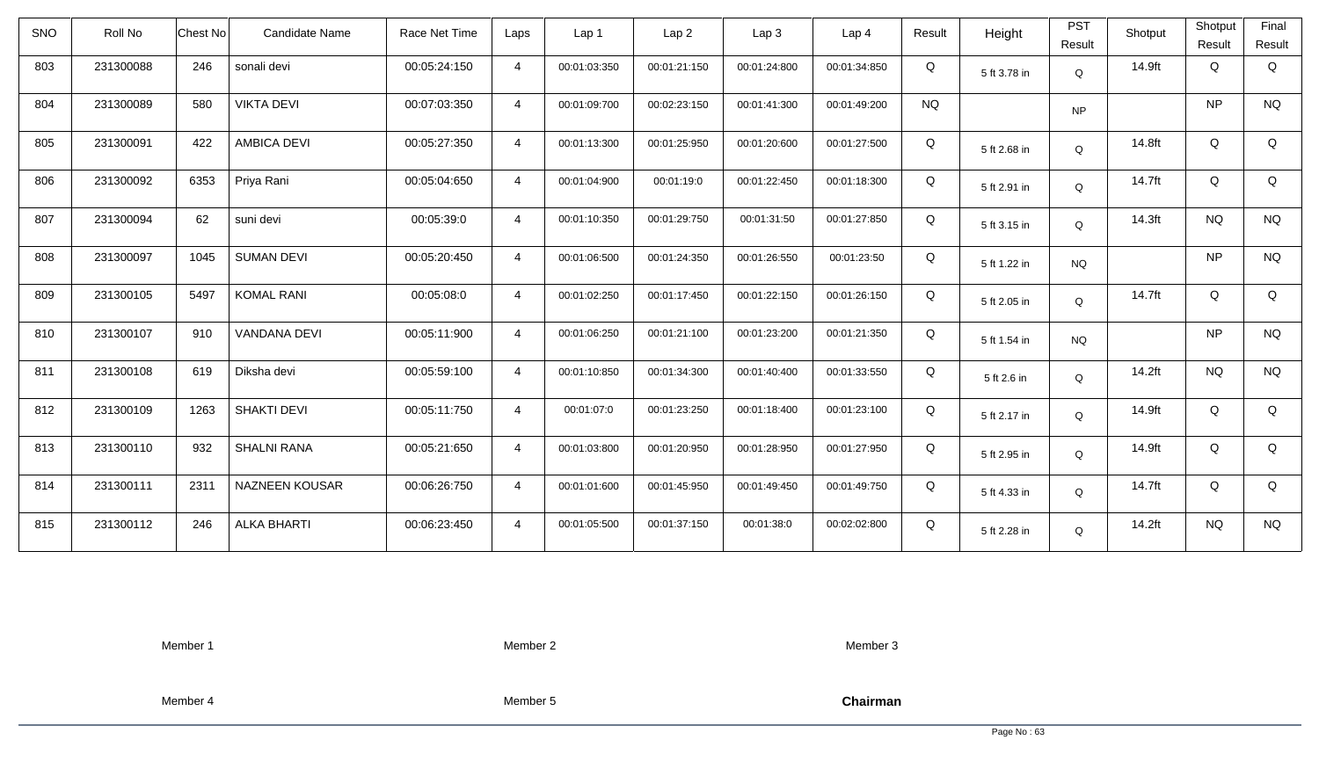| <b>SNO</b> | Roll No   | <b>Chest No</b> | Candidate Name        | Race Net Time | Laps           | Lap 1        | Lap <sub>2</sub> | Lap <sub>3</sub> | Lap <sub>4</sub> | Result    | Height       | <b>PST</b><br>Result | Shotput | Shotput<br>Result | Final<br>Result |
|------------|-----------|-----------------|-----------------------|---------------|----------------|--------------|------------------|------------------|------------------|-----------|--------------|----------------------|---------|-------------------|-----------------|
| 803        | 231300088 | 246             | sonali devi           | 00:05:24:150  | $\overline{4}$ | 00:01:03:350 | 00:01:21:150     | 00:01:24:800     | 00:01:34:850     | Q         | 5 ft 3.78 in | Q                    | 14.9ft  | Q                 | Q               |
| 804        | 231300089 | 580             | <b>VIKTA DEVI</b>     | 00:07:03:350  | $\overline{4}$ | 00:01:09:700 | 00:02:23:150     | 00:01:41:300     | 00:01:49:200     | <b>NQ</b> |              | <b>NP</b>            |         | <b>NP</b>         | <b>NQ</b>       |
| 805        | 231300091 | 422             | <b>AMBICA DEVI</b>    | 00:05:27:350  | $\overline{4}$ | 00:01:13:300 | 00:01:25:950     | 00:01:20:600     | 00:01:27:500     | Q         | 5 ft 2.68 in | Q                    | 14.8ft  | Q                 | Q               |
| 806        | 231300092 | 6353            | Priya Rani            | 00:05:04:650  | $\overline{4}$ | 00:01:04:900 | 00:01:19:0       | 00:01:22:450     | 00:01:18:300     | Q         | 5 ft 2.91 in | Q                    | 14.7ft  | Q                 | Q               |
| 807        | 231300094 | 62              | suni devi             | 00:05:39:0    | $\overline{4}$ | 00:01:10:350 | 00:01:29:750     | 00:01:31:50      | 00:01:27:850     | Q         | 5 ft 3.15 in | Q                    | 14.3ft  | <b>NQ</b>         | <b>NQ</b>       |
| 808        | 231300097 | 1045            | <b>SUMAN DEVI</b>     | 00:05:20:450  | $\overline{4}$ | 00:01:06:500 | 00:01:24:350     | 00:01:26:550     | 00:01:23:50      | Q         | 5 ft 1.22 in | <b>NQ</b>            |         | <b>NP</b>         | <b>NQ</b>       |
| 809        | 231300105 | 5497            | <b>KOMAL RANI</b>     | 00:05:08:0    | $\overline{4}$ | 00:01:02:250 | 00:01:17:450     | 00:01:22:150     | 00:01:26:150     | Q         | 5 ft 2.05 in | Q                    | 14.7ft  | Q                 | Q               |
| 810        | 231300107 | 910             | <b>VANDANA DEVI</b>   | 00:05:11:900  | $\overline{4}$ | 00:01:06:250 | 00:01:21:100     | 00:01:23:200     | 00:01:21:350     | Q         | 5 ft 1.54 in | <b>NQ</b>            |         | <b>NP</b>         | <b>NQ</b>       |
| 811        | 231300108 | 619             | Diksha devi           | 00:05:59:100  | $\overline{4}$ | 00:01:10:850 | 00:01:34:300     | 00:01:40:400     | 00:01:33:550     | Q         | 5 ft 2.6 in  | Q                    | 14.2ft  | <b>NQ</b>         | <b>NQ</b>       |
| 812        | 231300109 | 1263            | <b>SHAKTI DEVI</b>    | 00:05:11:750  | $\overline{4}$ | 00:01:07:0   | 00:01:23:250     | 00:01:18:400     | 00:01:23:100     | Q         | 5 ft 2.17 in | Q                    | 14.9ft  | Q                 | Q               |
| 813        | 231300110 | 932             | <b>SHALNI RANA</b>    | 00:05:21:650  | $\overline{4}$ | 00:01:03:800 | 00:01:20:950     | 00:01:28:950     | 00:01:27:950     | Q         | 5 ft 2.95 in | Q                    | 14.9ft  | Q                 | Q               |
| 814        | 231300111 | 2311            | <b>NAZNEEN KOUSAR</b> | 00:06:26:750  | $\overline{4}$ | 00:01:01:600 | 00:01:45:950     | 00:01:49:450     | 00:01:49:750     | Q         | 5 ft 4.33 in | Q                    | 14.7ft  | Q                 | Q               |
| 815        | 231300112 | 246             | <b>ALKA BHARTI</b>    | 00:06:23:450  | $\overline{4}$ | 00:01:05:500 | 00:01:37:150     | 00:01:38:0       | 00:02:02:800     | Q         | 5 ft 2.28 in | Q                    | 14.2ft  | <b>NQ</b>         | <b>NQ</b>       |

Member 2

Member 3

Member 4

Member 5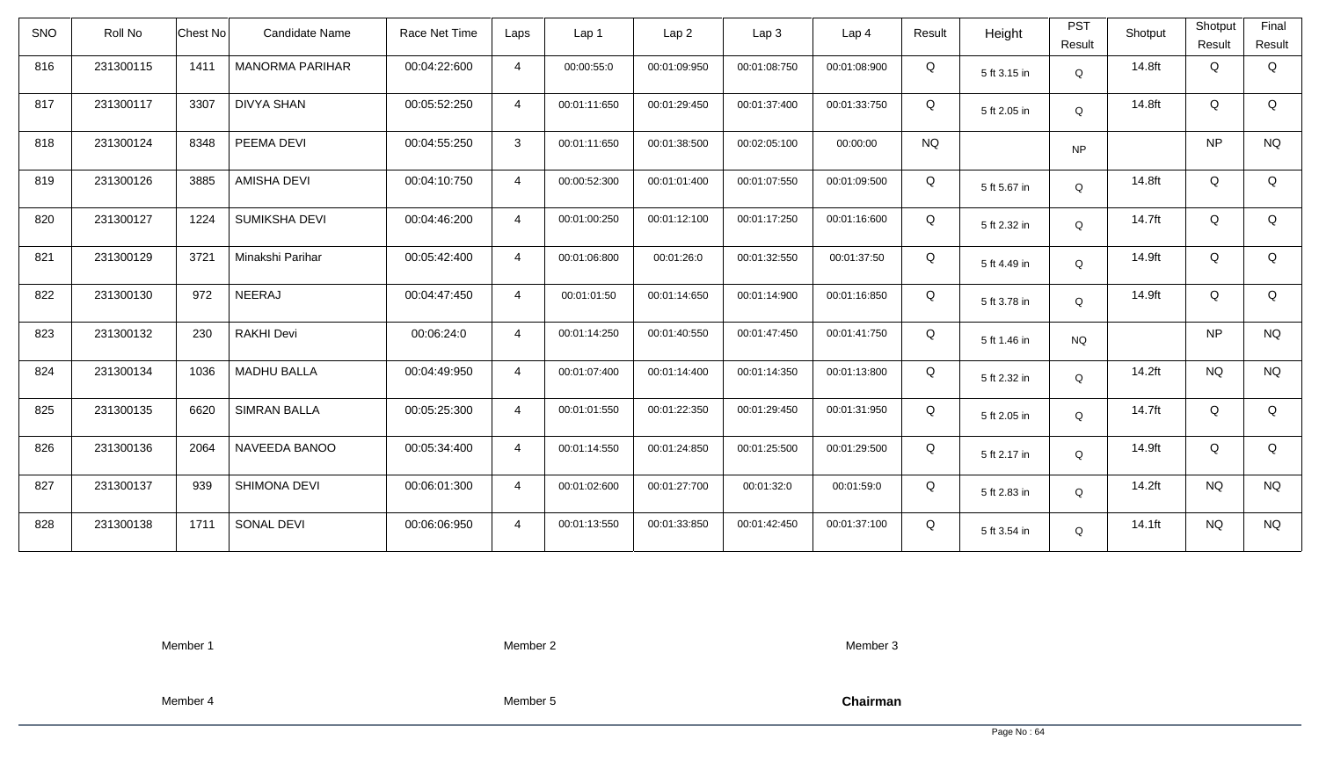| <b>SNO</b> | Roll No   | <b>Chest No</b> | Candidate Name         | Race Net Time | Laps           | Lap <sub>1</sub> | Lap <sub>2</sub> | Lap <sub>3</sub> | Lap <sub>4</sub> | Result    | Height       | <b>PST</b><br>Result | Shotput | Shotput<br>Result | Final<br>Result |
|------------|-----------|-----------------|------------------------|---------------|----------------|------------------|------------------|------------------|------------------|-----------|--------------|----------------------|---------|-------------------|-----------------|
| 816        | 231300115 | 1411            | <b>MANORMA PARIHAR</b> | 00:04:22:600  | $\overline{4}$ | 00:00:55:0       | 00:01:09:950     | 00:01:08:750     | 00:01:08:900     | Q         | 5 ft 3.15 in | Q                    | 14.8ft  | Q                 | Q               |
| 817        | 231300117 | 3307            | DIVYA SHAN             | 00:05:52:250  | $\overline{4}$ | 00:01:11:650     | 00:01:29:450     | 00:01:37:400     | 00:01:33:750     | Q         | 5 ft 2.05 in | Q                    | 14.8ft  | Q                 | Q               |
| 818        | 231300124 | 8348            | PEEMA DEVI             | 00:04:55:250  | 3              | 00:01:11:650     | 00:01:38:500     | 00:02:05:100     | 00:00:00         | <b>NQ</b> |              | <b>NP</b>            |         | <b>NP</b>         | <b>NQ</b>       |
| 819        | 231300126 | 3885            | <b>AMISHA DEVI</b>     | 00:04:10:750  | $\overline{4}$ | 00:00:52:300     | 00:01:01:400     | 00:01:07:550     | 00:01:09:500     | Q         | 5 ft 5.67 in | Q                    | 14.8ft  | Q                 | Q               |
| 820        | 231300127 | 1224            | <b>SUMIKSHA DEVI</b>   | 00:04:46:200  | $\overline{4}$ | 00:01:00:250     | 00:01:12:100     | 00:01:17:250     | 00:01:16:600     | Q         | 5 ft 2.32 in | Q                    | 14.7ft  | Q                 | Q               |
| 821        | 231300129 | 3721            | Minakshi Parihar       | 00:05:42:400  | $\overline{4}$ | 00:01:06:800     | 00:01:26:0       | 00:01:32:550     | 00:01:37:50      | Q         | 5 ft 4.49 in | Q                    | 14.9ft  | Q                 | Q               |
| 822        | 231300130 | 972             | <b>NEERAJ</b>          | 00:04:47:450  | $\overline{4}$ | 00:01:01:50      | 00:01:14:650     | 00:01:14:900     | 00:01:16:850     | Q         | 5 ft 3.78 in | Q                    | 14.9ft  | Q                 | Q               |
| 823        | 231300132 | 230             | <b>RAKHI Devi</b>      | 00:06:24:0    | $\overline{4}$ | 00:01:14:250     | 00:01:40:550     | 00:01:47:450     | 00:01:41:750     | Q         | 5 ft 1.46 in | <b>NQ</b>            |         | <b>NP</b>         | <b>NQ</b>       |
| 824        | 231300134 | 1036            | <b>MADHU BALLA</b>     | 00:04:49:950  | $\overline{4}$ | 00:01:07:400     | 00:01:14:400     | 00:01:14:350     | 00:01:13:800     | Q         | 5 ft 2.32 in | $\mathsf Q$          | 14.2ft  | <b>NQ</b>         | <b>NQ</b>       |
| 825        | 231300135 | 6620            | <b>SIMRAN BALLA</b>    | 00:05:25:300  | $\overline{4}$ | 00:01:01:550     | 00:01:22:350     | 00:01:29:450     | 00:01:31:950     | Q         | 5 ft 2.05 in | Q                    | 14.7ft  | Q                 | Q               |
| 826        | 231300136 | 2064            | NAVEEDA BANOO          | 00:05:34:400  | $\overline{4}$ | 00:01:14:550     | 00:01:24:850     | 00:01:25:500     | 00:01:29:500     | Q         | 5 ft 2.17 in | Q                    | 14.9ft  | Q                 | Q               |
| 827        | 231300137 | 939             | SHIMONA DEVI           | 00:06:01:300  | $\overline{4}$ | 00:01:02:600     | 00:01:27:700     | 00:01:32:0       | 00:01:59:0       | Q         | 5 ft 2.83 in | Q                    | 14.2ft  | <b>NQ</b>         | <b>NQ</b>       |
| 828        | 231300138 | 1711            | SONAL DEVI             | 00:06:06:950  | $\overline{4}$ | 00:01:13:550     | 00:01:33:850     | 00:01:42:450     | 00:01:37:100     | Q         | 5 ft 3.54 in | Q                    | 14.1ft  | <b>NQ</b>         | <b>NQ</b>       |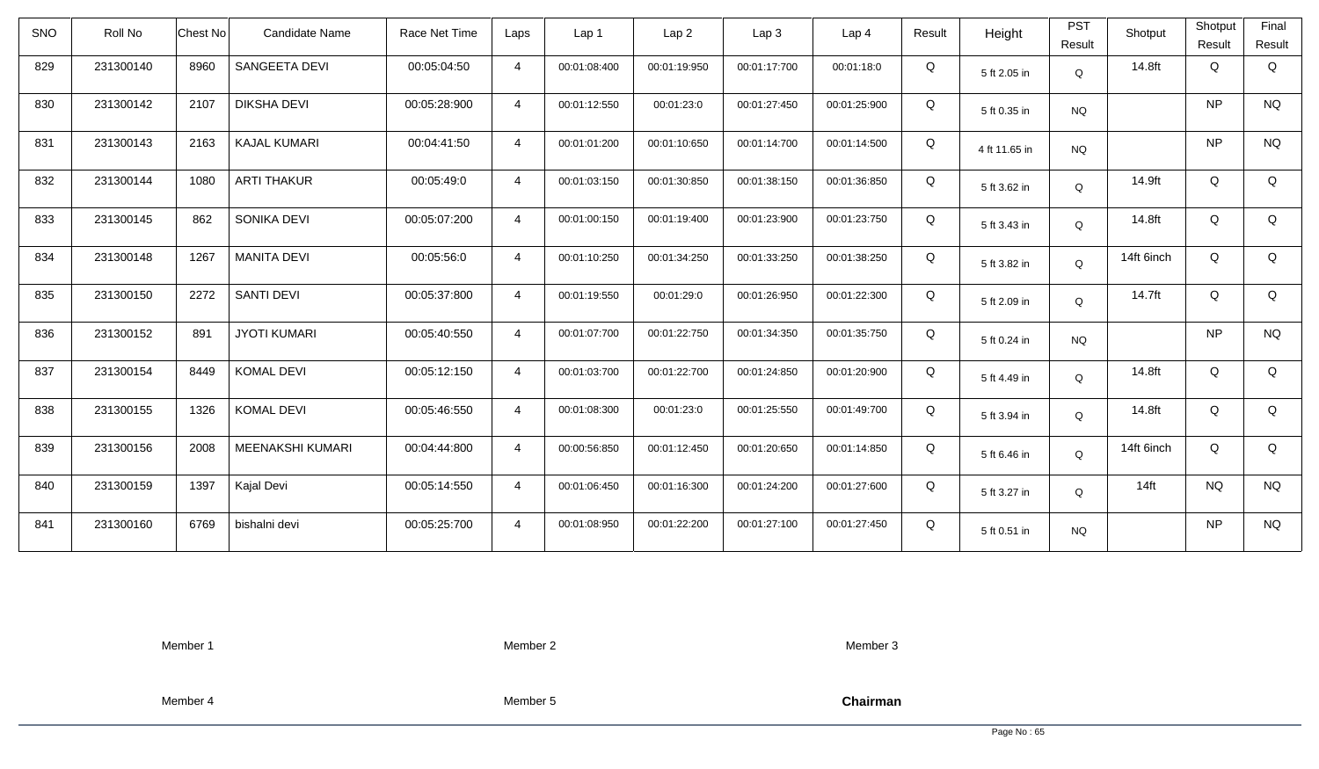| <b>SNO</b> | Roll No   | <b>Chest No</b> | Candidate Name      | Race Net Time | Laps           | Lap <sub>1</sub> | Lap <sub>2</sub> | Lap <sub>3</sub> | Lap <sub>4</sub> | Result | Height        | <b>PST</b><br>Result | Shotput    | Shotput<br>Result | Final<br>Result |
|------------|-----------|-----------------|---------------------|---------------|----------------|------------------|------------------|------------------|------------------|--------|---------------|----------------------|------------|-------------------|-----------------|
| 829        | 231300140 | 8960            | SANGEETA DEVI       | 00:05:04:50   | $\overline{4}$ | 00:01:08:400     | 00:01:19:950     | 00:01:17:700     | 00:01:18:0       | Q      | 5 ft 2.05 in  | Q                    | 14.8ft     | Q                 | Q               |
| 830        | 231300142 | 2107            | <b>DIKSHA DEVI</b>  | 00:05:28:900  | $\overline{4}$ | 00:01:12:550     | 00:01:23:0       | 00:01:27:450     | 00:01:25:900     | Q      | 5 ft 0.35 in  | <b>NQ</b>            |            | <b>NP</b>         | <b>NQ</b>       |
| 831        | 231300143 | 2163            | <b>KAJAL KUMARI</b> | 00:04:41:50   | $\overline{4}$ | 00:01:01:200     | 00:01:10:650     | 00:01:14:700     | 00:01:14:500     | Q      | 4 ft 11.65 in | <b>NQ</b>            |            | <b>NP</b>         | <b>NQ</b>       |
| 832        | 231300144 | 1080            | <b>ARTI THAKUR</b>  | 00:05:49:0    | $\overline{4}$ | 00:01:03:150     | 00:01:30:850     | 00:01:38:150     | 00:01:36:850     | Q      | 5 ft 3.62 in  | Q                    | 14.9ft     | Q                 | Q               |
| 833        | 231300145 | 862             | SONIKA DEVI         | 00:05:07:200  | $\overline{4}$ | 00:01:00:150     | 00:01:19:400     | 00:01:23:900     | 00:01:23:750     | Q      | 5 ft 3.43 in  | Q                    | 14.8ft     | Q                 | Q               |
| 834        | 231300148 | 1267            | <b>MANITA DEVI</b>  | 00:05:56:0    | $\overline{4}$ | 00:01:10:250     | 00:01:34:250     | 00:01:33:250     | 00:01:38:250     | Q      | 5 ft 3.82 in  | Q                    | 14ft 6inch | Q                 | Q               |
| 835        | 231300150 | 2272            | <b>SANTI DEVI</b>   | 00:05:37:800  | $\overline{4}$ | 00:01:19:550     | 00:01:29:0       | 00:01:26:950     | 00:01:22:300     | Q      | 5 ft 2.09 in  | Q                    | 14.7ft     | Q                 | Q               |
| 836        | 231300152 | 891             | <b>JYOTI KUMARI</b> | 00:05:40:550  | $\overline{4}$ | 00:01:07:700     | 00:01:22:750     | 00:01:34:350     | 00:01:35:750     | Q      | 5 ft 0.24 in  | <b>NQ</b>            |            | <b>NP</b>         | <b>NQ</b>       |
| 837        | 231300154 | 8449            | <b>KOMAL DEVI</b>   | 00:05:12:150  | $\overline{4}$ | 00:01:03:700     | 00:01:22:700     | 00:01:24:850     | 00:01:20:900     | Q      | 5 ft 4.49 in  | Q                    | 14.8ft     | Q                 | Q               |
| 838        | 231300155 | 1326            | <b>KOMAL DEVI</b>   | 00:05:46:550  | $\overline{4}$ | 00:01:08:300     | 00:01:23:0       | 00:01:25:550     | 00:01:49:700     | Q      | 5 ft 3.94 in  | Q                    | 14.8ft     | Q                 | Q               |
| 839        | 231300156 | 2008            | MEENAKSHI KUMARI    | 00:04:44:800  | $\overline{4}$ | 00:00:56:850     | 00:01:12:450     | 00:01:20:650     | 00:01:14:850     | Q      | 5 ft 6.46 in  | Q                    | 14ft 6inch | Q                 | Q               |
| 840        | 231300159 | 1397            | Kajal Devi          | 00:05:14:550  | $\overline{4}$ | 00:01:06:450     | 00:01:16:300     | 00:01:24:200     | 00:01:27:600     | Q      | 5 ft 3.27 in  | Q                    | $14$ ft    | <b>NQ</b>         | <b>NQ</b>       |
| 841        | 231300160 | 6769            | bishalni devi       | 00:05:25:700  | $\overline{4}$ | 00:01:08:950     | 00:01:22:200     | 00:01:27:100     | 00:01:27:450     | Q      | 5 ft 0.51 in  | <b>NQ</b>            |            | <b>NP</b>         | <b>NQ</b>       |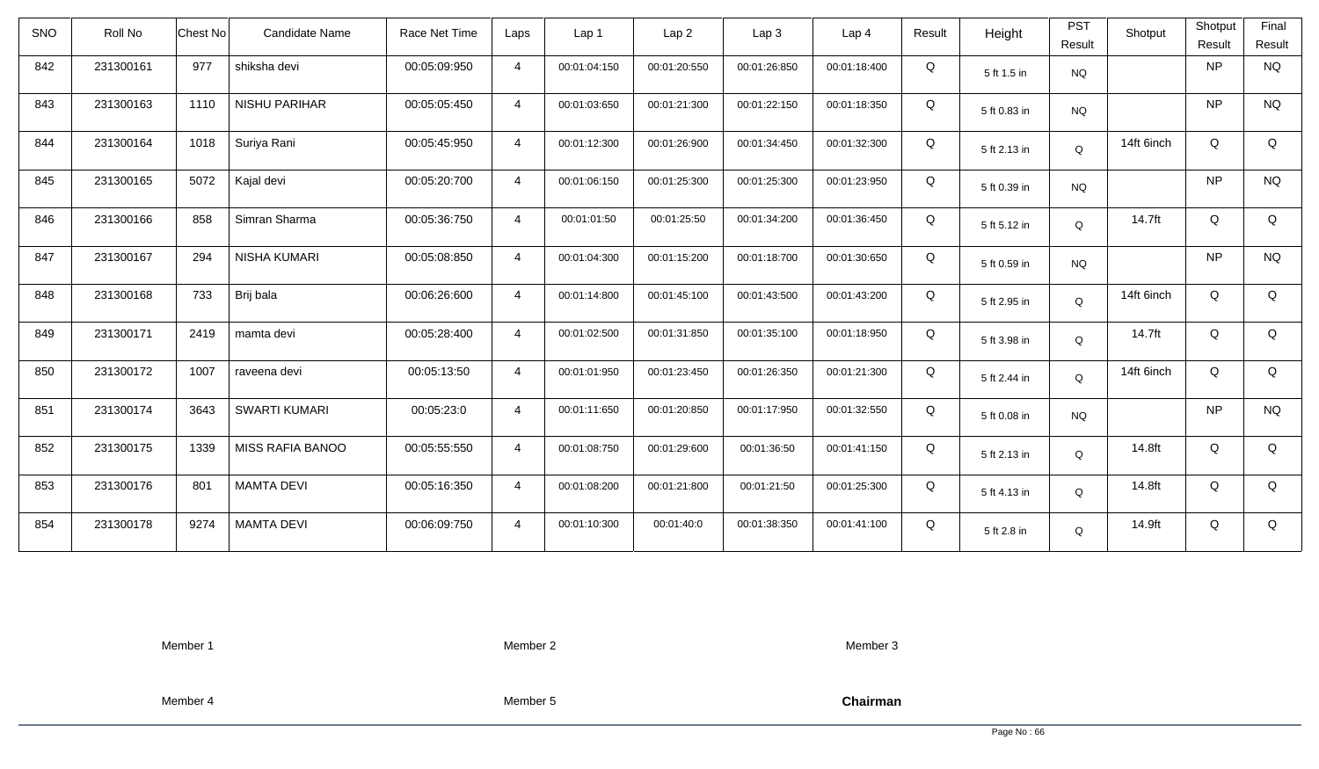| SNO | Roll No   | <b>Chest No</b> | <b>Candidate Name</b> | Race Net Time | Laps           | Lap <sub>1</sub> | Lap <sub>2</sub> | Lap <sub>3</sub> | Lap <sub>4</sub> | Result | Height       | <b>PST</b><br>Result | Shotput    | Shotput<br>Result | Final<br>Result |
|-----|-----------|-----------------|-----------------------|---------------|----------------|------------------|------------------|------------------|------------------|--------|--------------|----------------------|------------|-------------------|-----------------|
| 842 | 231300161 | 977             | shiksha devi          | 00:05:09:950  | $\overline{4}$ | 00:01:04:150     | 00:01:20:550     | 00:01:26:850     | 00:01:18:400     | Q      | 5 ft 1.5 in  | <b>NQ</b>            |            | <b>NP</b>         | <b>NQ</b>       |
| 843 | 231300163 | 1110            | NISHU PARIHAR         | 00:05:05:450  | $\overline{4}$ | 00:01:03:650     | 00:01:21:300     | 00:01:22:150     | 00:01:18:350     | Q      | 5 ft 0.83 in | <b>NQ</b>            |            | <b>NP</b>         | <b>NQ</b>       |
| 844 | 231300164 | 1018            | Suriya Rani           | 00:05:45:950  | $\overline{4}$ | 00:01:12:300     | 00:01:26:900     | 00:01:34:450     | 00:01:32:300     | Q      | 5 ft 2.13 in | Q                    | 14ft 6inch | Q                 | Q               |
| 845 | 231300165 | 5072            | Kajal devi            | 00:05:20:700  | $\overline{4}$ | 00:01:06:150     | 00:01:25:300     | 00:01:25:300     | 00:01:23:950     | Q      | 5 ft 0.39 in | <b>NQ</b>            |            | <b>NP</b>         | <b>NQ</b>       |
| 846 | 231300166 | 858             | Simran Sharma         | 00:05:36:750  | $\overline{4}$ | 00:01:01:50      | 00:01:25:50      | 00:01:34:200     | 00:01:36:450     | Q      | 5 ft 5.12 in | Q                    | 14.7ft     | Q                 | Q               |
| 847 | 231300167 | 294             | NISHA KUMARI          | 00:05:08:850  | $\overline{4}$ | 00:01:04:300     | 00:01:15:200     | 00:01:18:700     | 00:01:30:650     | Q      | 5 ft 0.59 in | <b>NQ</b>            |            | <b>NP</b>         | <b>NQ</b>       |
| 848 | 231300168 | 733             | Brij bala             | 00:06:26:600  | $\overline{4}$ | 00:01:14:800     | 00:01:45:100     | 00:01:43:500     | 00:01:43:200     | Q      | 5 ft 2.95 in | Q                    | 14ft 6inch | Q                 | Q               |
| 849 | 231300171 | 2419            | mamta devi            | 00:05:28:400  | $\overline{4}$ | 00:01:02:500     | 00:01:31:850     | 00:01:35:100     | 00:01:18:950     | Q      | 5 ft 3.98 in | Q                    | 14.7ft     | Q                 | Q               |
| 850 | 231300172 | 1007            | raveena devi          | 00:05:13:50   | $\overline{4}$ | 00:01:01:950     | 00:01:23:450     | 00:01:26:350     | 00:01:21:300     | Q      | 5 ft 2.44 in | Q                    | 14ft 6inch | Q                 | Q               |
| 851 | 231300174 | 3643            | <b>SWARTI KUMARI</b>  | 00:05:23:0    | $\overline{4}$ | 00:01:11:650     | 00:01:20:850     | 00:01:17:950     | 00:01:32:550     | Q      | 5 ft 0.08 in | <b>NQ</b>            |            | <b>NP</b>         | <b>NQ</b>       |
| 852 | 231300175 | 1339            | MISS RAFIA BANOO      | 00:05:55:550  | $\overline{4}$ | 00:01:08:750     | 00:01:29:600     | 00:01:36:50      | 00:01:41:150     | Q      | 5 ft 2.13 in | Q                    | 14.8ft     | Q                 | Q               |
| 853 | 231300176 | 801             | <b>MAMTA DEVI</b>     | 00:05:16:350  | $\overline{4}$ | 00:01:08:200     | 00:01:21:800     | 00:01:21:50      | 00:01:25:300     | Q      | 5 ft 4.13 in | Q                    | 14.8ft     | Q                 | Q               |
| 854 | 231300178 | 9274            | <b>MAMTA DEVI</b>     | 00:06:09:750  | $\overline{4}$ | 00:01:10:300     | 00:01:40:0       | 00:01:38:350     | 00:01:41:100     | Q      | 5 ft 2.8 in  | Q                    | 14.9ft     | Q                 | Q               |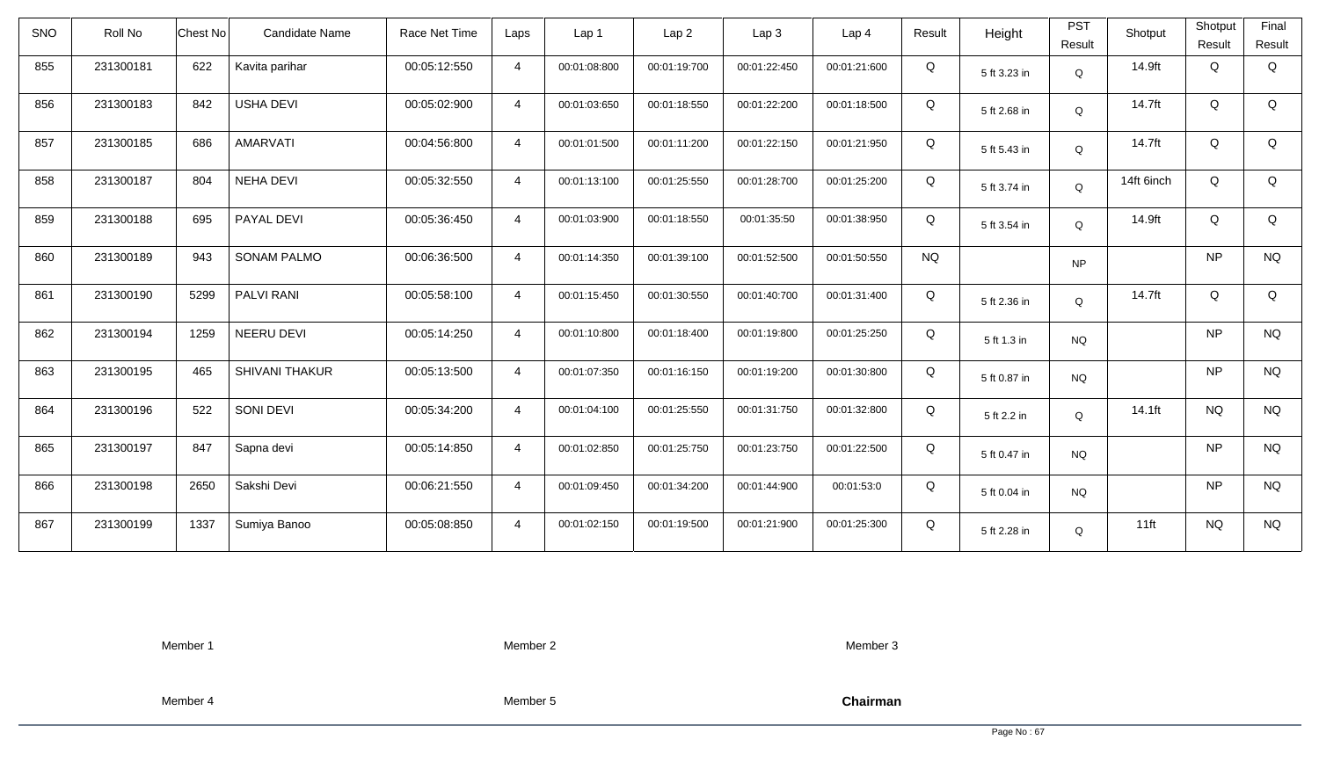| <b>SNO</b> | Roll No   | <b>Chest No</b> | Candidate Name        | Race Net Time | Laps           | Lap 1        | Lap <sub>2</sub> | Lap <sub>3</sub> | Lap <sub>4</sub> | Result    | Height       | <b>PST</b><br>Result | Shotput    | Shotput<br>Result | Final<br>Result |
|------------|-----------|-----------------|-----------------------|---------------|----------------|--------------|------------------|------------------|------------------|-----------|--------------|----------------------|------------|-------------------|-----------------|
| 855        | 231300181 | 622             | Kavita parihar        | 00:05:12:550  | $\overline{4}$ | 00:01:08:800 | 00:01:19:700     | 00:01:22:450     | 00:01:21:600     | Q         | 5 ft 3.23 in | Q                    | 14.9ft     | Q                 | Q               |
| 856        | 231300183 | 842             | <b>USHA DEVI</b>      | 00:05:02:900  | $\overline{4}$ | 00:01:03:650 | 00:01:18:550     | 00:01:22:200     | 00:01:18:500     | Q         | 5 ft 2.68 in | Q                    | 14.7ft     | Q                 | Q               |
| 857        | 231300185 | 686             | <b>AMARVATI</b>       | 00:04:56:800  | $\overline{4}$ | 00:01:01:500 | 00:01:11:200     | 00:01:22:150     | 00:01:21:950     | Q         | 5 ft 5.43 in | Q                    | 14.7ft     | Q                 | Q               |
| 858        | 231300187 | 804             | <b>NEHA DEVI</b>      | 00:05:32:550  | $\overline{4}$ | 00:01:13:100 | 00:01:25:550     | 00:01:28:700     | 00:01:25:200     | Q         | 5 ft 3.74 in | Q                    | 14ft 6inch | Q                 | Q               |
| 859        | 231300188 | 695             | PAYAL DEVI            | 00:05:36:450  | $\overline{4}$ | 00:01:03:900 | 00:01:18:550     | 00:01:35:50      | 00:01:38:950     | Q         | 5 ft 3.54 in | Q                    | 14.9ft     | Q                 | Q               |
| 860        | 231300189 | 943             | <b>SONAM PALMO</b>    | 00:06:36:500  | $\overline{4}$ | 00:01:14:350 | 00:01:39:100     | 00:01:52:500     | 00:01:50:550     | <b>NQ</b> |              | <b>NP</b>            |            | <b>NP</b>         | <b>NQ</b>       |
| 861        | 231300190 | 5299            | <b>PALVI RANI</b>     | 00:05:58:100  | $\overline{4}$ | 00:01:15:450 | 00:01:30:550     | 00:01:40:700     | 00:01:31:400     | Q         | 5 ft 2.36 in | Q                    | 14.7ft     | Q                 | Q               |
| 862        | 231300194 | 1259            | NEERU DEVI            | 00:05:14:250  | $\overline{4}$ | 00:01:10:800 | 00:01:18:400     | 00:01:19:800     | 00:01:25:250     | Q         | 5 ft 1.3 in  | <b>NQ</b>            |            | <b>NP</b>         | <b>NQ</b>       |
| 863        | 231300195 | 465             | <b>SHIVANI THAKUR</b> | 00:05:13:500  | $\overline{4}$ | 00:01:07:350 | 00:01:16:150     | 00:01:19:200     | 00:01:30:800     | Q         | 5 ft 0.87 in | <b>NQ</b>            |            | <b>NP</b>         | <b>NQ</b>       |
| 864        | 231300196 | 522             | SONI DEVI             | 00:05:34:200  | $\overline{4}$ | 00:01:04:100 | 00:01:25:550     | 00:01:31:750     | 00:01:32:800     | Q         | 5 ft 2.2 in  | Q                    | 14.1ft     | <b>NQ</b>         | <b>NQ</b>       |
| 865        | 231300197 | 847             | Sapna devi            | 00:05:14:850  | $\overline{4}$ | 00:01:02:850 | 00:01:25:750     | 00:01:23:750     | 00:01:22:500     | Q         | 5 ft 0.47 in | <b>NQ</b>            |            | <b>NP</b>         | <b>NQ</b>       |
| 866        | 231300198 | 2650            | Sakshi Devi           | 00:06:21:550  | $\overline{4}$ | 00:01:09:450 | 00:01:34:200     | 00:01:44:900     | 00:01:53:0       | Q         | 5 ft 0.04 in | <b>NQ</b>            |            | <b>NP</b>         | <b>NQ</b>       |
| 867        | 231300199 | 1337            | Sumiya Banoo          | 00:05:08:850  | $\overline{4}$ | 00:01:02:150 | 00:01:19:500     | 00:01:21:900     | 00:01:25:300     | Q         | 5 ft 2.28 in | Q                    | $11$ ft    | <b>NQ</b>         | <b>NQ</b>       |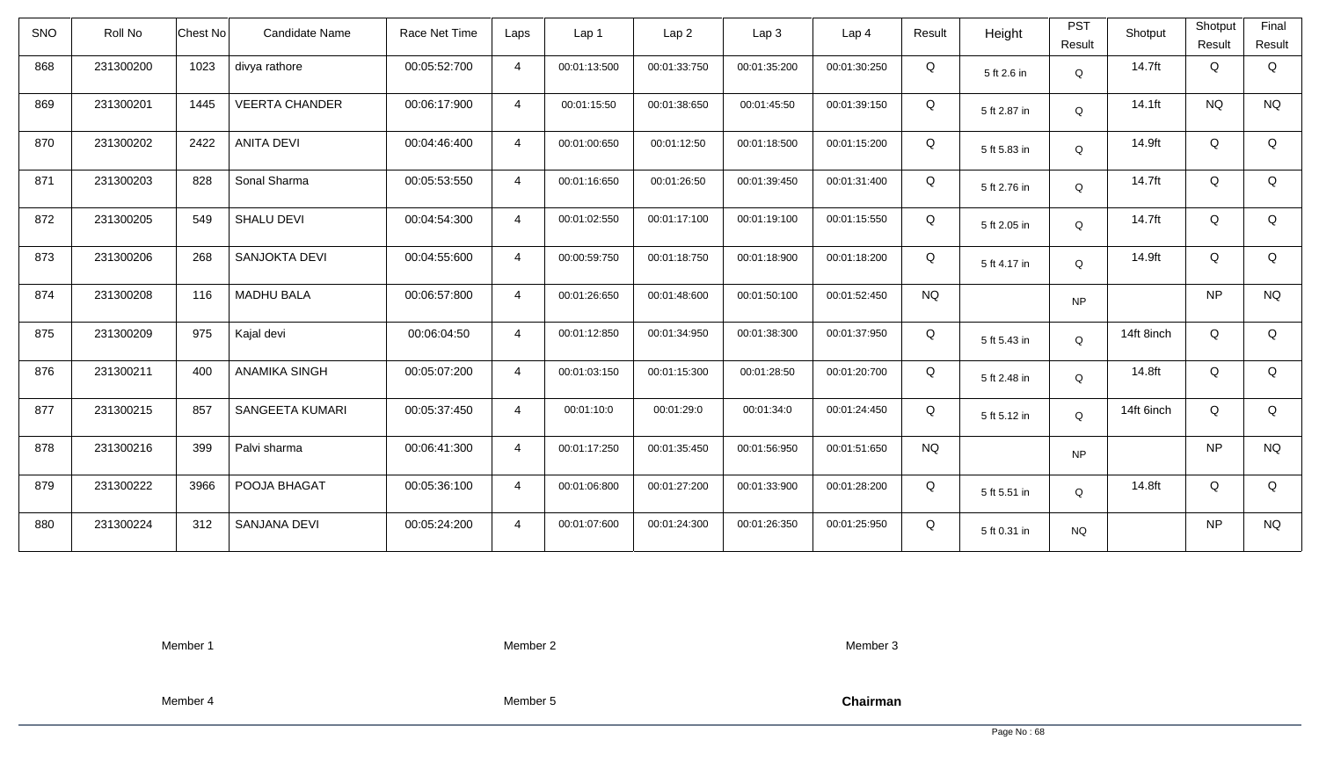| <b>SNO</b> | Roll No   | Candidate Name<br>Chest No    | Race Net Time | Laps           | Lap 1        | Lap <sub>2</sub> | Lap3         | Lap <sub>4</sub> | Result    | Height       | <b>PST</b><br>Result | Shotput    | Shotput<br>Result | Final<br>Result |
|------------|-----------|-------------------------------|---------------|----------------|--------------|------------------|--------------|------------------|-----------|--------------|----------------------|------------|-------------------|-----------------|
| 868        | 231300200 | 1023<br>divya rathore         | 00:05:52:700  | $\overline{4}$ | 00:01:13:500 | 00:01:33:750     | 00:01:35:200 | 00:01:30:250     | Q         | 5 ft 2.6 in  | Q                    | 14.7ft     | Q                 | Q               |
| 869        | 231300201 | 1445<br><b>VEERTA CHANDER</b> | 00:06:17:900  | $\overline{4}$ | 00:01:15:50  | 00:01:38:650     | 00:01:45:50  | 00:01:39:150     | Q         | 5 ft 2.87 in | Q                    | 14.1ft     | <b>NQ</b>         | <b>NQ</b>       |
| 870        | 231300202 | <b>ANITA DEVI</b><br>2422     | 00:04:46:400  | $\overline{4}$ | 00:01:00:650 | 00:01:12:50      | 00:01:18:500 | 00:01:15:200     | Q         | 5 ft 5.83 in | Q                    | 14.9ft     | Q                 | Q               |
| 871        | 231300203 | 828<br>Sonal Sharma           | 00:05:53:550  | $\overline{4}$ | 00:01:16:650 | 00:01:26:50      | 00:01:39:450 | 00:01:31:400     | Q         | 5 ft 2.76 in | Q                    | 14.7ft     | Q                 | Q               |
| 872        | 231300205 | SHALU DEVI<br>549             | 00:04:54:300  | $\overline{4}$ | 00:01:02:550 | 00:01:17:100     | 00:01:19:100 | 00:01:15:550     | Q         | 5 ft 2.05 in | Q                    | 14.7ft     | Q                 | Q               |
| 873        | 231300206 | SANJOKTA DEVI<br>268          | 00:04:55:600  | $\overline{4}$ | 00:00:59:750 | 00:01:18:750     | 00:01:18:900 | 00:01:18:200     | Q         | 5 ft 4.17 in | Q                    | 14.9ft     | Q                 | Q               |
| 874        | 231300208 | 116<br><b>MADHU BALA</b>      | 00:06:57:800  | $\overline{4}$ | 00:01:26:650 | 00:01:48:600     | 00:01:50:100 | 00:01:52:450     | <b>NQ</b> |              | <b>NP</b>            |            | <b>NP</b>         | <b>NQ</b>       |
| 875        | 231300209 | 975<br>Kajal devi             | 00:06:04:50   | $\overline{4}$ | 00:01:12:850 | 00:01:34:950     | 00:01:38:300 | 00:01:37:950     | Q         | 5 ft 5.43 in | Q                    | 14ft 8inch | Q                 | Q               |
| 876        | 231300211 | <b>ANAMIKA SINGH</b><br>400   | 00:05:07:200  | $\overline{4}$ | 00:01:03:150 | 00:01:15:300     | 00:01:28:50  | 00:01:20:700     | Q         | 5 ft 2.48 in | $\mathsf Q$          | 14.8ft     | Q                 | Q               |
| 877        | 231300215 | 857<br>SANGEETA KUMARI        | 00:05:37:450  | $\overline{4}$ | 00:01:10:0   | 00:01:29:0       | 00:01:34:0   | 00:01:24:450     | Q         | 5 ft 5.12 in | Q                    | 14ft 6inch | Q                 | Q               |
| 878        | 231300216 | 399<br>Palvi sharma           | 00:06:41:300  | $\overline{4}$ | 00:01:17:250 | 00:01:35:450     | 00:01:56:950 | 00:01:51:650     | <b>NQ</b> |              | <b>NP</b>            |            | <b>NP</b>         | <b>NQ</b>       |
| 879        | 231300222 | 3966<br>POOJA BHAGAT          | 00:05:36:100  | $\overline{4}$ | 00:01:06:800 | 00:01:27:200     | 00:01:33:900 | 00:01:28:200     | Q         | 5 ft 5.51 in | Q                    | 14.8ft     | Q                 | Q               |
| 880        | 231300224 | 312<br>SANJANA DEVI           | 00:05:24:200  | $\overline{4}$ | 00:01:07:600 | 00:01:24:300     | 00:01:26:350 | 00:01:25:950     | Q         | 5 ft 0.31 in | <b>NQ</b>            |            | <b>NP</b>         | <b>NQ</b>       |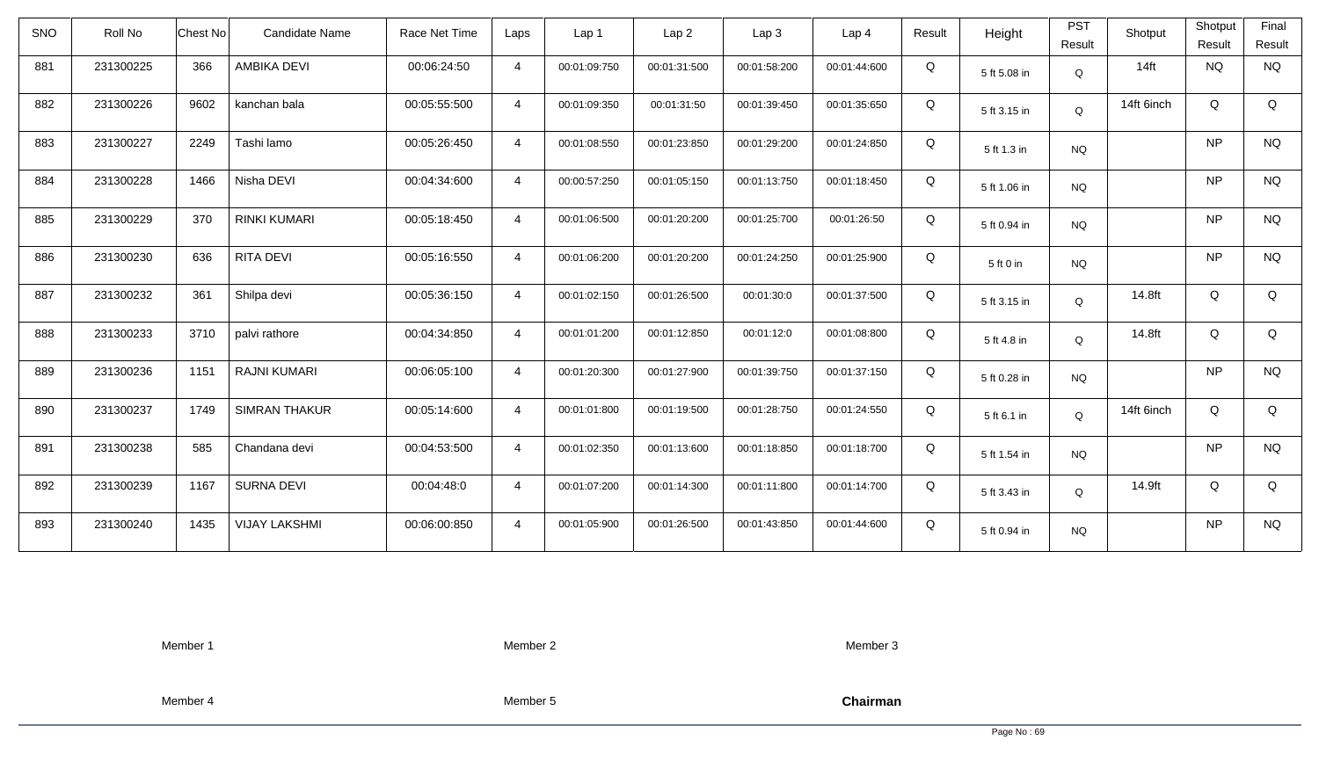| <b>SNO</b> | Roll No   | <b>Chest No</b> | Candidate Name       | Race Net Time | Laps           | Lap 1        | Lap <sub>2</sub> | Lap3         | Lap 4        | Result | Height       | <b>PST</b><br>Result | Shotput    | Shotput<br>Result | Final<br>Result |
|------------|-----------|-----------------|----------------------|---------------|----------------|--------------|------------------|--------------|--------------|--------|--------------|----------------------|------------|-------------------|-----------------|
| 881        | 231300225 | 366             | AMBIKA DEVI          | 00:06:24:50   | $\overline{4}$ | 00:01:09:750 | 00:01:31:500     | 00:01:58:200 | 00:01:44:600 | Q      | 5 ft 5.08 in | Q                    | $14$ ft    | <b>NQ</b>         | <b>NQ</b>       |
| 882        | 231300226 | 9602            | kanchan bala         | 00:05:55:500  | $\overline{4}$ | 00:01:09:350 | 00:01:31:50      | 00:01:39:450 | 00:01:35:650 | Q      | 5 ft 3.15 in | Q                    | 14ft 6inch | Q                 | Q               |
| 883        | 231300227 | 2249            | Tashi lamo           | 00:05:26:450  | $\overline{4}$ | 00:01:08:550 | 00:01:23:850     | 00:01:29:200 | 00:01:24:850 | Q      | 5 ft 1.3 in  | <b>NQ</b>            |            | <b>NP</b>         | <b>NQ</b>       |
| 884        | 231300228 | 1466            | Nisha DEVI           | 00:04:34:600  | $\overline{4}$ | 00:00:57:250 | 00:01:05:150     | 00:01:13:750 | 00:01:18:450 | Q      | 5 ft 1.06 in | <b>NQ</b>            |            | <b>NP</b>         | <b>NQ</b>       |
| 885        | 231300229 | 370             | <b>RINKI KUMARI</b>  | 00:05:18:450  | $\overline{4}$ | 00:01:06:500 | 00:01:20:200     | 00:01:25:700 | 00:01:26:50  | Q      | 5 ft 0.94 in | <b>NQ</b>            |            | <b>NP</b>         | <b>NQ</b>       |
| 886        | 231300230 | 636             | RITA DEVI            | 00:05:16:550  | $\overline{4}$ | 00:01:06:200 | 00:01:20:200     | 00:01:24:250 | 00:01:25:900 | Q      | 5 ft 0 in    | <b>NQ</b>            |            | <b>NP</b>         | <b>NQ</b>       |
| 887        | 231300232 | 361             | Shilpa devi          | 00:05:36:150  | $\overline{4}$ | 00:01:02:150 | 00:01:26:500     | 00:01:30:0   | 00:01:37:500 | Q      | 5 ft 3.15 in | Q                    | 14.8ft     | Q                 | Q               |
| 888        | 231300233 | 3710            | palvi rathore        | 00:04:34:850  | $\overline{4}$ | 00:01:01:200 | 00:01:12:850     | 00:01:12:0   | 00:01:08:800 | Q      | 5 ft 4.8 in  | Q                    | 14.8ft     | Q                 | Q               |
| 889        | 231300236 | 1151            | <b>RAJNI KUMARI</b>  | 00:06:05:100  | $\overline{4}$ | 00:01:20:300 | 00:01:27:900     | 00:01:39:750 | 00:01:37:150 | Q      | 5 ft 0.28 in | <b>NQ</b>            |            | <b>NP</b>         | <b>NQ</b>       |
| 890        | 231300237 | 1749            | <b>SIMRAN THAKUR</b> | 00:05:14:600  | $\overline{4}$ | 00:01:01:800 | 00:01:19:500     | 00:01:28:750 | 00:01:24:550 | Q      | 5 ft 6.1 in  | Q                    | 14ft 6inch | Q                 | Q               |
| 891        | 231300238 | 585             | Chandana devi        | 00:04:53:500  | $\overline{4}$ | 00:01:02:350 | 00:01:13:600     | 00:01:18:850 | 00:01:18:700 | Q      | 5 ft 1.54 in | <b>NQ</b>            |            | <b>NP</b>         | <b>NQ</b>       |
| 892        | 231300239 | 1167            | <b>SURNA DEVI</b>    | 00:04:48:0    | $\overline{4}$ | 00:01:07:200 | 00:01:14:300     | 00:01:11:800 | 00:01:14:700 | Q      | 5 ft 3.43 in | Q                    | 14.9ft     | Q                 | Q               |
| 893        | 231300240 | 1435            | <b>VIJAY LAKSHMI</b> | 00:06:00:850  | $\overline{4}$ | 00:01:05:900 | 00:01:26:500     | 00:01:43:850 | 00:01:44:600 | Q      | 5 ft 0.94 in | <b>NQ</b>            |            | <b>NP</b>         | <b>NQ</b>       |

Member 2

Member 3

Member 4

Member 5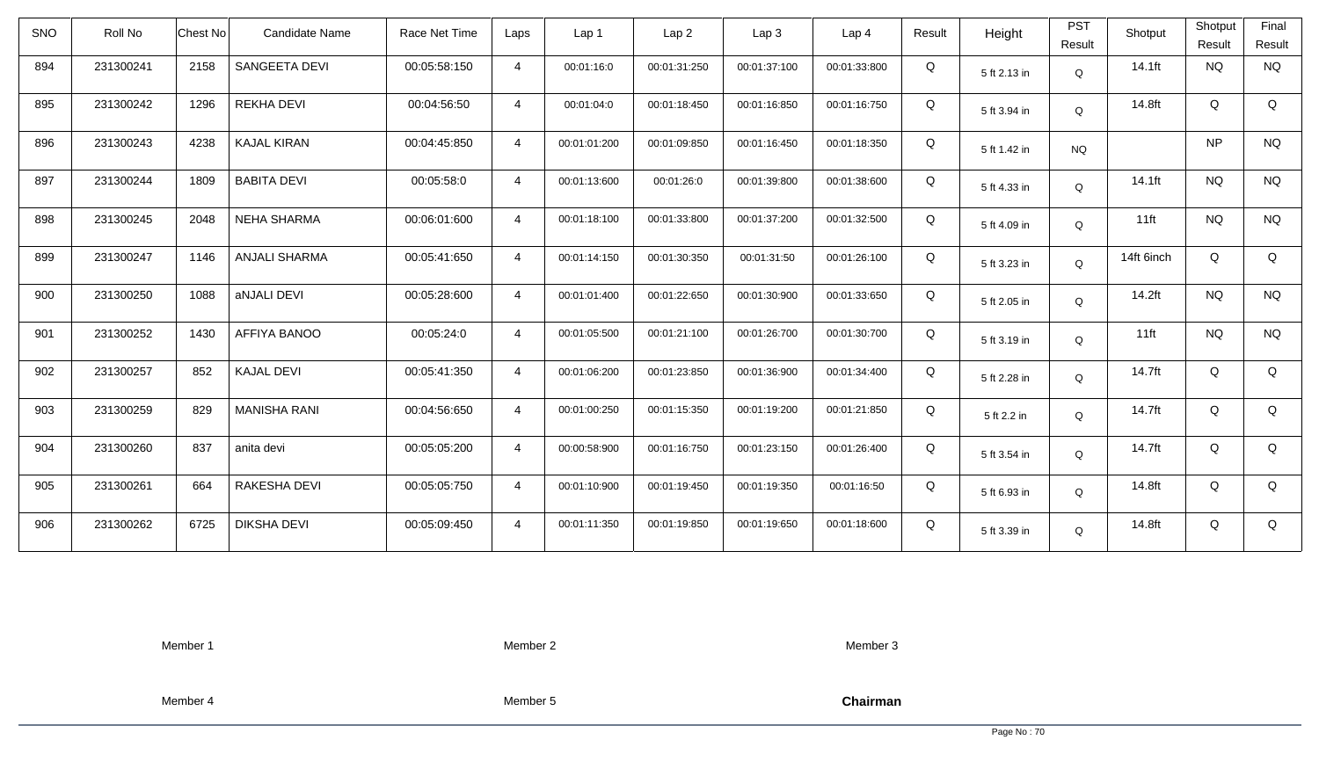| <b>SNO</b> | Roll No   | <b>Chest No</b> | Candidate Name       | Race Net Time | Laps           | Lap 1        | Lap <sub>2</sub> | Lap3         | Lap 4        | Result | Height       | <b>PST</b><br>Result | Shotput    | Shotput<br>Result | Final<br>Result |
|------------|-----------|-----------------|----------------------|---------------|----------------|--------------|------------------|--------------|--------------|--------|--------------|----------------------|------------|-------------------|-----------------|
| 894        | 231300241 | 2158            | SANGEETA DEVI        | 00:05:58:150  | $\overline{4}$ | 00:01:16:0   | 00:01:31:250     | 00:01:37:100 | 00:01:33:800 | Q      | 5 ft 2.13 in | $\mathsf Q$          | $14.1$ ft  | <b>NQ</b>         | <b>NQ</b>       |
| 895        | 231300242 | 1296            | <b>REKHA DEVI</b>    | 00:04:56:50   | $\overline{4}$ | 00:01:04:0   | 00:01:18:450     | 00:01:16:850 | 00:01:16:750 | Q      | 5 ft 3.94 in | Q                    | 14.8ft     | Q                 | Q               |
| 896        | 231300243 | 4238            | <b>KAJAL KIRAN</b>   | 00:04:45:850  | $\overline{4}$ | 00:01:01:200 | 00:01:09:850     | 00:01:16:450 | 00:01:18:350 | Q      | 5 ft 1.42 in | <b>NQ</b>            |            | <b>NP</b>         | <b>NQ</b>       |
| 897        | 231300244 | 1809            | <b>BABITA DEVI</b>   | 00:05:58:0    | $\overline{4}$ | 00:01:13:600 | 00:01:26:0       | 00:01:39:800 | 00:01:38:600 | Q      | 5 ft 4.33 in | Q                    | $14.1$ ft  | <b>NQ</b>         | <b>NQ</b>       |
| 898        | 231300245 | 2048            | <b>NEHA SHARMA</b>   | 00:06:01:600  | $\overline{4}$ | 00:01:18:100 | 00:01:33:800     | 00:01:37:200 | 00:01:32:500 | Q      | 5 ft 4.09 in | Q                    | $11$ ft    | <b>NQ</b>         | <b>NQ</b>       |
| 899        | 231300247 | 1146            | <b>ANJALI SHARMA</b> | 00:05:41:650  | $\overline{4}$ | 00:01:14:150 | 00:01:30:350     | 00:01:31:50  | 00:01:26:100 | Q      | 5 ft 3.23 in | Q                    | 14ft 6inch | Q                 | Q               |
| 900        | 231300250 | 1088            | aNJALI DEVI          | 00:05:28:600  | $\overline{4}$ | 00:01:01:400 | 00:01:22:650     | 00:01:30:900 | 00:01:33:650 | Q      | 5 ft 2.05 in | Q                    | $14.2$ ft  | <b>NQ</b>         | <b>NQ</b>       |
| 901        | 231300252 | 1430            | AFFIYA BANOO         | 00:05:24:0    | $\overline{4}$ | 00:01:05:500 | 00:01:21:100     | 00:01:26:700 | 00:01:30:700 | Q      | 5 ft 3.19 in | Q                    | $11$ ft    | <b>NQ</b>         | <b>NQ</b>       |
| 902        | 231300257 | 852             | <b>KAJAL DEVI</b>    | 00:05:41:350  | $\overline{4}$ | 00:01:06:200 | 00:01:23:850     | 00:01:36:900 | 00:01:34:400 | Q      | 5 ft 2.28 in | Q                    | 14.7ft     | Q                 | Q               |
| 903        | 231300259 | 829             | <b>MANISHA RANI</b>  | 00:04:56:650  | $\overline{4}$ | 00:01:00:250 | 00:01:15:350     | 00:01:19:200 | 00:01:21:850 | Q      | 5 ft 2.2 in  | Q                    | 14.7ft     | Q                 | Q               |
| 904        | 231300260 | 837             | anita devi           | 00:05:05:200  | $\overline{4}$ | 00:00:58:900 | 00:01:16:750     | 00:01:23:150 | 00:01:26:400 | Q      | 5 ft 3.54 in | Q                    | 14.7ft     | Q                 | Q               |
| 905        | 231300261 | 664             | RAKESHA DEVI         | 00:05:05:750  | $\overline{4}$ | 00:01:10:900 | 00:01:19:450     | 00:01:19:350 | 00:01:16:50  | Q      | 5 ft 6.93 in | Q                    | 14.8ft     | Q                 | Q               |
| 906        | 231300262 | 6725            | <b>DIKSHA DEVI</b>   | 00:05:09:450  | $\overline{4}$ | 00:01:11:350 | 00:01:19:850     | 00:01:19:650 | 00:01:18:600 | Q      | 5 ft 3.39 in | Q                    | 14.8ft     | Q                 | Q               |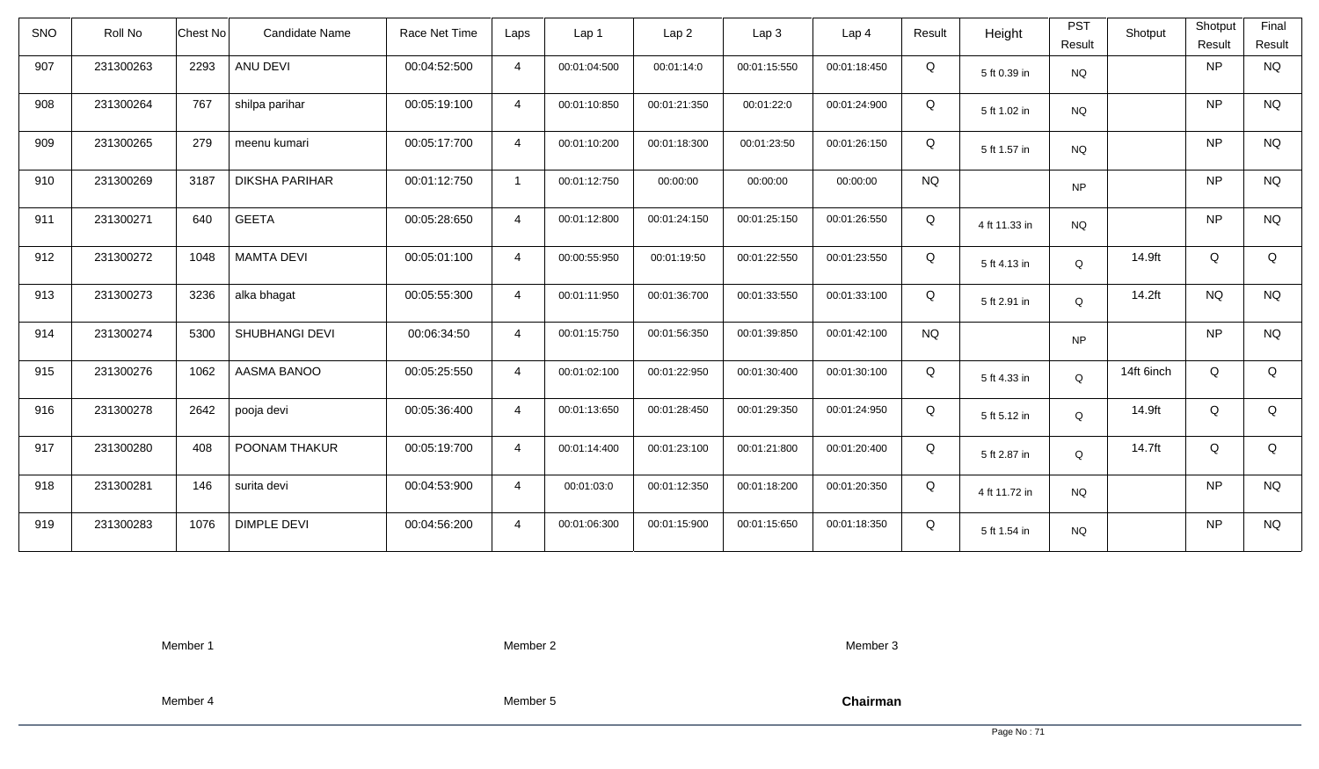| SNO | Roll No   | Candidate Name<br>Chest No    | Race Net Time | Laps           | Lap 1        | Lap2         | Lap 3        | Lap <sub>4</sub> | Result    | Height        | <b>PST</b><br>Result | Shotput    | Shotput<br>Result | Final<br>Result |
|-----|-----------|-------------------------------|---------------|----------------|--------------|--------------|--------------|------------------|-----------|---------------|----------------------|------------|-------------------|-----------------|
| 907 | 231300263 | 2293<br>ANU DEVI              | 00:04:52:500  | $\overline{4}$ | 00:01:04:500 | 00:01:14:0   | 00:01:15:550 | 00:01:18:450     | Q         | 5 ft 0.39 in  | <b>NQ</b>            |            | NP                | <b>NQ</b>       |
| 908 | 231300264 | 767<br>shilpa parihar         | 00:05:19:100  | $\overline{4}$ | 00:01:10:850 | 00:01:21:350 | 00:01:22:0   | 00:01:24:900     | Q         | 5 ft 1.02 in  | <b>NQ</b>            |            | NP                | <b>NQ</b>       |
| 909 | 231300265 | 279<br>meenu kumari           | 00:05:17:700  | $\overline{4}$ | 00:01:10:200 | 00:01:18:300 | 00:01:23:50  | 00:01:26:150     | Q         | 5 ft 1.57 in  | <b>NQ</b>            |            | NP                | <b>NQ</b>       |
| 910 | 231300269 | 3187<br><b>DIKSHA PARIHAR</b> | 00:01:12:750  | $\mathbf{1}$   | 00:01:12:750 | 00:00:00     | 00:00:00     | 00:00:00         | <b>NQ</b> |               | <b>NP</b>            |            | NP                | <b>NQ</b>       |
| 911 | 231300271 | <b>GEETA</b><br>640           | 00:05:28:650  | $\overline{4}$ | 00:01:12:800 | 00:01:24:150 | 00:01:25:150 | 00:01:26:550     | Q         | 4 ft 11.33 in | <b>NQ</b>            |            | NP                | <b>NQ</b>       |
| 912 | 231300272 | <b>MAMTA DEVI</b><br>1048     | 00:05:01:100  | $\overline{4}$ | 00:00:55:950 | 00:01:19:50  | 00:01:22:550 | 00:01:23:550     | Q         | 5 ft 4.13 in  | Q                    | 14.9ft     | Q                 | Q               |
| 913 | 231300273 | 3236<br>alka bhagat           | 00:05:55:300  | $\overline{4}$ | 00:01:11:950 | 00:01:36:700 | 00:01:33:550 | 00:01:33:100     | Q         | 5 ft 2.91 in  | Q                    | 14.2ft     | <b>NQ</b>         | <b>NQ</b>       |
| 914 | 231300274 | SHUBHANGI DEVI<br>5300        | 00:06:34:50   | $\overline{4}$ | 00:01:15:750 | 00:01:56:350 | 00:01:39:850 | 00:01:42:100     | <b>NQ</b> |               | <b>NP</b>            |            | NP                | <b>NQ</b>       |
| 915 | 231300276 | 1062<br>AASMA BANOO           | 00:05:25:550  | $\overline{4}$ | 00:01:02:100 | 00:01:22:950 | 00:01:30:400 | 00:01:30:100     | Q         | 5 ft 4.33 in  | Q                    | 14ft 6inch | Q                 | Q               |
| 916 | 231300278 | 2642<br>pooja devi            | 00:05:36:400  | $\overline{4}$ | 00:01:13:650 | 00:01:28:450 | 00:01:29:350 | 00:01:24:950     | Q         | 5 ft 5.12 in  | Q                    | 14.9ft     | Q                 | Q               |
| 917 | 231300280 | 408<br>POONAM THAKUR          | 00:05:19:700  | $\overline{4}$ | 00:01:14:400 | 00:01:23:100 | 00:01:21:800 | 00:01:20:400     | Q         | 5 ft 2.87 in  | Q                    | 14.7ft     | Q                 | Q               |
| 918 | 231300281 | 146<br>surita devi            | 00:04:53:900  | $\overline{4}$ | 00:01:03:0   | 00:01:12:350 | 00:01:18:200 | 00:01:20:350     | Q         | 4 ft 11.72 in | <b>NQ</b>            |            | NP                | <b>NQ</b>       |
| 919 | 231300283 | 1076<br><b>DIMPLE DEVI</b>    | 00:04:56:200  | $\overline{4}$ | 00:01:06:300 | 00:01:15:900 | 00:01:15:650 | 00:01:18:350     | Q         | 5 ft 1.54 in  | <b>NQ</b>            |            | NP                | <b>NQ</b>       |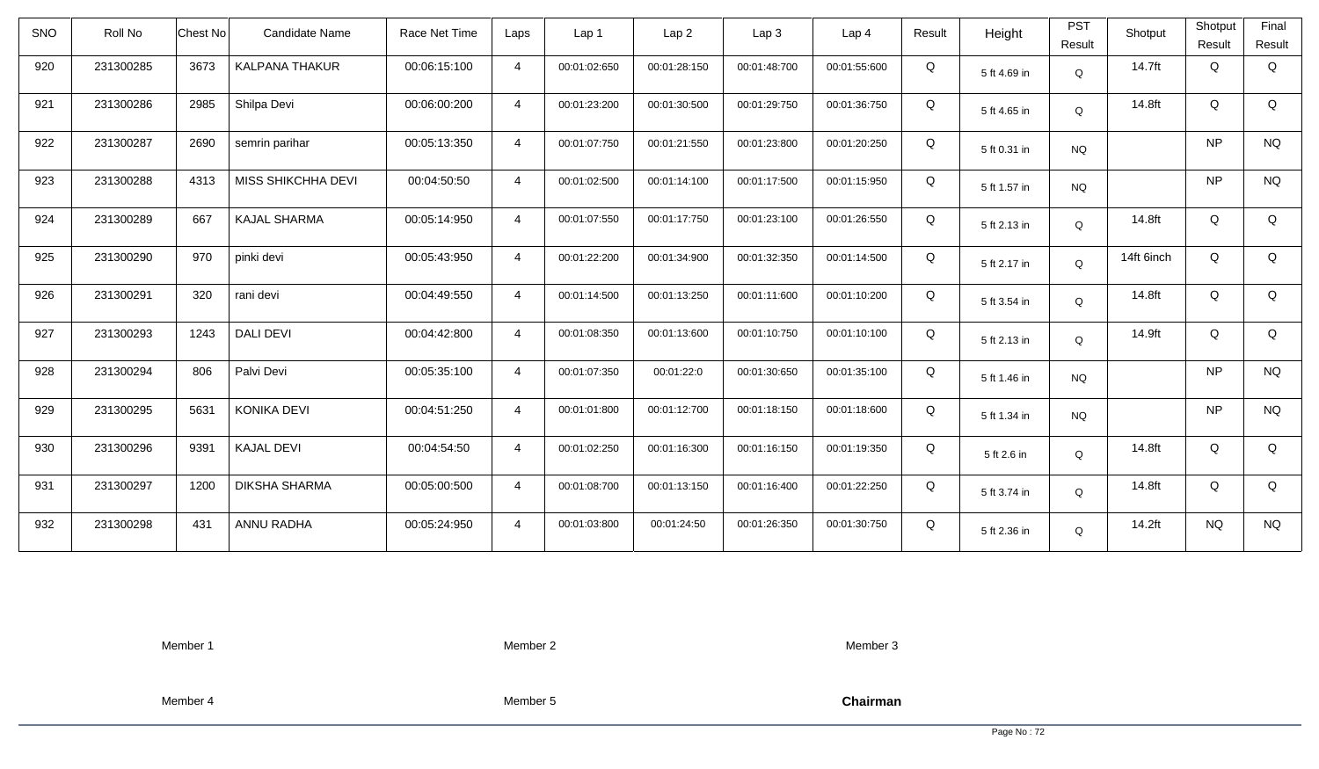| <b>SNO</b> | Roll No   | Chest No | Candidate Name        | Race Net Time | Laps           | Lap 1        | Lap <sub>2</sub> | Lap3         | Lap <sub>4</sub> | Result | Height       | <b>PST</b><br>Result | Shotput    | Shotput<br>Result | Final<br>Result |
|------------|-----------|----------|-----------------------|---------------|----------------|--------------|------------------|--------------|------------------|--------|--------------|----------------------|------------|-------------------|-----------------|
| 920        | 231300285 | 3673     | <b>KALPANA THAKUR</b> | 00:06:15:100  | $\overline{4}$ | 00:01:02:650 | 00:01:28:150     | 00:01:48:700 | 00:01:55:600     | Q      | 5 ft 4.69 in | $\mathsf Q$          | 14.7ft     | Q                 | Q               |
| 921        | 231300286 | 2985     | Shilpa Devi           | 00:06:00:200  | $\overline{4}$ | 00:01:23:200 | 00:01:30:500     | 00:01:29:750 | 00:01:36:750     | Q      | 5 ft 4.65 in | Q                    | 14.8ft     | Q                 | Q               |
| 922        | 231300287 | 2690     | semrin parihar        | 00:05:13:350  | $\overline{4}$ | 00:01:07:750 | 00:01:21:550     | 00:01:23:800 | 00:01:20:250     | Q      | 5 ft 0.31 in | <b>NQ</b>            |            | <b>NP</b>         | <b>NQ</b>       |
| 923        | 231300288 | 4313     | MISS SHIKCHHA DEVI    | 00:04:50:50   | $\overline{4}$ | 00:01:02:500 | 00:01:14:100     | 00:01:17:500 | 00:01:15:950     | Q      | 5 ft 1.57 in | <b>NQ</b>            |            | <b>NP</b>         | <b>NQ</b>       |
| 924        | 231300289 | 667      | <b>KAJAL SHARMA</b>   | 00:05:14:950  | $\overline{4}$ | 00:01:07:550 | 00:01:17:750     | 00:01:23:100 | 00:01:26:550     | Q      | 5 ft 2.13 in | Q                    | 14.8ft     | Q                 | Q               |
| 925        | 231300290 | 970      | pinki devi            | 00:05:43:950  | $\overline{4}$ | 00:01:22:200 | 00:01:34:900     | 00:01:32:350 | 00:01:14:500     | Q      | 5 ft 2.17 in | Q                    | 14ft 6inch | Q                 | Q               |
| 926        | 231300291 | 320      | rani devi             | 00:04:49:550  | $\overline{4}$ | 00:01:14:500 | 00:01:13:250     | 00:01:11:600 | 00:01:10:200     | Q      | 5 ft 3.54 in | Q                    | 14.8ft     | Q                 | Q               |
| 927        | 231300293 | 1243     | <b>DALI DEVI</b>      | 00:04:42:800  | $\overline{4}$ | 00:01:08:350 | 00:01:13:600     | 00:01:10:750 | 00:01:10:100     | Q      | 5 ft 2.13 in | Q                    | 14.9ft     | Q                 | Q               |
| 928        | 231300294 | 806      | Palvi Devi            | 00:05:35:100  | $\overline{4}$ | 00:01:07:350 | 00:01:22:0       | 00:01:30:650 | 00:01:35:100     | Q      | 5 ft 1.46 in | <b>NQ</b>            |            | <b>NP</b>         | <b>NQ</b>       |
| 929        | 231300295 | 5631     | KONIKA DEVI           | 00:04:51:250  | $\overline{4}$ | 00:01:01:800 | 00:01:12:700     | 00:01:18:150 | 00:01:18:600     | Q      | 5 ft 1.34 in | <b>NQ</b>            |            | <b>NP</b>         | $\rm N\rm Q$    |
| 930        | 231300296 | 9391     | <b>KAJAL DEVI</b>     | 00:04:54:50   | $\overline{4}$ | 00:01:02:250 | 00:01:16:300     | 00:01:16:150 | 00:01:19:350     | Q      | 5 ft 2.6 in  | Q                    | 14.8ft     | Q                 | Q               |
| 931        | 231300297 | 1200     | <b>DIKSHA SHARMA</b>  | 00:05:00:500  | $\overline{4}$ | 00:01:08:700 | 00:01:13:150     | 00:01:16:400 | 00:01:22:250     | Q      | 5 ft 3.74 in | Q                    | 14.8ft     | Q                 | Q               |
| 932        | 231300298 | 431      | ANNU RADHA            | 00:05:24:950  | $\overline{4}$ | 00:01:03:800 | 00:01:24:50      | 00:01:26:350 | 00:01:30:750     | Q      | 5 ft 2.36 in | Q                    | 14.2ft     | <b>NQ</b>         | <b>NQ</b>       |

Member 2

Member 3

Member 4

Member 5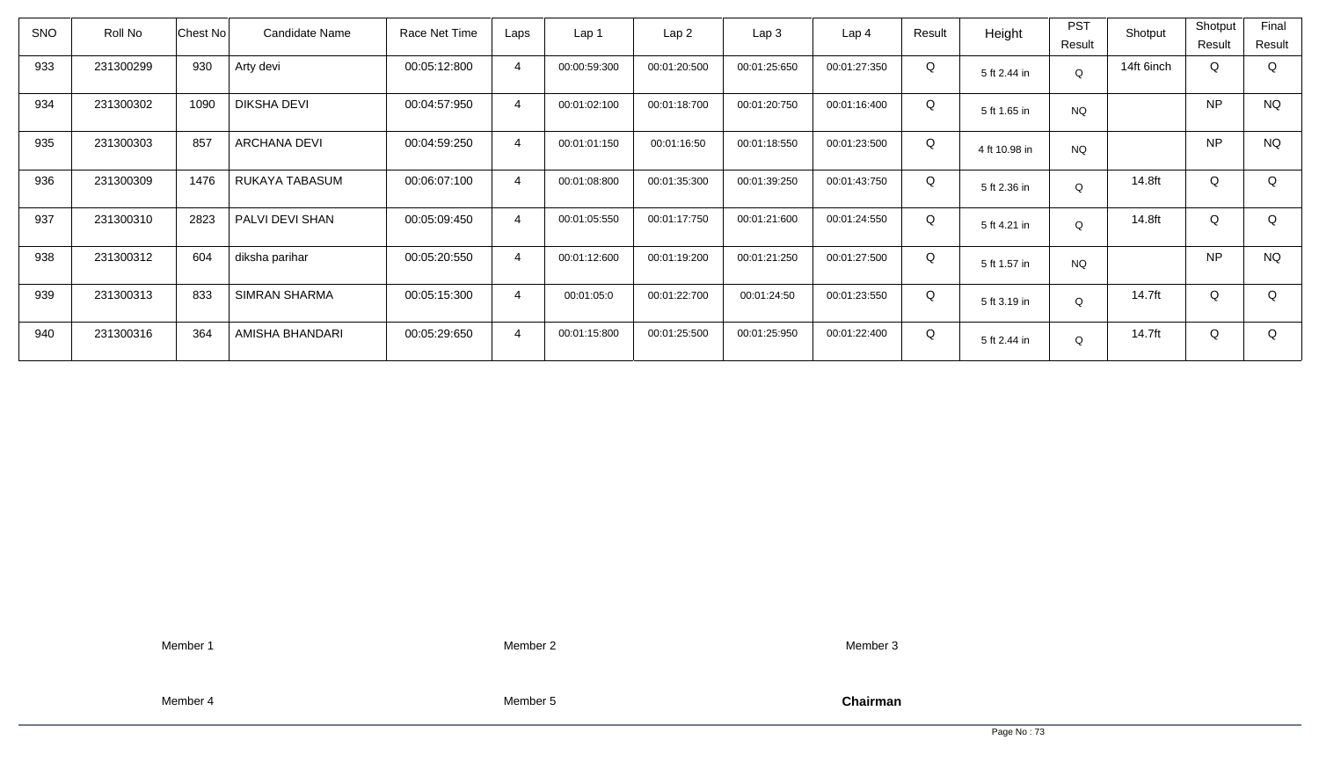| <b>SNO</b> | Roll No   | Chest No | Candidate Name       | Race Net Time | Laps           | Lap <sub>1</sub> | Lap2         | Lap3         | Lap <sub>4</sub> | Result | Height        | <b>PST</b> | Shotput    | Shotput   | Final     |
|------------|-----------|----------|----------------------|---------------|----------------|------------------|--------------|--------------|------------------|--------|---------------|------------|------------|-----------|-----------|
|            |           |          |                      |               |                |                  |              |              |                  |        |               | Result     |            | Result    | Result    |
| 933        | 231300299 | 930      | Arty devi            | 00:05:12:800  | 4              | 00:00:59:300     | 00:01:20:500 | 00:01:25:650 | 00:01:27:350     | Q      | 5 ft 2.44 in  | Q          | 14ft 6inch | Q         | Q         |
| 934        | 231300302 | 1090     | <b>DIKSHA DEVI</b>   | 00:04:57:950  | $\overline{4}$ | 00:01:02:100     | 00:01:18:700 | 00:01:20:750 | 00:01:16:400     | Q      | 5 ft 1.65 in  | <b>NQ</b>  |            | <b>NP</b> | <b>NQ</b> |
| 935        | 231300303 | 857      | <b>ARCHANA DEVI</b>  | 00:04:59:250  | $\overline{4}$ | 00:01:01:150     | 00:01:16:50  | 00:01:18:550 | 00:01:23:500     | Q      | 4 ft 10.98 in | <b>NQ</b>  |            | <b>NP</b> | <b>NQ</b> |
| 936        | 231300309 | 1476     | RUKAYA TABASUM       | 00:06:07:100  | $\overline{4}$ | 00:01:08:800     | 00:01:35:300 | 00:01:39:250 | 00:01:43:750     | Q      | 5 ft 2.36 in  | Q          | 14.8ft     | Q         | Q         |
| 937        | 231300310 | 2823     | PALVI DEVI SHAN      | 00:05:09:450  | $\overline{4}$ | 00:01:05:550     | 00:01:17:750 | 00:01:21:600 | 00:01:24:550     | Q      | 5 ft 4.21 in  | Q          | 14.8ft     | Q         | Q         |
| 938        | 231300312 | 604      | diksha parihar       | 00:05:20:550  | $\overline{4}$ | 00:01:12:600     | 00:01:19:200 | 00:01:21:250 | 00:01:27:500     | Q      | 5 ft 1.57 in  | <b>NQ</b>  |            | <b>NP</b> | <b>NQ</b> |
| 939        | 231300313 | 833      | <b>SIMRAN SHARMA</b> | 00:05:15:300  | $\overline{4}$ | 00:01:05:0       | 00:01:22:700 | 00:01:24:50  | 00:01:23:550     | Q      | 5 ft 3.19 in  | Q          | 14.7ft     | Q         | Q         |
| 940        | 231300316 | 364      | AMISHA BHANDARI      | 00:05:29:650  | $\overline{4}$ | 00:01:15:800     | 00:01:25:500 | 00:01:25:950 | 00:01:22:400     | Q      | 5 ft 2.44 in  | Q          | 14.7ft     | Q         | Q         |

Member 1

Member 2

Member 3

Member 4

Member 5

Chairman